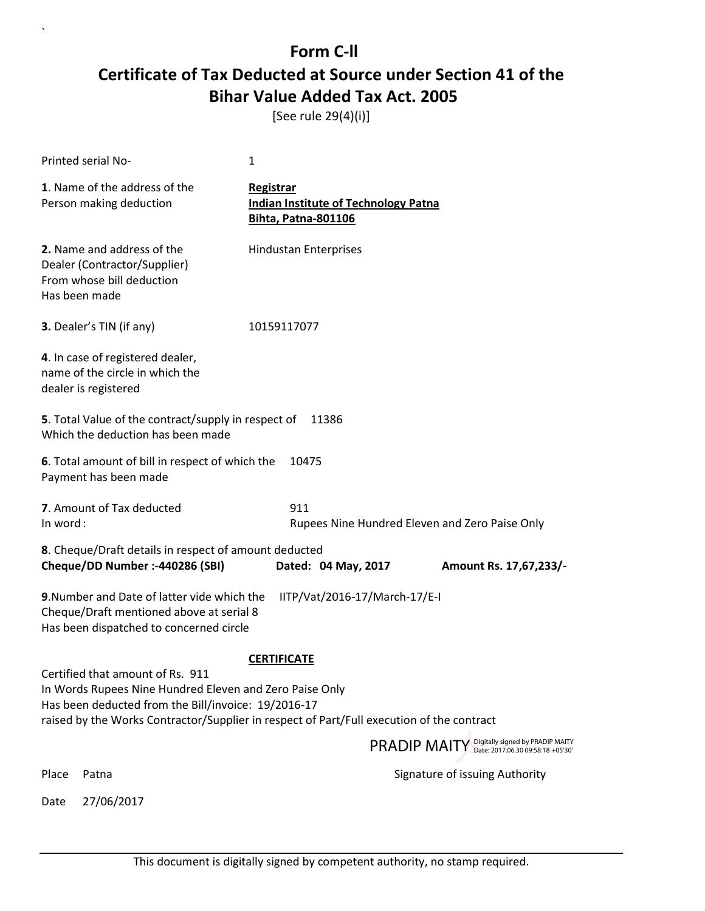[See rule 29(4)(i)]

| Printed serial No-                                                                                                                                 | 1                                                                                         |
|----------------------------------------------------------------------------------------------------------------------------------------------------|-------------------------------------------------------------------------------------------|
| 1. Name of the address of the<br>Person making deduction                                                                                           | Registrar<br><b>Indian Institute of Technology Patna</b><br><b>Bihta, Patna-801106</b>    |
| 2. Name and address of the<br>Dealer (Contractor/Supplier)<br>From whose bill deduction<br>Has been made                                           | <b>Hindustan Enterprises</b>                                                              |
| 3. Dealer's TIN (if any)                                                                                                                           | 10159117077                                                                               |
| 4. In case of registered dealer,<br>name of the circle in which the<br>dealer is registered                                                        |                                                                                           |
| 5. Total Value of the contract/supply in respect of<br>Which the deduction has been made                                                           | 11386                                                                                     |
| 6. Total amount of bill in respect of which the<br>Payment has been made                                                                           | 10475                                                                                     |
| 7. Amount of Tax deducted<br>In word:                                                                                                              | 911<br>Rupees Nine Hundred Eleven and Zero Paise Only                                     |
| 8. Cheque/Draft details in respect of amount deducted<br>Cheque/DD Number :- 440286 (SBI)                                                          | Dated: 04 May, 2017<br>Amount Rs. 17,67,233/-                                             |
| 9. Number and Date of latter vide which the<br>Cheque/Draft mentioned above at serial 8<br>Has been dispatched to concerned circle                 | IITP/Vat/2016-17/March-17/E-I                                                             |
|                                                                                                                                                    | <b>CERTIFICATE</b>                                                                        |
| Certified that amount of Rs. 911<br>In Words Rupees Nine Hundred Eleven and Zero Paise Only<br>Has been deducted from the Bill/invoice: 19/2016-17 | raised by the Works Contractor/Supplier in respect of Part/Full execution of the contract |
|                                                                                                                                                    | PRADIP MAITY Digitally signed by PRADIP MAITY                                             |
| Place<br>Patna                                                                                                                                     | Signature of issuing Authority                                                            |
| 27/06/2017<br>Date                                                                                                                                 |                                                                                           |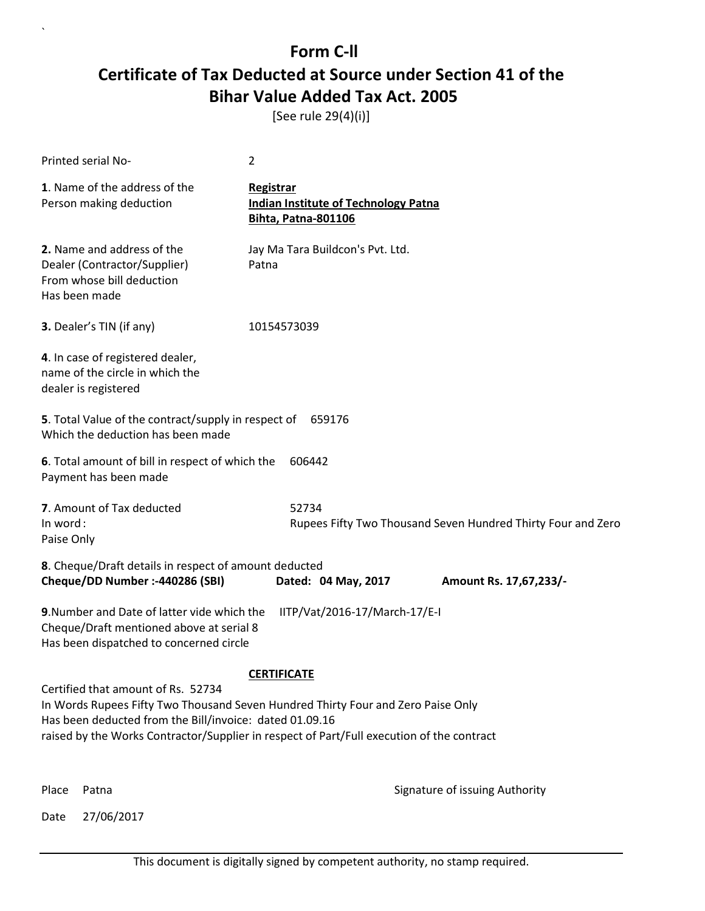[See rule 29(4)(i)]

| Printed serial No-                                                                                                                                                                                                                                                             | 2                                                                                             |  |  |  |
|--------------------------------------------------------------------------------------------------------------------------------------------------------------------------------------------------------------------------------------------------------------------------------|-----------------------------------------------------------------------------------------------|--|--|--|
| 1. Name of the address of the<br>Person making deduction                                                                                                                                                                                                                       | <b>Registrar</b><br><b>Indian Institute of Technology Patna</b><br><b>Bihta, Patna-801106</b> |  |  |  |
| 2. Name and address of the<br>Dealer (Contractor/Supplier)<br>From whose bill deduction<br>Has been made                                                                                                                                                                       | Jay Ma Tara Buildcon's Pvt. Ltd.<br>Patna                                                     |  |  |  |
| 3. Dealer's TIN (if any)                                                                                                                                                                                                                                                       | 10154573039                                                                                   |  |  |  |
| 4. In case of registered dealer,<br>name of the circle in which the<br>dealer is registered                                                                                                                                                                                    |                                                                                               |  |  |  |
| 5. Total Value of the contract/supply in respect of<br>Which the deduction has been made                                                                                                                                                                                       | 659176                                                                                        |  |  |  |
| 6. Total amount of bill in respect of which the<br>Payment has been made                                                                                                                                                                                                       | 606442                                                                                        |  |  |  |
| 7. Amount of Tax deducted<br>In word:<br>Paise Only                                                                                                                                                                                                                            | 52734<br>Rupees Fifty Two Thousand Seven Hundred Thirty Four and Zero                         |  |  |  |
| 8. Cheque/Draft details in respect of amount deducted<br>Cheque/DD Number :- 440286 (SBI)                                                                                                                                                                                      | Dated: 04 May, 2017<br>Amount Rs. 17,67,233/-                                                 |  |  |  |
| 9. Number and Date of latter vide which the<br>IITP/Vat/2016-17/March-17/E-I<br>Cheque/Draft mentioned above at serial 8<br>Has been dispatched to concerned circle                                                                                                            |                                                                                               |  |  |  |
| <b>CERTIFICATE</b>                                                                                                                                                                                                                                                             |                                                                                               |  |  |  |
| Certified that amount of Rs. 52734<br>In Words Rupees Fifty Two Thousand Seven Hundred Thirty Four and Zero Paise Only<br>Has been deducted from the Bill/invoice: dated 01.09.16<br>raised by the Works Contractor/Supplier in respect of Part/Full execution of the contract |                                                                                               |  |  |  |
|                                                                                                                                                                                                                                                                                | PRADIP MAITY Digitally signed by PRADIP MAITY                                                 |  |  |  |
| Place<br>Patna                                                                                                                                                                                                                                                                 | Signature of issuing Authority                                                                |  |  |  |

Date 27/06/2017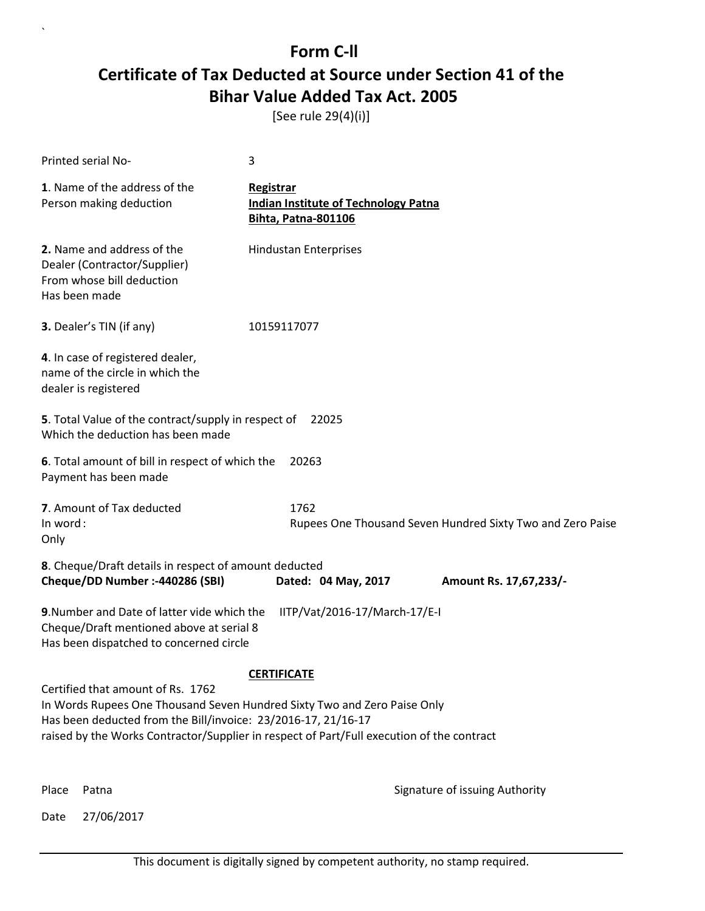[See rule 29(4)(i)]

| Printed serial No-                                                                                                                                                                                                                                                          | 3                                                                                             |  |  |
|-----------------------------------------------------------------------------------------------------------------------------------------------------------------------------------------------------------------------------------------------------------------------------|-----------------------------------------------------------------------------------------------|--|--|
| 1. Name of the address of the<br>Person making deduction                                                                                                                                                                                                                    | <b>Registrar</b><br><b>Indian Institute of Technology Patna</b><br><b>Bihta, Patna-801106</b> |  |  |
| 2. Name and address of the<br>Dealer (Contractor/Supplier)<br>From whose bill deduction<br>Has been made                                                                                                                                                                    | <b>Hindustan Enterprises</b>                                                                  |  |  |
| 3. Dealer's TIN (if any)                                                                                                                                                                                                                                                    | 10159117077                                                                                   |  |  |
| 4. In case of registered dealer,<br>name of the circle in which the<br>dealer is registered                                                                                                                                                                                 |                                                                                               |  |  |
| 5. Total Value of the contract/supply in respect of<br>Which the deduction has been made                                                                                                                                                                                    | 22025                                                                                         |  |  |
| 6. Total amount of bill in respect of which the<br>Payment has been made                                                                                                                                                                                                    | 20263                                                                                         |  |  |
| 7. Amount of Tax deducted<br>In word:<br>Only                                                                                                                                                                                                                               | 1762<br>Rupees One Thousand Seven Hundred Sixty Two and Zero Paise                            |  |  |
| 8. Cheque/Draft details in respect of amount deducted<br>Cheque/DD Number :- 440286 (SBI)                                                                                                                                                                                   | Dated: 04 May, 2017<br>Amount Rs. 17,67,233/-                                                 |  |  |
| 9. Number and Date of latter vide which the<br>Cheque/Draft mentioned above at serial 8<br>Has been dispatched to concerned circle                                                                                                                                          | IITP/Vat/2016-17/March-17/E-I                                                                 |  |  |
|                                                                                                                                                                                                                                                                             | <b>CERTIFICATE</b>                                                                            |  |  |
| Certified that amount of Rs. 1762<br>In Words Rupees One Thousand Seven Hundred Sixty Two and Zero Paise Only<br>Has been deducted from the Bill/invoice: 23/2016-17, 21/16-17<br>raised by the Works Contractor/Supplier in respect of Part/Full execution of the contract |                                                                                               |  |  |
| Place<br>Patna                                                                                                                                                                                                                                                              | Signature of issuing Authority                                                                |  |  |

Date 27/06/2017

`

This document is digitally signed by competent authority, no stamp required.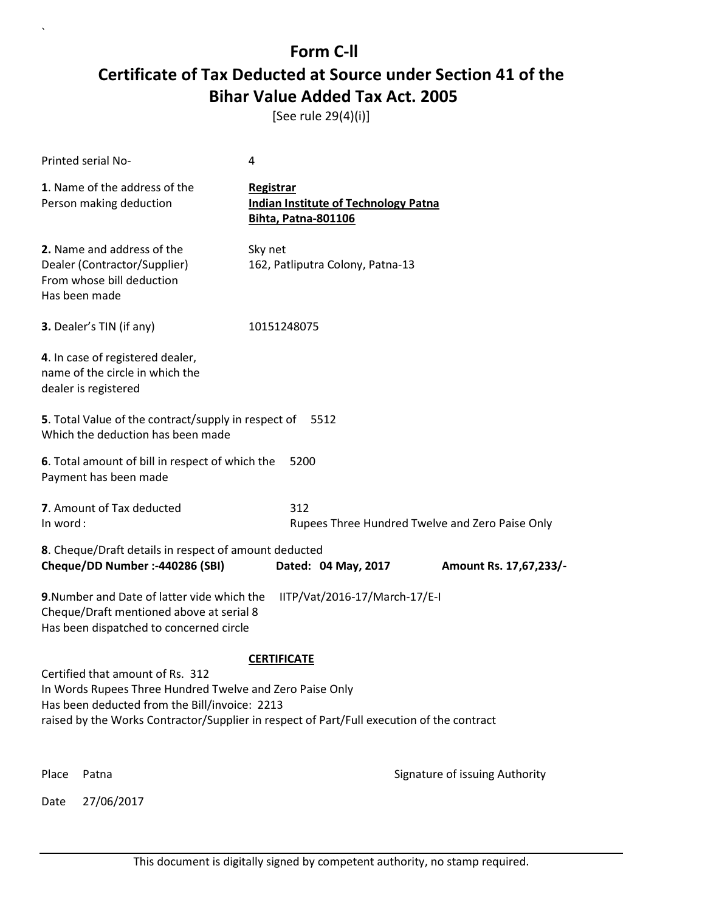[See rule 29(4)(i)]

|                                                                                                                                                                                                                                            | Printed serial No-                                                                                       | 4                                                                                      |                                                 |  |
|--------------------------------------------------------------------------------------------------------------------------------------------------------------------------------------------------------------------------------------------|----------------------------------------------------------------------------------------------------------|----------------------------------------------------------------------------------------|-------------------------------------------------|--|
|                                                                                                                                                                                                                                            | 1. Name of the address of the<br>Person making deduction                                                 | Registrar<br><b>Indian Institute of Technology Patna</b><br><b>Bihta, Patna-801106</b> |                                                 |  |
|                                                                                                                                                                                                                                            | 2. Name and address of the<br>Dealer (Contractor/Supplier)<br>From whose bill deduction<br>Has been made | Sky net<br>162, Patliputra Colony, Patna-13                                            |                                                 |  |
|                                                                                                                                                                                                                                            | 3. Dealer's TIN (if any)                                                                                 | 10151248075                                                                            |                                                 |  |
|                                                                                                                                                                                                                                            | 4. In case of registered dealer,<br>name of the circle in which the<br>dealer is registered              |                                                                                        |                                                 |  |
|                                                                                                                                                                                                                                            | 5. Total Value of the contract/supply in respect of<br>Which the deduction has been made                 | 5512                                                                                   |                                                 |  |
|                                                                                                                                                                                                                                            | 6. Total amount of bill in respect of which the<br>Payment has been made                                 | 5200                                                                                   |                                                 |  |
| In word:                                                                                                                                                                                                                                   | 7. Amount of Tax deducted                                                                                | 312                                                                                    | Rupees Three Hundred Twelve and Zero Paise Only |  |
| 8. Cheque/Draft details in respect of amount deducted<br>Cheque/DD Number :- 440286 (SBI)<br>Dated: 04 May, 2017                                                                                                                           |                                                                                                          |                                                                                        | Amount Rs. 17,67,233/-                          |  |
| 9. Number and Date of latter vide which the<br>IITP/Vat/2016-17/March-17/E-I<br>Cheque/Draft mentioned above at serial 8<br>Has been dispatched to concerned circle                                                                        |                                                                                                          |                                                                                        |                                                 |  |
| <b>CERTIFICATE</b>                                                                                                                                                                                                                         |                                                                                                          |                                                                                        |                                                 |  |
| Certified that amount of Rs. 312<br>In Words Rupees Three Hundred Twelve and Zero Paise Only<br>Has been deducted from the Bill/invoice: 2213<br>raised by the Works Contractor/Supplier in respect of Part/Full execution of the contract |                                                                                                          |                                                                                        |                                                 |  |
|                                                                                                                                                                                                                                            |                                                                                                          |                                                                                        |                                                 |  |
| Place                                                                                                                                                                                                                                      | Patna                                                                                                    |                                                                                        | Signature of issuing Authority                  |  |
| Date                                                                                                                                                                                                                                       | 27/06/2017                                                                                               |                                                                                        |                                                 |  |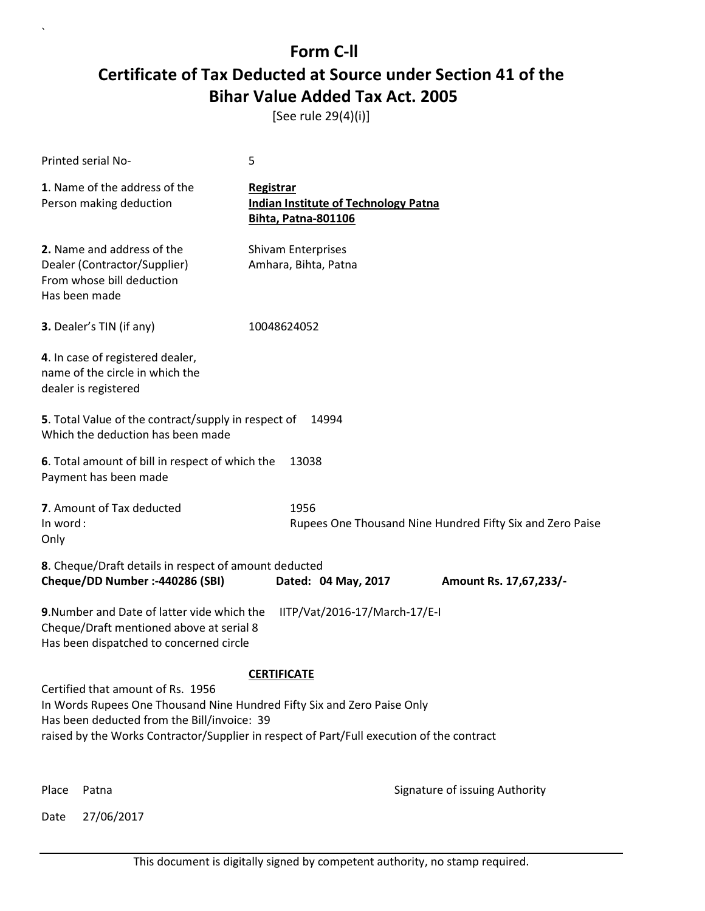[See rule 29(4)(i)]

| Printed serial No-                                                                                                                                                                                                                                       | 5                                                                                      |  |  |  |
|----------------------------------------------------------------------------------------------------------------------------------------------------------------------------------------------------------------------------------------------------------|----------------------------------------------------------------------------------------|--|--|--|
| 1. Name of the address of the<br>Person making deduction                                                                                                                                                                                                 | Registrar<br><b>Indian Institute of Technology Patna</b><br><b>Bihta, Patna-801106</b> |  |  |  |
| 2. Name and address of the<br>Dealer (Contractor/Supplier)<br>From whose bill deduction<br>Has been made                                                                                                                                                 | Shivam Enterprises<br>Amhara, Bihta, Patna                                             |  |  |  |
| 3. Dealer's TIN (if any)                                                                                                                                                                                                                                 | 10048624052                                                                            |  |  |  |
| 4. In case of registered dealer,<br>name of the circle in which the<br>dealer is registered                                                                                                                                                              |                                                                                        |  |  |  |
| 5. Total Value of the contract/supply in respect of<br>Which the deduction has been made                                                                                                                                                                 | 14994                                                                                  |  |  |  |
| 6. Total amount of bill in respect of which the<br>Payment has been made                                                                                                                                                                                 | 13038                                                                                  |  |  |  |
| 7. Amount of Tax deducted<br>In word:<br>Only                                                                                                                                                                                                            | 1956<br>Rupees One Thousand Nine Hundred Fifty Six and Zero Paise                      |  |  |  |
| 8. Cheque/Draft details in respect of amount deducted<br>Cheque/DD Number :- 440286 (SBI)                                                                                                                                                                | Dated: 04 May, 2017<br>Amount Rs. 17,67,233/-                                          |  |  |  |
| 9. Number and Date of latter vide which the<br>Cheque/Draft mentioned above at serial 8<br>Has been dispatched to concerned circle                                                                                                                       | IITP/Vat/2016-17/March-17/E-I                                                          |  |  |  |
| <b>CERTIFICATE</b>                                                                                                                                                                                                                                       |                                                                                        |  |  |  |
| Certified that amount of Rs. 1956<br>In Words Rupees One Thousand Nine Hundred Fifty Six and Zero Paise Only<br>Has been deducted from the Bill/invoice: 39<br>raised by the Works Contractor/Supplier in respect of Part/Full execution of the contract |                                                                                        |  |  |  |
| Place<br>Patna                                                                                                                                                                                                                                           | Signature of issuing Authority                                                         |  |  |  |

Date 27/06/2017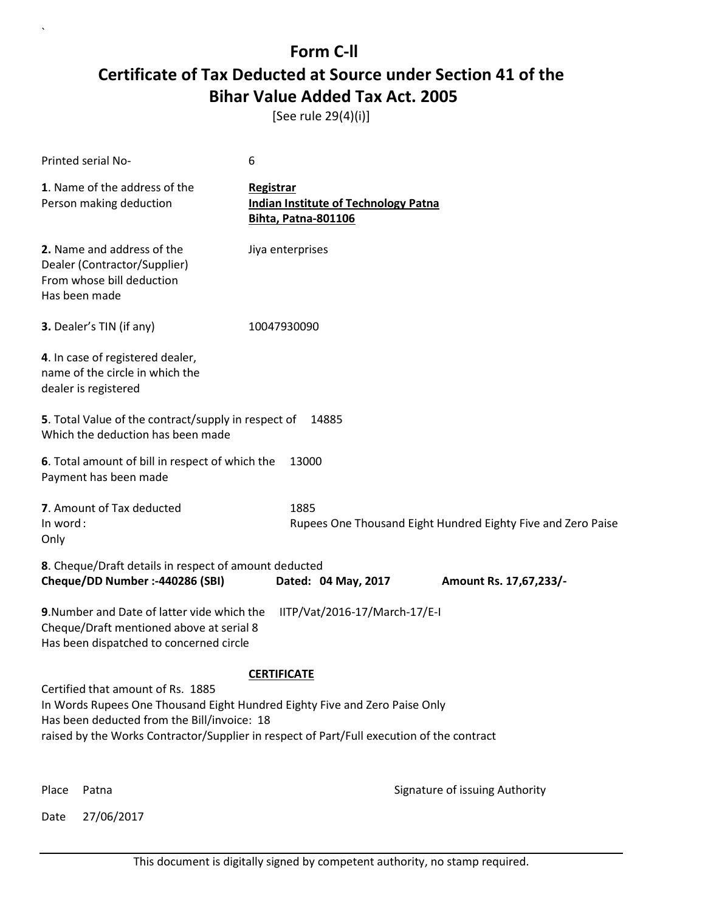[See rule 29(4)(i)]

| Printed serial No-                                                                                                                                                                                                                                          | 6                                                                                             |  |  |  |
|-------------------------------------------------------------------------------------------------------------------------------------------------------------------------------------------------------------------------------------------------------------|-----------------------------------------------------------------------------------------------|--|--|--|
| 1. Name of the address of the<br>Person making deduction                                                                                                                                                                                                    | <b>Registrar</b><br><b>Indian Institute of Technology Patna</b><br><b>Bihta, Patna-801106</b> |  |  |  |
| 2. Name and address of the<br>Dealer (Contractor/Supplier)<br>From whose bill deduction<br>Has been made                                                                                                                                                    | Jiya enterprises                                                                              |  |  |  |
| 3. Dealer's TIN (if any)                                                                                                                                                                                                                                    | 10047930090                                                                                   |  |  |  |
| 4. In case of registered dealer,<br>name of the circle in which the<br>dealer is registered                                                                                                                                                                 |                                                                                               |  |  |  |
| 5. Total Value of the contract/supply in respect of<br>Which the deduction has been made                                                                                                                                                                    | 14885                                                                                         |  |  |  |
| 6. Total amount of bill in respect of which the<br>Payment has been made                                                                                                                                                                                    | 13000                                                                                         |  |  |  |
| 7. Amount of Tax deducted<br>In word:<br>Only                                                                                                                                                                                                               | 1885<br>Rupees One Thousand Eight Hundred Eighty Five and Zero Paise                          |  |  |  |
| 8. Cheque/Draft details in respect of amount deducted<br>Cheque/DD Number :- 440286 (SBI)                                                                                                                                                                   | Dated: 04 May, 2017<br>Amount Rs. 17,67,233/-                                                 |  |  |  |
| 9. Number and Date of latter vide which the<br>Cheque/Draft mentioned above at serial 8<br>Has been dispatched to concerned circle                                                                                                                          | IITP/Vat/2016-17/March-17/E-I                                                                 |  |  |  |
| <b>CERTIFICATE</b>                                                                                                                                                                                                                                          |                                                                                               |  |  |  |
| Certified that amount of Rs. 1885<br>In Words Rupees One Thousand Eight Hundred Eighty Five and Zero Paise Only<br>Has been deducted from the Bill/invoice: 18<br>raised by the Works Contractor/Supplier in respect of Part/Full execution of the contract |                                                                                               |  |  |  |
|                                                                                                                                                                                                                                                             |                                                                                               |  |  |  |
| Place<br>Patna                                                                                                                                                                                                                                              | Signature of issuing Authority                                                                |  |  |  |

Date 27/06/2017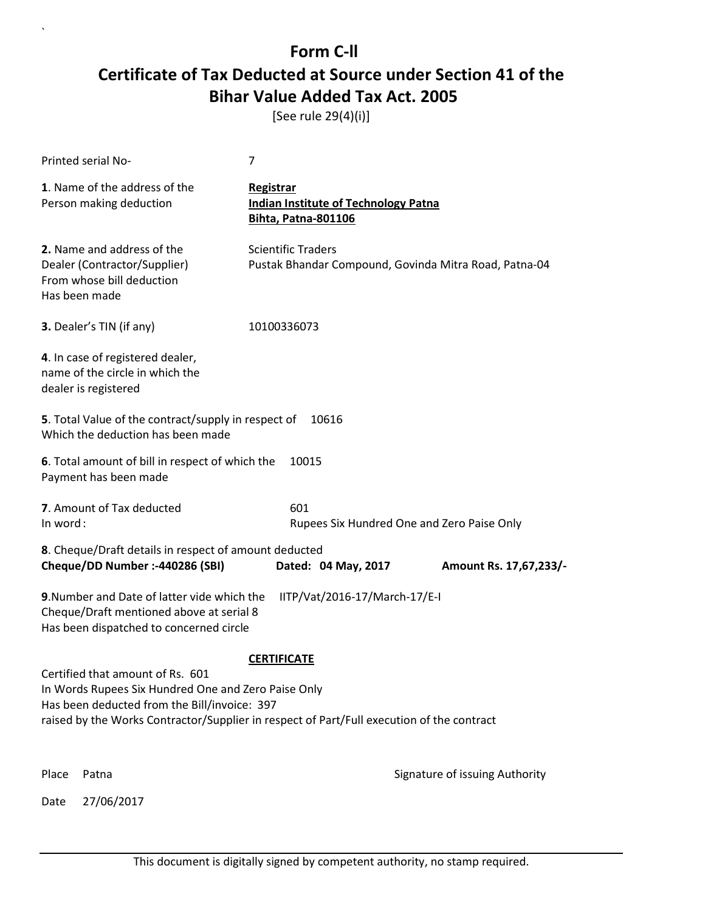[See rule 29(4)(i)]

|                                                                                                                                                                                                                                      | Printed serial No-                                                                                       | 7                                                                                      |                                            |  |
|--------------------------------------------------------------------------------------------------------------------------------------------------------------------------------------------------------------------------------------|----------------------------------------------------------------------------------------------------------|----------------------------------------------------------------------------------------|--------------------------------------------|--|
|                                                                                                                                                                                                                                      | 1. Name of the address of the<br>Person making deduction                                                 | Registrar<br><b>Indian Institute of Technology Patna</b><br><b>Bihta, Patna-801106</b> |                                            |  |
|                                                                                                                                                                                                                                      | 2. Name and address of the<br>Dealer (Contractor/Supplier)<br>From whose bill deduction<br>Has been made | <b>Scientific Traders</b><br>Pustak Bhandar Compound, Govinda Mitra Road, Patna-04     |                                            |  |
|                                                                                                                                                                                                                                      | 3. Dealer's TIN (if any)                                                                                 | 10100336073                                                                            |                                            |  |
|                                                                                                                                                                                                                                      | 4. In case of registered dealer,<br>name of the circle in which the<br>dealer is registered              |                                                                                        |                                            |  |
|                                                                                                                                                                                                                                      | 5. Total Value of the contract/supply in respect of<br>Which the deduction has been made                 | 10616                                                                                  |                                            |  |
|                                                                                                                                                                                                                                      | 6. Total amount of bill in respect of which the<br>Payment has been made                                 | 10015                                                                                  |                                            |  |
| In word:                                                                                                                                                                                                                             | 7. Amount of Tax deducted                                                                                | 601                                                                                    | Rupees Six Hundred One and Zero Paise Only |  |
| 8. Cheque/Draft details in respect of amount deducted<br>Cheque/DD Number :- 440286 (SBI)<br>Dated: 04 May, 2017                                                                                                                     |                                                                                                          |                                                                                        | Amount Rs. 17,67,233/-                     |  |
| 9. Number and Date of latter vide which the<br>IITP/Vat/2016-17/March-17/E-I<br>Cheque/Draft mentioned above at serial 8<br>Has been dispatched to concerned circle                                                                  |                                                                                                          |                                                                                        |                                            |  |
| <b>CERTIFICATE</b>                                                                                                                                                                                                                   |                                                                                                          |                                                                                        |                                            |  |
| Certified that amount of Rs. 601<br>In Words Rupees Six Hundred One and Zero Paise Only<br>Has been deducted from the Bill/invoice: 397<br>raised by the Works Contractor/Supplier in respect of Part/Full execution of the contract |                                                                                                          |                                                                                        |                                            |  |
| Place                                                                                                                                                                                                                                | Patna                                                                                                    |                                                                                        | Signature of issuing Authority             |  |
| Date                                                                                                                                                                                                                                 | 27/06/2017                                                                                               |                                                                                        |                                            |  |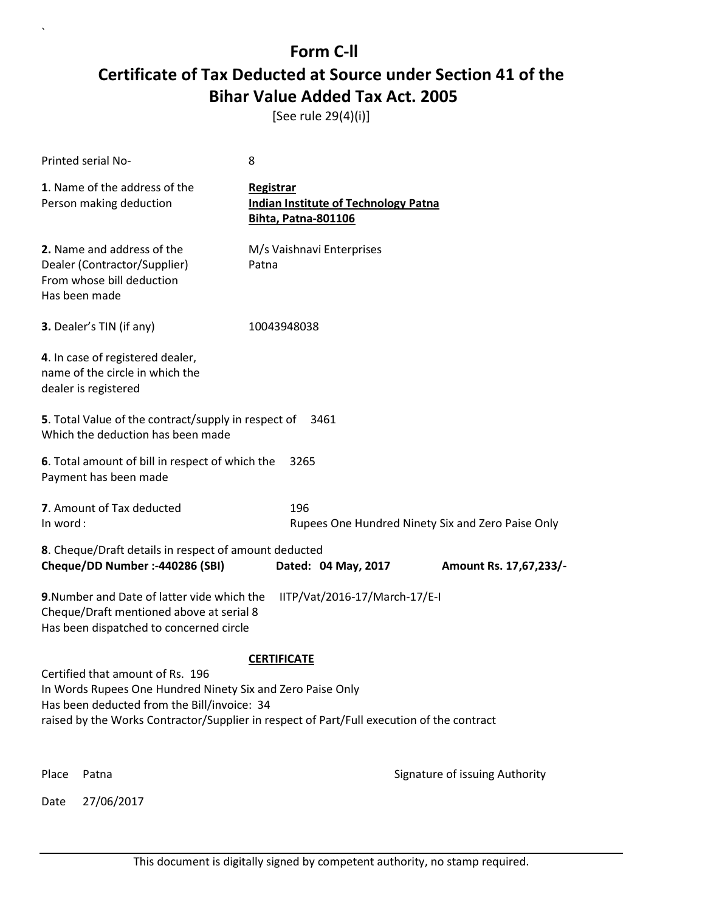[See rule 29(4)(i)]

|                                                                                                                                                                                                                                                                  | <b>Printed serial No-</b>                                                                                | 8                                                                                      |                                |  |
|------------------------------------------------------------------------------------------------------------------------------------------------------------------------------------------------------------------------------------------------------------------|----------------------------------------------------------------------------------------------------------|----------------------------------------------------------------------------------------|--------------------------------|--|
|                                                                                                                                                                                                                                                                  | 1. Name of the address of the<br>Person making deduction                                                 | Registrar<br><b>Indian Institute of Technology Patna</b><br><b>Bihta, Patna-801106</b> |                                |  |
|                                                                                                                                                                                                                                                                  | 2. Name and address of the<br>Dealer (Contractor/Supplier)<br>From whose bill deduction<br>Has been made | M/s Vaishnavi Enterprises<br>Patna                                                     |                                |  |
|                                                                                                                                                                                                                                                                  | 3. Dealer's TIN (if any)                                                                                 | 10043948038                                                                            |                                |  |
|                                                                                                                                                                                                                                                                  | 4. In case of registered dealer,<br>name of the circle in which the<br>dealer is registered              |                                                                                        |                                |  |
|                                                                                                                                                                                                                                                                  | 5. Total Value of the contract/supply in respect of<br>Which the deduction has been made                 | 3461                                                                                   |                                |  |
|                                                                                                                                                                                                                                                                  | 6. Total amount of bill in respect of which the<br>Payment has been made                                 | 3265                                                                                   |                                |  |
|                                                                                                                                                                                                                                                                  | 7. Amount of Tax deducted<br>196<br>In word:<br>Rupees One Hundred Ninety Six and Zero Paise Only        |                                                                                        |                                |  |
|                                                                                                                                                                                                                                                                  | 8. Cheque/Draft details in respect of amount deducted<br>Cheque/DD Number :- 440286 (SBI)                | Dated: 04 May, 2017                                                                    | Amount Rs. 17,67,233/-         |  |
| 9. Number and Date of latter vide which the<br>IITP/Vat/2016-17/March-17/E-I<br>Cheque/Draft mentioned above at serial 8<br>Has been dispatched to concerned circle                                                                                              |                                                                                                          |                                                                                        |                                |  |
| <b>CERTIFICATE</b><br>Certified that amount of Rs. 196<br>In Words Rupees One Hundred Ninety Six and Zero Paise Only<br>Has been deducted from the Bill/invoice: 34<br>raised by the Works Contractor/Supplier in respect of Part/Full execution of the contract |                                                                                                          |                                                                                        |                                |  |
| Place                                                                                                                                                                                                                                                            | Patna                                                                                                    |                                                                                        | Signature of issuing Authority |  |
| Date                                                                                                                                                                                                                                                             | 27/06/2017                                                                                               |                                                                                        |                                |  |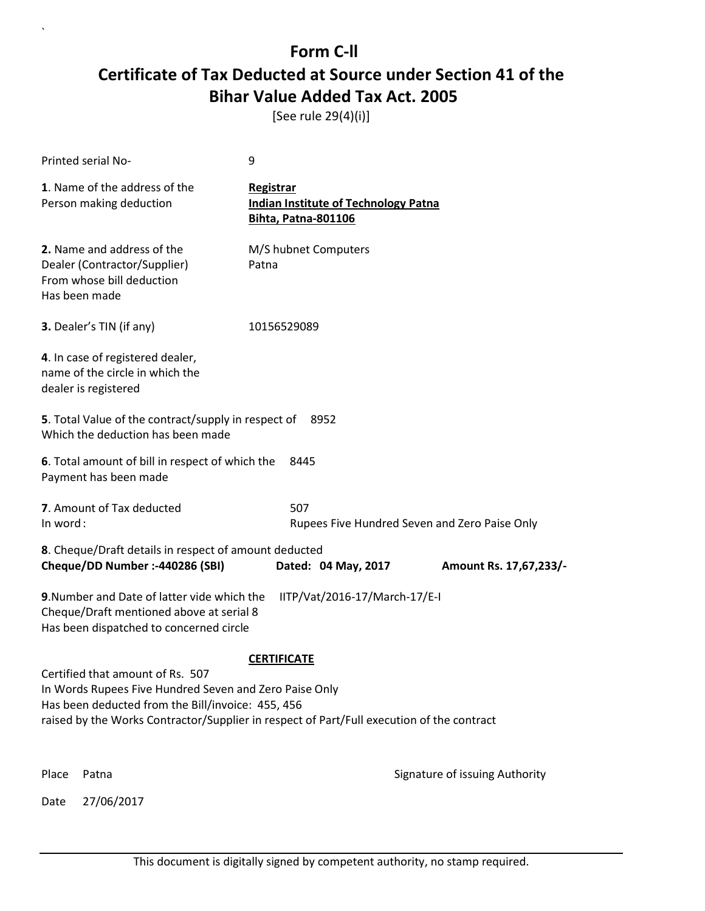[See rule 29(4)(i)]

|                                                                                                                                                                                                                                                                    | <b>Printed serial No-</b>                                                                                                          | 9                                                                                      |                                               |  |
|--------------------------------------------------------------------------------------------------------------------------------------------------------------------------------------------------------------------------------------------------------------------|------------------------------------------------------------------------------------------------------------------------------------|----------------------------------------------------------------------------------------|-----------------------------------------------|--|
|                                                                                                                                                                                                                                                                    | 1. Name of the address of the<br>Person making deduction                                                                           | Registrar<br><b>Indian Institute of Technology Patna</b><br><b>Bihta, Patna-801106</b> |                                               |  |
|                                                                                                                                                                                                                                                                    | 2. Name and address of the<br>Dealer (Contractor/Supplier)<br>From whose bill deduction<br>Has been made                           | M/S hubnet Computers<br>Patna                                                          |                                               |  |
|                                                                                                                                                                                                                                                                    | 3. Dealer's TIN (if any)                                                                                                           | 10156529089                                                                            |                                               |  |
|                                                                                                                                                                                                                                                                    | 4. In case of registered dealer,<br>name of the circle in which the<br>dealer is registered                                        |                                                                                        |                                               |  |
|                                                                                                                                                                                                                                                                    | 5. Total Value of the contract/supply in respect of<br>Which the deduction has been made                                           | 8952                                                                                   |                                               |  |
|                                                                                                                                                                                                                                                                    | 6. Total amount of bill in respect of which the<br>Payment has been made                                                           | 8445                                                                                   |                                               |  |
| In word:                                                                                                                                                                                                                                                           | 7. Amount of Tax deducted                                                                                                          | 507                                                                                    | Rupees Five Hundred Seven and Zero Paise Only |  |
| 8. Cheque/Draft details in respect of amount deducted<br>Cheque/DD Number :- 440286 (SBI)<br>Dated: 04 May, 2017                                                                                                                                                   |                                                                                                                                    |                                                                                        | Amount Rs. 17,67,233/-                        |  |
|                                                                                                                                                                                                                                                                    | 9. Number and Date of latter vide which the<br>Cheque/Draft mentioned above at serial 8<br>Has been dispatched to concerned circle | IITP/Vat/2016-17/March-17/E-I                                                          |                                               |  |
| <b>CERTIFICATE</b><br>Certified that amount of Rs. 507<br>In Words Rupees Five Hundred Seven and Zero Paise Only<br>Has been deducted from the Bill/invoice: 455, 456<br>raised by the Works Contractor/Supplier in respect of Part/Full execution of the contract |                                                                                                                                    |                                                                                        |                                               |  |
| Place                                                                                                                                                                                                                                                              | Patna                                                                                                                              |                                                                                        | Signature of issuing Authority                |  |
| Date                                                                                                                                                                                                                                                               | 27/06/2017                                                                                                                         |                                                                                        |                                               |  |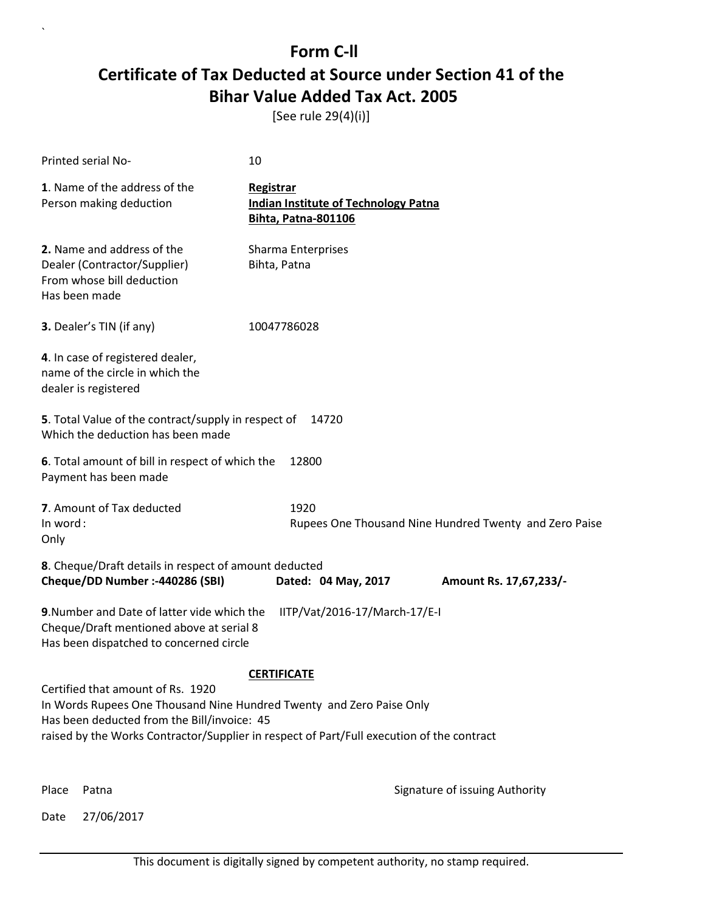[See rule 29(4)(i)]

| Printed serial No-                                                                                                                                                                                                                                    | 10                                                                                     |                                                        |  |  |
|-------------------------------------------------------------------------------------------------------------------------------------------------------------------------------------------------------------------------------------------------------|----------------------------------------------------------------------------------------|--------------------------------------------------------|--|--|
| 1. Name of the address of the<br>Person making deduction                                                                                                                                                                                              | Registrar<br><b>Indian Institute of Technology Patna</b><br><b>Bihta, Patna-801106</b> |                                                        |  |  |
| 2. Name and address of the<br>Dealer (Contractor/Supplier)<br>From whose bill deduction<br>Has been made                                                                                                                                              | Sharma Enterprises<br>Bihta, Patna                                                     |                                                        |  |  |
| 3. Dealer's TIN (if any)                                                                                                                                                                                                                              | 10047786028                                                                            |                                                        |  |  |
| 4. In case of registered dealer,<br>name of the circle in which the<br>dealer is registered                                                                                                                                                           |                                                                                        |                                                        |  |  |
| 5. Total Value of the contract/supply in respect of<br>Which the deduction has been made                                                                                                                                                              | 14720                                                                                  |                                                        |  |  |
| 6. Total amount of bill in respect of which the<br>Payment has been made                                                                                                                                                                              | 12800                                                                                  |                                                        |  |  |
| 7. Amount of Tax deducted<br>In word:<br>Only                                                                                                                                                                                                         | 1920                                                                                   | Rupees One Thousand Nine Hundred Twenty and Zero Paise |  |  |
| 8. Cheque/Draft details in respect of amount deducted<br>Cheque/DD Number :- 440286 (SBI)                                                                                                                                                             | Dated: 04 May, 2017                                                                    | Amount Rs. 17,67,233/-                                 |  |  |
| 9. Number and Date of latter vide which the<br>IITP/Vat/2016-17/March-17/E-I<br>Cheque/Draft mentioned above at serial 8<br>Has been dispatched to concerned circle                                                                                   |                                                                                        |                                                        |  |  |
| <b>CERTIFICATE</b>                                                                                                                                                                                                                                    |                                                                                        |                                                        |  |  |
| Certified that amount of Rs. 1920<br>In Words Rupees One Thousand Nine Hundred Twenty and Zero Paise Only<br>Has been deducted from the Bill/invoice: 45<br>raised by the Works Contractor/Supplier in respect of Part/Full execution of the contract |                                                                                        |                                                        |  |  |
|                                                                                                                                                                                                                                                       |                                                                                        |                                                        |  |  |

Date 27/06/2017

`

Place Patna **Property** Place Patna Signature of issuing Authority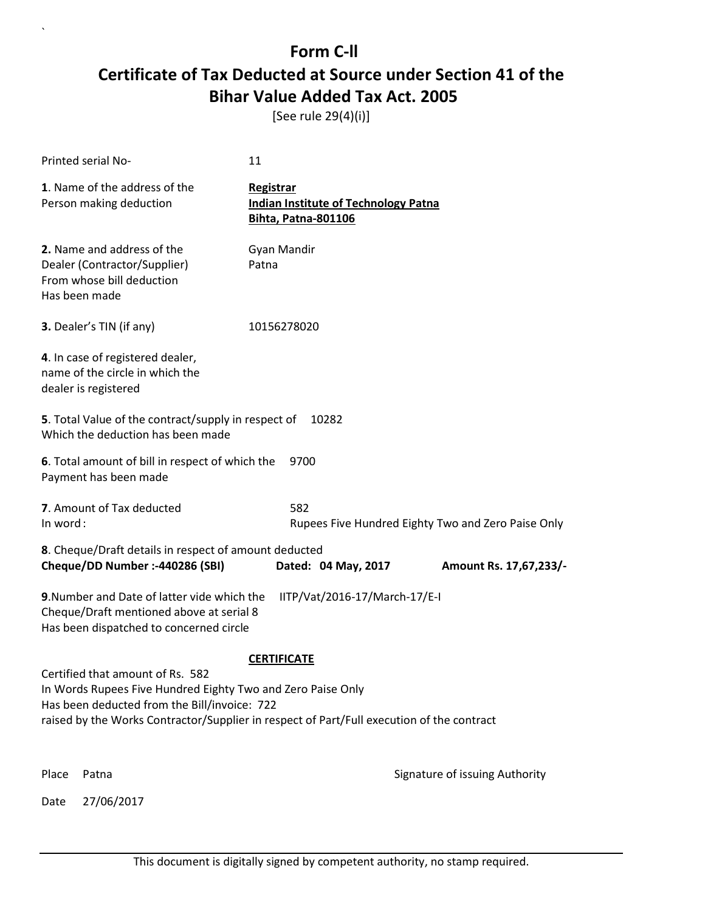[See rule 29(4)(i)]

|                                                                                                                                                                                                                                                                    | <b>Printed serial No-</b>                                                                                | 11                                                                              |                                |  |
|--------------------------------------------------------------------------------------------------------------------------------------------------------------------------------------------------------------------------------------------------------------------|----------------------------------------------------------------------------------------------------------|---------------------------------------------------------------------------------|--------------------------------|--|
|                                                                                                                                                                                                                                                                    | 1. Name of the address of the<br>Person making deduction                                                 | Registrar<br><b>Indian Institute of Technology Patna</b><br>Bihta, Patna-801106 |                                |  |
|                                                                                                                                                                                                                                                                    | 2. Name and address of the<br>Dealer (Contractor/Supplier)<br>From whose bill deduction<br>Has been made | Gyan Mandir<br>Patna                                                            |                                |  |
|                                                                                                                                                                                                                                                                    | 3. Dealer's TIN (if any)                                                                                 | 10156278020                                                                     |                                |  |
|                                                                                                                                                                                                                                                                    | 4. In case of registered dealer,<br>name of the circle in which the<br>dealer is registered              |                                                                                 |                                |  |
|                                                                                                                                                                                                                                                                    | 5. Total Value of the contract/supply in respect of<br>Which the deduction has been made                 | 10282                                                                           |                                |  |
| 6. Total amount of bill in respect of which the<br>9700<br>Payment has been made                                                                                                                                                                                   |                                                                                                          |                                                                                 |                                |  |
|                                                                                                                                                                                                                                                                    | 7. Amount of Tax deducted<br>582<br>In word:<br>Rupees Five Hundred Eighty Two and Zero Paise Only       |                                                                                 |                                |  |
|                                                                                                                                                                                                                                                                    | 8. Cheque/Draft details in respect of amount deducted<br>Cheque/DD Number :- 440286 (SBI)                | Dated: 04 May, 2017                                                             | Amount Rs. 17,67,233/-         |  |
| 9. Number and Date of latter vide which the<br>IITP/Vat/2016-17/March-17/E-I<br>Cheque/Draft mentioned above at serial 8<br>Has been dispatched to concerned circle                                                                                                |                                                                                                          |                                                                                 |                                |  |
| <b>CERTIFICATE</b><br>Certified that amount of Rs. 582<br>In Words Rupees Five Hundred Eighty Two and Zero Paise Only<br>Has been deducted from the Bill/invoice: 722<br>raised by the Works Contractor/Supplier in respect of Part/Full execution of the contract |                                                                                                          |                                                                                 |                                |  |
| Place                                                                                                                                                                                                                                                              | Patna                                                                                                    |                                                                                 | Signature of issuing Authority |  |
| Date                                                                                                                                                                                                                                                               | 27/06/2017                                                                                               |                                                                                 |                                |  |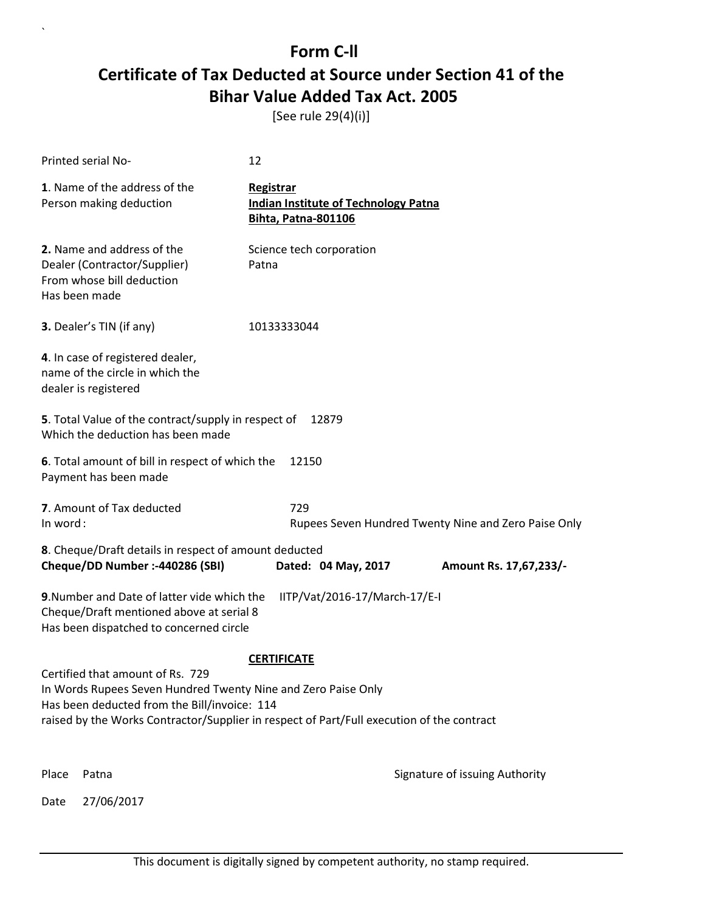[See rule 29(4)(i)]

|                                                                                                                                                                                                                                                                      | Printed serial No-                                                                                       | 12                                      |                                             |                                |
|----------------------------------------------------------------------------------------------------------------------------------------------------------------------------------------------------------------------------------------------------------------------|----------------------------------------------------------------------------------------------------------|-----------------------------------------|---------------------------------------------|--------------------------------|
|                                                                                                                                                                                                                                                                      | 1. Name of the address of the<br>Person making deduction                                                 | <b>Registrar</b><br>Bihta, Patna-801106 | <b>Indian Institute of Technology Patna</b> |                                |
|                                                                                                                                                                                                                                                                      | 2. Name and address of the<br>Dealer (Contractor/Supplier)<br>From whose bill deduction<br>Has been made | Science tech corporation<br>Patna       |                                             |                                |
|                                                                                                                                                                                                                                                                      | <b>3.</b> Dealer's TIN (if any)                                                                          | 10133333044                             |                                             |                                |
|                                                                                                                                                                                                                                                                      | 4. In case of registered dealer,<br>name of the circle in which the<br>dealer is registered              |                                         |                                             |                                |
|                                                                                                                                                                                                                                                                      | 5. Total Value of the contract/supply in respect of<br>Which the deduction has been made                 |                                         | 12879                                       |                                |
|                                                                                                                                                                                                                                                                      | 6. Total amount of bill in respect of which the<br>Payment has been made                                 | 12150                                   |                                             |                                |
|                                                                                                                                                                                                                                                                      | 7. Amount of Tax deducted<br>729<br>In word:<br>Rupees Seven Hundred Twenty Nine and Zero Paise Only     |                                         |                                             |                                |
|                                                                                                                                                                                                                                                                      | 8. Cheque/Draft details in respect of amount deducted                                                    |                                         |                                             |                                |
|                                                                                                                                                                                                                                                                      | Cheque/DD Number :- 440286 (SBI)                                                                         |                                         | Dated: 04 May, 2017                         | Amount Rs. 17,67,233/-         |
| 9. Number and Date of latter vide which the<br>IITP/Vat/2016-17/March-17/E-I<br>Cheque/Draft mentioned above at serial 8<br>Has been dispatched to concerned circle                                                                                                  |                                                                                                          |                                         |                                             |                                |
| <b>CERTIFICATE</b><br>Certified that amount of Rs. 729<br>In Words Rupees Seven Hundred Twenty Nine and Zero Paise Only<br>Has been deducted from the Bill/invoice: 114<br>raised by the Works Contractor/Supplier in respect of Part/Full execution of the contract |                                                                                                          |                                         |                                             |                                |
| Place                                                                                                                                                                                                                                                                | Patna                                                                                                    |                                         |                                             | Signature of issuing Authority |
| Date                                                                                                                                                                                                                                                                 | 27/06/2017                                                                                               |                                         |                                             |                                |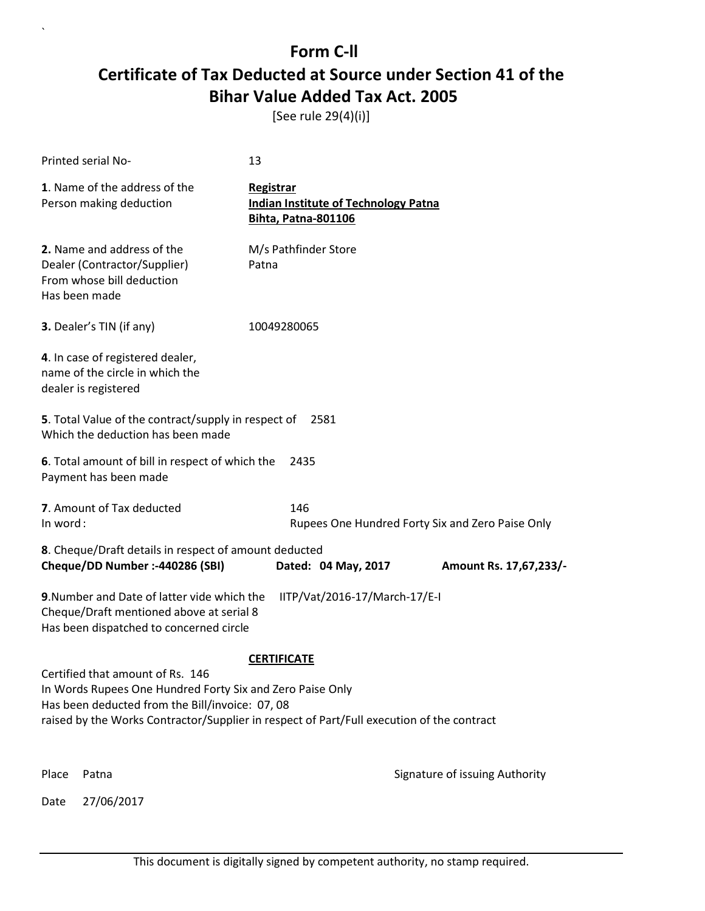[See rule 29(4)(i)]

| Printed serial No-       |                                                                                                                                                                                                                                               | 13                                                                                     |                                                  |  |
|--------------------------|-----------------------------------------------------------------------------------------------------------------------------------------------------------------------------------------------------------------------------------------------|----------------------------------------------------------------------------------------|--------------------------------------------------|--|
|                          | 1. Name of the address of the<br>Person making deduction                                                                                                                                                                                      | Registrar<br><b>Indian Institute of Technology Patna</b><br><b>Bihta, Patna-801106</b> |                                                  |  |
| Has been made            | 2. Name and address of the<br>Dealer (Contractor/Supplier)<br>From whose bill deduction                                                                                                                                                       | M/s Pathfinder Store<br>Patna                                                          |                                                  |  |
| 3. Dealer's TIN (if any) |                                                                                                                                                                                                                                               | 10049280065                                                                            |                                                  |  |
| dealer is registered     | 4. In case of registered dealer,<br>name of the circle in which the                                                                                                                                                                           |                                                                                        |                                                  |  |
|                          | 5. Total Value of the contract/supply in respect of<br>Which the deduction has been made                                                                                                                                                      | 2581                                                                                   |                                                  |  |
|                          | 6. Total amount of bill in respect of which the<br>2435<br>Payment has been made                                                                                                                                                              |                                                                                        |                                                  |  |
| In word:                 | 7. Amount of Tax deducted                                                                                                                                                                                                                     | 146                                                                                    | Rupees One Hundred Forty Six and Zero Paise Only |  |
|                          | 8. Cheque/Draft details in respect of amount deducted<br>Cheque/DD Number :- 440286 (SBI)                                                                                                                                                     | Dated: 04 May, 2017                                                                    | Amount Rs. 17,67,233/-                           |  |
|                          | 9. Number and Date of latter vide which the<br>IITP/Vat/2016-17/March-17/E-I<br>Cheque/Draft mentioned above at serial 8<br>Has been dispatched to concerned circle                                                                           |                                                                                        |                                                  |  |
|                          |                                                                                                                                                                                                                                               | <b>CERTIFICATE</b>                                                                     |                                                  |  |
|                          | Certified that amount of Rs. 146<br>In Words Rupees One Hundred Forty Six and Zero Paise Only<br>Has been deducted from the Bill/invoice: 07, 08<br>raised by the Works Contractor/Supplier in respect of Part/Full execution of the contract |                                                                                        |                                                  |  |
| Place<br>Patna           |                                                                                                                                                                                                                                               |                                                                                        | Signature of issuing Authority                   |  |
| Date                     | 27/06/2017                                                                                                                                                                                                                                    |                                                                                        |                                                  |  |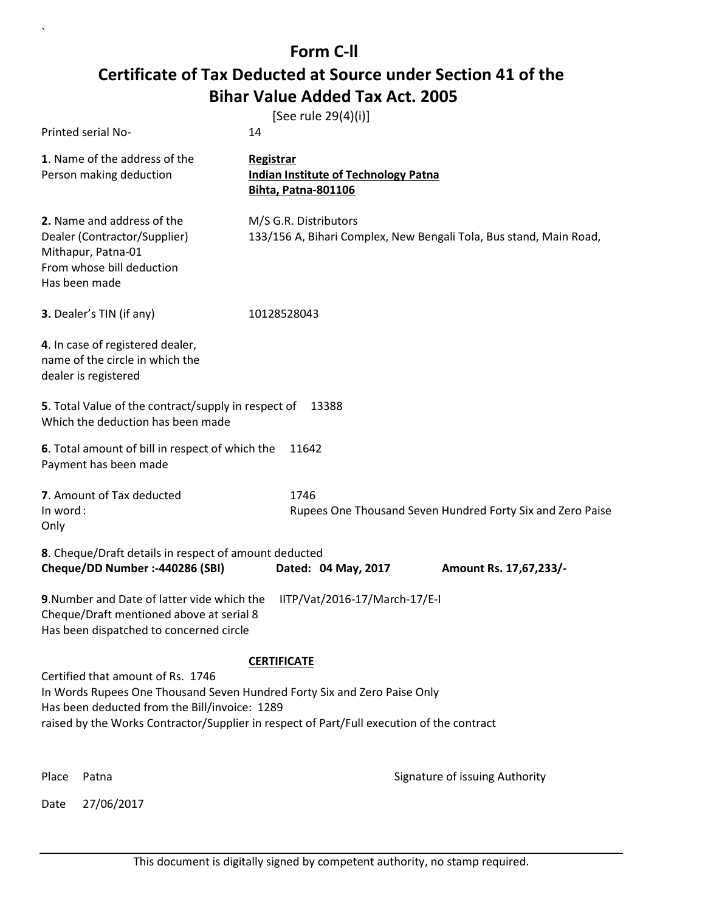`

|                                                                                                                                                                                                                                                             | [See rule 29(4)(i)]                                                                    |                                                                    |
|-------------------------------------------------------------------------------------------------------------------------------------------------------------------------------------------------------------------------------------------------------------|----------------------------------------------------------------------------------------|--------------------------------------------------------------------|
| Printed serial No-                                                                                                                                                                                                                                          | 14                                                                                     |                                                                    |
| 1. Name of the address of the<br>Person making deduction                                                                                                                                                                                                    | Registrar<br><b>Indian Institute of Technology Patna</b><br><b>Bihta, Patna-801106</b> |                                                                    |
| 2. Name and address of the<br>Dealer (Contractor/Supplier)<br>Mithapur, Patna-01<br>From whose bill deduction<br>Has been made                                                                                                                              | M/S G.R. Distributors                                                                  | 133/156 A, Bihari Complex, New Bengali Tola, Bus stand, Main Road, |
| 3. Dealer's TIN (if any)                                                                                                                                                                                                                                    | 10128528043                                                                            |                                                                    |
| 4. In case of registered dealer,<br>name of the circle in which the<br>dealer is registered                                                                                                                                                                 |                                                                                        |                                                                    |
| 5. Total Value of the contract/supply in respect of 13388<br>Which the deduction has been made                                                                                                                                                              |                                                                                        |                                                                    |
| 6. Total amount of bill in respect of which the<br>Payment has been made                                                                                                                                                                                    | 11642                                                                                  |                                                                    |
| 7. Amount of Tax deducted<br>In word:<br>Only                                                                                                                                                                                                               | 1746                                                                                   | Rupees One Thousand Seven Hundred Forty Six and Zero Paise         |
| 8. Cheque/Draft details in respect of amount deducted<br>Cheque/DD Number :- 440286 (SBI)                                                                                                                                                                   | Dated: 04 May, 2017                                                                    | Amount Rs. 17,67,233/-                                             |
| 9. Number and Date of latter vide which the<br>IITP/Vat/2016-17/March-17/E-I<br>Cheque/Draft mentioned above at serial 8<br>Has been dispatched to concerned circle                                                                                         |                                                                                        |                                                                    |
|                                                                                                                                                                                                                                                             | <b>CERTIFICATE</b>                                                                     |                                                                    |
| Certified that amount of Rs. 1746<br>In Words Rupees One Thousand Seven Hundred Forty Six and Zero Paise Only<br>Has been deducted from the Bill/invoice: 1289<br>raised by the Works Contractor/Supplier in respect of Part/Full execution of the contract |                                                                                        |                                                                    |
| Place<br>Patna                                                                                                                                                                                                                                              |                                                                                        | Signature of issuing Authority                                     |
| 27/06/2017<br>Date                                                                                                                                                                                                                                          |                                                                                        |                                                                    |

This document is digitally signed by competent authority, no stamp required.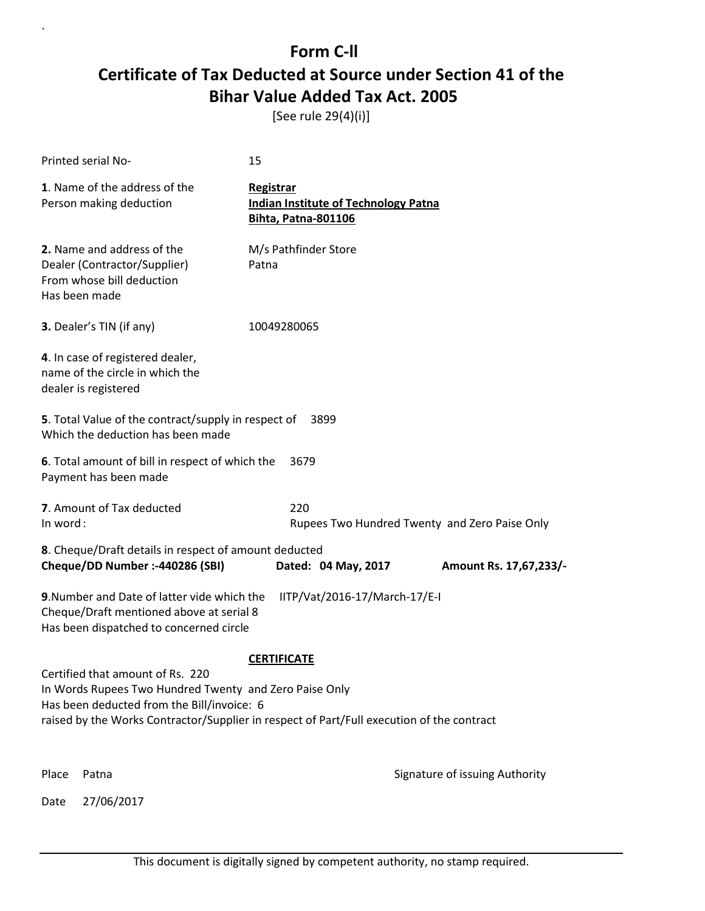[See rule 29(4)(i)]

|          | Printed serial No-                                                                                                                                                                                                                    | 15                                                                                     |                                               |  |
|----------|---------------------------------------------------------------------------------------------------------------------------------------------------------------------------------------------------------------------------------------|----------------------------------------------------------------------------------------|-----------------------------------------------|--|
|          | 1. Name of the address of the<br>Person making deduction                                                                                                                                                                              | Registrar<br><b>Indian Institute of Technology Patna</b><br><b>Bihta, Patna-801106</b> |                                               |  |
|          | 2. Name and address of the<br>Dealer (Contractor/Supplier)<br>From whose bill deduction<br>Has been made                                                                                                                              | M/s Pathfinder Store<br>Patna                                                          |                                               |  |
|          | <b>3.</b> Dealer's TIN (if any)                                                                                                                                                                                                       | 10049280065                                                                            |                                               |  |
|          | 4. In case of registered dealer,<br>name of the circle in which the<br>dealer is registered                                                                                                                                           |                                                                                        |                                               |  |
|          | 5. Total Value of the contract/supply in respect of<br>Which the deduction has been made                                                                                                                                              | 3899                                                                                   |                                               |  |
|          | 6. Total amount of bill in respect of which the<br>Payment has been made                                                                                                                                                              | 3679                                                                                   |                                               |  |
| In word: | 7. Amount of Tax deducted                                                                                                                                                                                                             | 220                                                                                    | Rupees Two Hundred Twenty and Zero Paise Only |  |
|          | 8. Cheque/Draft details in respect of amount deducted                                                                                                                                                                                 |                                                                                        |                                               |  |
|          | Cheque/DD Number :- 440286 (SBI)                                                                                                                                                                                                      | Dated: 04 May, 2017                                                                    | Amount Rs. 17,67,233/-                        |  |
|          | 9. Number and Date of latter vide which the<br>IITP/Vat/2016-17/March-17/E-I<br>Cheque/Draft mentioned above at serial 8<br>Has been dispatched to concerned circle                                                                   |                                                                                        |                                               |  |
|          |                                                                                                                                                                                                                                       | <b>CERTIFICATE</b>                                                                     |                                               |  |
|          | Certified that amount of Rs. 220<br>In Words Rupees Two Hundred Twenty and Zero Paise Only<br>Has been deducted from the Bill/invoice: 6<br>raised by the Works Contractor/Supplier in respect of Part/Full execution of the contract |                                                                                        |                                               |  |
|          |                                                                                                                                                                                                                                       |                                                                                        |                                               |  |
| Place    | Patna                                                                                                                                                                                                                                 |                                                                                        | Signature of issuing Authority                |  |
| Date     | 27/06/2017                                                                                                                                                                                                                            |                                                                                        |                                               |  |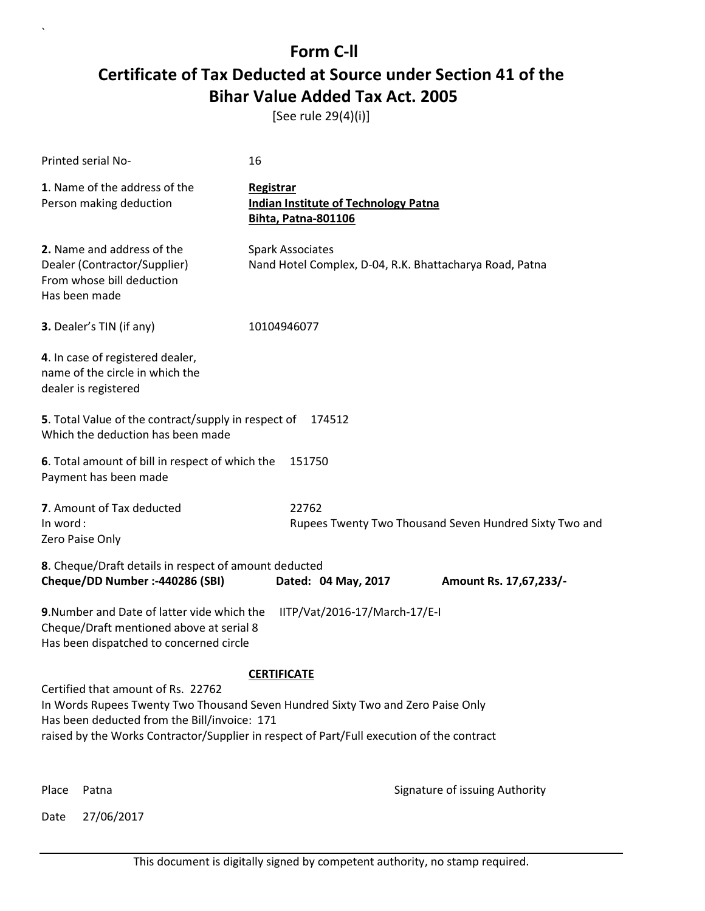[See rule 29(4)(i)]

| Printed serial No-                                                                                                                                                                                                                                                 | 16                                                                                     |                                |
|--------------------------------------------------------------------------------------------------------------------------------------------------------------------------------------------------------------------------------------------------------------------|----------------------------------------------------------------------------------------|--------------------------------|
| 1. Name of the address of the<br>Person making deduction                                                                                                                                                                                                           | <b>Registrar</b><br><b>Indian Institute of Technology Patna</b><br>Bihta, Patna-801106 |                                |
| 2. Name and address of the<br>Dealer (Contractor/Supplier)<br>From whose bill deduction<br>Has been made                                                                                                                                                           | <b>Spark Associates</b><br>Nand Hotel Complex, D-04, R.K. Bhattacharya Road, Patna     |                                |
| 3. Dealer's TIN (if any)                                                                                                                                                                                                                                           | 10104946077                                                                            |                                |
| 4. In case of registered dealer,<br>name of the circle in which the<br>dealer is registered                                                                                                                                                                        |                                                                                        |                                |
| 5. Total Value of the contract/supply in respect of<br>Which the deduction has been made                                                                                                                                                                           | 174512                                                                                 |                                |
| 6. Total amount of bill in respect of which the<br>151750<br>Payment has been made                                                                                                                                                                                 |                                                                                        |                                |
| 7. Amount of Tax deducted<br>In word:<br>Zero Paise Only                                                                                                                                                                                                           | 22762<br>Rupees Twenty Two Thousand Seven Hundred Sixty Two and                        |                                |
| 8. Cheque/Draft details in respect of amount deducted<br>Cheque/DD Number :- 440286 (SBI)                                                                                                                                                                          | Dated: 04 May, 2017                                                                    | Amount Rs. 17,67,233/-         |
| 9. Number and Date of latter vide which the<br>Cheque/Draft mentioned above at serial 8<br>Has been dispatched to concerned circle                                                                                                                                 | IITP/Vat/2016-17/March-17/E-I                                                          |                                |
|                                                                                                                                                                                                                                                                    | <b>CERTIFICATE</b>                                                                     |                                |
| Certified that amount of Rs. 22762<br>In Words Rupees Twenty Two Thousand Seven Hundred Sixty Two and Zero Paise Only<br>Has been deducted from the Bill/invoice: 171<br>raised by the Works Contractor/Supplier in respect of Part/Full execution of the contract |                                                                                        |                                |
| Place<br>Patna                                                                                                                                                                                                                                                     |                                                                                        | Signature of issuing Authority |

Date 27/06/2017

`

This document is digitally signed by competent authority, no stamp required.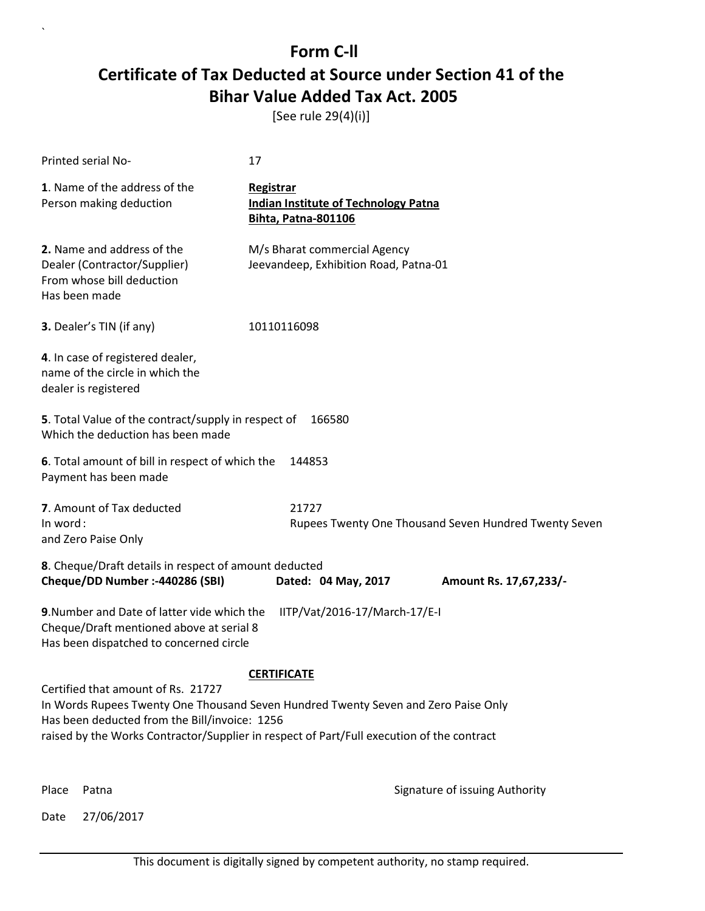[See rule 29(4)(i)]

| Printed serial No-                                                                                                                                                                                                                                                     | 17                                                                                            |                                                       |  |
|------------------------------------------------------------------------------------------------------------------------------------------------------------------------------------------------------------------------------------------------------------------------|-----------------------------------------------------------------------------------------------|-------------------------------------------------------|--|
| 1. Name of the address of the<br>Person making deduction                                                                                                                                                                                                               | <b>Registrar</b><br><b>Indian Institute of Technology Patna</b><br><b>Bihta, Patna-801106</b> |                                                       |  |
| 2. Name and address of the<br>Dealer (Contractor/Supplier)<br>From whose bill deduction<br>Has been made                                                                                                                                                               | M/s Bharat commercial Agency<br>Jeevandeep, Exhibition Road, Patna-01                         |                                                       |  |
| 3. Dealer's TIN (if any)                                                                                                                                                                                                                                               | 10110116098                                                                                   |                                                       |  |
| 4. In case of registered dealer,<br>name of the circle in which the<br>dealer is registered                                                                                                                                                                            |                                                                                               |                                                       |  |
| 5. Total Value of the contract/supply in respect of<br>Which the deduction has been made                                                                                                                                                                               | 166580                                                                                        |                                                       |  |
| Payment has been made                                                                                                                                                                                                                                                  | 6. Total amount of bill in respect of which the<br>144853                                     |                                                       |  |
| 7. Amount of Tax deducted<br>In word:<br>and Zero Paise Only                                                                                                                                                                                                           | 21727                                                                                         | Rupees Twenty One Thousand Seven Hundred Twenty Seven |  |
| 8. Cheque/Draft details in respect of amount deducted<br>Cheque/DD Number :- 440286 (SBI)                                                                                                                                                                              | Dated: 04 May, 2017                                                                           | Amount Rs. 17,67,233/-                                |  |
| 9. Number and Date of latter vide which the<br>Cheque/Draft mentioned above at serial 8<br>Has been dispatched to concerned circle                                                                                                                                     | IITP/Vat/2016-17/March-17/E-I                                                                 |                                                       |  |
|                                                                                                                                                                                                                                                                        | <b>CERTIFICATE</b>                                                                            |                                                       |  |
| Certified that amount of Rs. 21727<br>In Words Rupees Twenty One Thousand Seven Hundred Twenty Seven and Zero Paise Only<br>Has been deducted from the Bill/invoice: 1256<br>raised by the Works Contractor/Supplier in respect of Part/Full execution of the contract |                                                                                               |                                                       |  |
| Place<br>Patna                                                                                                                                                                                                                                                         |                                                                                               | Signature of issuing Authority                        |  |

Date 27/06/2017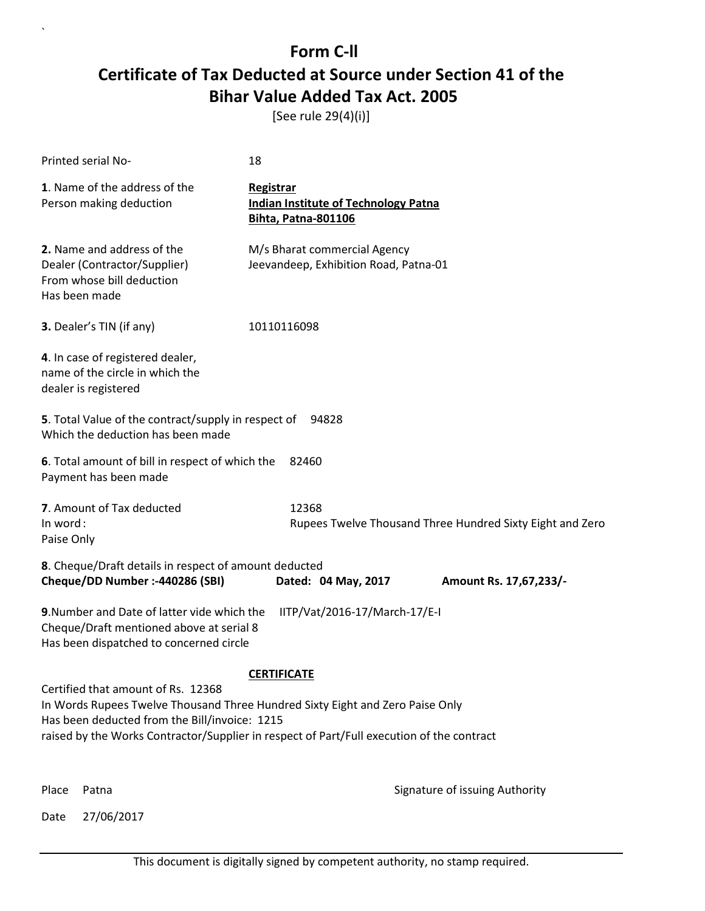[See rule 29(4)(i)]

| Printed serial No-                                                                                                                                                                                                                                                | 18                                                                                            |                                                           |
|-------------------------------------------------------------------------------------------------------------------------------------------------------------------------------------------------------------------------------------------------------------------|-----------------------------------------------------------------------------------------------|-----------------------------------------------------------|
| 1. Name of the address of the<br>Person making deduction                                                                                                                                                                                                          | <b>Registrar</b><br><b>Indian Institute of Technology Patna</b><br><b>Bihta, Patna-801106</b> |                                                           |
| 2. Name and address of the<br>Dealer (Contractor/Supplier)<br>From whose bill deduction<br>Has been made                                                                                                                                                          | M/s Bharat commercial Agency<br>Jeevandeep, Exhibition Road, Patna-01                         |                                                           |
| 3. Dealer's TIN (if any)                                                                                                                                                                                                                                          | 10110116098                                                                                   |                                                           |
| 4. In case of registered dealer,<br>name of the circle in which the<br>dealer is registered                                                                                                                                                                       |                                                                                               |                                                           |
| 5. Total Value of the contract/supply in respect of<br>Which the deduction has been made                                                                                                                                                                          | 94828                                                                                         |                                                           |
| 6. Total amount of bill in respect of which the<br>Payment has been made                                                                                                                                                                                          | 82460                                                                                         |                                                           |
| 7. Amount of Tax deducted<br>In word:<br>Paise Only                                                                                                                                                                                                               | 12368                                                                                         | Rupees Twelve Thousand Three Hundred Sixty Eight and Zero |
| 8. Cheque/Draft details in respect of amount deducted<br>Cheque/DD Number :- 440286 (SBI)                                                                                                                                                                         | Dated: 04 May, 2017                                                                           | Amount Rs. 17,67,233/-                                    |
| 9. Number and Date of latter vide which the<br>Cheque/Draft mentioned above at serial 8<br>Has been dispatched to concerned circle                                                                                                                                | IITP/Vat/2016-17/March-17/E-I                                                                 |                                                           |
|                                                                                                                                                                                                                                                                   | <b>CERTIFICATE</b>                                                                            |                                                           |
| Certified that amount of Rs. 12368<br>In Words Rupees Twelve Thousand Three Hundred Sixty Eight and Zero Paise Only<br>Has been deducted from the Bill/invoice: 1215<br>raised by the Works Contractor/Supplier in respect of Part/Full execution of the contract |                                                                                               |                                                           |
| Place<br>Patna                                                                                                                                                                                                                                                    |                                                                                               | Signature of issuing Authority                            |

Date 27/06/2017

`

This document is digitally signed by competent authority, no stamp required.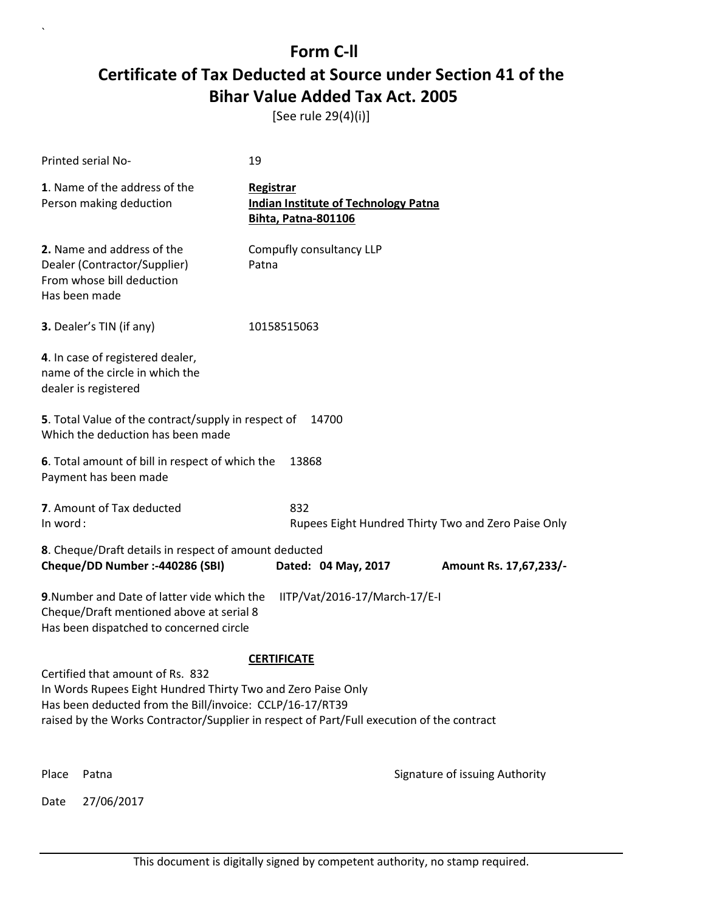[See rule 29(4)(i)]

|                                                                                                                                                                                                                                                           | Printed serial No-                                                                                       | 19                                                                                     |                                                     |  |
|-----------------------------------------------------------------------------------------------------------------------------------------------------------------------------------------------------------------------------------------------------------|----------------------------------------------------------------------------------------------------------|----------------------------------------------------------------------------------------|-----------------------------------------------------|--|
|                                                                                                                                                                                                                                                           | 1. Name of the address of the<br>Person making deduction                                                 | Registrar<br><b>Indian Institute of Technology Patna</b><br><b>Bihta, Patna-801106</b> |                                                     |  |
|                                                                                                                                                                                                                                                           | 2. Name and address of the<br>Dealer (Contractor/Supplier)<br>From whose bill deduction<br>Has been made | Compufly consultancy LLP<br>Patna                                                      |                                                     |  |
|                                                                                                                                                                                                                                                           | <b>3.</b> Dealer's TIN (if any)                                                                          | 10158515063                                                                            |                                                     |  |
|                                                                                                                                                                                                                                                           | 4. In case of registered dealer,<br>name of the circle in which the<br>dealer is registered              |                                                                                        |                                                     |  |
|                                                                                                                                                                                                                                                           | 5. Total Value of the contract/supply in respect of<br>Which the deduction has been made                 | 14700                                                                                  |                                                     |  |
|                                                                                                                                                                                                                                                           | 6. Total amount of bill in respect of which the<br>13868<br>Payment has been made                        |                                                                                        |                                                     |  |
| In word:                                                                                                                                                                                                                                                  | 7. Amount of Tax deducted                                                                                | 832                                                                                    | Rupees Eight Hundred Thirty Two and Zero Paise Only |  |
|                                                                                                                                                                                                                                                           | 8. Cheque/Draft details in respect of amount deducted<br>Cheque/DD Number :- 440286 (SBI)                | Dated: 04 May, 2017                                                                    | Amount Rs. 17,67,233/-                              |  |
| 9. Number and Date of latter vide which the<br>IITP/Vat/2016-17/March-17/E-I<br>Cheque/Draft mentioned above at serial 8<br>Has been dispatched to concerned circle<br><b>CERTIFICATE</b>                                                                 |                                                                                                          |                                                                                        |                                                     |  |
| Certified that amount of Rs. 832<br>In Words Rupees Eight Hundred Thirty Two and Zero Paise Only<br>Has been deducted from the Bill/invoice: CCLP/16-17/RT39<br>raised by the Works Contractor/Supplier in respect of Part/Full execution of the contract |                                                                                                          |                                                                                        |                                                     |  |
| Place                                                                                                                                                                                                                                                     | Patna                                                                                                    |                                                                                        | Signature of issuing Authority                      |  |
| Date                                                                                                                                                                                                                                                      | 27/06/2017                                                                                               |                                                                                        |                                                     |  |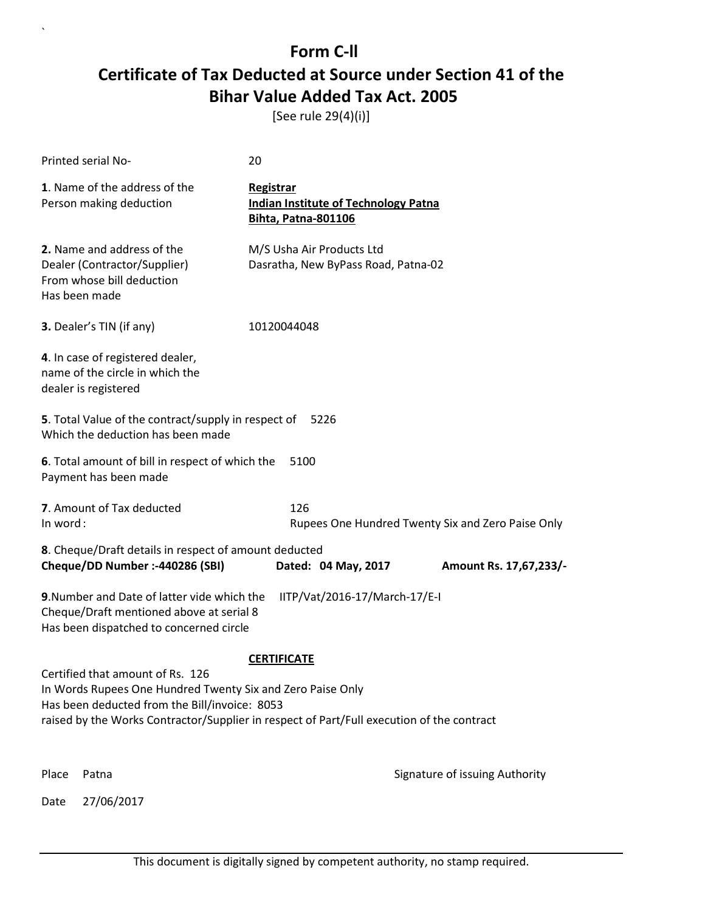[See rule 29(4)(i)]

|                                                                                                                                                                                                                                                                    | Printed serial No-                                                                                                                                                  | 20                                                                                     |                                                   |  |
|--------------------------------------------------------------------------------------------------------------------------------------------------------------------------------------------------------------------------------------------------------------------|---------------------------------------------------------------------------------------------------------------------------------------------------------------------|----------------------------------------------------------------------------------------|---------------------------------------------------|--|
|                                                                                                                                                                                                                                                                    | 1. Name of the address of the<br>Person making deduction                                                                                                            | Registrar<br><b>Indian Institute of Technology Patna</b><br><b>Bihta, Patna-801106</b> |                                                   |  |
|                                                                                                                                                                                                                                                                    | 2. Name and address of the<br>Dealer (Contractor/Supplier)<br>From whose bill deduction<br>Has been made                                                            | M/S Usha Air Products Ltd<br>Dasratha, New ByPass Road, Patna-02                       |                                                   |  |
|                                                                                                                                                                                                                                                                    | 3. Dealer's TIN (if any)                                                                                                                                            | 10120044048                                                                            |                                                   |  |
|                                                                                                                                                                                                                                                                    | 4. In case of registered dealer,<br>name of the circle in which the<br>dealer is registered                                                                         |                                                                                        |                                                   |  |
|                                                                                                                                                                                                                                                                    | 5. Total Value of the contract/supply in respect of<br>Which the deduction has been made                                                                            | 5226                                                                                   |                                                   |  |
|                                                                                                                                                                                                                                                                    | 6. Total amount of bill in respect of which the<br>Payment has been made                                                                                            | 5100                                                                                   |                                                   |  |
| In word:                                                                                                                                                                                                                                                           | 7. Amount of Tax deducted                                                                                                                                           | 126                                                                                    | Rupees One Hundred Twenty Six and Zero Paise Only |  |
|                                                                                                                                                                                                                                                                    | 8. Cheque/Draft details in respect of amount deducted<br>Cheque/DD Number :- 440286 (SBI)                                                                           | Dated: 04 May, 2017                                                                    | Amount Rs. 17,67,233/-                            |  |
|                                                                                                                                                                                                                                                                    | 9. Number and Date of latter vide which the<br>IITP/Vat/2016-17/March-17/E-I<br>Cheque/Draft mentioned above at serial 8<br>Has been dispatched to concerned circle |                                                                                        |                                                   |  |
| <b>CERTIFICATE</b><br>Certified that amount of Rs. 126<br>In Words Rupees One Hundred Twenty Six and Zero Paise Only<br>Has been deducted from the Bill/invoice: 8053<br>raised by the Works Contractor/Supplier in respect of Part/Full execution of the contract |                                                                                                                                                                     |                                                                                        |                                                   |  |
| Place                                                                                                                                                                                                                                                              | Patna                                                                                                                                                               |                                                                                        | Signature of issuing Authority                    |  |
| Date                                                                                                                                                                                                                                                               | 27/06/2017                                                                                                                                                          |                                                                                        |                                                   |  |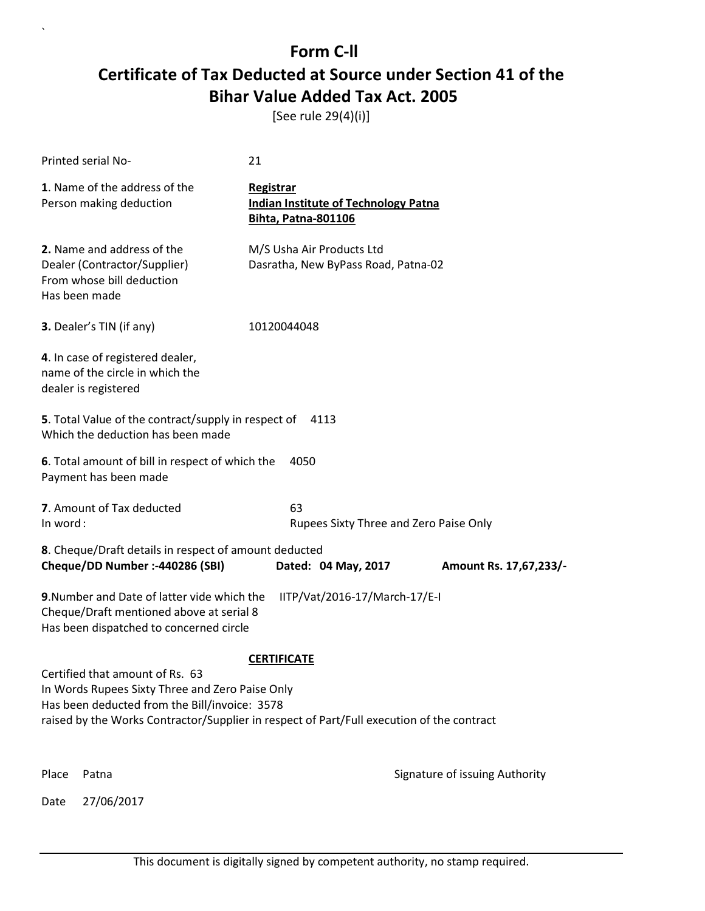[See rule 29(4)(i)]

|                                                                                                                                                                                               | Printed serial No-                                                                                                                                                  | 21                                                                                     |                                |  |
|-----------------------------------------------------------------------------------------------------------------------------------------------------------------------------------------------|---------------------------------------------------------------------------------------------------------------------------------------------------------------------|----------------------------------------------------------------------------------------|--------------------------------|--|
|                                                                                                                                                                                               | 1. Name of the address of the<br>Person making deduction                                                                                                            | Registrar<br><b>Indian Institute of Technology Patna</b><br><b>Bihta, Patna-801106</b> |                                |  |
|                                                                                                                                                                                               | 2. Name and address of the<br>Dealer (Contractor/Supplier)<br>From whose bill deduction<br>Has been made                                                            | M/S Usha Air Products Ltd<br>Dasratha, New ByPass Road, Patna-02                       |                                |  |
|                                                                                                                                                                                               | <b>3.</b> Dealer's TIN (if any)                                                                                                                                     | 10120044048                                                                            |                                |  |
|                                                                                                                                                                                               | 4. In case of registered dealer,<br>name of the circle in which the<br>dealer is registered                                                                         |                                                                                        |                                |  |
|                                                                                                                                                                                               | 5. Total Value of the contract/supply in respect of<br>Which the deduction has been made                                                                            | 4113                                                                                   |                                |  |
|                                                                                                                                                                                               | 6. Total amount of bill in respect of which the<br>Payment has been made                                                                                            | 4050                                                                                   |                                |  |
| In word:                                                                                                                                                                                      | 7. Amount of Tax deducted                                                                                                                                           | 63<br>Rupees Sixty Three and Zero Paise Only                                           |                                |  |
|                                                                                                                                                                                               | 8. Cheque/Draft details in respect of amount deducted<br>Cheque/DD Number :- 440286 (SBI)                                                                           | Dated: 04 May, 2017                                                                    | Amount Rs. 17,67,233/-         |  |
|                                                                                                                                                                                               | 9. Number and Date of latter vide which the<br>IITP/Vat/2016-17/March-17/E-I<br>Cheque/Draft mentioned above at serial 8<br>Has been dispatched to concerned circle |                                                                                        |                                |  |
|                                                                                                                                                                                               | <b>CERTIFICATE</b><br>Certified that amount of Rs. 63                                                                                                               |                                                                                        |                                |  |
| In Words Rupees Sixty Three and Zero Paise Only<br>Has been deducted from the Bill/invoice: 3578<br>raised by the Works Contractor/Supplier in respect of Part/Full execution of the contract |                                                                                                                                                                     |                                                                                        |                                |  |
| Place                                                                                                                                                                                         | Patna                                                                                                                                                               |                                                                                        | Signature of issuing Authority |  |
| Date                                                                                                                                                                                          | 27/06/2017                                                                                                                                                          |                                                                                        |                                |  |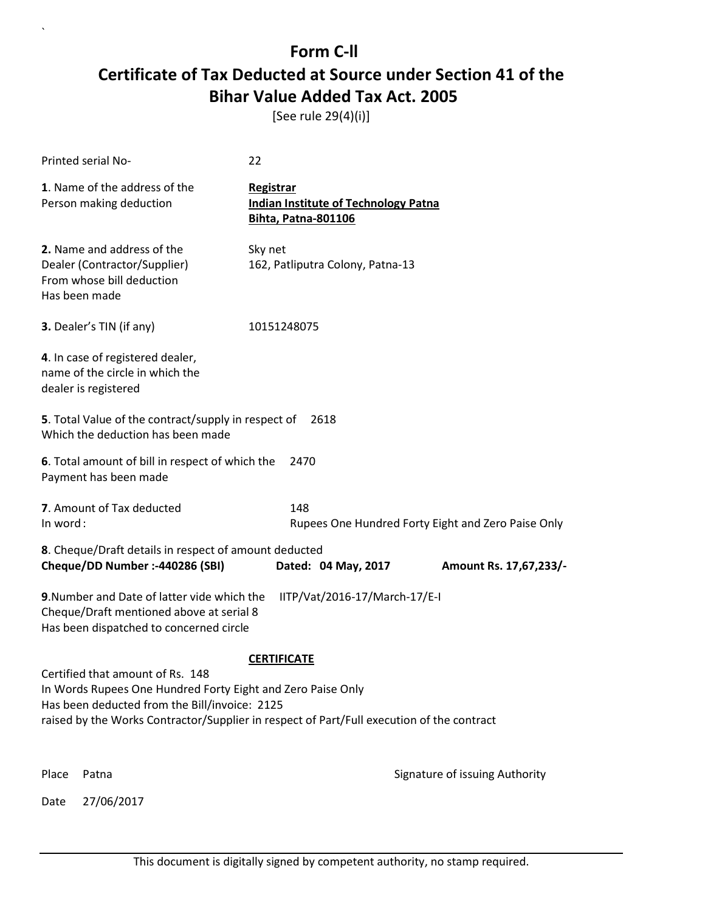[See rule 29(4)(i)]

|                                                                                                                                                                                                                                               | Printed serial No-                                                                                                                                                  | 22                                                                                     |                                                    |  |
|-----------------------------------------------------------------------------------------------------------------------------------------------------------------------------------------------------------------------------------------------|---------------------------------------------------------------------------------------------------------------------------------------------------------------------|----------------------------------------------------------------------------------------|----------------------------------------------------|--|
|                                                                                                                                                                                                                                               | 1. Name of the address of the<br>Person making deduction                                                                                                            | Registrar<br><b>Indian Institute of Technology Patna</b><br><b>Bihta, Patna-801106</b> |                                                    |  |
|                                                                                                                                                                                                                                               | 2. Name and address of the<br>Dealer (Contractor/Supplier)<br>From whose bill deduction<br>Has been made                                                            | Sky net<br>162, Patliputra Colony, Patna-13                                            |                                                    |  |
|                                                                                                                                                                                                                                               | 3. Dealer's TIN (if any)                                                                                                                                            | 10151248075                                                                            |                                                    |  |
|                                                                                                                                                                                                                                               | 4. In case of registered dealer,<br>name of the circle in which the<br>dealer is registered                                                                         |                                                                                        |                                                    |  |
|                                                                                                                                                                                                                                               | 5. Total Value of the contract/supply in respect of<br>Which the deduction has been made                                                                            | 2618                                                                                   |                                                    |  |
|                                                                                                                                                                                                                                               | 6. Total amount of bill in respect of which the<br>2470<br>Payment has been made                                                                                    |                                                                                        |                                                    |  |
| In word:                                                                                                                                                                                                                                      | 7. Amount of Tax deducted                                                                                                                                           | 148                                                                                    | Rupees One Hundred Forty Eight and Zero Paise Only |  |
|                                                                                                                                                                                                                                               | 8. Cheque/Draft details in respect of amount deducted<br>Cheque/DD Number :- 440286 (SBI)                                                                           | Dated: 04 May, 2017                                                                    | Amount Rs. 17,67,233/-                             |  |
|                                                                                                                                                                                                                                               | 9. Number and Date of latter vide which the<br>IITP/Vat/2016-17/March-17/E-I<br>Cheque/Draft mentioned above at serial 8<br>Has been dispatched to concerned circle |                                                                                        |                                                    |  |
|                                                                                                                                                                                                                                               | <b>CERTIFICATE</b>                                                                                                                                                  |                                                                                        |                                                    |  |
| Certified that amount of Rs. 148<br>In Words Rupees One Hundred Forty Eight and Zero Paise Only<br>Has been deducted from the Bill/invoice: 2125<br>raised by the Works Contractor/Supplier in respect of Part/Full execution of the contract |                                                                                                                                                                     |                                                                                        |                                                    |  |
| Place                                                                                                                                                                                                                                         | Patna                                                                                                                                                               |                                                                                        | Signature of issuing Authority                     |  |
| Date                                                                                                                                                                                                                                          | 27/06/2017                                                                                                                                                          |                                                                                        |                                                    |  |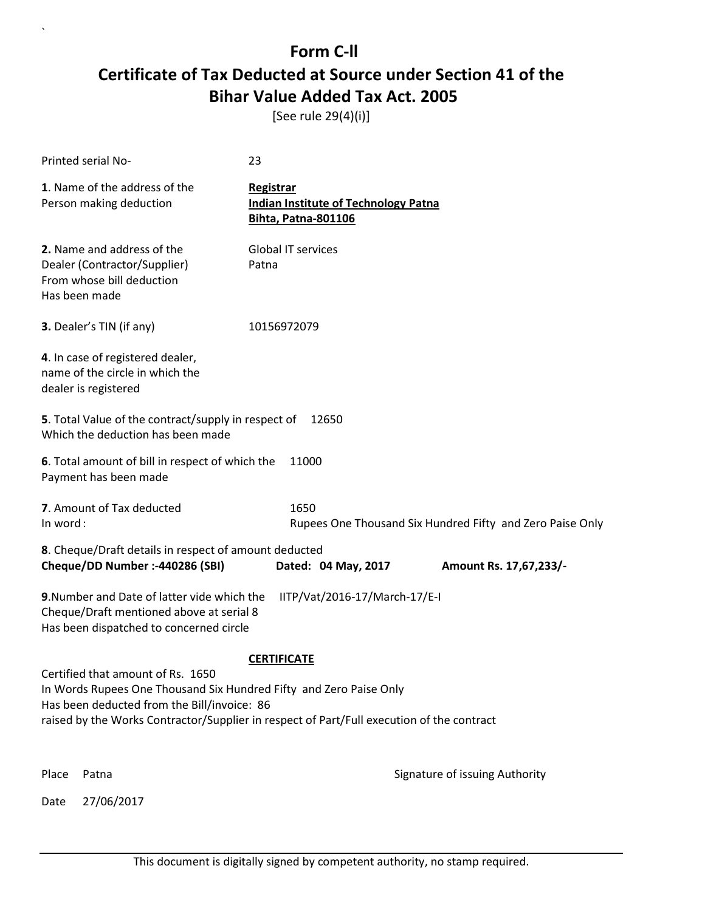[See rule 29(4)(i)]

|                                                                                                                                                                                                                                                                           | Printed serial No-                                                                                                                 | 23                                                                                            |                                                           |
|---------------------------------------------------------------------------------------------------------------------------------------------------------------------------------------------------------------------------------------------------------------------------|------------------------------------------------------------------------------------------------------------------------------------|-----------------------------------------------------------------------------------------------|-----------------------------------------------------------|
|                                                                                                                                                                                                                                                                           | 1. Name of the address of the<br>Person making deduction                                                                           | <b>Registrar</b><br><b>Indian Institute of Technology Patna</b><br><b>Bihta, Patna-801106</b> |                                                           |
|                                                                                                                                                                                                                                                                           | 2. Name and address of the<br>Dealer (Contractor/Supplier)<br>From whose bill deduction<br>Has been made                           | <b>Global IT services</b><br>Patna                                                            |                                                           |
|                                                                                                                                                                                                                                                                           | 3. Dealer's TIN (if any)                                                                                                           | 10156972079                                                                                   |                                                           |
|                                                                                                                                                                                                                                                                           | 4. In case of registered dealer,<br>name of the circle in which the<br>dealer is registered                                        |                                                                                               |                                                           |
|                                                                                                                                                                                                                                                                           | 5. Total Value of the contract/supply in respect of<br>Which the deduction has been made                                           | 12650                                                                                         |                                                           |
|                                                                                                                                                                                                                                                                           | 6. Total amount of bill in respect of which the<br>Payment has been made                                                           | 11000                                                                                         |                                                           |
| In word:                                                                                                                                                                                                                                                                  | 7. Amount of Tax deducted                                                                                                          | 1650                                                                                          | Rupees One Thousand Six Hundred Fifty and Zero Paise Only |
|                                                                                                                                                                                                                                                                           | 8. Cheque/Draft details in respect of amount deducted<br>Cheque/DD Number :- 440286 (SBI)                                          | Dated: 04 May, 2017                                                                           | Amount Rs. 17,67,233/-                                    |
|                                                                                                                                                                                                                                                                           | 9. Number and Date of latter vide which the<br>Cheque/Draft mentioned above at serial 8<br>Has been dispatched to concerned circle | IITP/Vat/2016-17/March-17/E-I                                                                 |                                                           |
| <b>CERTIFICATE</b><br>Certified that amount of Rs. 1650<br>In Words Rupees One Thousand Six Hundred Fifty and Zero Paise Only<br>Has been deducted from the Bill/invoice: 86<br>raised by the Works Contractor/Supplier in respect of Part/Full execution of the contract |                                                                                                                                    |                                                                                               |                                                           |
| Place                                                                                                                                                                                                                                                                     | Patna                                                                                                                              |                                                                                               | Signature of issuing Authority                            |
| Date                                                                                                                                                                                                                                                                      | 27/06/2017                                                                                                                         |                                                                                               |                                                           |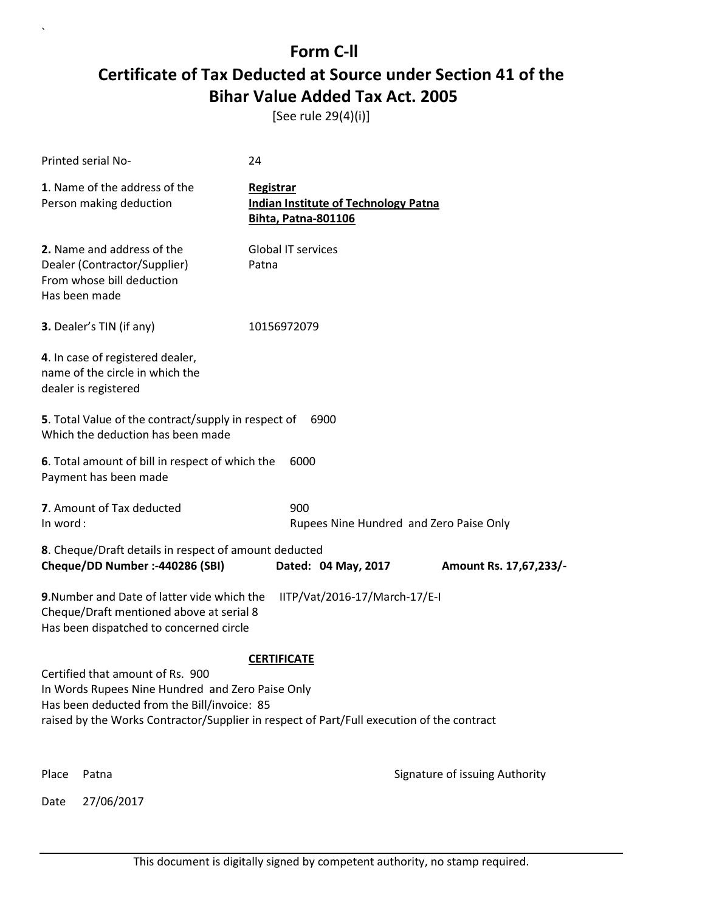[See rule 29(4)(i)]

|       | Printed serial No-                                                                                                                                                                                                               | 24                                                                                     |                                |  |
|-------|----------------------------------------------------------------------------------------------------------------------------------------------------------------------------------------------------------------------------------|----------------------------------------------------------------------------------------|--------------------------------|--|
|       | 1. Name of the address of the<br>Person making deduction                                                                                                                                                                         | Registrar<br><b>Indian Institute of Technology Patna</b><br><b>Bihta, Patna-801106</b> |                                |  |
|       | 2. Name and address of the<br>Dealer (Contractor/Supplier)<br>From whose bill deduction<br>Has been made                                                                                                                         | <b>Global IT services</b><br>Patna                                                     |                                |  |
|       | 3. Dealer's TIN (if any)                                                                                                                                                                                                         | 10156972079                                                                            |                                |  |
|       | 4. In case of registered dealer,<br>name of the circle in which the<br>dealer is registered                                                                                                                                      |                                                                                        |                                |  |
|       | 5. Total Value of the contract/supply in respect of<br>Which the deduction has been made                                                                                                                                         | 6900                                                                                   |                                |  |
|       | 6. Total amount of bill in respect of which the<br>Payment has been made                                                                                                                                                         | 6000                                                                                   |                                |  |
|       | 7. Amount of Tax deducted<br>900<br>In word:<br>Rupees Nine Hundred and Zero Paise Only                                                                                                                                          |                                                                                        |                                |  |
|       | 8. Cheque/Draft details in respect of amount deducted<br>Cheque/DD Number :- 440286 (SBI)                                                                                                                                        | Dated: 04 May, 2017                                                                    | Amount Rs. 17,67,233/-         |  |
|       | 9. Number and Date of latter vide which the<br>IITP/Vat/2016-17/March-17/E-I<br>Cheque/Draft mentioned above at serial 8<br>Has been dispatched to concerned circle                                                              |                                                                                        |                                |  |
|       | Certified that amount of Rs. 900<br>In Words Rupees Nine Hundred and Zero Paise Only<br>Has been deducted from the Bill/invoice: 85<br>raised by the Works Contractor/Supplier in respect of Part/Full execution of the contract | <b>CERTIFICATE</b>                                                                     |                                |  |
| Place | Patna                                                                                                                                                                                                                            |                                                                                        | Signature of issuing Authority |  |
| Date  | 27/06/2017                                                                                                                                                                                                                       |                                                                                        |                                |  |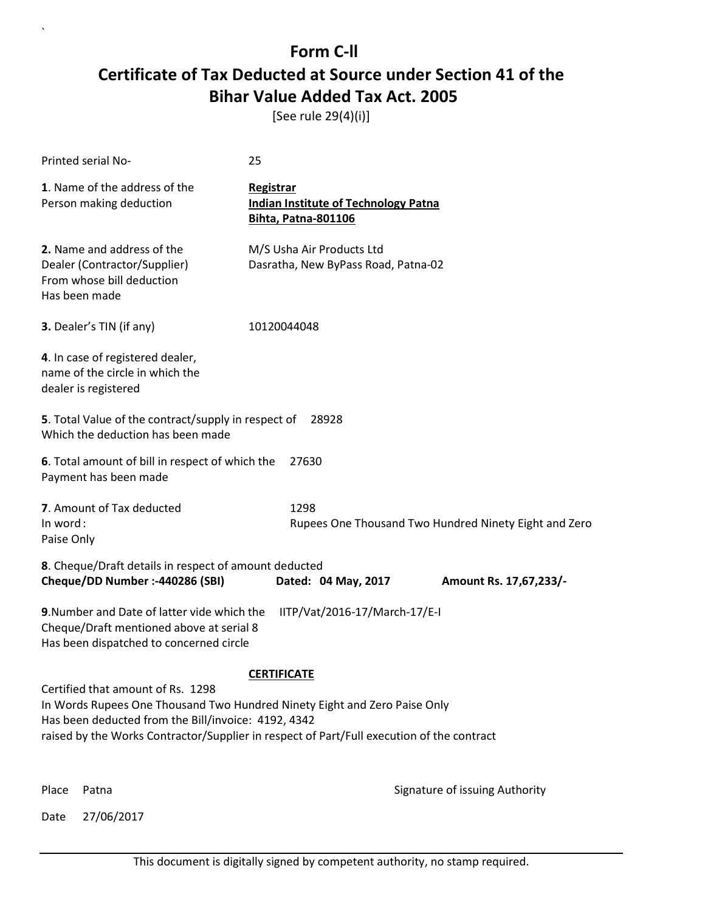[See rule 29(4)(i)]

| Printed serial No-                                                                                                                 | 25                                                                                                                                                                     |
|------------------------------------------------------------------------------------------------------------------------------------|------------------------------------------------------------------------------------------------------------------------------------------------------------------------|
| 1. Name of the address of the<br>Person making deduction                                                                           | Registrar<br><b>Indian Institute of Technology Patna</b><br>Bihta, Patna-801106                                                                                        |
| 2. Name and address of the<br>Dealer (Contractor/Supplier)<br>From whose bill deduction<br>Has been made                           | M/S Usha Air Products Ltd<br>Dasratha, New ByPass Road, Patna-02                                                                                                       |
| 3. Dealer's TIN (if any)                                                                                                           | 10120044048                                                                                                                                                            |
| 4. In case of registered dealer,<br>name of the circle in which the<br>dealer is registered                                        |                                                                                                                                                                        |
| 5. Total Value of the contract/supply in respect of<br>Which the deduction has been made                                           | 28928                                                                                                                                                                  |
| 6. Total amount of bill in respect of which the<br>Payment has been made                                                           | 27630                                                                                                                                                                  |
| 7. Amount of Tax deducted<br>In word:<br>Paise Only                                                                                | 1298<br>Rupees One Thousand Two Hundred Ninety Eight and Zero                                                                                                          |
| 8. Cheque/Draft details in respect of amount deducted<br>Cheque/DD Number :- 440286 (SBI)                                          | Dated: 04 May, 2017<br>Amount Rs. 17,67,233/-                                                                                                                          |
| 9. Number and Date of latter vide which the<br>Cheque/Draft mentioned above at serial 8<br>Has been dispatched to concerned circle | IITP/Vat/2016-17/March-17/E-I                                                                                                                                          |
|                                                                                                                                    | <b>CERTIFICATE</b>                                                                                                                                                     |
| Certified that amount of Rs. 1298<br>Has been deducted from the Bill/invoice: 4192, 4342                                           | In Words Rupees One Thousand Two Hundred Ninety Eight and Zero Paise Only<br>raised by the Works Contractor/Supplier in respect of Part/Full execution of the contract |
| Place<br>Patna                                                                                                                     | Signature of issuing Authority                                                                                                                                         |

Date 27/06/2017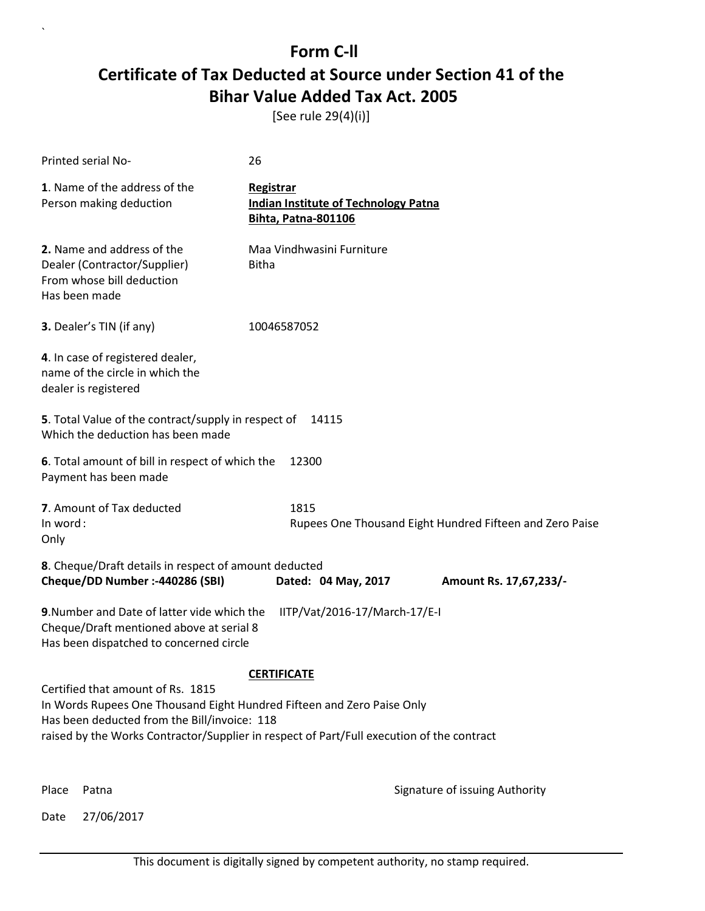[See rule 29(4)(i)]

| Printed serial No-                                                                                                                                                                                                                                       | 26                                                                                     |                                                          |
|----------------------------------------------------------------------------------------------------------------------------------------------------------------------------------------------------------------------------------------------------------|----------------------------------------------------------------------------------------|----------------------------------------------------------|
| 1. Name of the address of the<br>Person making deduction                                                                                                                                                                                                 | Registrar<br><b>Indian Institute of Technology Patna</b><br><b>Bihta, Patna-801106</b> |                                                          |
| 2. Name and address of the<br>Dealer (Contractor/Supplier)<br>From whose bill deduction<br>Has been made                                                                                                                                                 | Maa Vindhwasini Furniture<br><b>Bitha</b>                                              |                                                          |
| 3. Dealer's TIN (if any)                                                                                                                                                                                                                                 | 10046587052                                                                            |                                                          |
| 4. In case of registered dealer,<br>name of the circle in which the<br>dealer is registered                                                                                                                                                              |                                                                                        |                                                          |
| 5. Total Value of the contract/supply in respect of<br>Which the deduction has been made                                                                                                                                                                 | 14115                                                                                  |                                                          |
| 6. Total amount of bill in respect of which the<br>Payment has been made                                                                                                                                                                                 | 12300                                                                                  |                                                          |
| 7. Amount of Tax deducted<br>In word:<br>Only                                                                                                                                                                                                            | 1815                                                                                   | Rupees One Thousand Eight Hundred Fifteen and Zero Paise |
| 8. Cheque/Draft details in respect of amount deducted<br>Cheque/DD Number :- 440286 (SBI)                                                                                                                                                                | Dated: 04 May, 2017                                                                    | Amount Rs. 17,67,233/-                                   |
| 9. Number and Date of latter vide which the<br>Cheque/Draft mentioned above at serial 8<br>Has been dispatched to concerned circle                                                                                                                       | IITP/Vat/2016-17/March-17/E-I                                                          |                                                          |
| Certified that amount of Rs. 1815<br>In Words Rupees One Thousand Eight Hundred Fifteen and Zero Paise Only<br>Has been deducted from the Bill/invoice: 118<br>raised by the Works Contractor/Supplier in respect of Part/Full execution of the contract | <b>CERTIFICATE</b>                                                                     |                                                          |

`

Place Patna **Property** Place Patna Signature of issuing Authority

Date 27/06/2017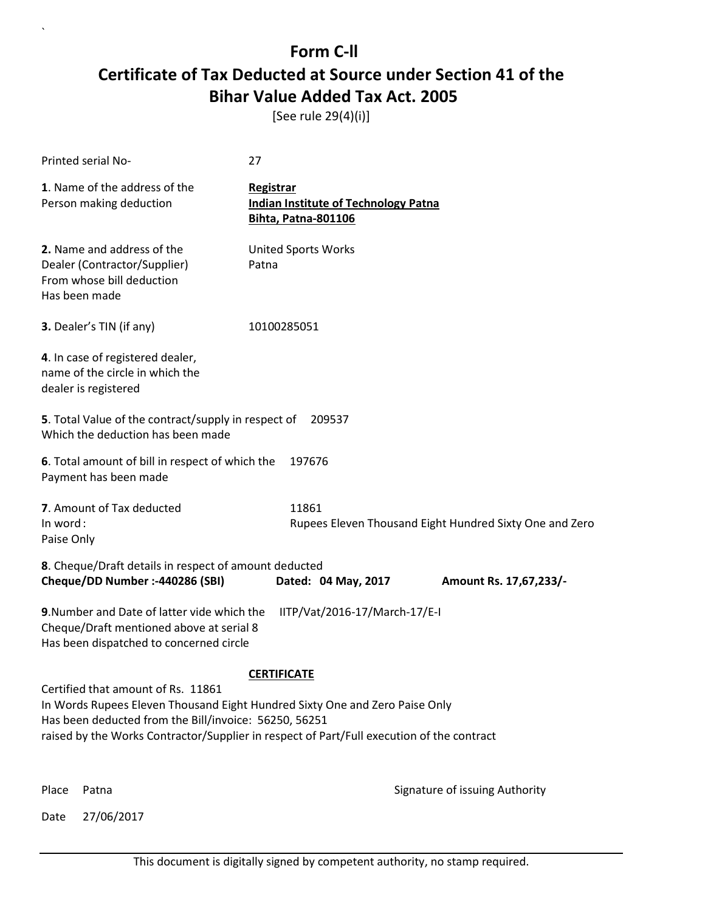[See rule 29(4)(i)]

| Printed serial No-                                                                                                                                                                                                                                                      | 27                                      |                                             |                                                         |
|-------------------------------------------------------------------------------------------------------------------------------------------------------------------------------------------------------------------------------------------------------------------------|-----------------------------------------|---------------------------------------------|---------------------------------------------------------|
| 1. Name of the address of the<br>Person making deduction                                                                                                                                                                                                                | <b>Registrar</b><br>Bihta, Patna-801106 | <b>Indian Institute of Technology Patna</b> |                                                         |
| 2. Name and address of the<br>Dealer (Contractor/Supplier)<br>From whose bill deduction<br>Has been made                                                                                                                                                                | <b>United Sports Works</b><br>Patna     |                                             |                                                         |
| 3. Dealer's TIN (if any)                                                                                                                                                                                                                                                | 10100285051                             |                                             |                                                         |
| 4. In case of registered dealer,<br>name of the circle in which the<br>dealer is registered                                                                                                                                                                             |                                         |                                             |                                                         |
| 5. Total Value of the contract/supply in respect of<br>Which the deduction has been made                                                                                                                                                                                |                                         | 209537                                      |                                                         |
| 6. Total amount of bill in respect of which the<br>Payment has been made                                                                                                                                                                                                | 197676                                  |                                             |                                                         |
| 7. Amount of Tax deducted<br>In word:<br>Paise Only                                                                                                                                                                                                                     | 11861                                   |                                             | Rupees Eleven Thousand Eight Hundred Sixty One and Zero |
| 8. Cheque/Draft details in respect of amount deducted<br>Cheque/DD Number :- 440286 (SBI)                                                                                                                                                                               |                                         | Dated: 04 May, 2017                         | Amount Rs. 17,67,233/-                                  |
| 9. Number and Date of latter vide which the<br>Cheque/Draft mentioned above at serial 8<br>Has been dispatched to concerned circle                                                                                                                                      |                                         | IITP/Vat/2016-17/March-17/E-I               |                                                         |
|                                                                                                                                                                                                                                                                         | <b>CERTIFICATE</b>                      |                                             |                                                         |
| Certified that amount of Rs. 11861<br>In Words Rupees Eleven Thousand Eight Hundred Sixty One and Zero Paise Only<br>Has been deducted from the Bill/invoice: 56250, 56251<br>raised by the Works Contractor/Supplier in respect of Part/Full execution of the contract |                                         |                                             |                                                         |
|                                                                                                                                                                                                                                                                         |                                         |                                             |                                                         |

Date 27/06/2017

`

Place Patna **Property** Place Patna Signature of issuing Authority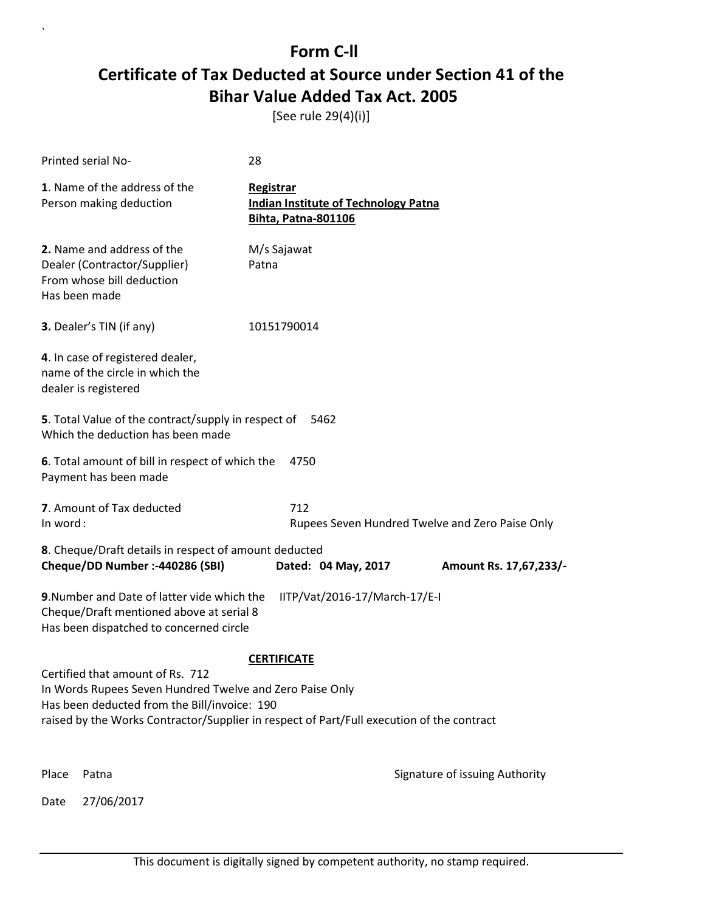[See rule 29(4)(i)]

|          | Printed serial No-                                                                                                                                                                                                                        | 28                                                                                     |                                                 |
|----------|-------------------------------------------------------------------------------------------------------------------------------------------------------------------------------------------------------------------------------------------|----------------------------------------------------------------------------------------|-------------------------------------------------|
|          | 1. Name of the address of the<br>Person making deduction                                                                                                                                                                                  | Registrar<br><b>Indian Institute of Technology Patna</b><br><b>Bihta, Patna-801106</b> |                                                 |
|          | 2. Name and address of the<br>Dealer (Contractor/Supplier)<br>From whose bill deduction<br>Has been made                                                                                                                                  | M/s Sajawat<br>Patna                                                                   |                                                 |
|          | <b>3.</b> Dealer's TIN (if any)                                                                                                                                                                                                           | 10151790014                                                                            |                                                 |
|          | 4. In case of registered dealer,<br>name of the circle in which the<br>dealer is registered                                                                                                                                               |                                                                                        |                                                 |
|          | <b>5</b> . Total Value of the contract/supply in respect of<br>Which the deduction has been made                                                                                                                                          | 5462                                                                                   |                                                 |
|          | 6. Total amount of bill in respect of which the<br>Payment has been made                                                                                                                                                                  | 4750                                                                                   |                                                 |
| In word: | 7. Amount of Tax deducted                                                                                                                                                                                                                 | 712                                                                                    | Rupees Seven Hundred Twelve and Zero Paise Only |
|          | 8. Cheque/Draft details in respect of amount deducted<br>Cheque/DD Number :- 440286 (SBI)                                                                                                                                                 | Dated: 04 May, 2017                                                                    | Amount Rs. 17,67,233/-                          |
|          | 9. Number and Date of latter vide which the<br>Cheque/Draft mentioned above at serial 8<br>Has been dispatched to concerned circle                                                                                                        | IITP/Vat/2016-17/March-17/E-I                                                          |                                                 |
|          |                                                                                                                                                                                                                                           | <b>CERTIFICATE</b>                                                                     |                                                 |
|          | Certified that amount of Rs. 712<br>In Words Rupees Seven Hundred Twelve and Zero Paise Only<br>Has been deducted from the Bill/invoice: 190<br>raised by the Works Contractor/Supplier in respect of Part/Full execution of the contract |                                                                                        |                                                 |
| Place    | Patna                                                                                                                                                                                                                                     |                                                                                        | Signature of issuing Authority                  |
| Date     | 27/06/2017                                                                                                                                                                                                                                |                                                                                        |                                                 |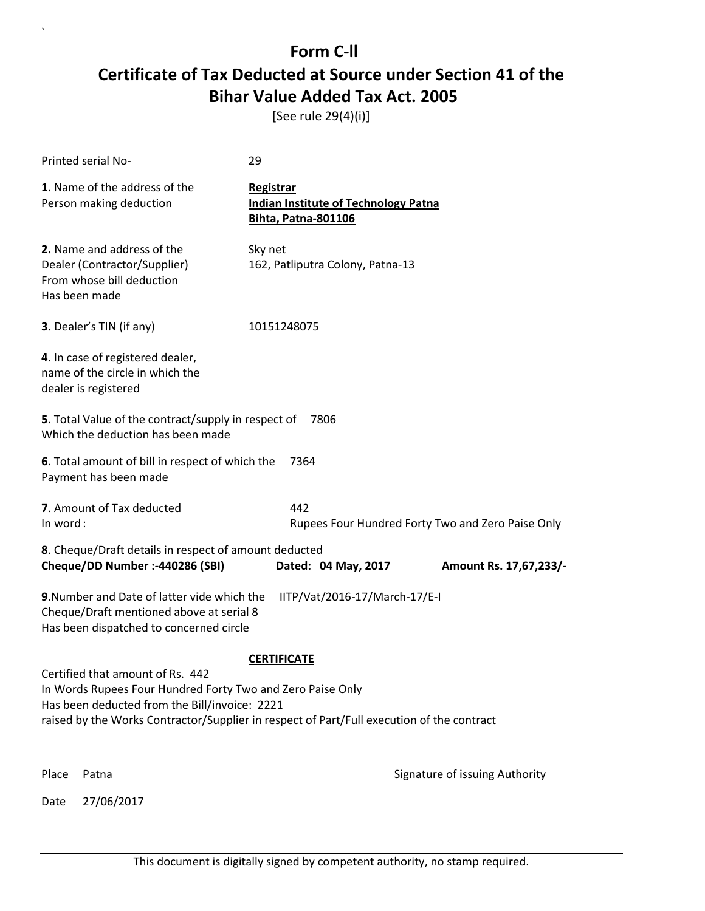[See rule 29(4)(i)]

|          | Printed serial No-                                                                                                                              | 29                                                                                        |                                                   |
|----------|-------------------------------------------------------------------------------------------------------------------------------------------------|-------------------------------------------------------------------------------------------|---------------------------------------------------|
|          | 1. Name of the address of the<br>Person making deduction                                                                                        | Registrar<br><b>Indian Institute of Technology Patna</b><br>Bihta, Patna-801106           |                                                   |
|          | 2. Name and address of the<br>Dealer (Contractor/Supplier)<br>From whose bill deduction<br>Has been made                                        | Sky net<br>162, Patliputra Colony, Patna-13                                               |                                                   |
|          | 3. Dealer's TIN (if any)                                                                                                                        | 10151248075                                                                               |                                                   |
|          | 4. In case of registered dealer,<br>name of the circle in which the<br>dealer is registered                                                     |                                                                                           |                                                   |
|          | 5. Total Value of the contract/supply in respect of<br>Which the deduction has been made                                                        | 7806                                                                                      |                                                   |
|          | 6. Total amount of bill in respect of which the<br>Payment has been made                                                                        | 7364                                                                                      |                                                   |
| In word: | 7. Amount of Tax deducted                                                                                                                       | 442                                                                                       | Rupees Four Hundred Forty Two and Zero Paise Only |
|          | 8. Cheque/Draft details in respect of amount deducted<br>Cheque/DD Number :- 440286 (SBI)                                                       | Dated: 04 May, 2017                                                                       | Amount Rs. 17,67,233/-                            |
|          | 9. Number and Date of latter vide which the<br>Cheque/Draft mentioned above at serial 8<br>Has been dispatched to concerned circle              | IITP/Vat/2016-17/March-17/E-I                                                             |                                                   |
|          |                                                                                                                                                 | <b>CERTIFICATE</b>                                                                        |                                                   |
|          | Certified that amount of Rs. 442<br>In Words Rupees Four Hundred Forty Two and Zero Paise Only<br>Has been deducted from the Bill/invoice: 2221 | raised by the Works Contractor/Supplier in respect of Part/Full execution of the contract |                                                   |
| Place    | Patna                                                                                                                                           |                                                                                           | Signature of issuing Authority                    |
| Date     | 27/06/2017                                                                                                                                      |                                                                                           |                                                   |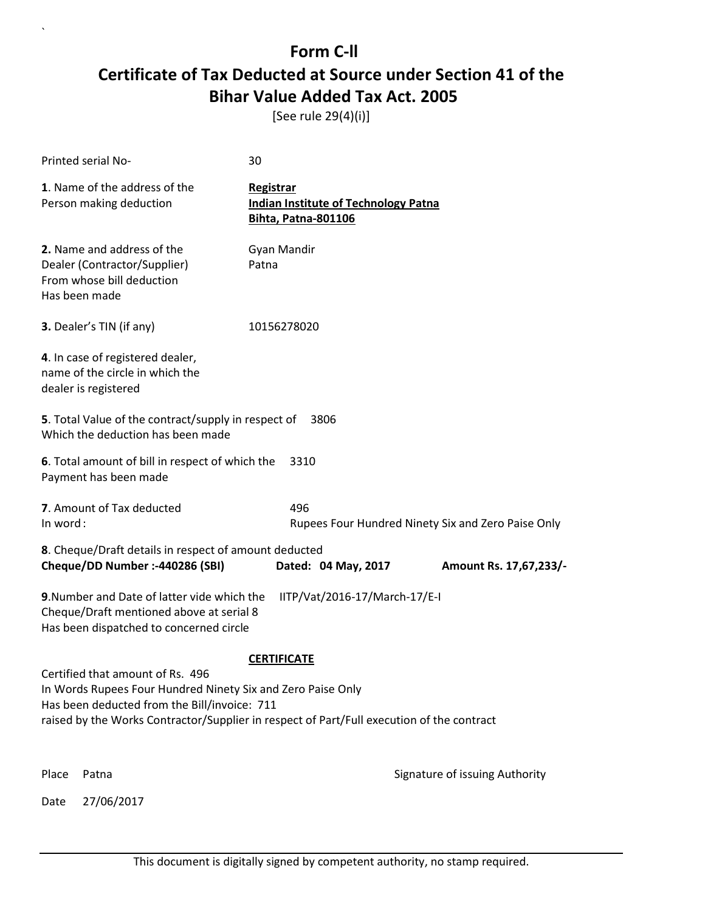[See rule 29(4)(i)]

|               | Printed serial No-                                                                                                                              | 30                                                                                        |                                                    |
|---------------|-------------------------------------------------------------------------------------------------------------------------------------------------|-------------------------------------------------------------------------------------------|----------------------------------------------------|
|               | 1. Name of the address of the<br>Person making deduction                                                                                        | Registrar<br><b>Indian Institute of Technology Patna</b><br><b>Bihta, Patna-801106</b>    |                                                    |
| Has been made | 2. Name and address of the<br>Dealer (Contractor/Supplier)<br>From whose bill deduction                                                         | Gyan Mandir<br>Patna                                                                      |                                                    |
|               | <b>3.</b> Dealer's TIN (if any)                                                                                                                 | 10156278020                                                                               |                                                    |
|               | 4. In case of registered dealer,<br>name of the circle in which the<br>dealer is registered                                                     |                                                                                           |                                                    |
|               | 5. Total Value of the contract/supply in respect of<br>Which the deduction has been made                                                        | 3806                                                                                      |                                                    |
|               | 6. Total amount of bill in respect of which the<br>Payment has been made                                                                        | 3310                                                                                      |                                                    |
| In word:      | 7. Amount of Tax deducted                                                                                                                       | 496                                                                                       | Rupees Four Hundred Ninety Six and Zero Paise Only |
|               | 8. Cheque/Draft details in respect of amount deducted<br>Cheque/DD Number :- 440286 (SBI)                                                       | Dated: 04 May, 2017                                                                       | Amount Rs. 17,67,233/-                             |
|               | 9. Number and Date of latter vide which the<br>Cheque/Draft mentioned above at serial 8<br>Has been dispatched to concerned circle              | IITP/Vat/2016-17/March-17/E-I                                                             |                                                    |
|               |                                                                                                                                                 | <b>CERTIFICATE</b>                                                                        |                                                    |
|               | Certified that amount of Rs. 496<br>In Words Rupees Four Hundred Ninety Six and Zero Paise Only<br>Has been deducted from the Bill/invoice: 711 | raised by the Works Contractor/Supplier in respect of Part/Full execution of the contract |                                                    |
| Place         | Patna                                                                                                                                           |                                                                                           | Signature of issuing Authority                     |
| Date          | 27/06/2017                                                                                                                                      |                                                                                           |                                                    |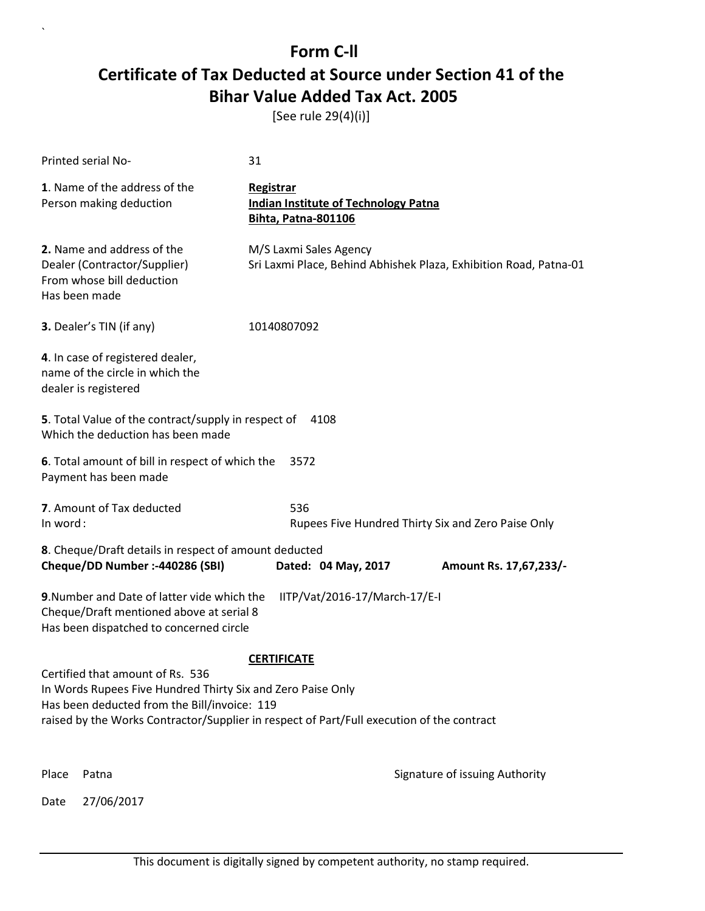[See rule 29(4)(i)]

|          | Printed serial No-                                                                                                                                                                                                                           | 31                                                                                     |                                                                   |
|----------|----------------------------------------------------------------------------------------------------------------------------------------------------------------------------------------------------------------------------------------------|----------------------------------------------------------------------------------------|-------------------------------------------------------------------|
|          | 1. Name of the address of the<br>Person making deduction                                                                                                                                                                                     | Registrar<br><b>Indian Institute of Technology Patna</b><br><b>Bihta, Patna-801106</b> |                                                                   |
|          | 2. Name and address of the<br>Dealer (Contractor/Supplier)<br>From whose bill deduction<br>Has been made                                                                                                                                     | M/S Laxmi Sales Agency                                                                 | Sri Laxmi Place, Behind Abhishek Plaza, Exhibition Road, Patna-01 |
|          | 3. Dealer's TIN (if any)                                                                                                                                                                                                                     | 10140807092                                                                            |                                                                   |
|          | 4. In case of registered dealer,<br>name of the circle in which the<br>dealer is registered                                                                                                                                                  |                                                                                        |                                                                   |
|          | 5. Total Value of the contract/supply in respect of<br>Which the deduction has been made                                                                                                                                                     | 4108                                                                                   |                                                                   |
|          | 6. Total amount of bill in respect of which the<br>Payment has been made                                                                                                                                                                     | 3572                                                                                   |                                                                   |
| In word: | 7. Amount of Tax deducted                                                                                                                                                                                                                    | 536                                                                                    | Rupees Five Hundred Thirty Six and Zero Paise Only                |
|          | 8. Cheque/Draft details in respect of amount deducted                                                                                                                                                                                        |                                                                                        |                                                                   |
|          | Cheque/DD Number :- 440286 (SBI)                                                                                                                                                                                                             | Dated: 04 May, 2017                                                                    | Amount Rs. 17,67,233/-                                            |
|          | 9. Number and Date of latter vide which the<br>Cheque/Draft mentioned above at serial 8<br>Has been dispatched to concerned circle                                                                                                           | IITP/Vat/2016-17/March-17/E-I                                                          |                                                                   |
|          |                                                                                                                                                                                                                                              | <b>CERTIFICATE</b>                                                                     |                                                                   |
|          | Certified that amount of Rs. 536<br>In Words Rupees Five Hundred Thirty Six and Zero Paise Only<br>Has been deducted from the Bill/invoice: 119<br>raised by the Works Contractor/Supplier in respect of Part/Full execution of the contract |                                                                                        |                                                                   |
| Place    | Patna                                                                                                                                                                                                                                        |                                                                                        | Signature of issuing Authority                                    |
| Date     | 27/06/2017                                                                                                                                                                                                                                   |                                                                                        |                                                                   |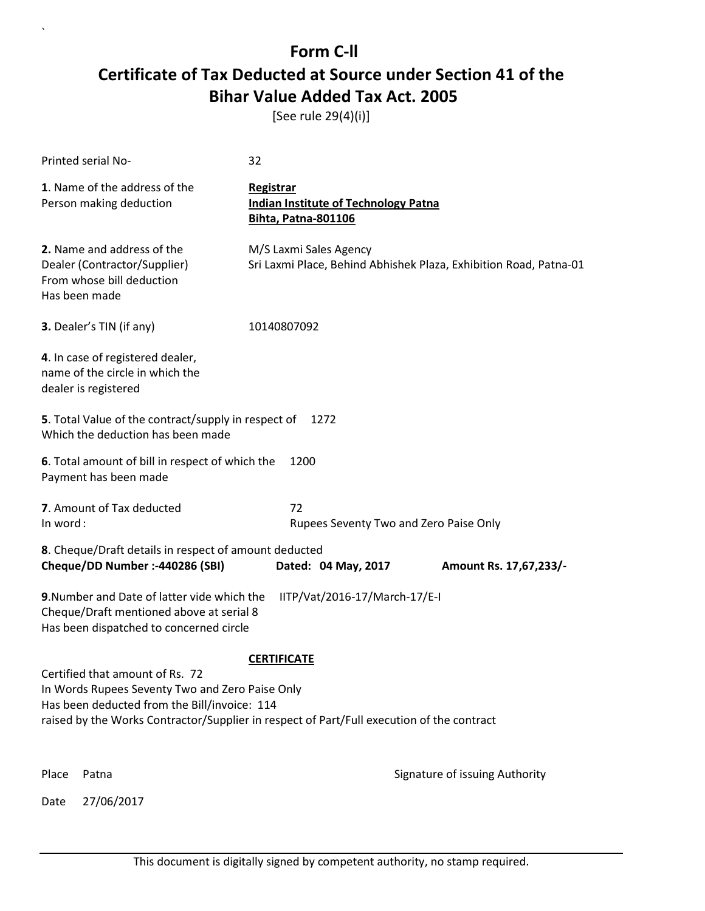[See rule 29(4)(i)]

|          | Printed serial No-                                                                                                                 | 32                                                                                                              |                                |
|----------|------------------------------------------------------------------------------------------------------------------------------------|-----------------------------------------------------------------------------------------------------------------|--------------------------------|
|          | 1. Name of the address of the<br>Person making deduction                                                                           | <b>Registrar</b><br><b>Indian Institute of Technology Patna</b><br><b>Bihta, Patna-801106</b>                   |                                |
|          | 2. Name and address of the<br>Dealer (Contractor/Supplier)<br>From whose bill deduction<br>Has been made                           | M/S Laxmi Sales Agency<br>Sri Laxmi Place, Behind Abhishek Plaza, Exhibition Road, Patna-01                     |                                |
|          | 3. Dealer's TIN (if any)                                                                                                           | 10140807092                                                                                                     |                                |
|          | 4. In case of registered dealer,<br>name of the circle in which the<br>dealer is registered                                        |                                                                                                                 |                                |
|          | 5. Total Value of the contract/supply in respect of<br>Which the deduction has been made                                           | 1272                                                                                                            |                                |
|          | 6. Total amount of bill in respect of which the<br>Payment has been made                                                           | 1200                                                                                                            |                                |
| In word: | 7. Amount of Tax deducted                                                                                                          | 72<br>Rupees Seventy Two and Zero Paise Only                                                                    |                                |
|          | 8. Cheque/Draft details in respect of amount deducted<br>Cheque/DD Number :- 440286 (SBI)                                          | Dated: 04 May, 2017                                                                                             | Amount Rs. 17,67,233/-         |
|          | 9. Number and Date of latter vide which the<br>Cheque/Draft mentioned above at serial 8<br>Has been dispatched to concerned circle | IITP/Vat/2016-17/March-17/E-I                                                                                   |                                |
|          | Certified that amount of Rs. 72<br>In Words Rupees Seventy Two and Zero Paise Only<br>Has been deducted from the Bill/invoice: 114 | <b>CERTIFICATE</b><br>raised by the Works Contractor/Supplier in respect of Part/Full execution of the contract |                                |
| Place    | Patna                                                                                                                              |                                                                                                                 | Signature of issuing Authority |
| Date     | 27/06/2017                                                                                                                         |                                                                                                                 |                                |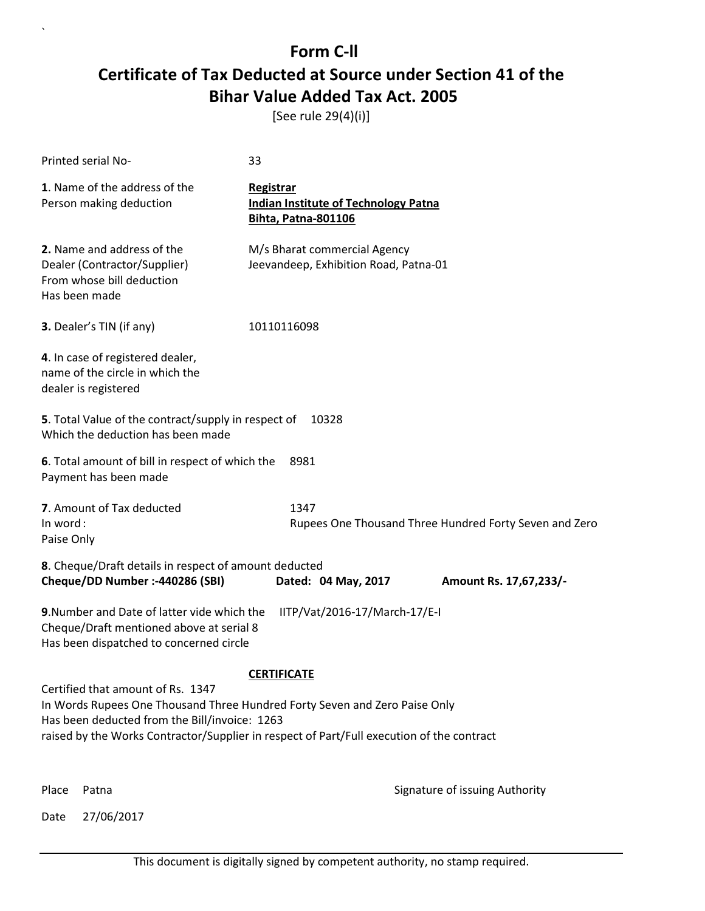[See rule 29(4)(i)]

| Printed serial No-                                                                                                                 | 33                                                                                                                                                                      |                                |
|------------------------------------------------------------------------------------------------------------------------------------|-------------------------------------------------------------------------------------------------------------------------------------------------------------------------|--------------------------------|
| 1. Name of the address of the<br>Person making deduction                                                                           | Registrar<br><b>Indian Institute of Technology Patna</b><br>Bihta, Patna-801106                                                                                         |                                |
| 2. Name and address of the<br>Dealer (Contractor/Supplier)<br>From whose bill deduction<br>Has been made                           | M/s Bharat commercial Agency<br>Jeevandeep, Exhibition Road, Patna-01                                                                                                   |                                |
| 3. Dealer's TIN (if any)                                                                                                           | 10110116098                                                                                                                                                             |                                |
| 4. In case of registered dealer,<br>name of the circle in which the<br>dealer is registered                                        |                                                                                                                                                                         |                                |
| 5. Total Value of the contract/supply in respect of<br>Which the deduction has been made                                           | 10328                                                                                                                                                                   |                                |
| 6. Total amount of bill in respect of which the<br>Payment has been made                                                           | 8981                                                                                                                                                                    |                                |
| 7. Amount of Tax deducted<br>In word:<br>Paise Only                                                                                | 1347<br>Rupees One Thousand Three Hundred Forty Seven and Zero                                                                                                          |                                |
| 8. Cheque/Draft details in respect of amount deducted<br>Cheque/DD Number :- 440286 (SBI)                                          | Dated: 04 May, 2017                                                                                                                                                     | Amount Rs. 17,67,233/-         |
| 9. Number and Date of latter vide which the<br>Cheque/Draft mentioned above at serial 8<br>Has been dispatched to concerned circle | IITP/Vat/2016-17/March-17/E-I                                                                                                                                           |                                |
|                                                                                                                                    | <b>CERTIFICATE</b>                                                                                                                                                      |                                |
| Certified that amount of Rs. 1347<br>Has been deducted from the Bill/invoice: 1263                                                 | In Words Rupees One Thousand Three Hundred Forty Seven and Zero Paise Only<br>raised by the Works Contractor/Supplier in respect of Part/Full execution of the contract |                                |
| Place<br>Patna                                                                                                                     |                                                                                                                                                                         | Signature of issuing Authority |

Date 27/06/2017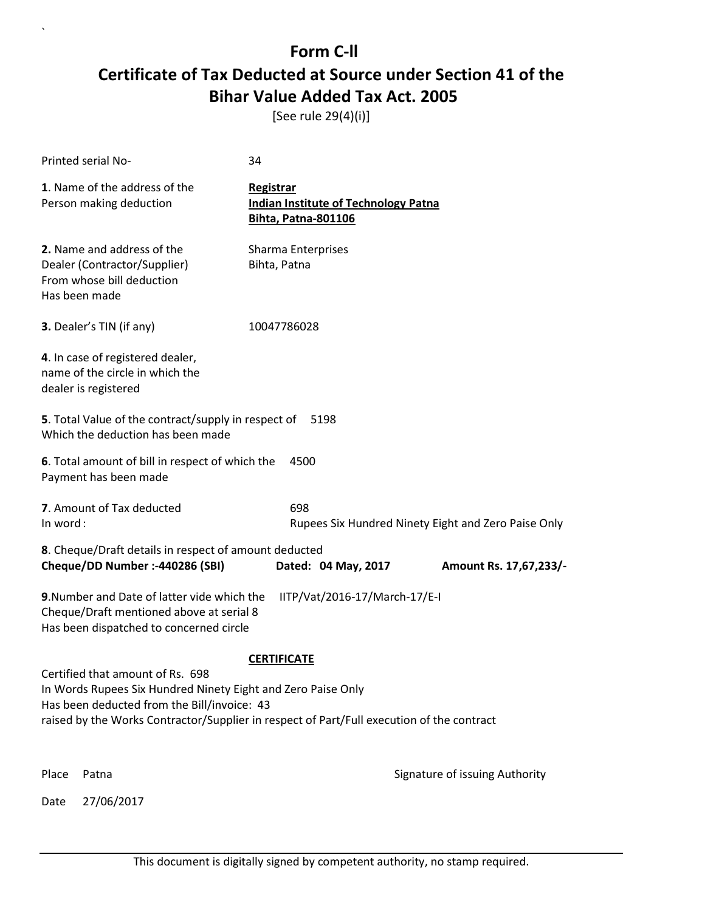[See rule 29(4)(i)]

| Printed serial No-              |                                                                                                                                                                                                                                              | 34                                                                                     |                                                     |
|---------------------------------|----------------------------------------------------------------------------------------------------------------------------------------------------------------------------------------------------------------------------------------------|----------------------------------------------------------------------------------------|-----------------------------------------------------|
|                                 | 1. Name of the address of the<br>Person making deduction                                                                                                                                                                                     | Registrar<br><b>Indian Institute of Technology Patna</b><br><b>Bihta, Patna-801106</b> |                                                     |
| Has been made                   | 2. Name and address of the<br>Dealer (Contractor/Supplier)<br>From whose bill deduction                                                                                                                                                      | Sharma Enterprises<br>Bihta, Patna                                                     |                                                     |
| <b>3.</b> Dealer's TIN (if any) |                                                                                                                                                                                                                                              | 10047786028                                                                            |                                                     |
| dealer is registered            | 4. In case of registered dealer,<br>name of the circle in which the                                                                                                                                                                          |                                                                                        |                                                     |
|                                 | 5. Total Value of the contract/supply in respect of<br>Which the deduction has been made                                                                                                                                                     | 5198                                                                                   |                                                     |
|                                 | 6. Total amount of bill in respect of which the<br>Payment has been made                                                                                                                                                                     | 4500                                                                                   |                                                     |
| In word:                        | 7. Amount of Tax deducted                                                                                                                                                                                                                    | 698                                                                                    | Rupees Six Hundred Ninety Eight and Zero Paise Only |
|                                 | 8. Cheque/Draft details in respect of amount deducted<br>Cheque/DD Number :- 440286 (SBI)                                                                                                                                                    | Dated: 04 May, 2017                                                                    | Amount Rs. 17,67,233/-                              |
|                                 | 9. Number and Date of latter vide which the<br>Cheque/Draft mentioned above at serial 8<br>Has been dispatched to concerned circle                                                                                                           | IITP/Vat/2016-17/March-17/E-I                                                          |                                                     |
|                                 |                                                                                                                                                                                                                                              | <b>CERTIFICATE</b>                                                                     |                                                     |
|                                 | Certified that amount of Rs. 698<br>In Words Rupees Six Hundred Ninety Eight and Zero Paise Only<br>Has been deducted from the Bill/invoice: 43<br>raised by the Works Contractor/Supplier in respect of Part/Full execution of the contract |                                                                                        |                                                     |
| Place<br>Patna                  |                                                                                                                                                                                                                                              |                                                                                        | Signature of issuing Authority                      |
| Date                            | 27/06/2017                                                                                                                                                                                                                                   |                                                                                        |                                                     |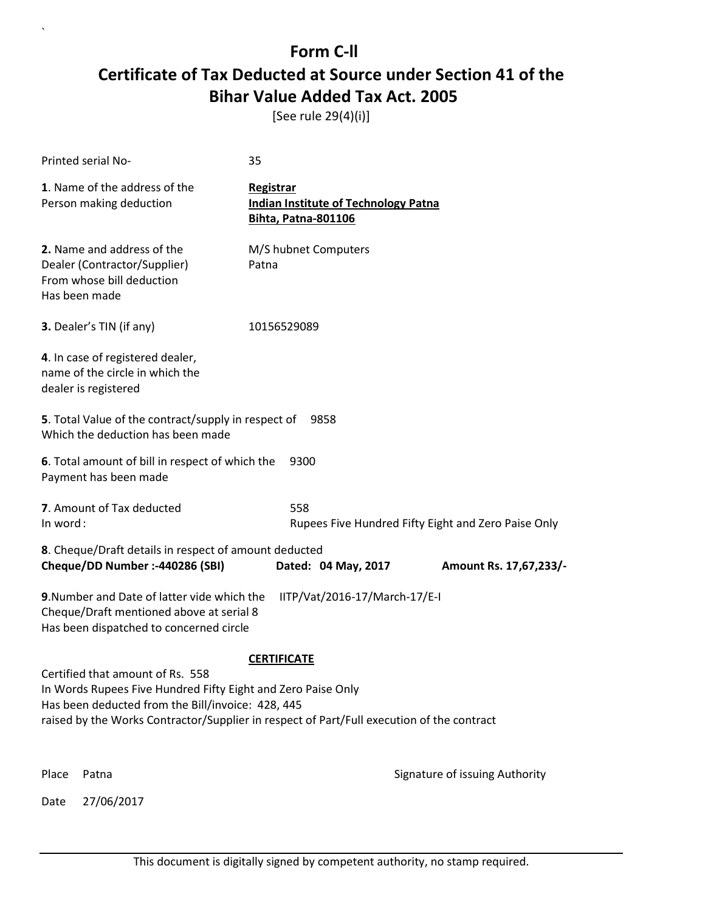[See rule 29(4)(i)]

|          | Printed serial No-                                                                                                                                                                                                                                                                          | 35                                                                                     |                                                     |
|----------|---------------------------------------------------------------------------------------------------------------------------------------------------------------------------------------------------------------------------------------------------------------------------------------------|----------------------------------------------------------------------------------------|-----------------------------------------------------|
|          | 1. Name of the address of the<br>Person making deduction                                                                                                                                                                                                                                    | Registrar<br><b>Indian Institute of Technology Patna</b><br><b>Bihta, Patna-801106</b> |                                                     |
|          | 2. Name and address of the<br>Dealer (Contractor/Supplier)<br>From whose bill deduction<br>Has been made                                                                                                                                                                                    | M/S hubnet Computers<br>Patna                                                          |                                                     |
|          | 3. Dealer's TIN (if any)                                                                                                                                                                                                                                                                    | 10156529089                                                                            |                                                     |
|          | 4. In case of registered dealer,<br>name of the circle in which the<br>dealer is registered                                                                                                                                                                                                 |                                                                                        |                                                     |
|          | 5. Total Value of the contract/supply in respect of<br>Which the deduction has been made                                                                                                                                                                                                    | 9858                                                                                   |                                                     |
|          | 6. Total amount of bill in respect of which the<br>Payment has been made                                                                                                                                                                                                                    | 9300                                                                                   |                                                     |
| In word: | 7. Amount of Tax deducted                                                                                                                                                                                                                                                                   | 558                                                                                    | Rupees Five Hundred Fifty Eight and Zero Paise Only |
|          | 8. Cheque/Draft details in respect of amount deducted<br>Cheque/DD Number :- 440286 (SBI)                                                                                                                                                                                                   | Dated: 04 May, 2017                                                                    | Amount Rs. 17,67,233/-                              |
|          | 9. Number and Date of latter vide which the<br>Cheque/Draft mentioned above at serial 8<br>Has been dispatched to concerned circle<br>Certified that amount of Rs. 558<br>In Words Rupees Five Hundred Fifty Eight and Zero Paise Only<br>Has been deducted from the Bill/invoice: 428, 445 | IITP/Vat/2016-17/March-17/E-I<br><b>CERTIFICATE</b>                                    |                                                     |
|          | raised by the Works Contractor/Supplier in respect of Part/Full execution of the contract                                                                                                                                                                                                   |                                                                                        |                                                     |
| Place    | Patna                                                                                                                                                                                                                                                                                       |                                                                                        | Signature of issuing Authority                      |
| Date     | 27/06/2017                                                                                                                                                                                                                                                                                  |                                                                                        |                                                     |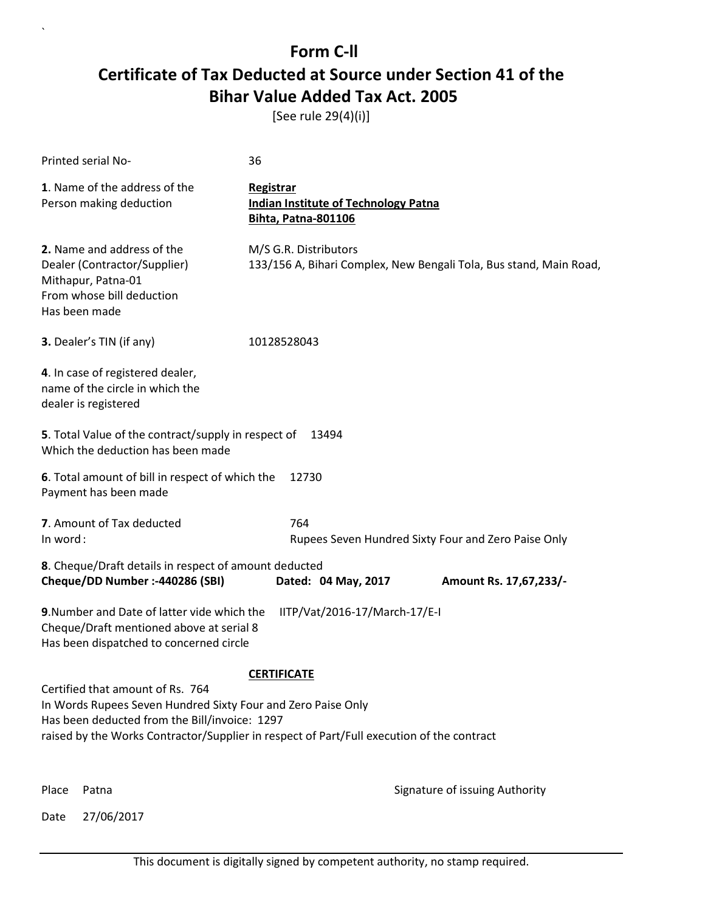[See rule 29(4)(i)]

| Printed serial No-                                                                                                                                | 36                                                                                          |
|---------------------------------------------------------------------------------------------------------------------------------------------------|---------------------------------------------------------------------------------------------|
| 1. Name of the address of the<br>Person making deduction                                                                                          | Registrar<br><b>Indian Institute of Technology Patna</b><br><b>Bihta, Patna-801106</b>      |
| 2. Name and address of the<br>Dealer (Contractor/Supplier)<br>Mithapur, Patna-01<br>From whose bill deduction<br>Has been made                    | M/S G.R. Distributors<br>133/156 A, Bihari Complex, New Bengali Tola, Bus stand, Main Road, |
| 3. Dealer's TIN (if any)                                                                                                                          | 10128528043                                                                                 |
| 4. In case of registered dealer,<br>name of the circle in which the<br>dealer is registered                                                       |                                                                                             |
| 5. Total Value of the contract/supply in respect of<br>Which the deduction has been made                                                          | 13494                                                                                       |
| 6. Total amount of bill in respect of which the<br>Payment has been made                                                                          | 12730                                                                                       |
| 7. Amount of Tax deducted<br>In word:                                                                                                             | 764<br>Rupees Seven Hundred Sixty Four and Zero Paise Only                                  |
| 8. Cheque/Draft details in respect of amount deducted<br>Cheque/DD Number :- 440286 (SBI)                                                         | Dated: 04 May, 2017<br>Amount Rs. 17,67,233/-                                               |
| 9. Number and Date of latter vide which the<br>Cheque/Draft mentioned above at serial 8<br>Has been dispatched to concerned circle                | IITP/Vat/2016-17/March-17/E-I                                                               |
|                                                                                                                                                   | <b>CERTIFICATE</b>                                                                          |
| Certified that amount of Rs. 764<br>In Words Rupees Seven Hundred Sixty Four and Zero Paise Only<br>Has been deducted from the Bill/invoice: 1297 | raised by the Works Contractor/Supplier in respect of Part/Full execution of the contract   |
| Place<br>Patna                                                                                                                                    | Signature of issuing Authority                                                              |

Date 27/06/2017

`

This document is digitally signed by competent authority, no stamp required.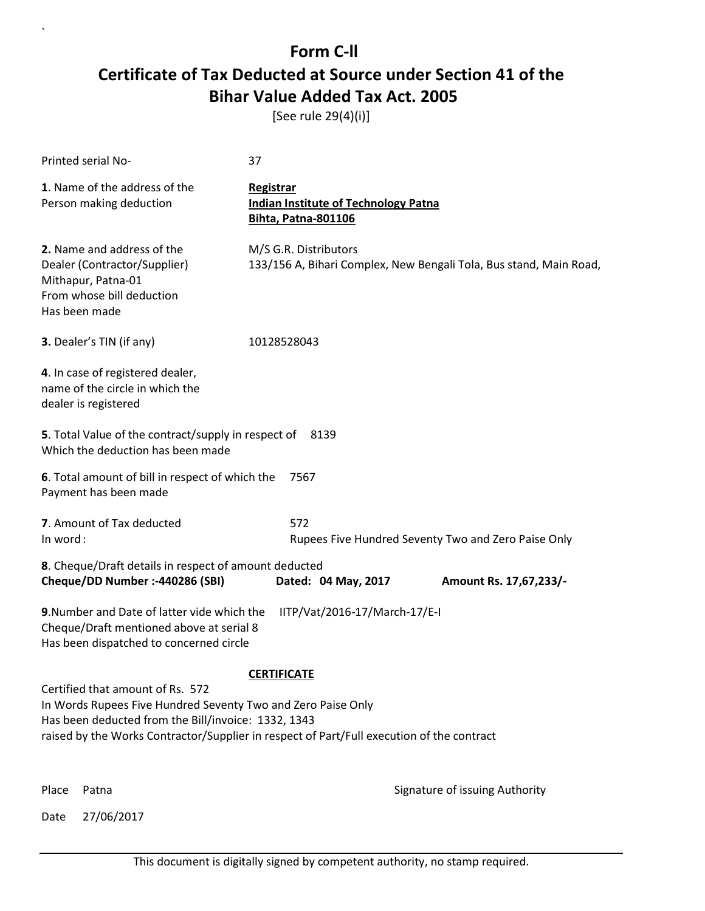[See rule 29(4)(i)]

| Printed serial No-                                                                                                                                      | 37                                                                                          |
|---------------------------------------------------------------------------------------------------------------------------------------------------------|---------------------------------------------------------------------------------------------|
| 1. Name of the address of the<br>Person making deduction                                                                                                | Registrar<br><b>Indian Institute of Technology Patna</b><br><b>Bihta, Patna-801106</b>      |
| 2. Name and address of the<br>Dealer (Contractor/Supplier)<br>Mithapur, Patna-01<br>From whose bill deduction<br>Has been made                          | M/S G.R. Distributors<br>133/156 A, Bihari Complex, New Bengali Tola, Bus stand, Main Road, |
| 3. Dealer's TIN (if any)                                                                                                                                | 10128528043                                                                                 |
| 4. In case of registered dealer,<br>name of the circle in which the<br>dealer is registered                                                             |                                                                                             |
| 5. Total Value of the contract/supply in respect of 8139<br>Which the deduction has been made                                                           |                                                                                             |
| 6. Total amount of bill in respect of which the<br>Payment has been made                                                                                | 7567                                                                                        |
| 7. Amount of Tax deducted<br>In word:                                                                                                                   | 572<br>Rupees Five Hundred Seventy Two and Zero Paise Only                                  |
| 8. Cheque/Draft details in respect of amount deducted<br>Cheque/DD Number :- 440286 (SBI)                                                               | Dated: 04 May, 2017<br>Amount Rs. 17,67,233/-                                               |
| 9. Number and Date of latter vide which the<br>Cheque/Draft mentioned above at serial 8<br>Has been dispatched to concerned circle                      | IITP/Vat/2016-17/March-17/E-I                                                               |
|                                                                                                                                                         | <b>CERTIFICATE</b>                                                                          |
| Certified that amount of Rs. 572<br>In Words Rupees Five Hundred Seventy Two and Zero Paise Only<br>Has been deducted from the Bill/invoice: 1332, 1343 | raised by the Works Contractor/Supplier in respect of Part/Full execution of the contract   |
| Place<br>Patna                                                                                                                                          | Signature of issuing Authority                                                              |

Date 27/06/2017

`

This document is digitally signed by competent authority, no stamp required.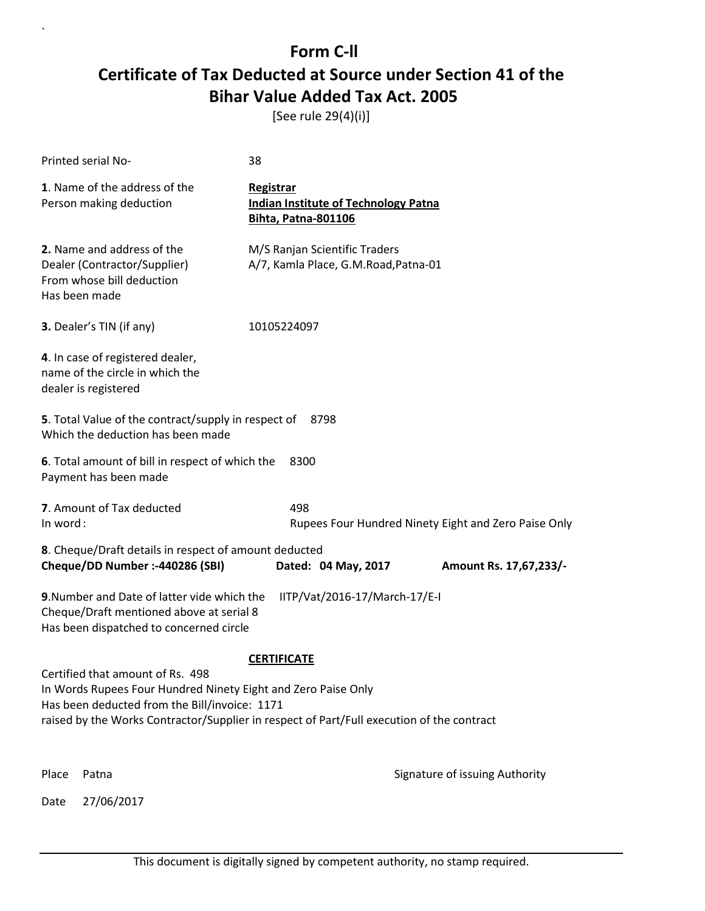[See rule 29(4)(i)]

|                                                                                                                                                                                                                                                 | Printed serial No-                                                                                   | 38                                                                                     |                                |  |
|-------------------------------------------------------------------------------------------------------------------------------------------------------------------------------------------------------------------------------------------------|------------------------------------------------------------------------------------------------------|----------------------------------------------------------------------------------------|--------------------------------|--|
|                                                                                                                                                                                                                                                 | 1. Name of the address of the<br>Person making deduction                                             | Registrar<br><b>Indian Institute of Technology Patna</b><br><b>Bihta, Patna-801106</b> |                                |  |
| Has been made                                                                                                                                                                                                                                   | 2. Name and address of the<br>Dealer (Contractor/Supplier)<br>From whose bill deduction              | M/S Ranjan Scientific Traders<br>A/7, Kamla Place, G.M.Road, Patna-01                  |                                |  |
|                                                                                                                                                                                                                                                 | 3. Dealer's TIN (if any)                                                                             | 10105224097                                                                            |                                |  |
|                                                                                                                                                                                                                                                 | 4. In case of registered dealer,<br>name of the circle in which the<br>dealer is registered          |                                                                                        |                                |  |
|                                                                                                                                                                                                                                                 | 5. Total Value of the contract/supply in respect of<br>Which the deduction has been made             | 8798                                                                                   |                                |  |
|                                                                                                                                                                                                                                                 | 6. Total amount of bill in respect of which the<br>8300<br>Payment has been made                     |                                                                                        |                                |  |
|                                                                                                                                                                                                                                                 | 7. Amount of Tax deducted<br>498<br>In word:<br>Rupees Four Hundred Ninety Eight and Zero Paise Only |                                                                                        |                                |  |
|                                                                                                                                                                                                                                                 | 8. Cheque/Draft details in respect of amount deducted                                                |                                                                                        |                                |  |
|                                                                                                                                                                                                                                                 | Cheque/DD Number :- 440286 (SBI)                                                                     | Dated: 04 May, 2017                                                                    | Amount Rs. 17,67,233/-         |  |
| 9. Number and Date of latter vide which the<br>IITP/Vat/2016-17/March-17/E-I<br>Cheque/Draft mentioned above at serial 8<br>Has been dispatched to concerned circle                                                                             |                                                                                                      |                                                                                        |                                |  |
| <b>CERTIFICATE</b>                                                                                                                                                                                                                              |                                                                                                      |                                                                                        |                                |  |
| Certified that amount of Rs. 498<br>In Words Rupees Four Hundred Ninety Eight and Zero Paise Only<br>Has been deducted from the Bill/invoice: 1171<br>raised by the Works Contractor/Supplier in respect of Part/Full execution of the contract |                                                                                                      |                                                                                        |                                |  |
| Place                                                                                                                                                                                                                                           | Patna                                                                                                |                                                                                        | Signature of issuing Authority |  |
| Date                                                                                                                                                                                                                                            | 27/06/2017                                                                                           |                                                                                        |                                |  |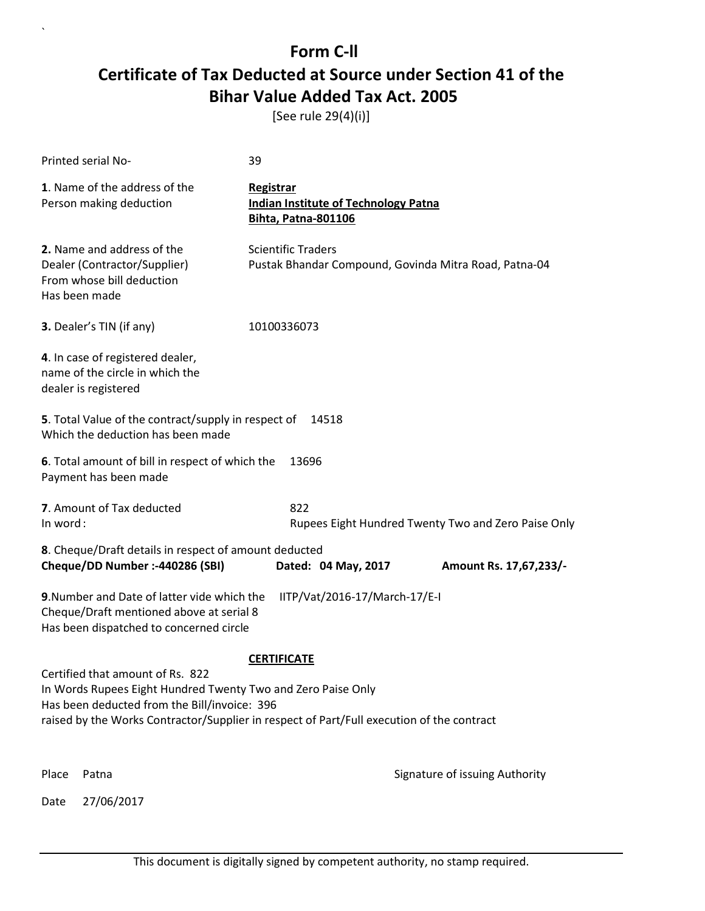[See rule 29(4)(i)]

|                                                                                                                                                                                                                                                                                               | Printed serial No-                                                                                                                        | 39                                                                                     |                                                       |  |
|-----------------------------------------------------------------------------------------------------------------------------------------------------------------------------------------------------------------------------------------------------------------------------------------------|-------------------------------------------------------------------------------------------------------------------------------------------|----------------------------------------------------------------------------------------|-------------------------------------------------------|--|
|                                                                                                                                                                                                                                                                                               | 1. Name of the address of the<br>Person making deduction                                                                                  | Registrar<br><b>Indian Institute of Technology Patna</b><br><b>Bihta, Patna-801106</b> |                                                       |  |
|                                                                                                                                                                                                                                                                                               | 2. Name and address of the<br>Dealer (Contractor/Supplier)<br>From whose bill deduction<br>Has been made                                  | <b>Scientific Traders</b>                                                              | Pustak Bhandar Compound, Govinda Mitra Road, Patna-04 |  |
|                                                                                                                                                                                                                                                                                               | 3. Dealer's TIN (if any)                                                                                                                  | 10100336073                                                                            |                                                       |  |
|                                                                                                                                                                                                                                                                                               | 4. In case of registered dealer,<br>name of the circle in which the<br>dealer is registered                                               |                                                                                        |                                                       |  |
|                                                                                                                                                                                                                                                                                               | 5. Total Value of the contract/supply in respect of<br>Which the deduction has been made                                                  | 14518                                                                                  |                                                       |  |
|                                                                                                                                                                                                                                                                                               | 6. Total amount of bill in respect of which the<br>Payment has been made                                                                  | 13696                                                                                  |                                                       |  |
|                                                                                                                                                                                                                                                                                               | 7. Amount of Tax deducted<br>822<br>In word:<br>Rupees Eight Hundred Twenty Two and Zero Paise Only                                       |                                                                                        |                                                       |  |
|                                                                                                                                                                                                                                                                                               | 8. Cheque/Draft details in respect of amount deducted<br>Cheque/DD Number :- 440286 (SBI)                                                 | Dated: 04 May, 2017                                                                    | Amount Rs. 17,67,233/-                                |  |
| IITP/Vat/2016-17/March-17/E-I<br>9. Number and Date of latter vide which the<br>Cheque/Draft mentioned above at serial 8<br>Has been dispatched to concerned circle<br><b>CERTIFICATE</b><br>Certified that amount of Rs. 822<br>In Words Rupees Eight Hundred Twenty Two and Zero Paise Only |                                                                                                                                           |                                                                                        |                                                       |  |
|                                                                                                                                                                                                                                                                                               | Has been deducted from the Bill/invoice: 396<br>raised by the Works Contractor/Supplier in respect of Part/Full execution of the contract |                                                                                        |                                                       |  |
| Place                                                                                                                                                                                                                                                                                         | Patna                                                                                                                                     |                                                                                        | Signature of issuing Authority                        |  |
| Date                                                                                                                                                                                                                                                                                          | 27/06/2017                                                                                                                                |                                                                                        |                                                       |  |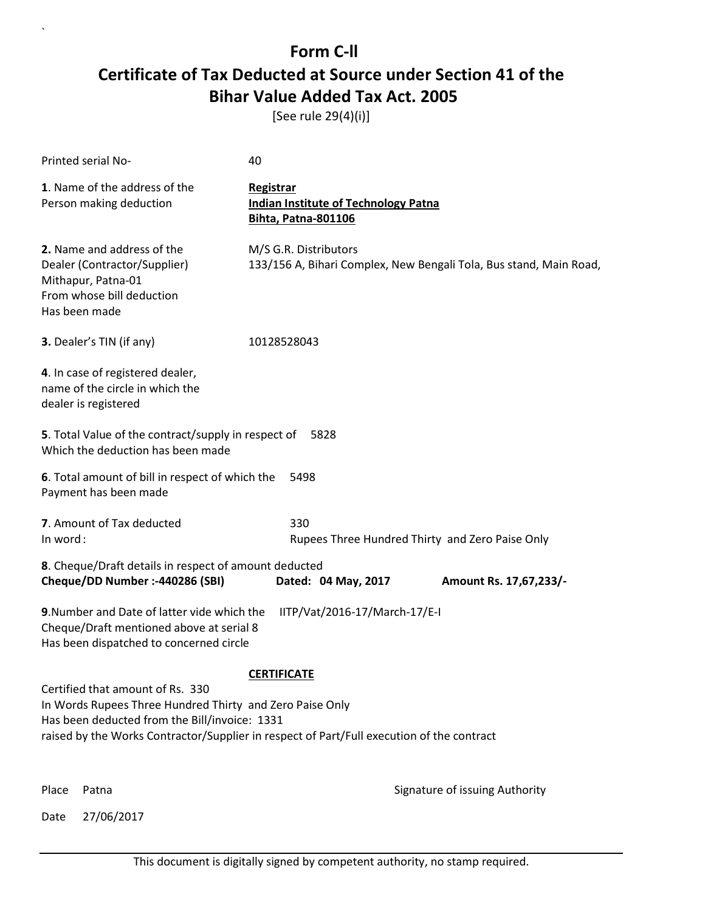[See rule 29(4)(i)]

| Printed serial No-                                                                                                                            | 40                                                                                          |
|-----------------------------------------------------------------------------------------------------------------------------------------------|---------------------------------------------------------------------------------------------|
| 1. Name of the address of the<br>Person making deduction                                                                                      | Registrar<br><b>Indian Institute of Technology Patna</b><br><b>Bihta, Patna-801106</b>      |
| 2. Name and address of the<br>Dealer (Contractor/Supplier)<br>Mithapur, Patna-01<br>From whose bill deduction<br>Has been made                | M/S G.R. Distributors<br>133/156 A, Bihari Complex, New Bengali Tola, Bus stand, Main Road, |
| 3. Dealer's TIN (if any)                                                                                                                      | 10128528043                                                                                 |
| 4. In case of registered dealer,<br>name of the circle in which the<br>dealer is registered                                                   |                                                                                             |
| 5. Total Value of the contract/supply in respect of<br>Which the deduction has been made                                                      | 5828                                                                                        |
| 6. Total amount of bill in respect of which the<br>Payment has been made                                                                      | 5498                                                                                        |
| 7. Amount of Tax deducted<br>In word:                                                                                                         | 330<br>Rupees Three Hundred Thirty and Zero Paise Only                                      |
| 8. Cheque/Draft details in respect of amount deducted<br>Cheque/DD Number :- 440286 (SBI)                                                     | Dated: 04 May, 2017<br>Amount Rs. 17,67,233/-                                               |
| 9. Number and Date of latter vide which the<br>Cheque/Draft mentioned above at serial 8<br>Has been dispatched to concerned circle            | IITP/Vat/2016-17/March-17/E-I                                                               |
|                                                                                                                                               | <b>CERTIFICATE</b>                                                                          |
| Certified that amount of Rs. 330<br>In Words Rupees Three Hundred Thirty and Zero Paise Only<br>Has been deducted from the Bill/invoice: 1331 | raised by the Works Contractor/Supplier in respect of Part/Full execution of the contract   |
| Place<br>Patna                                                                                                                                | Signature of issuing Authority                                                              |

Date 27/06/2017

`

This document is digitally signed by competent authority, no stamp required.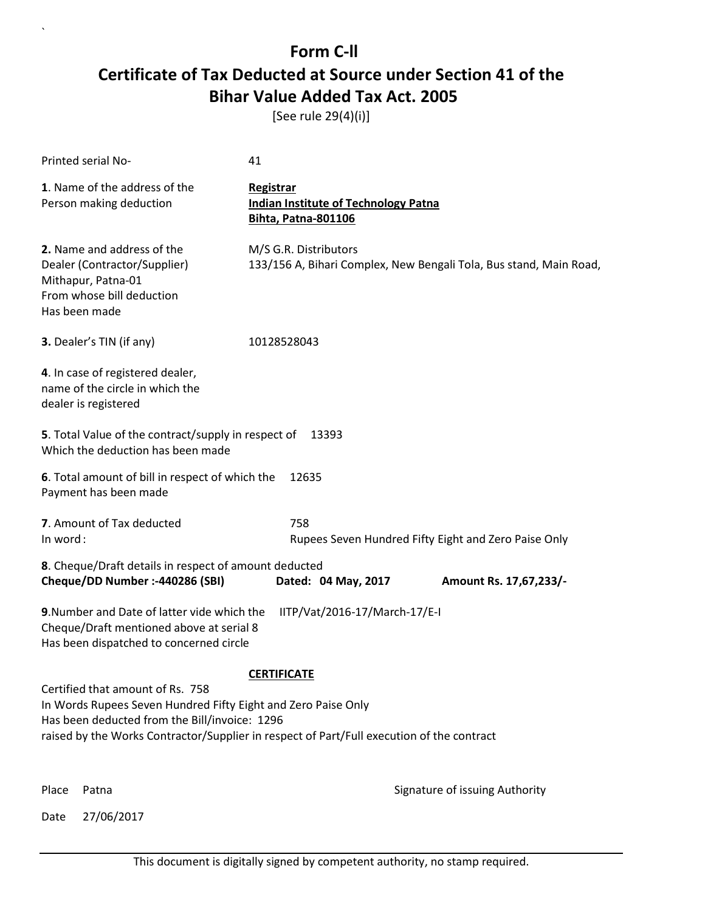[See rule 29(4)(i)]

| Printed serial No-                                                                                                                                 | 41                                                                                          |
|----------------------------------------------------------------------------------------------------------------------------------------------------|---------------------------------------------------------------------------------------------|
| 1. Name of the address of the<br>Person making deduction                                                                                           | Registrar<br><b>Indian Institute of Technology Patna</b><br><b>Bihta, Patna-801106</b>      |
| 2. Name and address of the<br>Dealer (Contractor/Supplier)<br>Mithapur, Patna-01<br>From whose bill deduction<br>Has been made                     | M/S G.R. Distributors<br>133/156 A, Bihari Complex, New Bengali Tola, Bus stand, Main Road, |
| 3. Dealer's TIN (if any)                                                                                                                           | 10128528043                                                                                 |
| 4. In case of registered dealer,<br>name of the circle in which the<br>dealer is registered                                                        |                                                                                             |
| 5. Total Value of the contract/supply in respect of<br>Which the deduction has been made                                                           | 13393                                                                                       |
| 6. Total amount of bill in respect of which the<br>Payment has been made                                                                           | 12635                                                                                       |
| 7. Amount of Tax deducted<br>In word:                                                                                                              | 758<br>Rupees Seven Hundred Fifty Eight and Zero Paise Only                                 |
| 8. Cheque/Draft details in respect of amount deducted<br>Cheque/DD Number :- 440286 (SBI)                                                          | Dated: 04 May, 2017<br>Amount Rs. 17,67,233/-                                               |
| 9. Number and Date of latter vide which the<br>Cheque/Draft mentioned above at serial 8<br>Has been dispatched to concerned circle                 | IITP/Vat/2016-17/March-17/E-I                                                               |
|                                                                                                                                                    | <b>CERTIFICATE</b>                                                                          |
| Certified that amount of Rs. 758<br>In Words Rupees Seven Hundred Fifty Eight and Zero Paise Only<br>Has been deducted from the Bill/invoice: 1296 | raised by the Works Contractor/Supplier in respect of Part/Full execution of the contract   |
| Place<br>Patna                                                                                                                                     | Signature of issuing Authority                                                              |

Date 27/06/2017

`

This document is digitally signed by competent authority, no stamp required.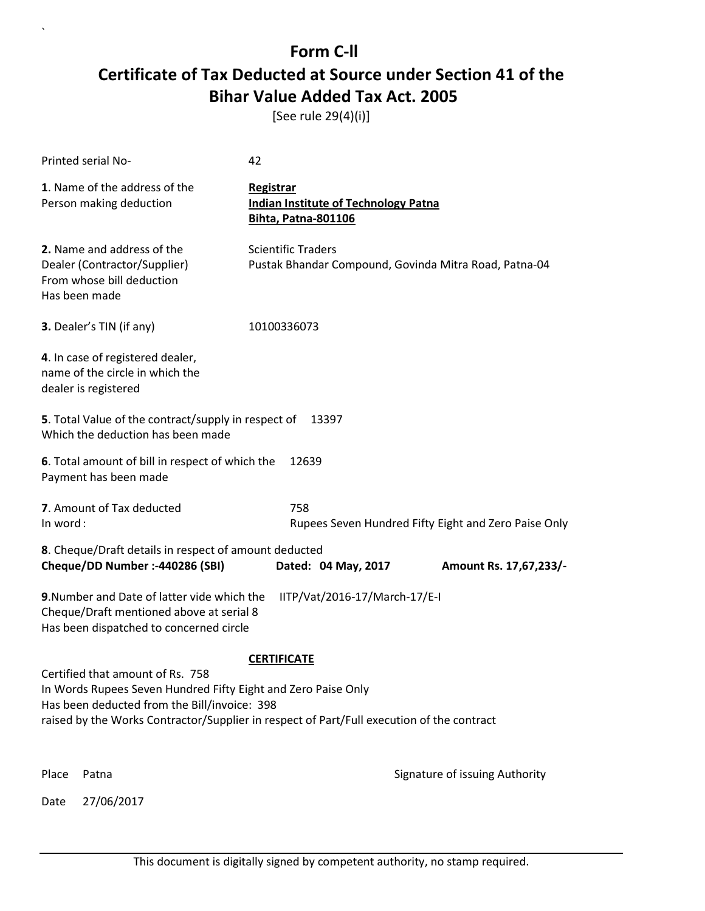[See rule 29(4)(i)]

|                                                                                                                                                                                                                                                | Printed serial No-                                                                                                                 | 42                                                                                     |                                                      |
|------------------------------------------------------------------------------------------------------------------------------------------------------------------------------------------------------------------------------------------------|------------------------------------------------------------------------------------------------------------------------------------|----------------------------------------------------------------------------------------|------------------------------------------------------|
|                                                                                                                                                                                                                                                | 1. Name of the address of the<br>Person making deduction                                                                           | Registrar<br><b>Indian Institute of Technology Patna</b><br><b>Bihta, Patna-801106</b> |                                                      |
|                                                                                                                                                                                                                                                | 2. Name and address of the<br>Dealer (Contractor/Supplier)<br>From whose bill deduction<br>Has been made                           | <b>Scientific Traders</b><br>Pustak Bhandar Compound, Govinda Mitra Road, Patna-04     |                                                      |
|                                                                                                                                                                                                                                                | 3. Dealer's TIN (if any)                                                                                                           | 10100336073                                                                            |                                                      |
|                                                                                                                                                                                                                                                | 4. In case of registered dealer,<br>name of the circle in which the<br>dealer is registered                                        |                                                                                        |                                                      |
|                                                                                                                                                                                                                                                | 5. Total Value of the contract/supply in respect of<br>Which the deduction has been made                                           | 13397                                                                                  |                                                      |
|                                                                                                                                                                                                                                                | 6. Total amount of bill in respect of which the<br>Payment has been made                                                           | 12639                                                                                  |                                                      |
| In word:                                                                                                                                                                                                                                       | 7. Amount of Tax deducted                                                                                                          | 758                                                                                    | Rupees Seven Hundred Fifty Eight and Zero Paise Only |
|                                                                                                                                                                                                                                                | 8. Cheque/Draft details in respect of amount deducted<br>Cheque/DD Number :- 440286 (SBI)                                          | Dated: 04 May, 2017                                                                    | Amount Rs. 17,67,233/-                               |
|                                                                                                                                                                                                                                                | 9. Number and Date of latter vide which the<br>Cheque/Draft mentioned above at serial 8<br>Has been dispatched to concerned circle | IITP/Vat/2016-17/March-17/E-I                                                          |                                                      |
| <b>CERTIFICATE</b>                                                                                                                                                                                                                             |                                                                                                                                    |                                                                                        |                                                      |
| Certified that amount of Rs. 758<br>In Words Rupees Seven Hundred Fifty Eight and Zero Paise Only<br>Has been deducted from the Bill/invoice: 398<br>raised by the Works Contractor/Supplier in respect of Part/Full execution of the contract |                                                                                                                                    |                                                                                        |                                                      |
| Place                                                                                                                                                                                                                                          | Patna                                                                                                                              |                                                                                        | Signature of issuing Authority                       |
| Date                                                                                                                                                                                                                                           | 27/06/2017                                                                                                                         |                                                                                        |                                                      |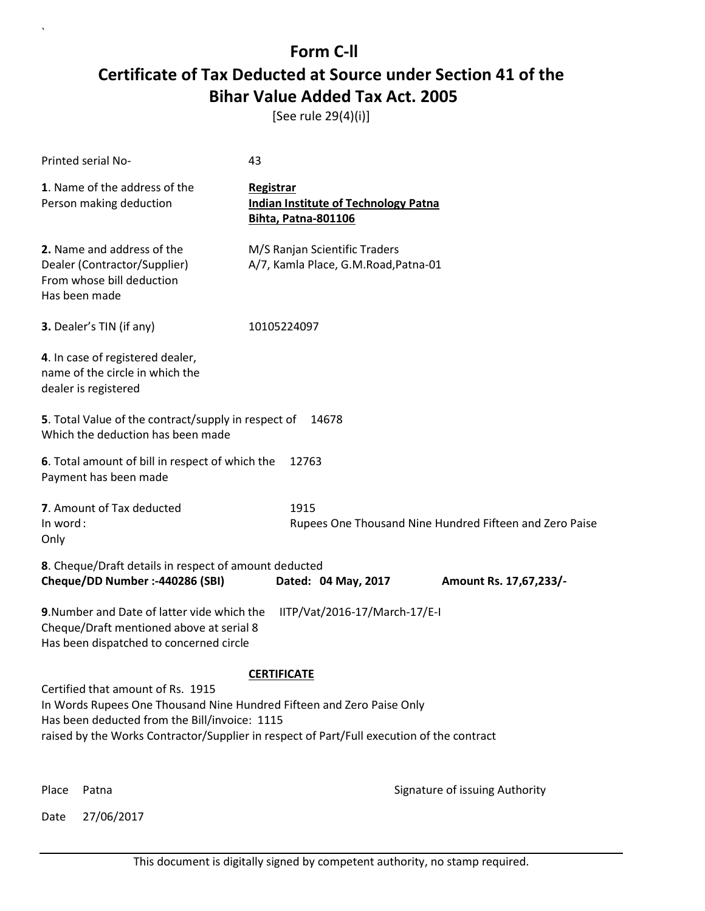[See rule 29(4)(i)]

| Printed serial No-                                                                                                                                                                                                                                       | 43                                                                                     |                                                         |  |
|----------------------------------------------------------------------------------------------------------------------------------------------------------------------------------------------------------------------------------------------------------|----------------------------------------------------------------------------------------|---------------------------------------------------------|--|
| 1. Name of the address of the<br>Person making deduction                                                                                                                                                                                                 | <b>Registrar</b><br><b>Indian Institute of Technology Patna</b><br>Bihta, Patna-801106 |                                                         |  |
| 2. Name and address of the<br>Dealer (Contractor/Supplier)<br>From whose bill deduction<br>Has been made                                                                                                                                                 | M/S Ranjan Scientific Traders<br>A/7, Kamla Place, G.M.Road, Patna-01                  |                                                         |  |
| 3. Dealer's TIN (if any)                                                                                                                                                                                                                                 | 10105224097                                                                            |                                                         |  |
| 4. In case of registered dealer,<br>name of the circle in which the<br>dealer is registered                                                                                                                                                              |                                                                                        |                                                         |  |
| 5. Total Value of the contract/supply in respect of<br>Which the deduction has been made                                                                                                                                                                 | 14678                                                                                  |                                                         |  |
| 6. Total amount of bill in respect of which the<br>Payment has been made                                                                                                                                                                                 | 12763                                                                                  |                                                         |  |
| 7. Amount of Tax deducted<br>In word:<br>Only                                                                                                                                                                                                            | 1915                                                                                   | Rupees One Thousand Nine Hundred Fifteen and Zero Paise |  |
| 8. Cheque/Draft details in respect of amount deducted<br>Cheque/DD Number :- 440286 (SBI)                                                                                                                                                                | Dated: 04 May, 2017                                                                    | Amount Rs. 17,67,233/-                                  |  |
| 9. Number and Date of latter vide which the<br>Cheque/Draft mentioned above at serial 8<br>Has been dispatched to concerned circle                                                                                                                       | IITP/Vat/2016-17/March-17/E-I                                                          |                                                         |  |
| <b>CERTIFICATE</b>                                                                                                                                                                                                                                       |                                                                                        |                                                         |  |
| Certified that amount of Rs. 1915<br>In Words Rupees One Thousand Nine Hundred Fifteen and Zero Paise Only<br>Has been deducted from the Bill/invoice: 1115<br>raised by the Works Contractor/Supplier in respect of Part/Full execution of the contract |                                                                                        |                                                         |  |
| Place<br>Patna                                                                                                                                                                                                                                           |                                                                                        | Signature of issuing Authority                          |  |

Date 27/06/2017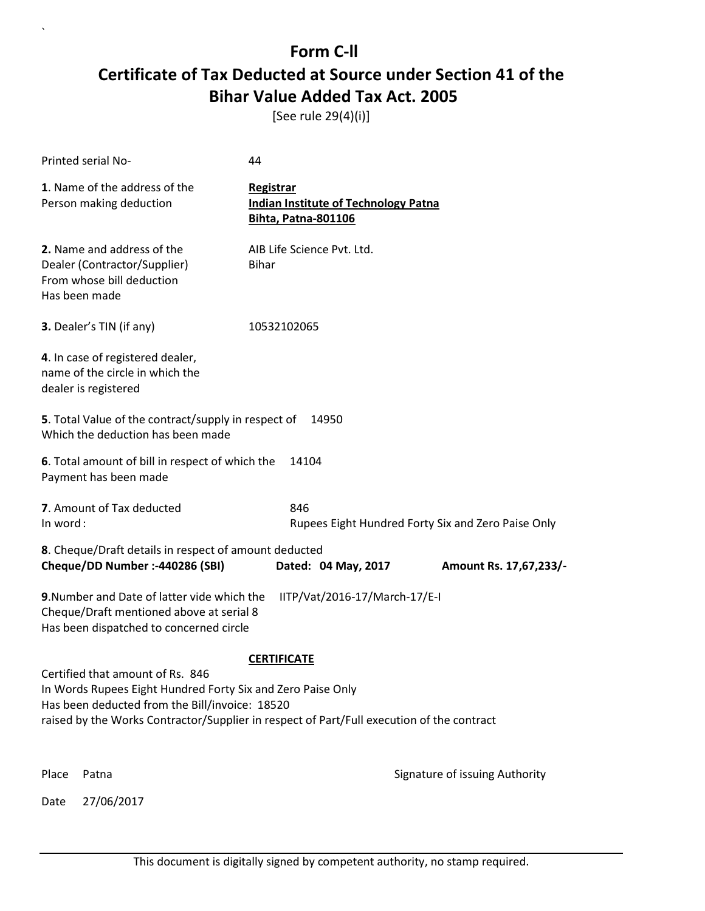[See rule 29(4)(i)]

|                    | Printed serial No-                                                                                                                                | 44                                                                                        |                                                    |
|--------------------|---------------------------------------------------------------------------------------------------------------------------------------------------|-------------------------------------------------------------------------------------------|----------------------------------------------------|
|                    | 1. Name of the address of the<br>Person making deduction                                                                                          | Registrar<br><b>Indian Institute of Technology Patna</b><br><b>Bihta, Patna-801106</b>    |                                                    |
|                    | 2. Name and address of the<br>Dealer (Contractor/Supplier)<br>From whose bill deduction<br>Has been made                                          | AIB Life Science Pvt. Ltd.<br><b>Bihar</b>                                                |                                                    |
|                    | 3. Dealer's TIN (if any)                                                                                                                          | 10532102065                                                                               |                                                    |
|                    | 4. In case of registered dealer,<br>name of the circle in which the<br>dealer is registered                                                       |                                                                                           |                                                    |
|                    | 5. Total Value of the contract/supply in respect of<br>Which the deduction has been made                                                          | 14950                                                                                     |                                                    |
|                    | 6. Total amount of bill in respect of which the<br>Payment has been made                                                                          | 14104                                                                                     |                                                    |
| In word:           | 7. Amount of Tax deducted                                                                                                                         | 846                                                                                       | Rupees Eight Hundred Forty Six and Zero Paise Only |
|                    | 8. Cheque/Draft details in respect of amount deducted<br>Cheque/DD Number :- 440286 (SBI)                                                         | Dated: 04 May, 2017                                                                       | Amount Rs. 17,67,233/-                             |
|                    | 9. Number and Date of latter vide which the<br>Cheque/Draft mentioned above at serial 8<br>Has been dispatched to concerned circle                | IITP/Vat/2016-17/March-17/E-I                                                             |                                                    |
| <b>CERTIFICATE</b> |                                                                                                                                                   |                                                                                           |                                                    |
|                    | Certified that amount of Rs. 846<br>In Words Rupees Eight Hundred Forty Six and Zero Paise Only<br>Has been deducted from the Bill/invoice: 18520 | raised by the Works Contractor/Supplier in respect of Part/Full execution of the contract |                                                    |
| Place              | Patna                                                                                                                                             |                                                                                           | Signature of issuing Authority                     |
| Date               | 27/06/2017                                                                                                                                        |                                                                                           |                                                    |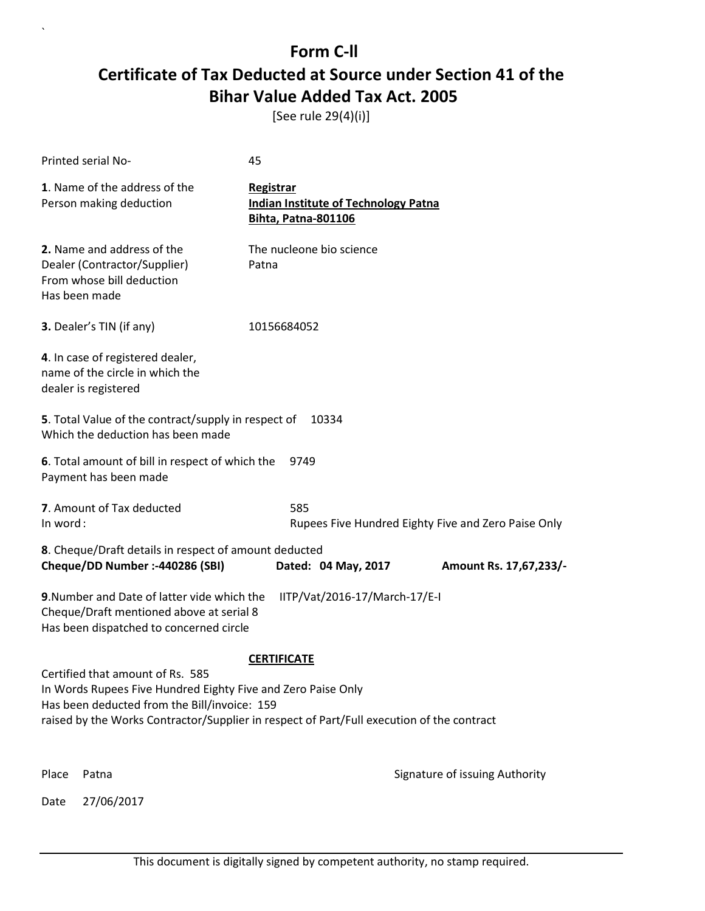[See rule 29(4)(i)]

| Printed serial No-                                                                                                                 | 45                                                                                        |  |  |
|------------------------------------------------------------------------------------------------------------------------------------|-------------------------------------------------------------------------------------------|--|--|
| 1. Name of the address of the<br>Person making deduction                                                                           | Registrar<br><b>Indian Institute of Technology Patna</b><br>Bihta, Patna-801106           |  |  |
| 2. Name and address of the<br>Dealer (Contractor/Supplier)<br>From whose bill deduction<br>Has been made                           | The nucleone bio science<br>Patna                                                         |  |  |
| <b>3.</b> Dealer's TIN (if any)                                                                                                    | 10156684052                                                                               |  |  |
| 4. In case of registered dealer,<br>name of the circle in which the<br>dealer is registered                                        |                                                                                           |  |  |
| 5. Total Value of the contract/supply in respect of<br>Which the deduction has been made                                           | 10334                                                                                     |  |  |
| 6. Total amount of bill in respect of which the<br>Payment has been made                                                           | 9749                                                                                      |  |  |
| 7. Amount of Tax deducted<br>585<br>In word:<br>Rupees Five Hundred Eighty Five and Zero Paise Only                                |                                                                                           |  |  |
| 8. Cheque/Draft details in respect of amount deducted                                                                              |                                                                                           |  |  |
| Cheque/DD Number :- 440286 (SBI)                                                                                                   | Dated: 04 May, 2017<br>Amount Rs. 17,67,233/-                                             |  |  |
| 9. Number and Date of latter vide which the<br>Cheque/Draft mentioned above at serial 8<br>Has been dispatched to concerned circle | IITP/Vat/2016-17/March-17/E-I                                                             |  |  |
| <b>CERTIFICATE</b>                                                                                                                 |                                                                                           |  |  |
| Certified that amount of Rs. 585<br>In Words Rupees Five Hundred Eighty Five and Zero Paise Only                                   |                                                                                           |  |  |
| Has been deducted from the Bill/invoice: 159                                                                                       |                                                                                           |  |  |
|                                                                                                                                    | raised by the Works Contractor/Supplier in respect of Part/Full execution of the contract |  |  |
| Place<br>Patna                                                                                                                     | Signature of issuing Authority                                                            |  |  |
| 27/06/2017<br>Date                                                                                                                 |                                                                                           |  |  |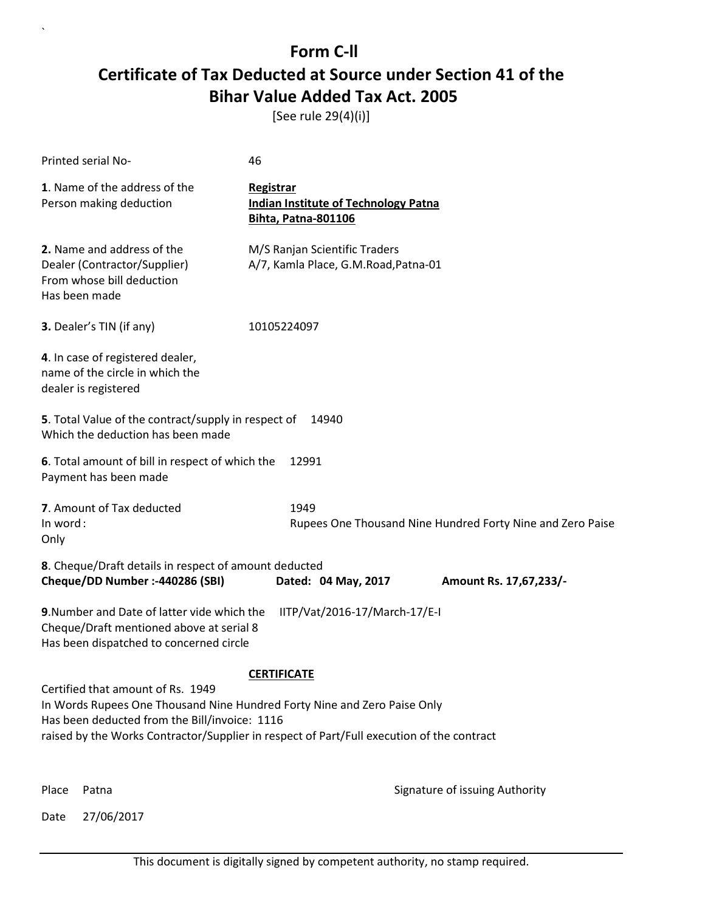[See rule 29(4)(i)]

| Printed serial No-                                                                                                                                             | 46                                                                                        |
|----------------------------------------------------------------------------------------------------------------------------------------------------------------|-------------------------------------------------------------------------------------------|
| 1. Name of the address of the<br>Person making deduction                                                                                                       | Registrar<br><b>Indian Institute of Technology Patna</b><br><b>Bihta, Patna-801106</b>    |
| 2. Name and address of the<br>Dealer (Contractor/Supplier)<br>From whose bill deduction<br>Has been made                                                       | M/S Ranjan Scientific Traders<br>A/7, Kamla Place, G.M.Road, Patna-01                     |
| 3. Dealer's TIN (if any)                                                                                                                                       | 10105224097                                                                               |
| 4. In case of registered dealer,<br>name of the circle in which the<br>dealer is registered                                                                    |                                                                                           |
| 5. Total Value of the contract/supply in respect of<br>Which the deduction has been made                                                                       | 14940                                                                                     |
| 6. Total amount of bill in respect of which the<br>Payment has been made                                                                                       | 12991                                                                                     |
| 7. Amount of Tax deducted<br>In word:<br>Only                                                                                                                  | 1949<br>Rupees One Thousand Nine Hundred Forty Nine and Zero Paise                        |
| 8. Cheque/Draft details in respect of amount deducted<br>Cheque/DD Number :- 440286 (SBI)                                                                      | Dated: 04 May, 2017<br>Amount Rs. 17,67,233/-                                             |
| 9. Number and Date of latter vide which the<br>Cheque/Draft mentioned above at serial 8<br>Has been dispatched to concerned circle                             | IITP/Vat/2016-17/March-17/E-I                                                             |
|                                                                                                                                                                | <b>CERTIFICATE</b>                                                                        |
| Certified that amount of Rs. 1949<br>In Words Rupees One Thousand Nine Hundred Forty Nine and Zero Paise Only<br>Has been deducted from the Bill/invoice: 1116 | raised by the Works Contractor/Supplier in respect of Part/Full execution of the contract |
| Place<br>Patna                                                                                                                                                 | Signature of issuing Authority                                                            |

Date 27/06/2017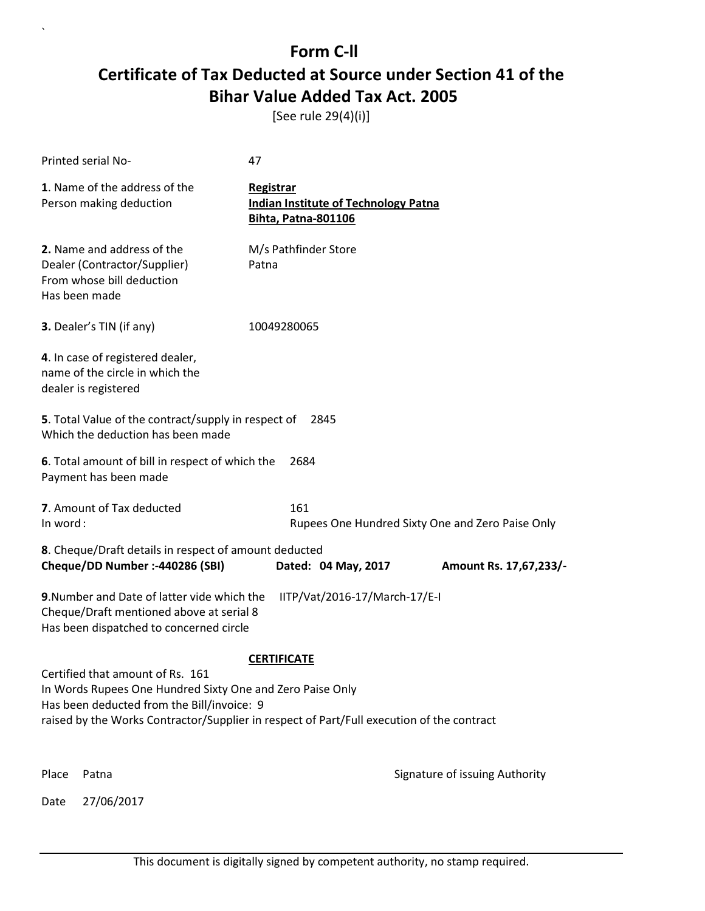[See rule 29(4)(i)]

|                                                                                                                                                                                                                                          | Printed serial No-                                                                                                                 | 47                                                                                     |                                                  |
|------------------------------------------------------------------------------------------------------------------------------------------------------------------------------------------------------------------------------------------|------------------------------------------------------------------------------------------------------------------------------------|----------------------------------------------------------------------------------------|--------------------------------------------------|
|                                                                                                                                                                                                                                          | 1. Name of the address of the<br>Person making deduction                                                                           | Registrar<br><b>Indian Institute of Technology Patna</b><br><b>Bihta, Patna-801106</b> |                                                  |
|                                                                                                                                                                                                                                          | 2. Name and address of the<br>Dealer (Contractor/Supplier)<br>From whose bill deduction<br>Has been made                           | M/s Pathfinder Store<br>Patna                                                          |                                                  |
|                                                                                                                                                                                                                                          | 3. Dealer's TIN (if any)                                                                                                           | 10049280065                                                                            |                                                  |
|                                                                                                                                                                                                                                          | 4. In case of registered dealer,<br>name of the circle in which the<br>dealer is registered                                        |                                                                                        |                                                  |
|                                                                                                                                                                                                                                          | 5. Total Value of the contract/supply in respect of<br>Which the deduction has been made                                           | 2845                                                                                   |                                                  |
|                                                                                                                                                                                                                                          | 6. Total amount of bill in respect of which the<br>Payment has been made                                                           | 2684                                                                                   |                                                  |
| In word:                                                                                                                                                                                                                                 | 7. Amount of Tax deducted                                                                                                          | 161                                                                                    | Rupees One Hundred Sixty One and Zero Paise Only |
|                                                                                                                                                                                                                                          | 8. Cheque/Draft details in respect of amount deducted<br>Cheque/DD Number :- 440286 (SBI)                                          | Dated: 04 May, 2017                                                                    | Amount Rs. 17,67,233/-                           |
|                                                                                                                                                                                                                                          | 9. Number and Date of latter vide which the<br>Cheque/Draft mentioned above at serial 8<br>Has been dispatched to concerned circle | IITP/Vat/2016-17/March-17/E-I                                                          |                                                  |
| <b>CERTIFICATE</b>                                                                                                                                                                                                                       |                                                                                                                                    |                                                                                        |                                                  |
| Certified that amount of Rs. 161<br>In Words Rupees One Hundred Sixty One and Zero Paise Only<br>Has been deducted from the Bill/invoice: 9<br>raised by the Works Contractor/Supplier in respect of Part/Full execution of the contract |                                                                                                                                    |                                                                                        |                                                  |
|                                                                                                                                                                                                                                          |                                                                                                                                    |                                                                                        |                                                  |
| Place                                                                                                                                                                                                                                    | Patna                                                                                                                              |                                                                                        | Signature of issuing Authority                   |
| Date                                                                                                                                                                                                                                     | 27/06/2017                                                                                                                         |                                                                                        |                                                  |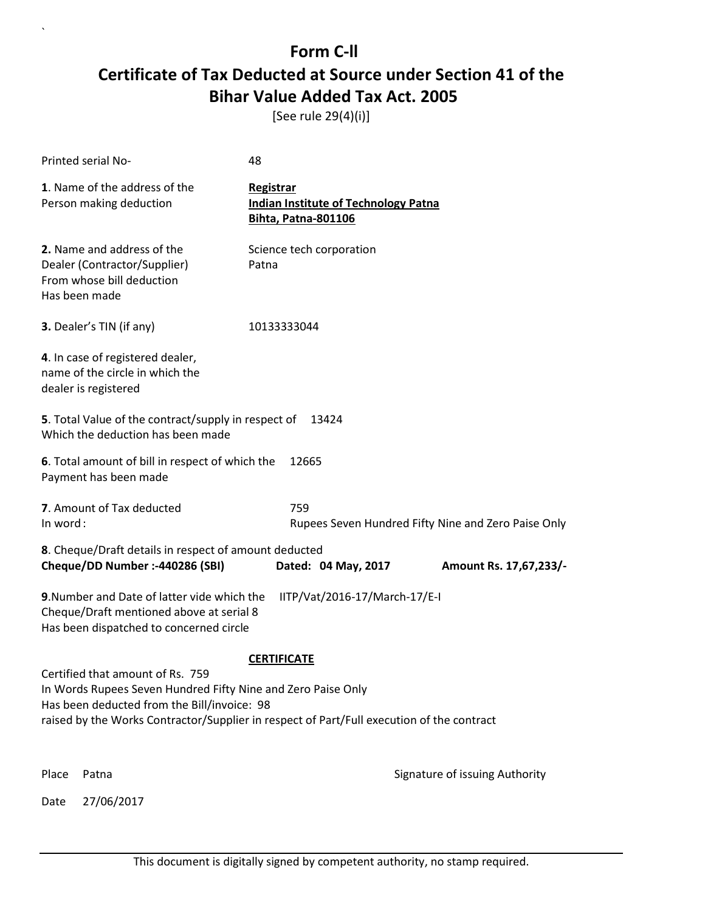[See rule 29(4)(i)]

| Printed serial No-                                                                                                                 | 48                                      |                                             |                                                     |
|------------------------------------------------------------------------------------------------------------------------------------|-----------------------------------------|---------------------------------------------|-----------------------------------------------------|
| 1. Name of the address of the<br>Person making deduction                                                                           | Registrar<br><b>Bihta, Patna-801106</b> | <b>Indian Institute of Technology Patna</b> |                                                     |
| 2. Name and address of the<br>Dealer (Contractor/Supplier)<br>From whose bill deduction<br>Has been made                           | Science tech corporation<br>Patna       |                                             |                                                     |
| 3. Dealer's TIN (if any)                                                                                                           | 10133333044                             |                                             |                                                     |
| 4. In case of registered dealer,<br>name of the circle in which the<br>dealer is registered                                        |                                         |                                             |                                                     |
| 5. Total Value of the contract/supply in respect of<br>Which the deduction has been made                                           |                                         | 13424                                       |                                                     |
| 6. Total amount of bill in respect of which the<br>Payment has been made                                                           | 12665                                   |                                             |                                                     |
| 7. Amount of Tax deducted<br>In word:                                                                                              | 759                                     |                                             | Rupees Seven Hundred Fifty Nine and Zero Paise Only |
| 8. Cheque/Draft details in respect of amount deducted                                                                              |                                         |                                             |                                                     |
| Cheque/DD Number :- 440286 (SBI)                                                                                                   |                                         | Dated: 04 May, 2017                         | Amount Rs. 17,67,233/-                              |
| 9. Number and Date of latter vide which the<br>Cheque/Draft mentioned above at serial 8<br>Has been dispatched to concerned circle |                                         | IITP/Vat/2016-17/March-17/E-I               |                                                     |
| <b>CERTIFICATE</b>                                                                                                                 |                                         |                                             |                                                     |
| Certified that amount of Rs. 759<br>In Words Rupees Seven Hundred Fifty Nine and Zero Paise Only                                   |                                         |                                             |                                                     |
| Has been deducted from the Bill/invoice: 98                                                                                        |                                         |                                             |                                                     |
| raised by the Works Contractor/Supplier in respect of Part/Full execution of the contract                                          |                                         |                                             |                                                     |
| Place<br>Patna                                                                                                                     |                                         |                                             | Signature of issuing Authority                      |
| 27/06/2017<br>Date                                                                                                                 |                                         |                                             |                                                     |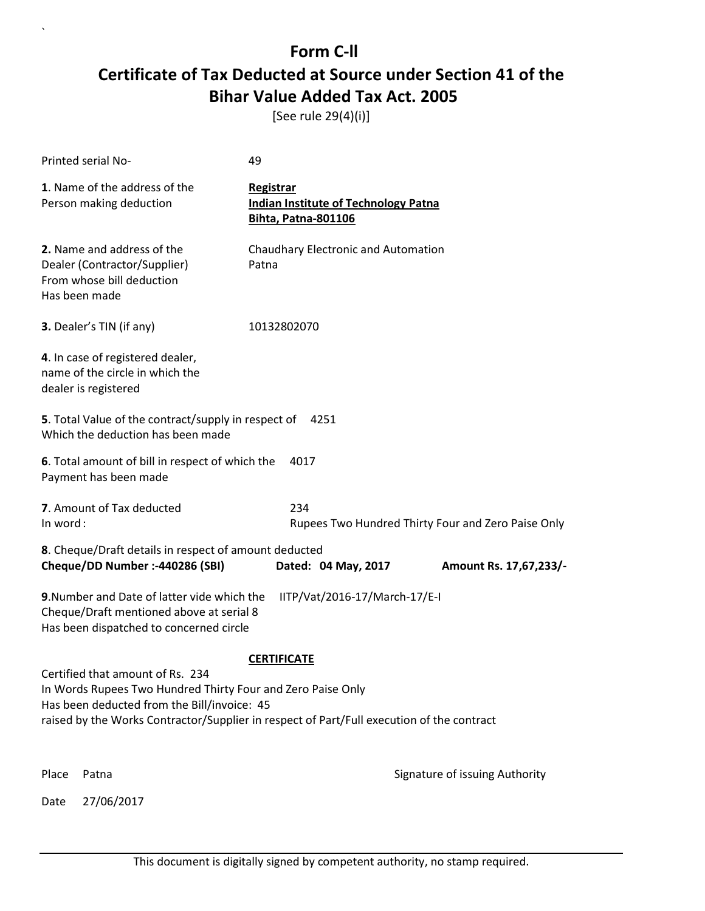[See rule 29(4)(i)]

|       | Printed serial No-                                                                                                                                                                                                                          | 49                                                                              |                                |
|-------|---------------------------------------------------------------------------------------------------------------------------------------------------------------------------------------------------------------------------------------------|---------------------------------------------------------------------------------|--------------------------------|
|       | 1. Name of the address of the<br>Person making deduction                                                                                                                                                                                    | Registrar<br><b>Indian Institute of Technology Patna</b><br>Bihta, Patna-801106 |                                |
|       | 2. Name and address of the<br>Dealer (Contractor/Supplier)<br>From whose bill deduction<br>Has been made                                                                                                                                    | Chaudhary Electronic and Automation<br>Patna                                    |                                |
|       | 3. Dealer's TIN (if any)                                                                                                                                                                                                                    | 10132802070                                                                     |                                |
|       | 4. In case of registered dealer,<br>name of the circle in which the<br>dealer is registered                                                                                                                                                 |                                                                                 |                                |
|       | <b>5</b> . Total Value of the contract/supply in respect of<br>Which the deduction has been made                                                                                                                                            | 4251                                                                            |                                |
|       | 6. Total amount of bill in respect of which the<br>Payment has been made                                                                                                                                                                    | 4017                                                                            |                                |
|       | 7. Amount of Tax deducted<br>234<br>In word:<br>Rupees Two Hundred Thirty Four and Zero Paise Only                                                                                                                                          |                                                                                 |                                |
|       | 8. Cheque/Draft details in respect of amount deducted<br>Cheque/DD Number :- 440286 (SBI)                                                                                                                                                   | Dated: 04 May, 2017                                                             | Amount Rs. 17,67,233/-         |
|       | 9. Number and Date of latter vide which the<br>Cheque/Draft mentioned above at serial 8<br>Has been dispatched to concerned circle                                                                                                          | IITP/Vat/2016-17/March-17/E-I                                                   |                                |
|       |                                                                                                                                                                                                                                             | <b>CERTIFICATE</b>                                                              |                                |
|       | Certified that amount of Rs. 234<br>In Words Rupees Two Hundred Thirty Four and Zero Paise Only<br>Has been deducted from the Bill/invoice: 45<br>raised by the Works Contractor/Supplier in respect of Part/Full execution of the contract |                                                                                 |                                |
| Place | Patna                                                                                                                                                                                                                                       |                                                                                 | Signature of issuing Authority |
| Date  | 27/06/2017                                                                                                                                                                                                                                  |                                                                                 |                                |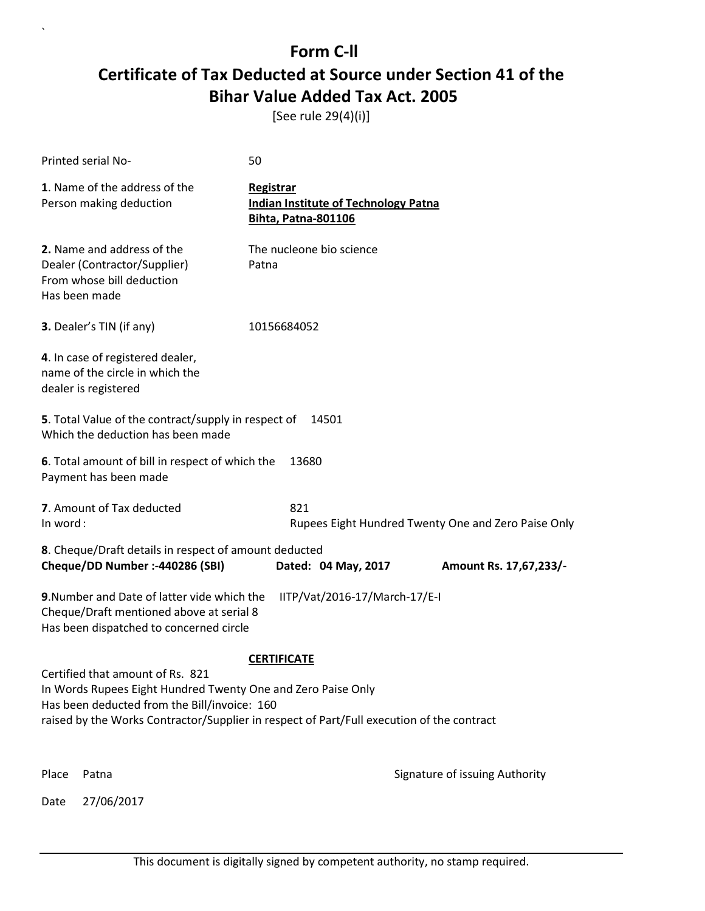[See rule 29(4)(i)]

|                                                                                                              | Printed serial No-                                                                                                                 | 50                                                                                     |                                |
|--------------------------------------------------------------------------------------------------------------|------------------------------------------------------------------------------------------------------------------------------------|----------------------------------------------------------------------------------------|--------------------------------|
|                                                                                                              | 1. Name of the address of the<br>Person making deduction                                                                           | Registrar<br><b>Indian Institute of Technology Patna</b><br><b>Bihta, Patna-801106</b> |                                |
|                                                                                                              | 2. Name and address of the<br>Dealer (Contractor/Supplier)<br>From whose bill deduction<br>Has been made                           | The nucleone bio science<br>Patna                                                      |                                |
|                                                                                                              | 3. Dealer's TIN (if any)                                                                                                           | 10156684052                                                                            |                                |
|                                                                                                              | 4. In case of registered dealer,<br>name of the circle in which the<br>dealer is registered                                        |                                                                                        |                                |
|                                                                                                              | 5. Total Value of the contract/supply in respect of<br>Which the deduction has been made                                           | 14501                                                                                  |                                |
|                                                                                                              | 6. Total amount of bill in respect of which the<br>Payment has been made                                                           | 13680                                                                                  |                                |
|                                                                                                              | 7. Amount of Tax deducted<br>821<br>In word:<br>Rupees Eight Hundred Twenty One and Zero Paise Only                                |                                                                                        |                                |
|                                                                                                              | 8. Cheque/Draft details in respect of amount deducted<br>Cheque/DD Number :- 440286 (SBI)                                          | Dated: 04 May, 2017                                                                    |                                |
|                                                                                                              |                                                                                                                                    |                                                                                        | Amount Rs. 17,67,233/-         |
|                                                                                                              | 9. Number and Date of latter vide which the<br>Cheque/Draft mentioned above at serial 8<br>Has been dispatched to concerned circle | IITP/Vat/2016-17/March-17/E-I                                                          |                                |
|                                                                                                              |                                                                                                                                    | <b>CERTIFICATE</b>                                                                     |                                |
|                                                                                                              | Certified that amount of Rs. 821                                                                                                   |                                                                                        |                                |
| In Words Rupees Eight Hundred Twenty One and Zero Paise Only<br>Has been deducted from the Bill/invoice: 160 |                                                                                                                                    |                                                                                        |                                |
|                                                                                                              | raised by the Works Contractor/Supplier in respect of Part/Full execution of the contract                                          |                                                                                        |                                |
|                                                                                                              |                                                                                                                                    |                                                                                        |                                |
| Place                                                                                                        | Patna                                                                                                                              |                                                                                        | Signature of issuing Authority |
| Date                                                                                                         | 27/06/2017                                                                                                                         |                                                                                        |                                |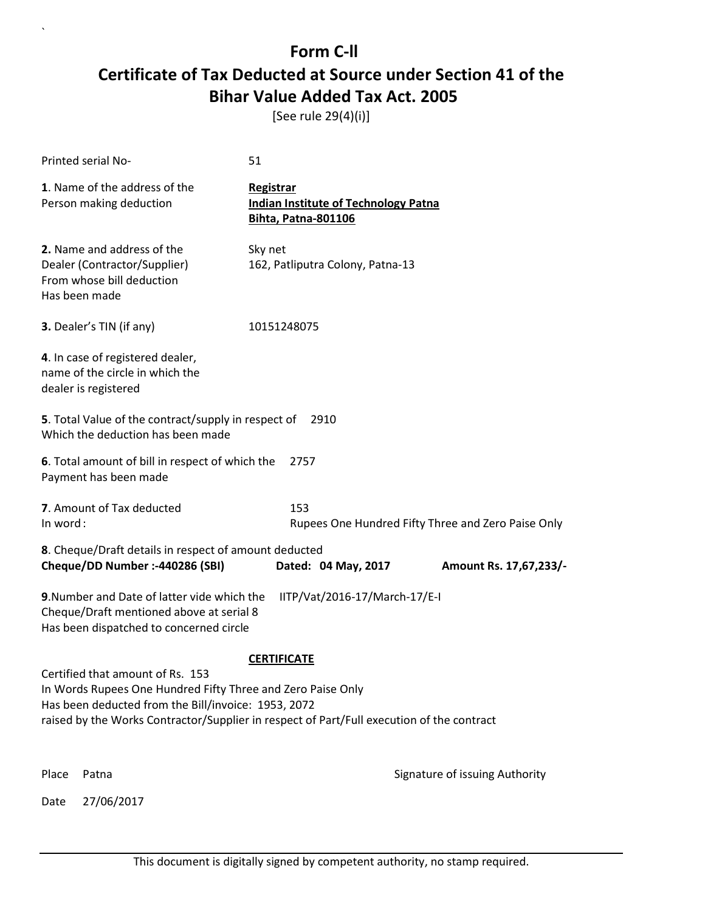[See rule 29(4)(i)]

|                                                                                                                                            | Printed serial No-                                                                                                                                                                                                                                  | 51                                                                                     |                                |
|--------------------------------------------------------------------------------------------------------------------------------------------|-----------------------------------------------------------------------------------------------------------------------------------------------------------------------------------------------------------------------------------------------------|----------------------------------------------------------------------------------------|--------------------------------|
|                                                                                                                                            | 1. Name of the address of the<br>Person making deduction                                                                                                                                                                                            | Registrar<br><b>Indian Institute of Technology Patna</b><br><b>Bihta, Patna-801106</b> |                                |
|                                                                                                                                            | 2. Name and address of the<br>Dealer (Contractor/Supplier)<br>From whose bill deduction<br>Has been made                                                                                                                                            | Sky net<br>162, Patliputra Colony, Patna-13                                            |                                |
|                                                                                                                                            | 3. Dealer's TIN (if any)                                                                                                                                                                                                                            | 10151248075                                                                            |                                |
|                                                                                                                                            | 4. In case of registered dealer,<br>name of the circle in which the<br>dealer is registered                                                                                                                                                         |                                                                                        |                                |
|                                                                                                                                            | 5. Total Value of the contract/supply in respect of<br>Which the deduction has been made                                                                                                                                                            | 2910                                                                                   |                                |
|                                                                                                                                            | 6. Total amount of bill in respect of which the<br>Payment has been made                                                                                                                                                                            | 2757                                                                                   |                                |
|                                                                                                                                            | 7. Amount of Tax deducted<br>153<br>In word:<br>Rupees One Hundred Fifty Three and Zero Paise Only                                                                                                                                                  |                                                                                        |                                |
| 8. Cheque/Draft details in respect of amount deducted<br>Cheque/DD Number :- 440286 (SBI)<br>Dated: 04 May, 2017<br>Amount Rs. 17,67,233/- |                                                                                                                                                                                                                                                     |                                                                                        |                                |
|                                                                                                                                            | 9. Number and Date of latter vide which the<br>Cheque/Draft mentioned above at serial 8<br>Has been dispatched to concerned circle                                                                                                                  | IITP/Vat/2016-17/March-17/E-I                                                          |                                |
|                                                                                                                                            | Certified that amount of Rs. 153<br>In Words Rupees One Hundred Fifty Three and Zero Paise Only<br>Has been deducted from the Bill/invoice: 1953, 2072<br>raised by the Works Contractor/Supplier in respect of Part/Full execution of the contract | <b>CERTIFICATE</b>                                                                     |                                |
| Place                                                                                                                                      | Patna                                                                                                                                                                                                                                               |                                                                                        | Signature of issuing Authority |
| Date                                                                                                                                       | 27/06/2017                                                                                                                                                                                                                                          |                                                                                        |                                |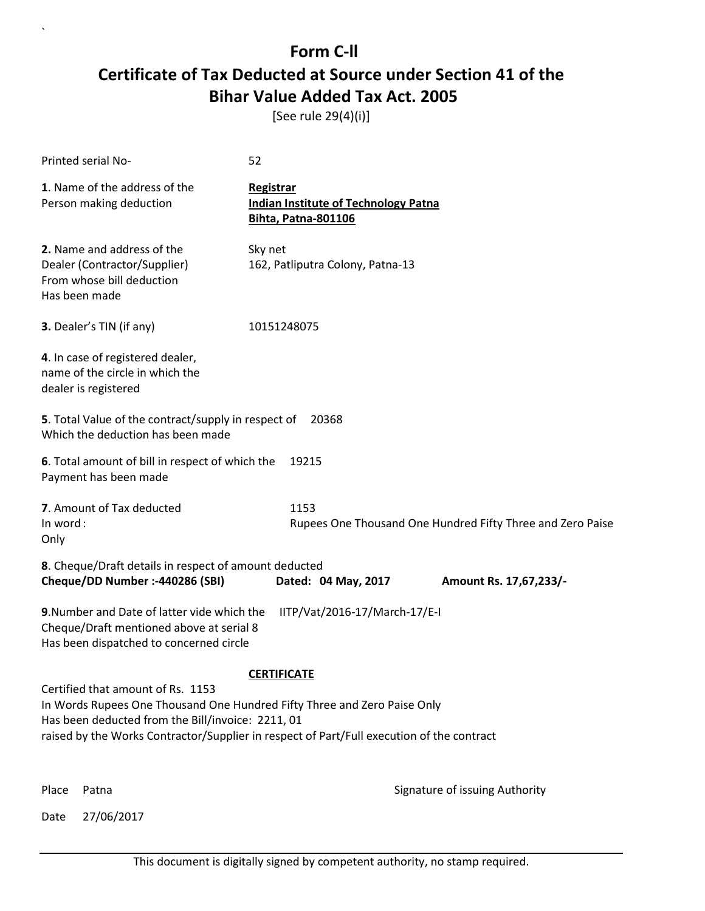[See rule 29(4)(i)]

| Printed serial No-                                                                                                                                                 | 52                                                                                                              |
|--------------------------------------------------------------------------------------------------------------------------------------------------------------------|-----------------------------------------------------------------------------------------------------------------|
| 1. Name of the address of the<br>Person making deduction                                                                                                           | Registrar<br><b>Indian Institute of Technology Patna</b><br><b>Bihta, Patna-801106</b>                          |
| 2. Name and address of the<br>Dealer (Contractor/Supplier)<br>From whose bill deduction<br>Has been made                                                           | Sky net<br>162, Patliputra Colony, Patna-13                                                                     |
| 3. Dealer's TIN (if any)                                                                                                                                           | 10151248075                                                                                                     |
| 4. In case of registered dealer,<br>name of the circle in which the<br>dealer is registered                                                                        |                                                                                                                 |
| 5. Total Value of the contract/supply in respect of<br>Which the deduction has been made                                                                           | 20368                                                                                                           |
| 6. Total amount of bill in respect of which the<br>Payment has been made                                                                                           | 19215                                                                                                           |
| 7. Amount of Tax deducted<br>In word:<br>Only                                                                                                                      | 1153<br>Rupees One Thousand One Hundred Fifty Three and Zero Paise                                              |
| 8. Cheque/Draft details in respect of amount deducted<br>Cheque/DD Number :- 440286 (SBI)                                                                          | Dated: 04 May, 2017<br>Amount Rs. 17,67,233/-                                                                   |
| 9. Number and Date of latter vide which the<br>Cheque/Draft mentioned above at serial 8<br>Has been dispatched to concerned circle                                 | IITP/Vat/2016-17/March-17/E-I                                                                                   |
| Certified that amount of Rs. 1153<br>In Words Rupees One Thousand One Hundred Fifty Three and Zero Paise Only<br>Has been deducted from the Bill/invoice: 2211, 01 | <b>CERTIFICATE</b><br>raised by the Works Contractor/Supplier in respect of Part/Full execution of the contract |

`

Place Patna **Property** Place Patna Signature of issuing Authority

Date 27/06/2017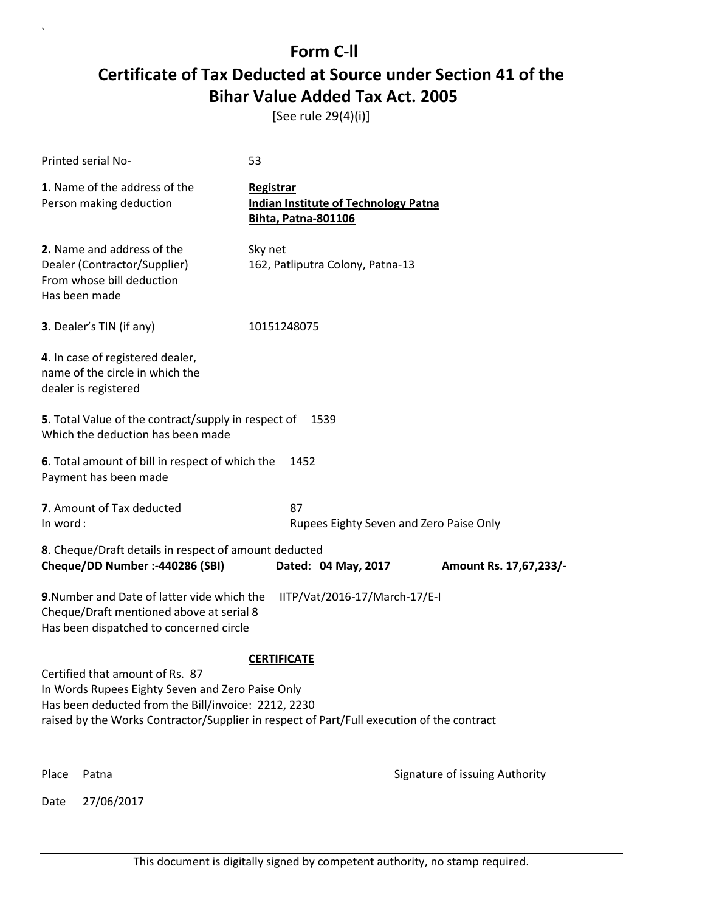[See rule 29(4)(i)]

|                                                                                                         | Printed serial No-                                                                                                                 | 53                                                                                     |                                |
|---------------------------------------------------------------------------------------------------------|------------------------------------------------------------------------------------------------------------------------------------|----------------------------------------------------------------------------------------|--------------------------------|
|                                                                                                         | 1. Name of the address of the<br>Person making deduction                                                                           | Registrar<br><b>Indian Institute of Technology Patna</b><br><b>Bihta, Patna-801106</b> |                                |
|                                                                                                         | 2. Name and address of the<br>Dealer (Contractor/Supplier)<br>From whose bill deduction<br>Has been made                           | Sky net<br>162, Patliputra Colony, Patna-13                                            |                                |
|                                                                                                         | 3. Dealer's TIN (if any)                                                                                                           | 10151248075                                                                            |                                |
|                                                                                                         | 4. In case of registered dealer,<br>name of the circle in which the<br>dealer is registered                                        |                                                                                        |                                |
|                                                                                                         | 5. Total Value of the contract/supply in respect of<br>Which the deduction has been made                                           | 1539                                                                                   |                                |
|                                                                                                         | 6. Total amount of bill in respect of which the<br>Payment has been made                                                           | 1452                                                                                   |                                |
| In word:                                                                                                | 7. Amount of Tax deducted                                                                                                          | 87<br>Rupees Eighty Seven and Zero Paise Only                                          |                                |
|                                                                                                         | 8. Cheque/Draft details in respect of amount deducted<br>Cheque/DD Number :- 440286 (SBI)                                          | Dated: 04 May, 2017                                                                    | Amount Rs. 17,67,233/-         |
|                                                                                                         |                                                                                                                                    |                                                                                        |                                |
|                                                                                                         | 9. Number and Date of latter vide which the<br>Cheque/Draft mentioned above at serial 8<br>Has been dispatched to concerned circle | IITP/Vat/2016-17/March-17/E-I                                                          |                                |
|                                                                                                         |                                                                                                                                    | <b>CERTIFICATE</b>                                                                     |                                |
|                                                                                                         | Certified that amount of Rs. 87                                                                                                    |                                                                                        |                                |
| In Words Rupees Eighty Seven and Zero Paise Only<br>Has been deducted from the Bill/invoice: 2212, 2230 |                                                                                                                                    |                                                                                        |                                |
|                                                                                                         | raised by the Works Contractor/Supplier in respect of Part/Full execution of the contract                                          |                                                                                        |                                |
|                                                                                                         |                                                                                                                                    |                                                                                        |                                |
| Place                                                                                                   | Patna                                                                                                                              |                                                                                        | Signature of issuing Authority |
| Date                                                                                                    | 27/06/2017                                                                                                                         |                                                                                        |                                |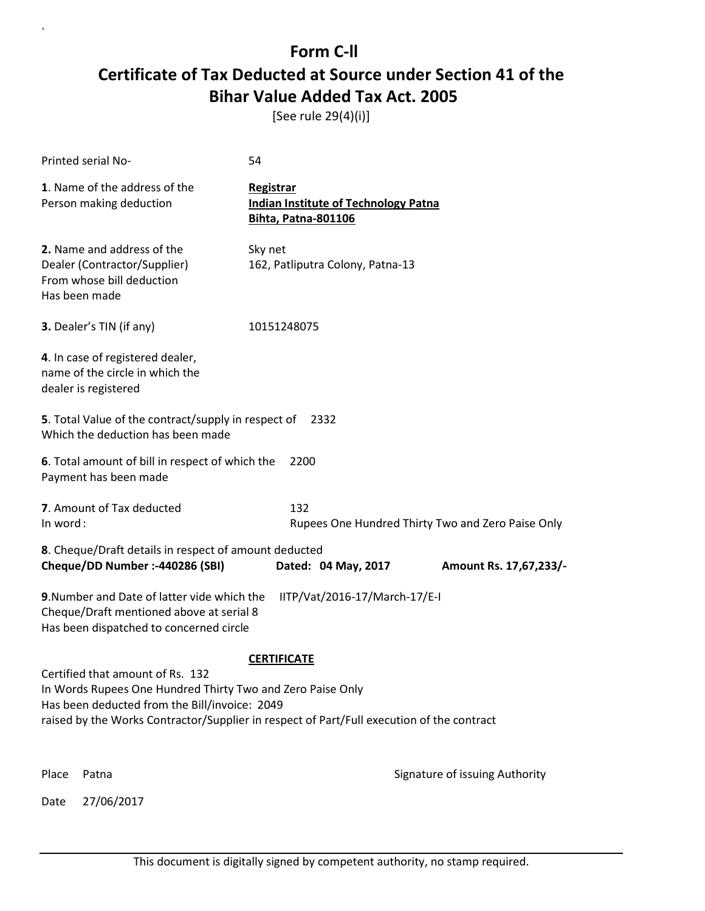[See rule 29(4)(i)]

|       | Printed serial No-                                                                                                                                                                                                                           | 54                                                                                     |                                |
|-------|----------------------------------------------------------------------------------------------------------------------------------------------------------------------------------------------------------------------------------------------|----------------------------------------------------------------------------------------|--------------------------------|
|       | 1. Name of the address of the<br>Person making deduction                                                                                                                                                                                     | Registrar<br><b>Indian Institute of Technology Patna</b><br><b>Bihta, Patna-801106</b> |                                |
|       | 2. Name and address of the<br>Dealer (Contractor/Supplier)<br>From whose bill deduction<br>Has been made                                                                                                                                     | Sky net<br>162, Patliputra Colony, Patna-13                                            |                                |
|       | 3. Dealer's TIN (if any)                                                                                                                                                                                                                     | 10151248075                                                                            |                                |
|       | 4. In case of registered dealer,<br>name of the circle in which the<br>dealer is registered                                                                                                                                                  |                                                                                        |                                |
|       | 5. Total Value of the contract/supply in respect of<br>Which the deduction has been made                                                                                                                                                     | 2332                                                                                   |                                |
|       | 6. Total amount of bill in respect of which the<br>Payment has been made                                                                                                                                                                     | 2200                                                                                   |                                |
|       | 7. Amount of Tax deducted<br>132<br>In word:<br>Rupees One Hundred Thirty Two and Zero Paise Only                                                                                                                                            |                                                                                        |                                |
|       | 8. Cheque/Draft details in respect of amount deducted<br>Cheque/DD Number :- 440286 (SBI)                                                                                                                                                    | Dated: 04 May, 2017                                                                    | Amount Rs. 17,67,233/-         |
|       | 9. Number and Date of latter vide which the<br>Cheque/Draft mentioned above at serial 8<br>Has been dispatched to concerned circle                                                                                                           | IITP/Vat/2016-17/March-17/E-I                                                          |                                |
|       |                                                                                                                                                                                                                                              | <b>CERTIFICATE</b>                                                                     |                                |
|       | Certified that amount of Rs. 132<br>In Words Rupees One Hundred Thirty Two and Zero Paise Only<br>Has been deducted from the Bill/invoice: 2049<br>raised by the Works Contractor/Supplier in respect of Part/Full execution of the contract |                                                                                        |                                |
| Place | Patna                                                                                                                                                                                                                                        |                                                                                        | Signature of issuing Authority |
| Date  | 27/06/2017                                                                                                                                                                                                                                   |                                                                                        |                                |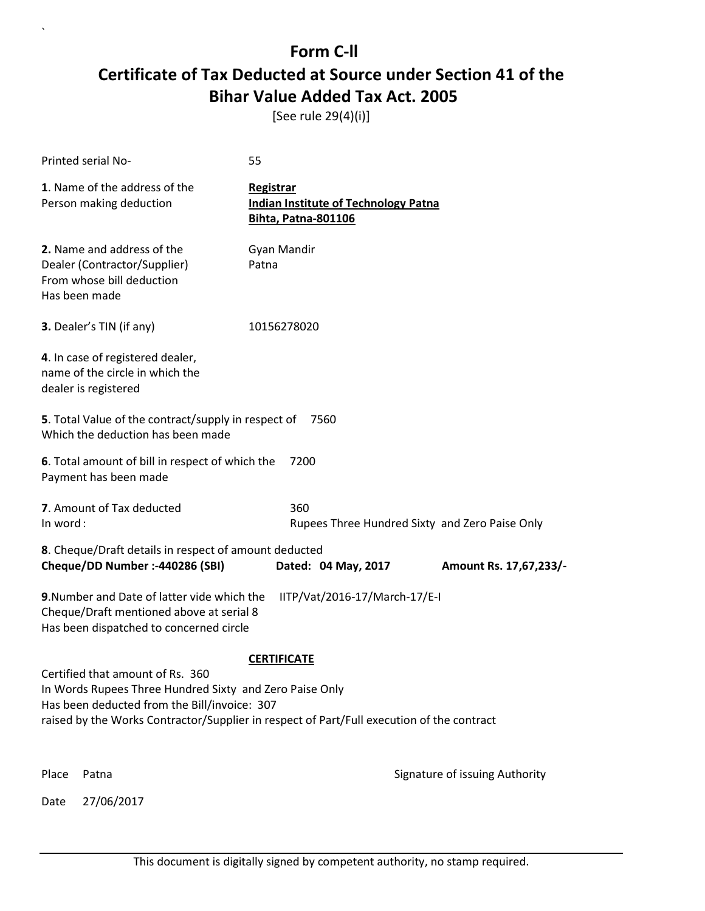[See rule 29(4)(i)]

|                                                                                                                  | Printed serial No-                                                                                                                          | 55                                                                                        |                                                |
|------------------------------------------------------------------------------------------------------------------|---------------------------------------------------------------------------------------------------------------------------------------------|-------------------------------------------------------------------------------------------|------------------------------------------------|
|                                                                                                                  | 1. Name of the address of the<br>Person making deduction                                                                                    | Registrar<br><b>Indian Institute of Technology Patna</b><br><b>Bihta, Patna-801106</b>    |                                                |
|                                                                                                                  | 2. Name and address of the<br>Dealer (Contractor/Supplier)<br>From whose bill deduction<br>Has been made                                    | Gyan Mandir<br>Patna                                                                      |                                                |
|                                                                                                                  | 3. Dealer's TIN (if any)                                                                                                                    | 10156278020                                                                               |                                                |
|                                                                                                                  | 4. In case of registered dealer,<br>name of the circle in which the<br>dealer is registered                                                 |                                                                                           |                                                |
|                                                                                                                  | 5. Total Value of the contract/supply in respect of<br>Which the deduction has been made                                                    | 7560                                                                                      |                                                |
|                                                                                                                  | 6. Total amount of bill in respect of which the<br>Payment has been made                                                                    | 7200                                                                                      |                                                |
| In word:                                                                                                         | 7. Amount of Tax deducted                                                                                                                   | 360                                                                                       | Rupees Three Hundred Sixty and Zero Paise Only |
| 8. Cheque/Draft details in respect of amount deducted<br>Cheque/DD Number :- 440286 (SBI)<br>Dated: 04 May, 2017 |                                                                                                                                             |                                                                                           | Amount Rs. 17,67,233/-                         |
|                                                                                                                  | 9. Number and Date of latter vide which the<br>Cheque/Draft mentioned above at serial 8<br>Has been dispatched to concerned circle          | IITP/Vat/2016-17/March-17/E-I                                                             |                                                |
|                                                                                                                  |                                                                                                                                             | <b>CERTIFICATE</b>                                                                        |                                                |
|                                                                                                                  | Certified that amount of Rs. 360<br>In Words Rupees Three Hundred Sixty and Zero Paise Only<br>Has been deducted from the Bill/invoice: 307 | raised by the Works Contractor/Supplier in respect of Part/Full execution of the contract |                                                |
| Place                                                                                                            | Patna                                                                                                                                       |                                                                                           | Signature of issuing Authority                 |
| Date                                                                                                             | 27/06/2017                                                                                                                                  |                                                                                           |                                                |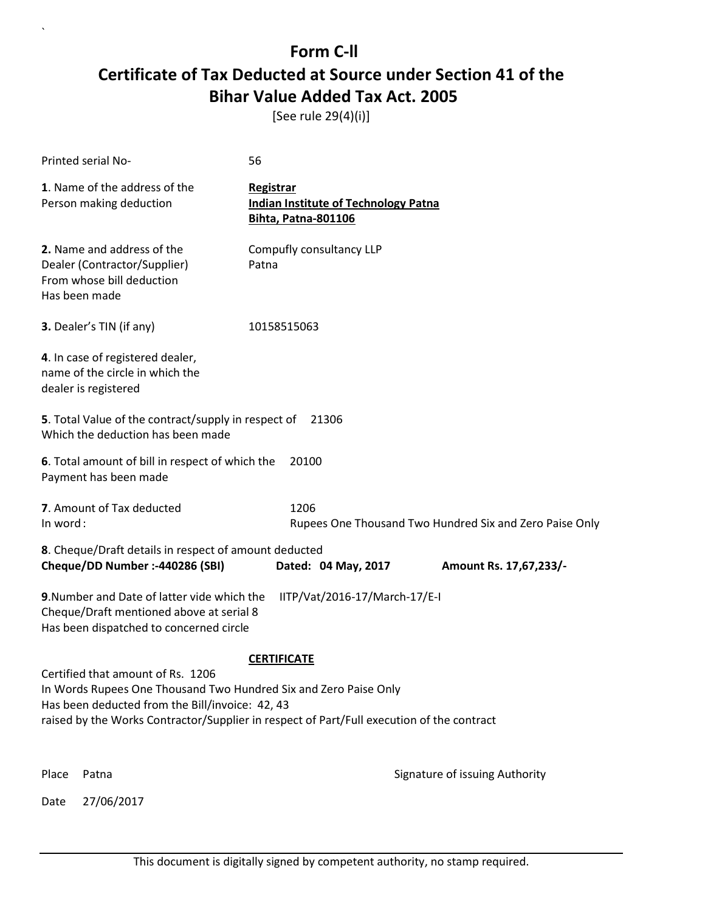[See rule 29(4)(i)]

|                                                                                                                                                                                                                                                       | Printed serial No-                                                                                                                                                  | 56                                                                              |                                |  |
|-------------------------------------------------------------------------------------------------------------------------------------------------------------------------------------------------------------------------------------------------------|---------------------------------------------------------------------------------------------------------------------------------------------------------------------|---------------------------------------------------------------------------------|--------------------------------|--|
|                                                                                                                                                                                                                                                       | 1. Name of the address of the<br>Person making deduction                                                                                                            | Registrar<br><b>Indian Institute of Technology Patna</b><br>Bihta, Patna-801106 |                                |  |
|                                                                                                                                                                                                                                                       | 2. Name and address of the<br>Dealer (Contractor/Supplier)<br>From whose bill deduction<br>Has been made                                                            | Compufly consultancy LLP<br>Patna                                               |                                |  |
|                                                                                                                                                                                                                                                       | 3. Dealer's TIN (if any)                                                                                                                                            | 10158515063                                                                     |                                |  |
|                                                                                                                                                                                                                                                       | 4. In case of registered dealer,<br>name of the circle in which the<br>dealer is registered                                                                         |                                                                                 |                                |  |
|                                                                                                                                                                                                                                                       | 5. Total Value of the contract/supply in respect of<br>Which the deduction has been made                                                                            | 21306                                                                           |                                |  |
|                                                                                                                                                                                                                                                       | 6. Total amount of bill in respect of which the<br>20100<br>Payment has been made                                                                                   |                                                                                 |                                |  |
|                                                                                                                                                                                                                                                       | 7. Amount of Tax deducted<br>1206<br>In word:<br>Rupees One Thousand Two Hundred Six and Zero Paise Only                                                            |                                                                                 |                                |  |
|                                                                                                                                                                                                                                                       | 8. Cheque/Draft details in respect of amount deducted                                                                                                               |                                                                                 |                                |  |
|                                                                                                                                                                                                                                                       | Cheque/DD Number :- 440286 (SBI)                                                                                                                                    | Dated: 04 May, 2017                                                             | Amount Rs. 17,67,233/-         |  |
|                                                                                                                                                                                                                                                       | 9. Number and Date of latter vide which the<br>IITP/Vat/2016-17/March-17/E-I<br>Cheque/Draft mentioned above at serial 8<br>Has been dispatched to concerned circle |                                                                                 |                                |  |
|                                                                                                                                                                                                                                                       | <b>CERTIFICATE</b>                                                                                                                                                  |                                                                                 |                                |  |
| Certified that amount of Rs. 1206<br>In Words Rupees One Thousand Two Hundred Six and Zero Paise Only<br>Has been deducted from the Bill/invoice: 42, 43<br>raised by the Works Contractor/Supplier in respect of Part/Full execution of the contract |                                                                                                                                                                     |                                                                                 |                                |  |
|                                                                                                                                                                                                                                                       |                                                                                                                                                                     |                                                                                 |                                |  |
| Place                                                                                                                                                                                                                                                 | Patna                                                                                                                                                               |                                                                                 | Signature of issuing Authority |  |
| Date                                                                                                                                                                                                                                                  | 27/06/2017                                                                                                                                                          |                                                                                 |                                |  |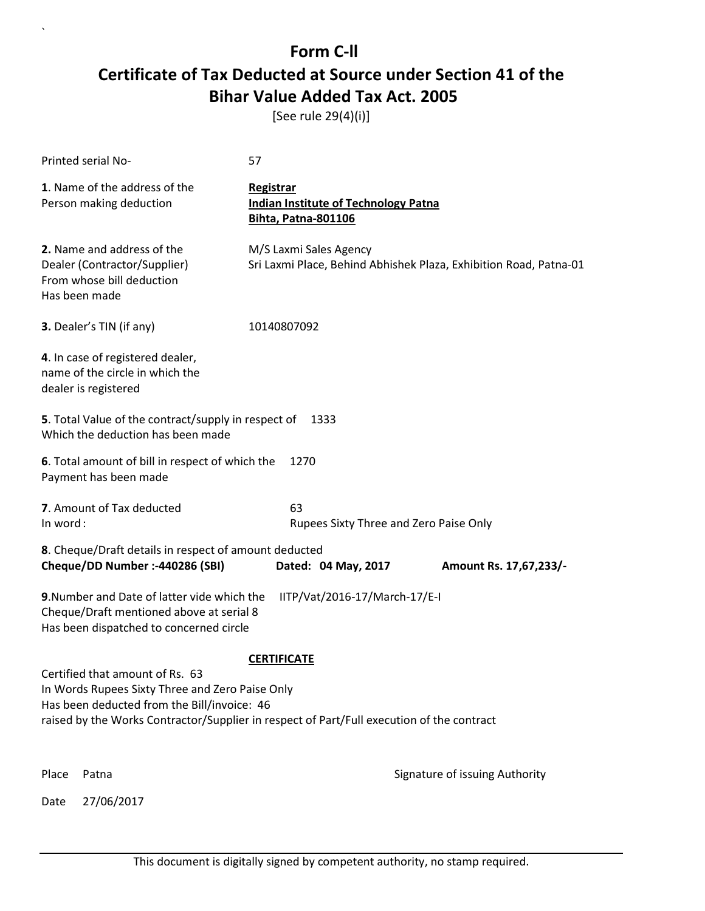[See rule 29(4)(i)]

|                                                                                       | Printed serial No-                                                                                                                 | 57                                                                                                              |                        |
|---------------------------------------------------------------------------------------|------------------------------------------------------------------------------------------------------------------------------------|-----------------------------------------------------------------------------------------------------------------|------------------------|
|                                                                                       | 1. Name of the address of the<br>Person making deduction                                                                           | Registrar<br><b>Indian Institute of Technology Patna</b><br><b>Bihta, Patna-801106</b>                          |                        |
|                                                                                       | 2. Name and address of the<br>Dealer (Contractor/Supplier)<br>From whose bill deduction<br>Has been made                           | M/S Laxmi Sales Agency<br>Sri Laxmi Place, Behind Abhishek Plaza, Exhibition Road, Patna-01                     |                        |
|                                                                                       | <b>3.</b> Dealer's TIN (if any)                                                                                                    | 10140807092                                                                                                     |                        |
|                                                                                       | 4. In case of registered dealer,<br>name of the circle in which the<br>dealer is registered                                        |                                                                                                                 |                        |
|                                                                                       | 5. Total Value of the contract/supply in respect of<br>Which the deduction has been made                                           | 1333                                                                                                            |                        |
|                                                                                       | 6. Total amount of bill in respect of which the<br>Payment has been made                                                           | 1270                                                                                                            |                        |
| 7. Amount of Tax deducted<br>63<br>In word:<br>Rupees Sixty Three and Zero Paise Only |                                                                                                                                    |                                                                                                                 |                        |
|                                                                                       | 8. Cheque/Draft details in respect of amount deducted<br>Cheque/DD Number :- 440286 (SBI)                                          | Dated: 04 May, 2017                                                                                             | Amount Rs. 17,67,233/- |
|                                                                                       | 9. Number and Date of latter vide which the<br>Cheque/Draft mentioned above at serial 8<br>Has been dispatched to concerned circle | IITP/Vat/2016-17/March-17/E-I                                                                                   |                        |
|                                                                                       | Certified that amount of Rs. 63<br>In Words Rupees Sixty Three and Zero Paise Only<br>Has been deducted from the Bill/invoice: 46  | <b>CERTIFICATE</b><br>raised by the Works Contractor/Supplier in respect of Part/Full execution of the contract |                        |
| Place                                                                                 | Patna                                                                                                                              | Signature of issuing Authority                                                                                  |                        |
| Date                                                                                  | 27/06/2017                                                                                                                         |                                                                                                                 |                        |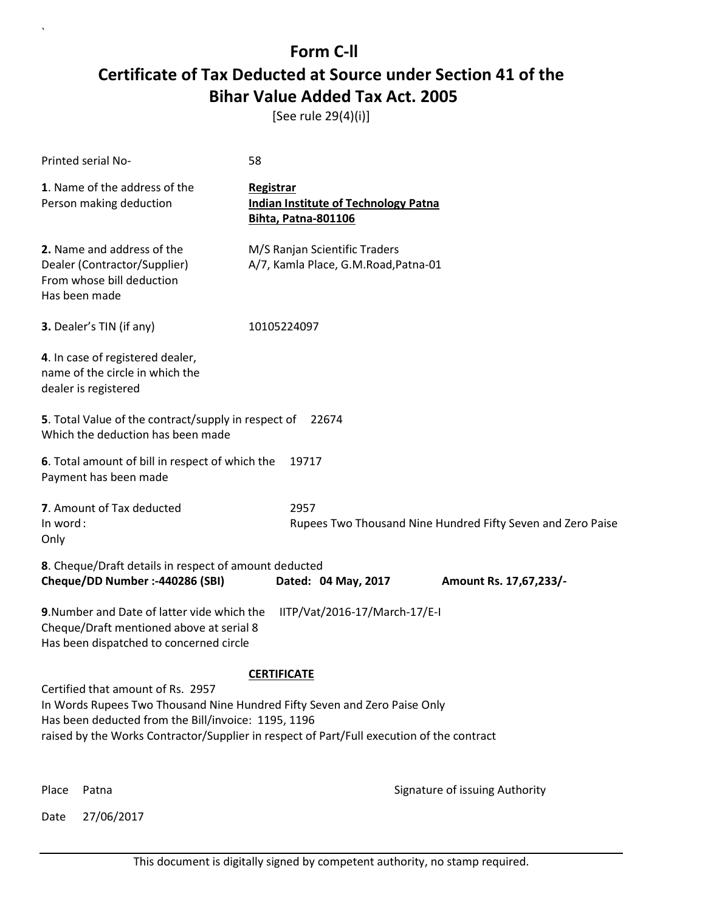[See rule 29(4)(i)]

| Printed serial No-                                                                                                                                                    | 58                                                                                        |  |  |  |
|-----------------------------------------------------------------------------------------------------------------------------------------------------------------------|-------------------------------------------------------------------------------------------|--|--|--|
| 1. Name of the address of the<br>Person making deduction                                                                                                              | Registrar<br><b>Indian Institute of Technology Patna</b><br><b>Bihta, Patna-801106</b>    |  |  |  |
| 2. Name and address of the<br>Dealer (Contractor/Supplier)<br>From whose bill deduction<br>Has been made                                                              | M/S Ranjan Scientific Traders<br>A/7, Kamla Place, G.M.Road, Patna-01                     |  |  |  |
| 3. Dealer's TIN (if any)                                                                                                                                              | 10105224097                                                                               |  |  |  |
| 4. In case of registered dealer,<br>name of the circle in which the<br>dealer is registered                                                                           |                                                                                           |  |  |  |
| Which the deduction has been made                                                                                                                                     | 5. Total Value of the contract/supply in respect of<br>22674                              |  |  |  |
| 6. Total amount of bill in respect of which the<br>Payment has been made                                                                                              | 19717                                                                                     |  |  |  |
| 7. Amount of Tax deducted<br>In word:<br>Only                                                                                                                         | 2957<br>Rupees Two Thousand Nine Hundred Fifty Seven and Zero Paise                       |  |  |  |
| 8. Cheque/Draft details in respect of amount deducted<br>Cheque/DD Number :- 440286 (SBI)                                                                             | Dated: 04 May, 2017<br>Amount Rs. 17,67,233/-                                             |  |  |  |
| 9. Number and Date of latter vide which the<br>Cheque/Draft mentioned above at serial 8<br>Has been dispatched to concerned circle                                    | IITP/Vat/2016-17/March-17/E-I                                                             |  |  |  |
|                                                                                                                                                                       | <b>CERTIFICATE</b>                                                                        |  |  |  |
| Certified that amount of Rs. 2957<br>In Words Rupees Two Thousand Nine Hundred Fifty Seven and Zero Paise Only<br>Has been deducted from the Bill/invoice: 1195, 1196 | raised by the Works Contractor/Supplier in respect of Part/Full execution of the contract |  |  |  |
| Place<br>Patna                                                                                                                                                        | Signature of issuing Authority                                                            |  |  |  |

Date 27/06/2017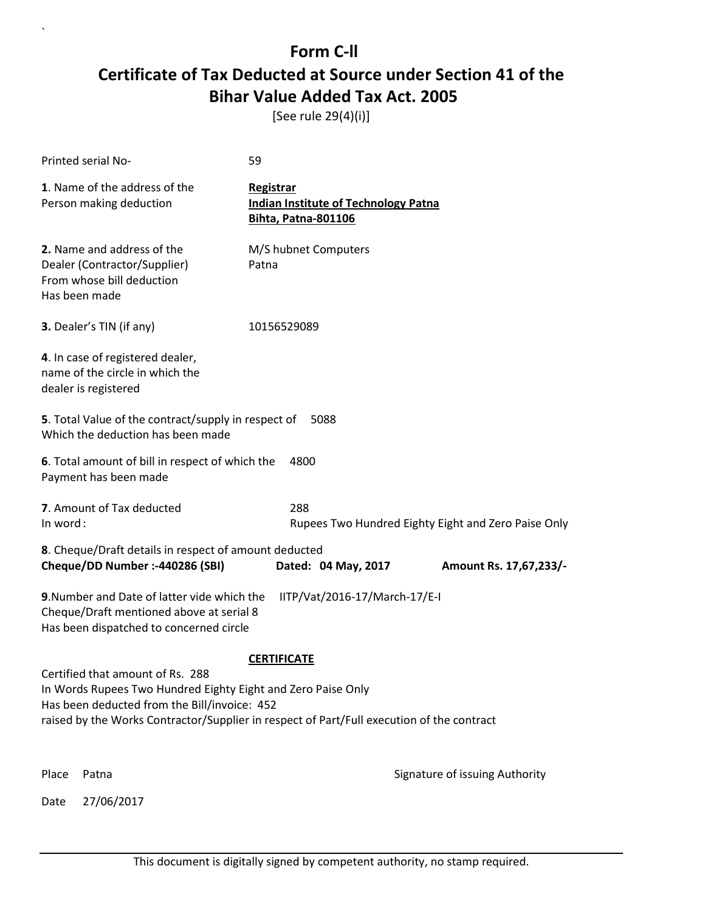[See rule 29(4)(i)]

|                                                                                                                                           | Printed serial No-                                                                                                                 | 59                                                                                     |                                |  |
|-------------------------------------------------------------------------------------------------------------------------------------------|------------------------------------------------------------------------------------------------------------------------------------|----------------------------------------------------------------------------------------|--------------------------------|--|
|                                                                                                                                           | 1. Name of the address of the<br>Person making deduction                                                                           | Registrar<br><b>Indian Institute of Technology Patna</b><br><b>Bihta, Patna-801106</b> |                                |  |
|                                                                                                                                           | 2. Name and address of the<br>Dealer (Contractor/Supplier)<br>From whose bill deduction<br>Has been made                           | M/S hubnet Computers<br>Patna                                                          |                                |  |
|                                                                                                                                           | <b>3.</b> Dealer's TIN (if any)                                                                                                    | 10156529089                                                                            |                                |  |
|                                                                                                                                           | 4. In case of registered dealer,<br>name of the circle in which the<br>dealer is registered                                        |                                                                                        |                                |  |
|                                                                                                                                           | 5. Total Value of the contract/supply in respect of<br>5088<br>Which the deduction has been made                                   |                                                                                        |                                |  |
|                                                                                                                                           | 6. Total amount of bill in respect of which the<br>Payment has been made                                                           | 4800                                                                                   |                                |  |
|                                                                                                                                           | 7. Amount of Tax deducted<br>288<br>In word:<br>Rupees Two Hundred Eighty Eight and Zero Paise Only                                |                                                                                        |                                |  |
|                                                                                                                                           | 8. Cheque/Draft details in respect of amount deducted                                                                              |                                                                                        |                                |  |
|                                                                                                                                           | Cheque/DD Number :- 440286 (SBI)                                                                                                   | Dated: 04 May, 2017                                                                    | Amount Rs. 17,67,233/-         |  |
|                                                                                                                                           | 9. Number and Date of latter vide which the<br>Cheque/Draft mentioned above at serial 8<br>Has been dispatched to concerned circle | IITP/Vat/2016-17/March-17/E-I                                                          |                                |  |
|                                                                                                                                           |                                                                                                                                    | <b>CERTIFICATE</b>                                                                     |                                |  |
|                                                                                                                                           | Certified that amount of Rs. 288<br>In Words Rupees Two Hundred Eighty Eight and Zero Paise Only                                   |                                                                                        |                                |  |
| Has been deducted from the Bill/invoice: 452<br>raised by the Works Contractor/Supplier in respect of Part/Full execution of the contract |                                                                                                                                    |                                                                                        |                                |  |
|                                                                                                                                           |                                                                                                                                    |                                                                                        |                                |  |
| Place                                                                                                                                     | Patna                                                                                                                              |                                                                                        | Signature of issuing Authority |  |
| Date                                                                                                                                      | 27/06/2017                                                                                                                         |                                                                                        |                                |  |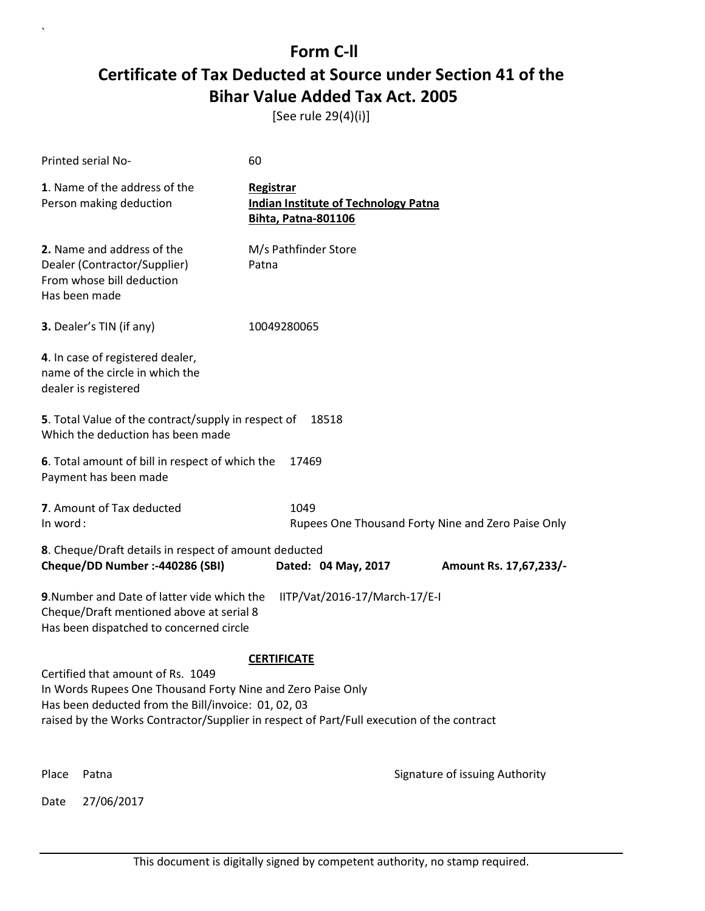[See rule 29(4)(i)]

| Printed serial No-                                                                                                                 | 60                                                                                        |  |
|------------------------------------------------------------------------------------------------------------------------------------|-------------------------------------------------------------------------------------------|--|
| 1. Name of the address of the<br>Person making deduction                                                                           | Registrar<br><b>Indian Institute of Technology Patna</b><br><b>Bihta, Patna-801106</b>    |  |
| 2. Name and address of the<br>Dealer (Contractor/Supplier)<br>From whose bill deduction<br>Has been made                           | M/s Pathfinder Store<br>Patna                                                             |  |
| 3. Dealer's TIN (if any)                                                                                                           | 10049280065                                                                               |  |
| 4. In case of registered dealer,<br>name of the circle in which the<br>dealer is registered                                        |                                                                                           |  |
| 5. Total Value of the contract/supply in respect of<br>Which the deduction has been made                                           | 18518                                                                                     |  |
| 6. Total amount of bill in respect of which the<br>Payment has been made                                                           | 17469                                                                                     |  |
| 7. Amount of Tax deducted<br>In word:                                                                                              | 1049<br>Rupees One Thousand Forty Nine and Zero Paise Only                                |  |
| 8. Cheque/Draft details in respect of amount deducted                                                                              |                                                                                           |  |
| Cheque/DD Number :- 440286 (SBI)                                                                                                   | Dated: 04 May, 2017<br>Amount Rs. 17,67,233/-                                             |  |
| 9. Number and Date of latter vide which the<br>Cheque/Draft mentioned above at serial 8<br>Has been dispatched to concerned circle | IITP/Vat/2016-17/March-17/E-I                                                             |  |
|                                                                                                                                    | <b>CERTIFICATE</b>                                                                        |  |
| Certified that amount of Rs. 1049<br>In Words Rupees One Thousand Forty Nine and Zero Paise Only                                   |                                                                                           |  |
| Has been deducted from the Bill/invoice: 01, 02, 03                                                                                |                                                                                           |  |
|                                                                                                                                    | raised by the Works Contractor/Supplier in respect of Part/Full execution of the contract |  |
| Place<br>Patna                                                                                                                     | Signature of issuing Authority                                                            |  |
| 27/06/2017<br>Date                                                                                                                 |                                                                                           |  |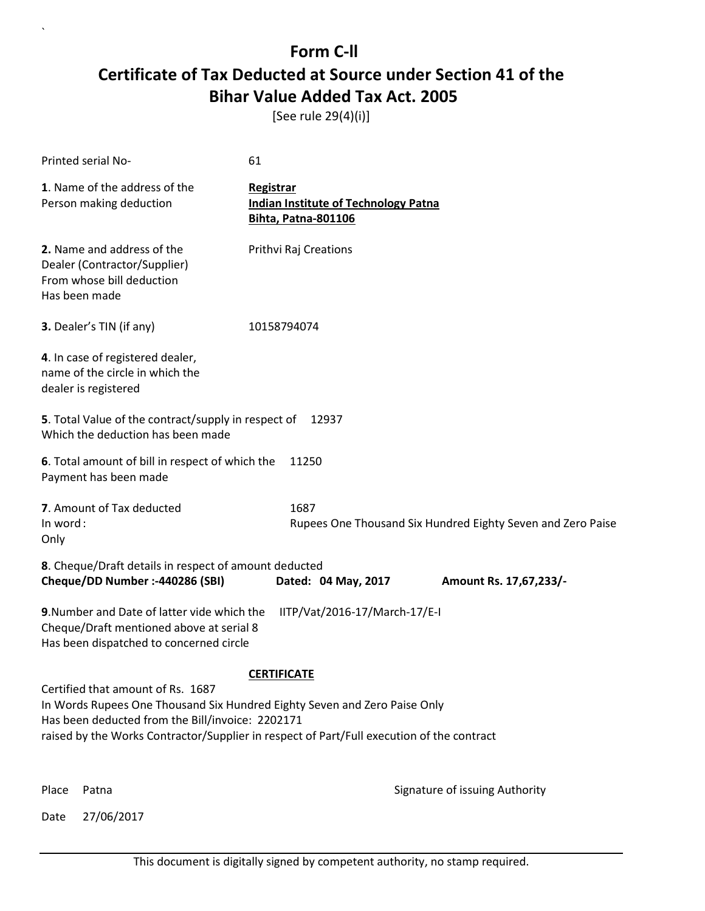[See rule 29(4)(i)]

| Printed serial No-                                                                                                                                                                                                                                              | 61                                                                                     |                                                             |
|-----------------------------------------------------------------------------------------------------------------------------------------------------------------------------------------------------------------------------------------------------------------|----------------------------------------------------------------------------------------|-------------------------------------------------------------|
| 1. Name of the address of the<br>Person making deduction                                                                                                                                                                                                        | Registrar<br><b>Indian Institute of Technology Patna</b><br><b>Bihta, Patna-801106</b> |                                                             |
| 2. Name and address of the<br>Dealer (Contractor/Supplier)<br>From whose bill deduction<br>Has been made                                                                                                                                                        | Prithvi Raj Creations                                                                  |                                                             |
| 3. Dealer's TIN (if any)                                                                                                                                                                                                                                        | 10158794074                                                                            |                                                             |
| 4. In case of registered dealer,<br>name of the circle in which the<br>dealer is registered                                                                                                                                                                     |                                                                                        |                                                             |
| 5. Total Value of the contract/supply in respect of<br>Which the deduction has been made                                                                                                                                                                        | 12937                                                                                  |                                                             |
| 6. Total amount of bill in respect of which the<br>Payment has been made                                                                                                                                                                                        | 11250                                                                                  |                                                             |
| 7. Amount of Tax deducted<br>In word:<br>Only                                                                                                                                                                                                                   | 1687                                                                                   | Rupees One Thousand Six Hundred Eighty Seven and Zero Paise |
| 8. Cheque/Draft details in respect of amount deducted<br>Cheque/DD Number :- 440286 (SBI)                                                                                                                                                                       | Dated: 04 May, 2017                                                                    | Amount Rs. 17,67,233/-                                      |
| 9. Number and Date of latter vide which the<br>Cheque/Draft mentioned above at serial 8<br>Has been dispatched to concerned circle                                                                                                                              | IITP/Vat/2016-17/March-17/E-I                                                          |                                                             |
|                                                                                                                                                                                                                                                                 | <b>CERTIFICATE</b>                                                                     |                                                             |
| Certified that amount of Rs. 1687<br>In Words Rupees One Thousand Six Hundred Eighty Seven and Zero Paise Only<br>Has been deducted from the Bill/invoice: 2202171<br>raised by the Works Contractor/Supplier in respect of Part/Full execution of the contract |                                                                                        |                                                             |
|                                                                                                                                                                                                                                                                 |                                                                                        |                                                             |

Date 27/06/2017

`

Place Patna **Property** Place Patna Signature of issuing Authority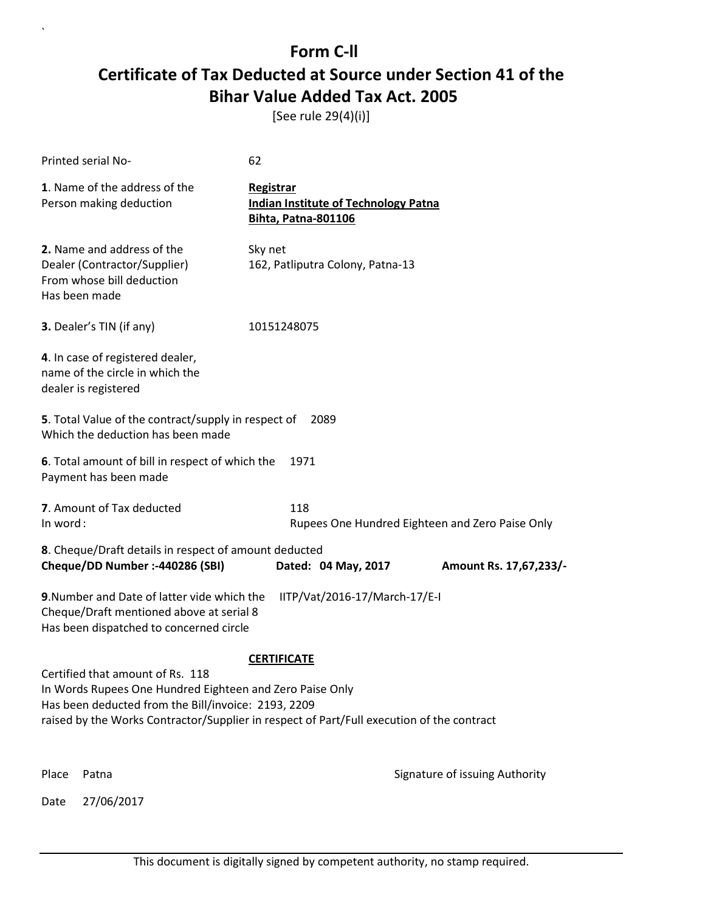[See rule 29(4)(i)]

|          | Printed serial No-                                                                                                                                                                                                                               | 62                                                                                     |                                                 |
|----------|--------------------------------------------------------------------------------------------------------------------------------------------------------------------------------------------------------------------------------------------------|----------------------------------------------------------------------------------------|-------------------------------------------------|
|          | 1. Name of the address of the<br>Person making deduction                                                                                                                                                                                         | Registrar<br><b>Indian Institute of Technology Patna</b><br><b>Bihta, Patna-801106</b> |                                                 |
|          | 2. Name and address of the<br>Dealer (Contractor/Supplier)<br>From whose bill deduction<br>Has been made                                                                                                                                         | Sky net<br>162, Patliputra Colony, Patna-13                                            |                                                 |
|          | 3. Dealer's TIN (if any)                                                                                                                                                                                                                         | 10151248075                                                                            |                                                 |
|          | 4. In case of registered dealer,<br>name of the circle in which the<br>dealer is registered                                                                                                                                                      |                                                                                        |                                                 |
|          | 5. Total Value of the contract/supply in respect of<br>Which the deduction has been made                                                                                                                                                         | 2089                                                                                   |                                                 |
|          | 6. Total amount of bill in respect of which the<br>Payment has been made                                                                                                                                                                         | 1971                                                                                   |                                                 |
| In word: | 7. Amount of Tax deducted                                                                                                                                                                                                                        | 118                                                                                    | Rupees One Hundred Eighteen and Zero Paise Only |
|          | 8. Cheque/Draft details in respect of amount deducted<br>Cheque/DD Number :- 440286 (SBI)                                                                                                                                                        | Dated: 04 May, 2017                                                                    | Amount Rs. 17,67,233/-                          |
|          | 9. Number and Date of latter vide which the<br>Cheque/Draft mentioned above at serial 8<br>Has been dispatched to concerned circle                                                                                                               | IITP/Vat/2016-17/March-17/E-I                                                          |                                                 |
|          |                                                                                                                                                                                                                                                  | <b>CERTIFICATE</b>                                                                     |                                                 |
|          | Certified that amount of Rs. 118<br>In Words Rupees One Hundred Eighteen and Zero Paise Only<br>Has been deducted from the Bill/invoice: 2193, 2209<br>raised by the Works Contractor/Supplier in respect of Part/Full execution of the contract |                                                                                        |                                                 |
| Place    | Patna                                                                                                                                                                                                                                            |                                                                                        | Signature of issuing Authority                  |
| Date     | 27/06/2017                                                                                                                                                                                                                                       |                                                                                        |                                                 |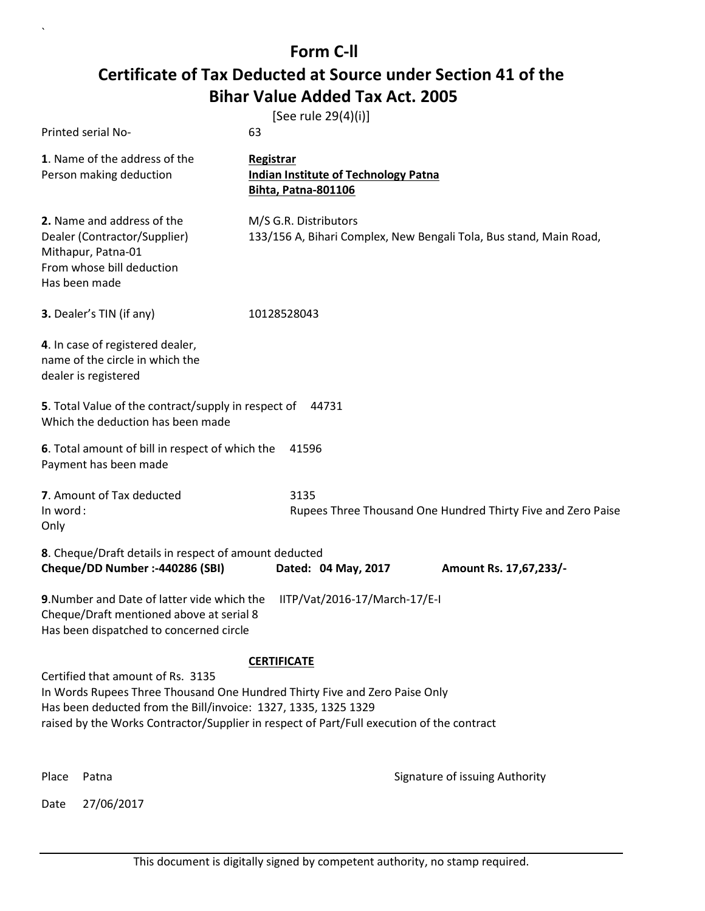| Printed serial No-                                                                                                                                                                                                                                                             | [See rule 29(4)(i)]<br>63                                                       |                                                                    |
|--------------------------------------------------------------------------------------------------------------------------------------------------------------------------------------------------------------------------------------------------------------------------------|---------------------------------------------------------------------------------|--------------------------------------------------------------------|
|                                                                                                                                                                                                                                                                                |                                                                                 |                                                                    |
| 1. Name of the address of the<br>Person making deduction                                                                                                                                                                                                                       | Registrar<br>Indian Institute of Technology Patna<br><b>Bihta, Patna-801106</b> |                                                                    |
| 2. Name and address of the<br>Dealer (Contractor/Supplier)<br>Mithapur, Patna-01<br>From whose bill deduction<br>Has been made                                                                                                                                                 | M/S G.R. Distributors                                                           | 133/156 A, Bihari Complex, New Bengali Tola, Bus stand, Main Road, |
| 3. Dealer's TIN (if any)                                                                                                                                                                                                                                                       | 10128528043                                                                     |                                                                    |
| 4. In case of registered dealer,<br>name of the circle in which the<br>dealer is registered                                                                                                                                                                                    |                                                                                 |                                                                    |
| 5. Total Value of the contract/supply in respect of 44731<br>Which the deduction has been made                                                                                                                                                                                 |                                                                                 |                                                                    |
| 6. Total amount of bill in respect of which the<br>Payment has been made                                                                                                                                                                                                       | 41596                                                                           |                                                                    |
| 7. Amount of Tax deducted<br>In word:<br>Only                                                                                                                                                                                                                                  | 3135                                                                            | Rupees Three Thousand One Hundred Thirty Five and Zero Paise       |
| 8. Cheque/Draft details in respect of amount deducted<br>Cheque/DD Number :- 440286 (SBI)                                                                                                                                                                                      | Dated: 04 May, 2017                                                             | Amount Rs. 17,67,233/-                                             |
| 9. Number and Date of latter vide which the<br>Cheque/Draft mentioned above at serial 8<br>Has been dispatched to concerned circle                                                                                                                                             | IITP/Vat/2016-17/March-17/E-I                                                   |                                                                    |
|                                                                                                                                                                                                                                                                                | <b>CERTIFICATE</b>                                                              |                                                                    |
| Certified that amount of Rs. 3135<br>In Words Rupees Three Thousand One Hundred Thirty Five and Zero Paise Only<br>Has been deducted from the Bill/invoice: 1327, 1335, 1325 1329<br>raised by the Works Contractor/Supplier in respect of Part/Full execution of the contract |                                                                                 |                                                                    |
| Place<br>Patna                                                                                                                                                                                                                                                                 |                                                                                 | Signature of issuing Authority                                     |
| 27/06/2017<br>Date                                                                                                                                                                                                                                                             |                                                                                 |                                                                    |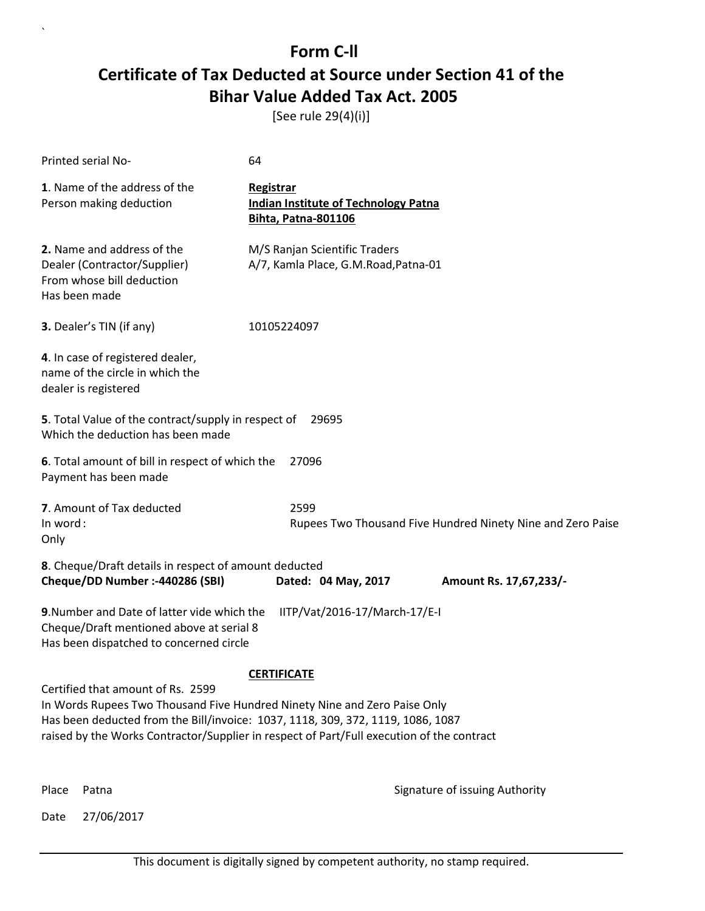[See rule 29(4)(i)]

| Printed serial No-                                                                                                                                                                                                                                                                             | 64                                                                                     |                                                             |
|------------------------------------------------------------------------------------------------------------------------------------------------------------------------------------------------------------------------------------------------------------------------------------------------|----------------------------------------------------------------------------------------|-------------------------------------------------------------|
| 1. Name of the address of the<br>Person making deduction                                                                                                                                                                                                                                       | Registrar<br><b>Indian Institute of Technology Patna</b><br><b>Bihta, Patna-801106</b> |                                                             |
| 2. Name and address of the<br>Dealer (Contractor/Supplier)<br>From whose bill deduction<br>Has been made                                                                                                                                                                                       | M/S Ranjan Scientific Traders<br>A/7, Kamla Place, G.M.Road, Patna-01                  |                                                             |
| 3. Dealer's TIN (if any)                                                                                                                                                                                                                                                                       | 10105224097                                                                            |                                                             |
| 4. In case of registered dealer,<br>name of the circle in which the<br>dealer is registered                                                                                                                                                                                                    |                                                                                        |                                                             |
| 5. Total Value of the contract/supply in respect of<br>Which the deduction has been made                                                                                                                                                                                                       | 29695                                                                                  |                                                             |
| 6. Total amount of bill in respect of which the<br>Payment has been made                                                                                                                                                                                                                       | 27096                                                                                  |                                                             |
| 7. Amount of Tax deducted<br>In word:<br>Only                                                                                                                                                                                                                                                  | 2599                                                                                   | Rupees Two Thousand Five Hundred Ninety Nine and Zero Paise |
| 8. Cheque/Draft details in respect of amount deducted<br>Cheque/DD Number :- 440286 (SBI)                                                                                                                                                                                                      | Dated: 04 May, 2017                                                                    | Amount Rs. 17,67,233/-                                      |
| 9. Number and Date of latter vide which the<br>Cheque/Draft mentioned above at serial 8<br>Has been dispatched to concerned circle                                                                                                                                                             | IITP/Vat/2016-17/March-17/E-I                                                          |                                                             |
|                                                                                                                                                                                                                                                                                                | <b>CERTIFICATE</b>                                                                     |                                                             |
| Certified that amount of Rs. 2599<br>In Words Rupees Two Thousand Five Hundred Ninety Nine and Zero Paise Only<br>Has been deducted from the Bill/invoice: 1037, 1118, 309, 372, 1119, 1086, 1087<br>raised by the Works Contractor/Supplier in respect of Part/Full execution of the contract |                                                                                        |                                                             |
| Place<br>Patna                                                                                                                                                                                                                                                                                 |                                                                                        | Signature of issuing Authority                              |

Date 27/06/2017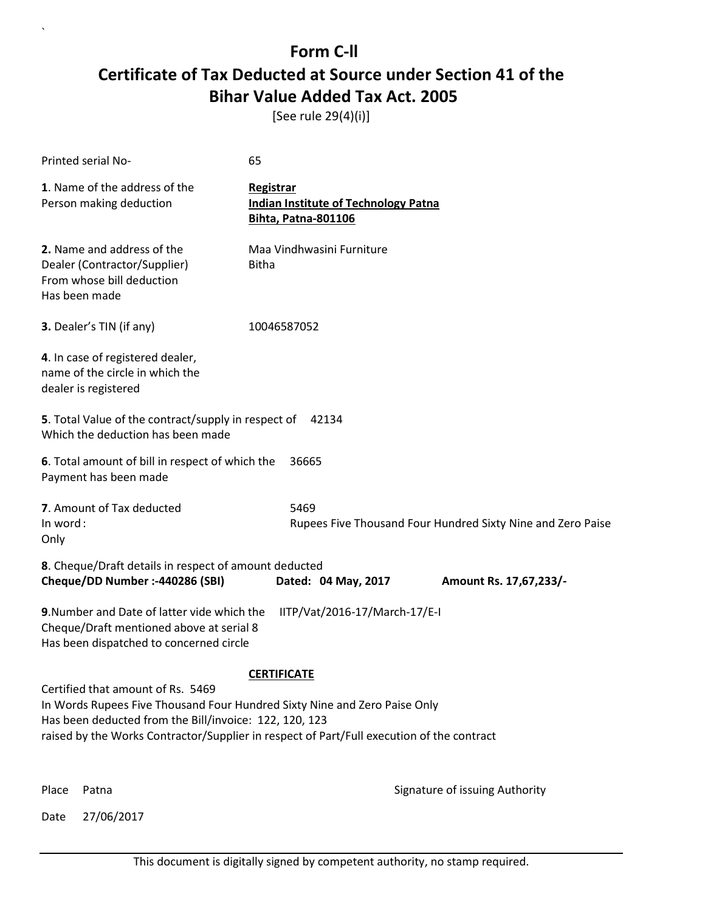[See rule 29(4)(i)]

| Printed serial No-                                                                                                                                                                                                                                                    | 65                                                                              |                                                             |  |
|-----------------------------------------------------------------------------------------------------------------------------------------------------------------------------------------------------------------------------------------------------------------------|---------------------------------------------------------------------------------|-------------------------------------------------------------|--|
| 1. Name of the address of the<br>Person making deduction                                                                                                                                                                                                              | Registrar<br><b>Indian Institute of Technology Patna</b><br>Bihta, Patna-801106 |                                                             |  |
| 2. Name and address of the<br>Dealer (Contractor/Supplier)<br>From whose bill deduction<br>Has been made                                                                                                                                                              | Maa Vindhwasini Furniture<br><b>Bitha</b>                                       |                                                             |  |
| 3. Dealer's TIN (if any)                                                                                                                                                                                                                                              | 10046587052                                                                     |                                                             |  |
| 4. In case of registered dealer,<br>name of the circle in which the<br>dealer is registered                                                                                                                                                                           |                                                                                 |                                                             |  |
| 5. Total Value of the contract/supply in respect of<br>42134<br>Which the deduction has been made                                                                                                                                                                     |                                                                                 |                                                             |  |
| 6. Total amount of bill in respect of which the<br>Payment has been made                                                                                                                                                                                              | 36665                                                                           |                                                             |  |
| 7. Amount of Tax deducted<br>In word:<br>Only                                                                                                                                                                                                                         | 5469                                                                            | Rupees Five Thousand Four Hundred Sixty Nine and Zero Paise |  |
| 8. Cheque/Draft details in respect of amount deducted<br>Cheque/DD Number :- 440286 (SBI)                                                                                                                                                                             | Dated: 04 May, 2017                                                             | Amount Rs. 17,67,233/-                                      |  |
| 9. Number and Date of latter vide which the<br>Cheque/Draft mentioned above at serial 8<br>Has been dispatched to concerned circle                                                                                                                                    | IITP/Vat/2016-17/March-17/E-I                                                   |                                                             |  |
|                                                                                                                                                                                                                                                                       | <b>CERTIFICATE</b>                                                              |                                                             |  |
| Certified that amount of Rs. 5469<br>In Words Rupees Five Thousand Four Hundred Sixty Nine and Zero Paise Only<br>Has been deducted from the Bill/invoice: 122, 120, 123<br>raised by the Works Contractor/Supplier in respect of Part/Full execution of the contract |                                                                                 |                                                             |  |
| Place<br>Patna                                                                                                                                                                                                                                                        |                                                                                 | Signature of issuing Authority                              |  |

Date 27/06/2017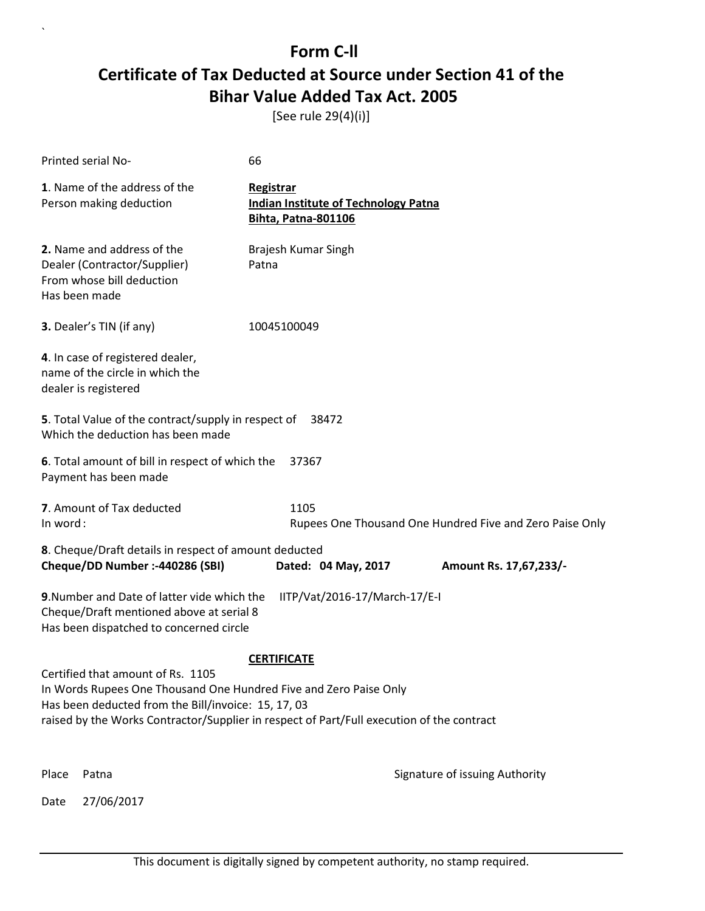[See rule 29(4)(i)]

| Printed serial No-                                                                                                                 | 66                                                                                     |                                                          |
|------------------------------------------------------------------------------------------------------------------------------------|----------------------------------------------------------------------------------------|----------------------------------------------------------|
| 1. Name of the address of the<br>Person making deduction                                                                           | Registrar<br><b>Indian Institute of Technology Patna</b><br><b>Bihta, Patna-801106</b> |                                                          |
| 2. Name and address of the<br>Dealer (Contractor/Supplier)<br>From whose bill deduction<br>Has been made                           | Brajesh Kumar Singh<br>Patna                                                           |                                                          |
| 3. Dealer's TIN (if any)                                                                                                           | 10045100049                                                                            |                                                          |
| 4. In case of registered dealer,<br>name of the circle in which the<br>dealer is registered                                        |                                                                                        |                                                          |
| 5. Total Value of the contract/supply in respect of<br>Which the deduction has been made                                           | 38472                                                                                  |                                                          |
| 6. Total amount of bill in respect of which the<br>Payment has been made                                                           | 37367                                                                                  |                                                          |
| 7. Amount of Tax deducted<br>In word:                                                                                              | 1105                                                                                   | Rupees One Thousand One Hundred Five and Zero Paise Only |
| 8. Cheque/Draft details in respect of amount deducted                                                                              |                                                                                        |                                                          |
| Cheque/DD Number :- 440286 (SBI)                                                                                                   | Dated: 04 May, 2017                                                                    | Amount Rs. 17,67,233/-                                   |
| 9. Number and Date of latter vide which the<br>Cheque/Draft mentioned above at serial 8<br>Has been dispatched to concerned circle | IITP/Vat/2016-17/March-17/E-I                                                          |                                                          |
|                                                                                                                                    | <b>CERTIFICATE</b>                                                                     |                                                          |
| Certified that amount of Rs. 1105                                                                                                  |                                                                                        |                                                          |
| In Words Rupees One Thousand One Hundred Five and Zero Paise Only<br>Has been deducted from the Bill/invoice: 15, 17, 03           |                                                                                        |                                                          |
| raised by the Works Contractor/Supplier in respect of Part/Full execution of the contract                                          |                                                                                        |                                                          |
| Place<br>Patna                                                                                                                     |                                                                                        | Signature of issuing Authority                           |
| 27/06/2017<br>Date                                                                                                                 |                                                                                        |                                                          |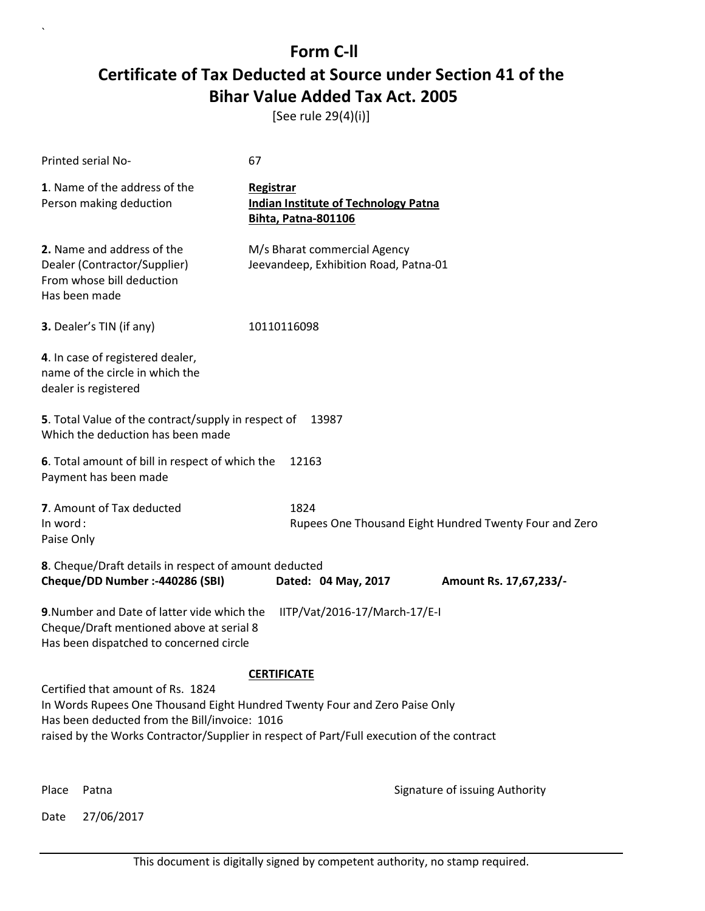[See rule 29(4)(i)]

| Printed serial No-                                                                                                                 | 67                                                                                                                                                                      |                                |
|------------------------------------------------------------------------------------------------------------------------------------|-------------------------------------------------------------------------------------------------------------------------------------------------------------------------|--------------------------------|
| 1. Name of the address of the<br>Person making deduction                                                                           | Registrar<br><b>Indian Institute of Technology Patna</b><br><b>Bihta, Patna-801106</b>                                                                                  |                                |
| 2. Name and address of the<br>Dealer (Contractor/Supplier)<br>From whose bill deduction<br>Has been made                           | M/s Bharat commercial Agency<br>Jeevandeep, Exhibition Road, Patna-01                                                                                                   |                                |
| 3. Dealer's TIN (if any)                                                                                                           | 10110116098                                                                                                                                                             |                                |
| 4. In case of registered dealer,<br>name of the circle in which the<br>dealer is registered                                        |                                                                                                                                                                         |                                |
| 5. Total Value of the contract/supply in respect of<br>Which the deduction has been made                                           | 13987                                                                                                                                                                   |                                |
| 6. Total amount of bill in respect of which the<br>Payment has been made                                                           | 12163                                                                                                                                                                   |                                |
| 7. Amount of Tax deducted<br>In word:<br>Paise Only                                                                                | 1824<br>Rupees One Thousand Eight Hundred Twenty Four and Zero                                                                                                          |                                |
| 8. Cheque/Draft details in respect of amount deducted<br>Cheque/DD Number :- 440286 (SBI)                                          | Dated: 04 May, 2017                                                                                                                                                     | Amount Rs. 17,67,233/-         |
| 9. Number and Date of latter vide which the<br>Cheque/Draft mentioned above at serial 8<br>Has been dispatched to concerned circle | IITP/Vat/2016-17/March-17/E-I                                                                                                                                           |                                |
|                                                                                                                                    | <b>CERTIFICATE</b>                                                                                                                                                      |                                |
| Certified that amount of Rs. 1824<br>Has been deducted from the Bill/invoice: 1016                                                 | In Words Rupees One Thousand Eight Hundred Twenty Four and Zero Paise Only<br>raised by the Works Contractor/Supplier in respect of Part/Full execution of the contract |                                |
| Place<br>Patna                                                                                                                     |                                                                                                                                                                         | Signature of issuing Authority |

Date 27/06/2017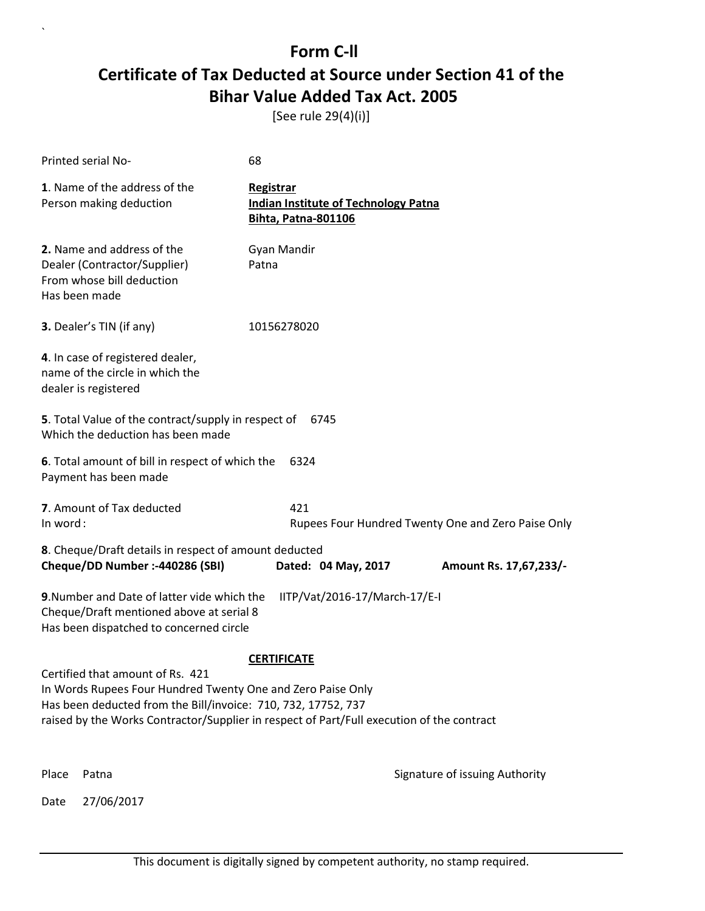[See rule 29(4)(i)]

| Printed serial No-                                                                                                                                                                                                                                            | 68                                                                                     |                                                    |
|---------------------------------------------------------------------------------------------------------------------------------------------------------------------------------------------------------------------------------------------------------------|----------------------------------------------------------------------------------------|----------------------------------------------------|
| 1. Name of the address of the<br>Person making deduction                                                                                                                                                                                                      | Registrar<br><b>Indian Institute of Technology Patna</b><br><b>Bihta, Patna-801106</b> |                                                    |
| 2. Name and address of the<br>Dealer (Contractor/Supplier)<br>From whose bill deduction<br>Has been made                                                                                                                                                      | Gyan Mandir<br>Patna                                                                   |                                                    |
| 3. Dealer's TIN (if any)                                                                                                                                                                                                                                      | 10156278020                                                                            |                                                    |
| 4. In case of registered dealer,<br>name of the circle in which the<br>dealer is registered                                                                                                                                                                   |                                                                                        |                                                    |
| 5. Total Value of the contract/supply in respect of<br>Which the deduction has been made                                                                                                                                                                      | 6745                                                                                   |                                                    |
| 6. Total amount of bill in respect of which the<br>Payment has been made                                                                                                                                                                                      | 6324                                                                                   |                                                    |
| 7. Amount of Tax deducted<br>In word:                                                                                                                                                                                                                         | 421                                                                                    | Rupees Four Hundred Twenty One and Zero Paise Only |
| 8. Cheque/Draft details in respect of amount deducted<br>Cheque/DD Number :- 440286 (SBI)                                                                                                                                                                     |                                                                                        |                                                    |
|                                                                                                                                                                                                                                                               | Dated: 04 May, 2017                                                                    | Amount Rs. 17,67,233/-                             |
| 9. Number and Date of latter vide which the<br>IITP/Vat/2016-17/March-17/E-I<br>Cheque/Draft mentioned above at serial 8<br>Has been dispatched to concerned circle                                                                                           |                                                                                        |                                                    |
|                                                                                                                                                                                                                                                               | <b>CERTIFICATE</b>                                                                     |                                                    |
| Certified that amount of Rs. 421<br>In Words Rupees Four Hundred Twenty One and Zero Paise Only<br>Has been deducted from the Bill/invoice: 710, 732, 17752, 737<br>raised by the Works Contractor/Supplier in respect of Part/Full execution of the contract |                                                                                        |                                                    |
| Place<br>Patna                                                                                                                                                                                                                                                |                                                                                        | Signature of issuing Authority                     |
| 27/06/2017<br>Date                                                                                                                                                                                                                                            |                                                                                        |                                                    |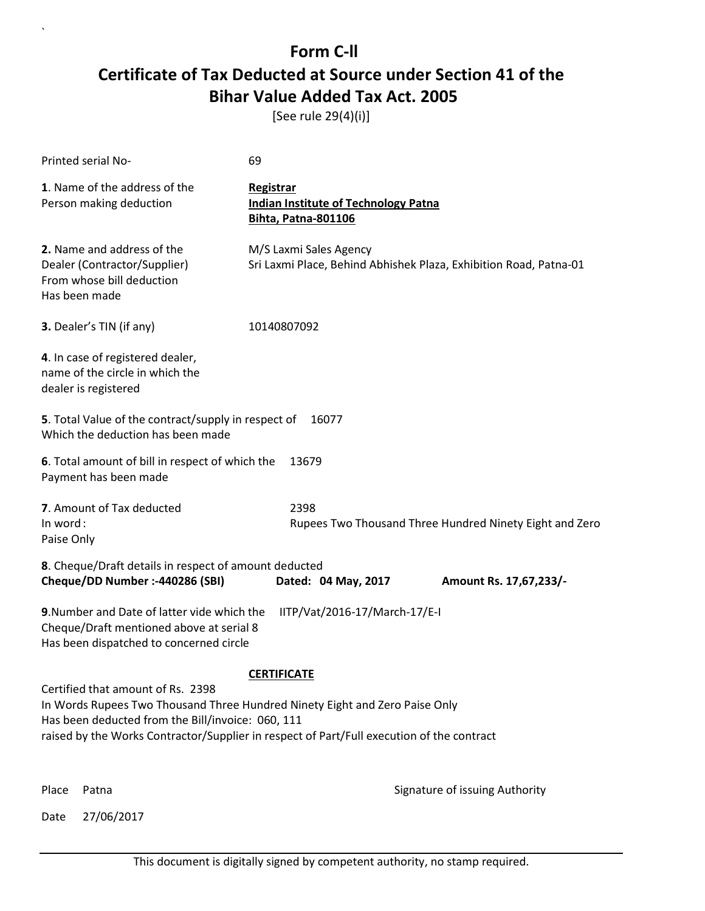[See rule 29(4)(i)]

| Printed serial No-                                                                                                                 | 69                                                                                                                                                                       |  |  |
|------------------------------------------------------------------------------------------------------------------------------------|--------------------------------------------------------------------------------------------------------------------------------------------------------------------------|--|--|
| 1. Name of the address of the<br>Person making deduction                                                                           | Registrar<br><b>Indian Institute of Technology Patna</b><br><b>Bihta, Patna-801106</b>                                                                                   |  |  |
| 2. Name and address of the<br>Dealer (Contractor/Supplier)<br>From whose bill deduction<br>Has been made                           | M/S Laxmi Sales Agency<br>Sri Laxmi Place, Behind Abhishek Plaza, Exhibition Road, Patna-01                                                                              |  |  |
| 3. Dealer's TIN (if any)                                                                                                           | 10140807092                                                                                                                                                              |  |  |
| 4. In case of registered dealer,<br>name of the circle in which the<br>dealer is registered                                        |                                                                                                                                                                          |  |  |
| 5. Total Value of the contract/supply in respect of<br>16077<br>Which the deduction has been made                                  |                                                                                                                                                                          |  |  |
| 6. Total amount of bill in respect of which the<br>Payment has been made                                                           | 13679                                                                                                                                                                    |  |  |
| 7. Amount of Tax deducted<br>In word:<br>Paise Only                                                                                | 2398<br>Rupees Two Thousand Three Hundred Ninety Eight and Zero                                                                                                          |  |  |
| 8. Cheque/Draft details in respect of amount deducted<br>Cheque/DD Number :- 440286 (SBI)                                          | Dated: 04 May, 2017<br>Amount Rs. 17,67,233/-                                                                                                                            |  |  |
| 9. Number and Date of latter vide which the<br>Cheque/Draft mentioned above at serial 8<br>Has been dispatched to concerned circle | IITP/Vat/2016-17/March-17/E-I                                                                                                                                            |  |  |
|                                                                                                                                    | <b>CERTIFICATE</b>                                                                                                                                                       |  |  |
| Certified that amount of Rs. 2398<br>Has been deducted from the Bill/invoice: 060, 111                                             | In Words Rupees Two Thousand Three Hundred Ninety Eight and Zero Paise Only<br>raised by the Works Contractor/Supplier in respect of Part/Full execution of the contract |  |  |
| Place<br>Patna                                                                                                                     | Signature of issuing Authority                                                                                                                                           |  |  |

Date 27/06/2017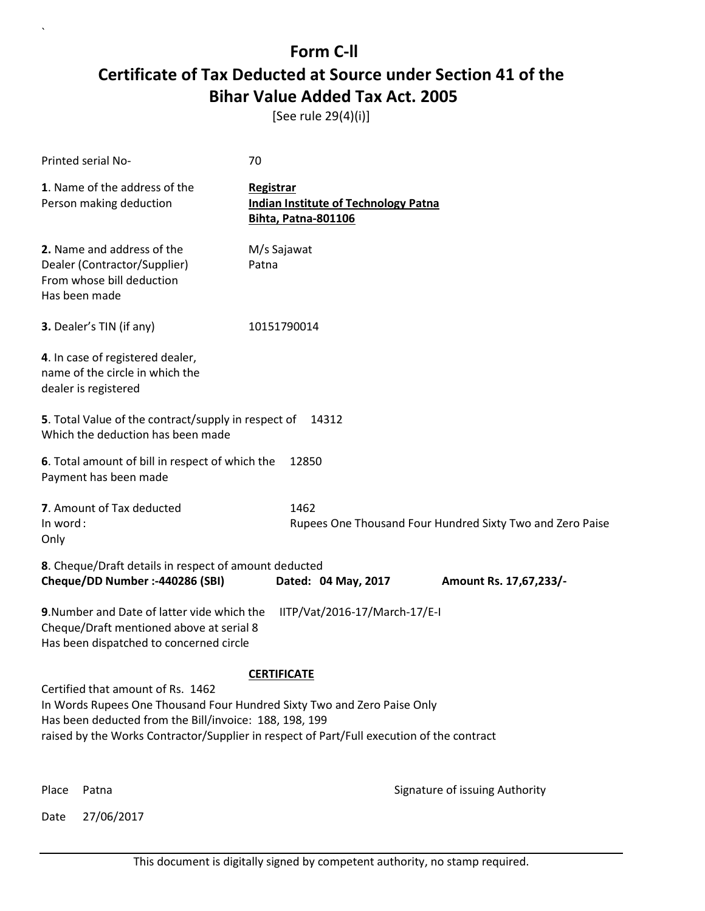[See rule 29(4)(i)]

| Printed serial No-                                                                                                                                                                                                                                                  | 70                                                                              |                                                           |
|---------------------------------------------------------------------------------------------------------------------------------------------------------------------------------------------------------------------------------------------------------------------|---------------------------------------------------------------------------------|-----------------------------------------------------------|
| 1. Name of the address of the<br>Person making deduction                                                                                                                                                                                                            | Registrar<br><b>Indian Institute of Technology Patna</b><br>Bihta, Patna-801106 |                                                           |
| 2. Name and address of the<br>Dealer (Contractor/Supplier)<br>From whose bill deduction<br>Has been made                                                                                                                                                            | M/s Sajawat<br>Patna                                                            |                                                           |
| 3. Dealer's TIN (if any)                                                                                                                                                                                                                                            | 10151790014                                                                     |                                                           |
| 4. In case of registered dealer,<br>name of the circle in which the<br>dealer is registered                                                                                                                                                                         |                                                                                 |                                                           |
| 5. Total Value of the contract/supply in respect of<br>Which the deduction has been made                                                                                                                                                                            | 14312                                                                           |                                                           |
| 6. Total amount of bill in respect of which the<br>Payment has been made                                                                                                                                                                                            | 12850                                                                           |                                                           |
| 7. Amount of Tax deducted<br>In word:<br>Only                                                                                                                                                                                                                       | 1462                                                                            | Rupees One Thousand Four Hundred Sixty Two and Zero Paise |
| 8. Cheque/Draft details in respect of amount deducted<br>Cheque/DD Number :- 440286 (SBI)                                                                                                                                                                           | Dated: 04 May, 2017                                                             | Amount Rs. 17,67,233/-                                    |
| 9. Number and Date of latter vide which the<br>Cheque/Draft mentioned above at serial 8<br>Has been dispatched to concerned circle                                                                                                                                  | IITP/Vat/2016-17/March-17/E-I                                                   |                                                           |
|                                                                                                                                                                                                                                                                     | <b>CERTIFICATE</b>                                                              |                                                           |
| Certified that amount of Rs. 1462<br>In Words Rupees One Thousand Four Hundred Sixty Two and Zero Paise Only<br>Has been deducted from the Bill/invoice: 188, 198, 199<br>raised by the Works Contractor/Supplier in respect of Part/Full execution of the contract |                                                                                 |                                                           |
| Place<br>Patna                                                                                                                                                                                                                                                      |                                                                                 | Signature of issuing Authority                            |

Date 27/06/2017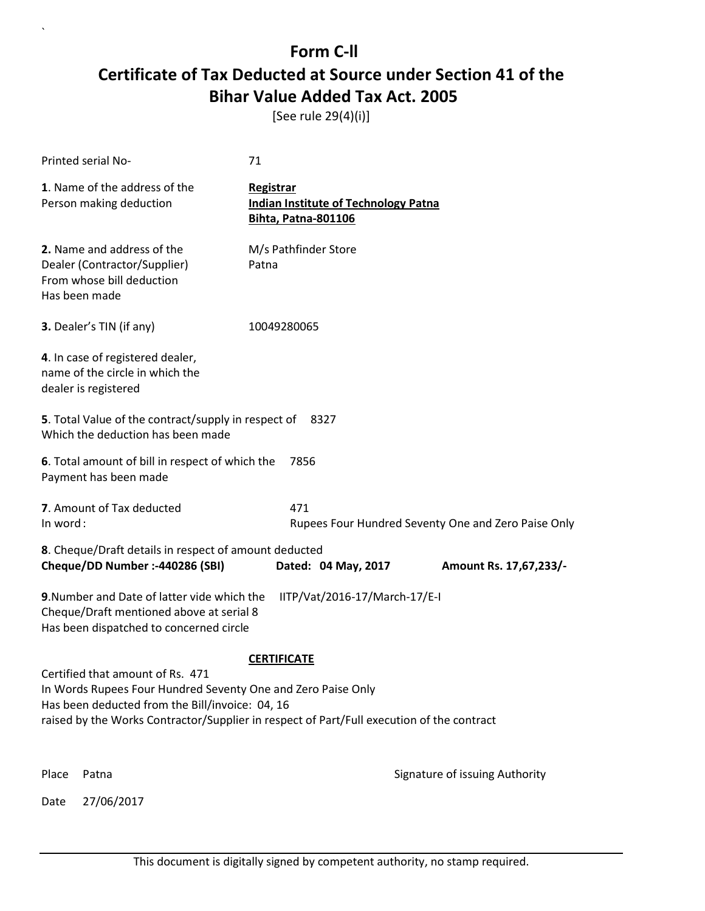[See rule 29(4)(i)]

|          | Printed serial No-                                                                                                                                                                                                                               | 71                                                                                     |                                                     |
|----------|--------------------------------------------------------------------------------------------------------------------------------------------------------------------------------------------------------------------------------------------------|----------------------------------------------------------------------------------------|-----------------------------------------------------|
|          | 1. Name of the address of the<br>Person making deduction                                                                                                                                                                                         | Registrar<br><b>Indian Institute of Technology Patna</b><br><b>Bihta, Patna-801106</b> |                                                     |
|          | 2. Name and address of the<br>Dealer (Contractor/Supplier)<br>From whose bill deduction<br>Has been made                                                                                                                                         | M/s Pathfinder Store<br>Patna                                                          |                                                     |
|          | 3. Dealer's TIN (if any)                                                                                                                                                                                                                         | 10049280065                                                                            |                                                     |
|          | 4. In case of registered dealer,<br>name of the circle in which the<br>dealer is registered                                                                                                                                                      |                                                                                        |                                                     |
|          | 5. Total Value of the contract/supply in respect of<br>Which the deduction has been made                                                                                                                                                         | 8327                                                                                   |                                                     |
|          | 6. Total amount of bill in respect of which the<br>Payment has been made                                                                                                                                                                         | 7856                                                                                   |                                                     |
| In word: | 7. Amount of Tax deducted                                                                                                                                                                                                                        | 471                                                                                    | Rupees Four Hundred Seventy One and Zero Paise Only |
|          | 8. Cheque/Draft details in respect of amount deducted                                                                                                                                                                                            |                                                                                        |                                                     |
|          | Cheque/DD Number :- 440286 (SBI)                                                                                                                                                                                                                 | Dated: 04 May, 2017                                                                    | Amount Rs. 17,67,233/-                              |
|          | 9. Number and Date of latter vide which the<br>Cheque/Draft mentioned above at serial 8<br>Has been dispatched to concerned circle                                                                                                               | IITP/Vat/2016-17/March-17/E-I                                                          |                                                     |
|          |                                                                                                                                                                                                                                                  | <b>CERTIFICATE</b>                                                                     |                                                     |
|          | Certified that amount of Rs. 471<br>In Words Rupees Four Hundred Seventy One and Zero Paise Only<br>Has been deducted from the Bill/invoice: 04, 16<br>raised by the Works Contractor/Supplier in respect of Part/Full execution of the contract |                                                                                        |                                                     |
|          |                                                                                                                                                                                                                                                  |                                                                                        |                                                     |
| Place    | Patna                                                                                                                                                                                                                                            |                                                                                        | Signature of issuing Authority                      |
| Date     | 27/06/2017                                                                                                                                                                                                                                       |                                                                                        |                                                     |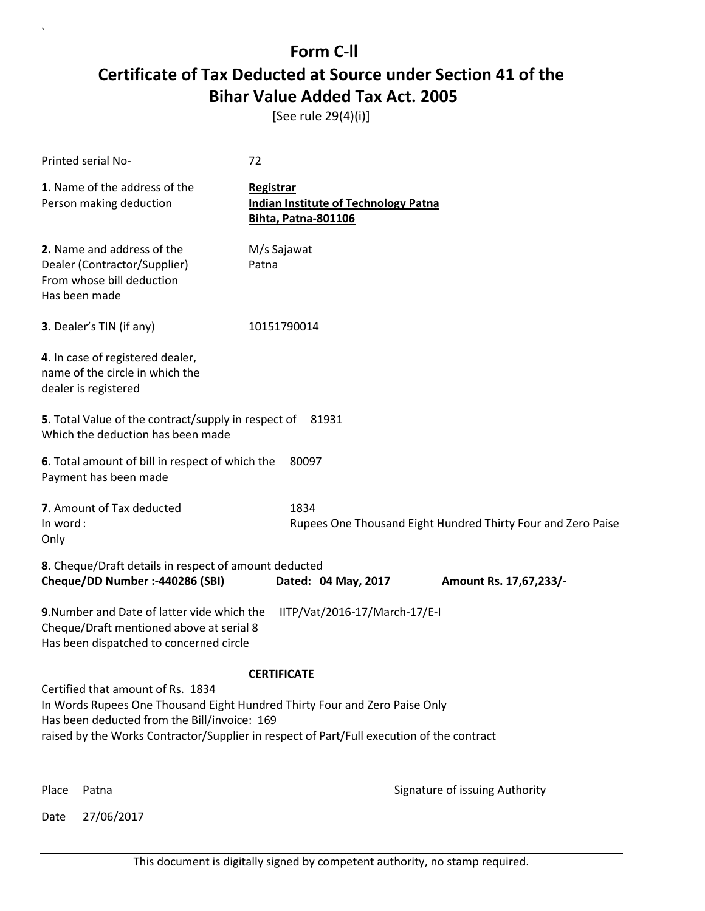[See rule 29(4)(i)]

| Printed serial No-                                                                                                                                              | 72                                                                                        |
|-----------------------------------------------------------------------------------------------------------------------------------------------------------------|-------------------------------------------------------------------------------------------|
| 1. Name of the address of the<br>Person making deduction                                                                                                        | Registrar<br><b>Indian Institute of Technology Patna</b><br><b>Bihta, Patna-801106</b>    |
| 2. Name and address of the<br>Dealer (Contractor/Supplier)<br>From whose bill deduction<br>Has been made                                                        | M/s Sajawat<br>Patna                                                                      |
| 3. Dealer's TIN (if any)                                                                                                                                        | 10151790014                                                                               |
| 4. In case of registered dealer,<br>name of the circle in which the<br>dealer is registered                                                                     |                                                                                           |
| 5. Total Value of the contract/supply in respect of 81931<br>Which the deduction has been made                                                                  |                                                                                           |
| 6. Total amount of bill in respect of which the<br>Payment has been made                                                                                        | 80097                                                                                     |
| 7. Amount of Tax deducted<br>In word:<br>Only                                                                                                                   | 1834<br>Rupees One Thousand Eight Hundred Thirty Four and Zero Paise                      |
| 8. Cheque/Draft details in respect of amount deducted<br>Cheque/DD Number :- 440286 (SBI)                                                                       | Dated: 04 May, 2017<br>Amount Rs. 17,67,233/-                                             |
| 9. Number and Date of latter vide which the<br>Cheque/Draft mentioned above at serial 8<br>Has been dispatched to concerned circle                              | IITP/Vat/2016-17/March-17/E-I                                                             |
|                                                                                                                                                                 | <b>CERTIFICATE</b>                                                                        |
| Certified that amount of Rs. 1834<br>In Words Rupees One Thousand Eight Hundred Thirty Four and Zero Paise Only<br>Has been deducted from the Bill/invoice: 169 |                                                                                           |
|                                                                                                                                                                 | raised by the Works Contractor/Supplier in respect of Part/Full execution of the contract |
|                                                                                                                                                                 |                                                                                           |

Date 27/06/2017

`

Place Patna **Property** Place Patna Signature of issuing Authority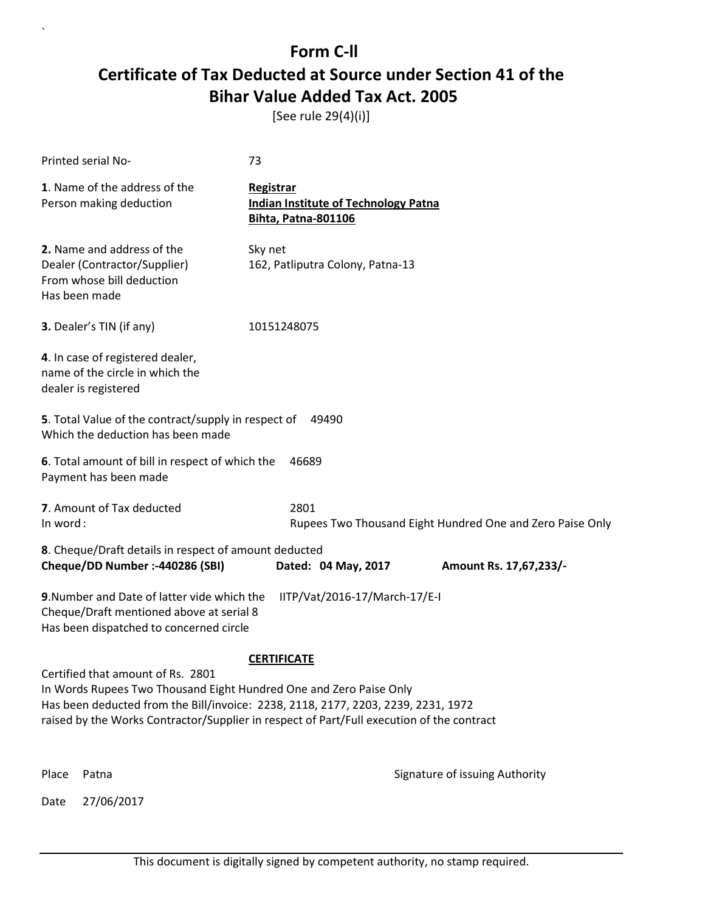[See rule 29(4)(i)]

| Printed serial No-                                                                                                                                                                                                                                                                        | 73                                                                                     |  |  |  |
|-------------------------------------------------------------------------------------------------------------------------------------------------------------------------------------------------------------------------------------------------------------------------------------------|----------------------------------------------------------------------------------------|--|--|--|
| 1. Name of the address of the<br>Person making deduction                                                                                                                                                                                                                                  | Registrar<br><b>Indian Institute of Technology Patna</b><br><b>Bihta, Patna-801106</b> |  |  |  |
| 2. Name and address of the<br>Dealer (Contractor/Supplier)<br>From whose bill deduction<br>Has been made                                                                                                                                                                                  | Sky net<br>162, Patliputra Colony, Patna-13                                            |  |  |  |
| 3. Dealer's TIN (if any)                                                                                                                                                                                                                                                                  | 10151248075                                                                            |  |  |  |
| 4. In case of registered dealer,<br>name of the circle in which the<br>dealer is registered                                                                                                                                                                                               |                                                                                        |  |  |  |
| 5. Total Value of the contract/supply in respect of<br>Which the deduction has been made                                                                                                                                                                                                  | 49490                                                                                  |  |  |  |
| 6. Total amount of bill in respect of which the<br>Payment has been made                                                                                                                                                                                                                  | 46689                                                                                  |  |  |  |
| 7. Amount of Tax deducted<br>In word:                                                                                                                                                                                                                                                     | 2801<br>Rupees Two Thousand Eight Hundred One and Zero Paise Only                      |  |  |  |
| 8. Cheque/Draft details in respect of amount deducted                                                                                                                                                                                                                                     |                                                                                        |  |  |  |
| Cheque/DD Number :- 440286 (SBI)                                                                                                                                                                                                                                                          | Dated: 04 May, 2017<br>Amount Rs. 17,67,233/-                                          |  |  |  |
| 9. Number and Date of latter vide which the<br>IITP/Vat/2016-17/March-17/E-I<br>Cheque/Draft mentioned above at serial 8<br>Has been dispatched to concerned circle                                                                                                                       |                                                                                        |  |  |  |
| <b>CERTIFICATE</b>                                                                                                                                                                                                                                                                        |                                                                                        |  |  |  |
| Certified that amount of Rs. 2801<br>In Words Rupees Two Thousand Eight Hundred One and Zero Paise Only<br>Has been deducted from the Bill/invoice: 2238, 2118, 2177, 2203, 2239, 2231, 1972<br>raised by the Works Contractor/Supplier in respect of Part/Full execution of the contract |                                                                                        |  |  |  |
| Place<br>Patna                                                                                                                                                                                                                                                                            | Signature of issuing Authority                                                         |  |  |  |
| 27/06/2017<br>Date                                                                                                                                                                                                                                                                        |                                                                                        |  |  |  |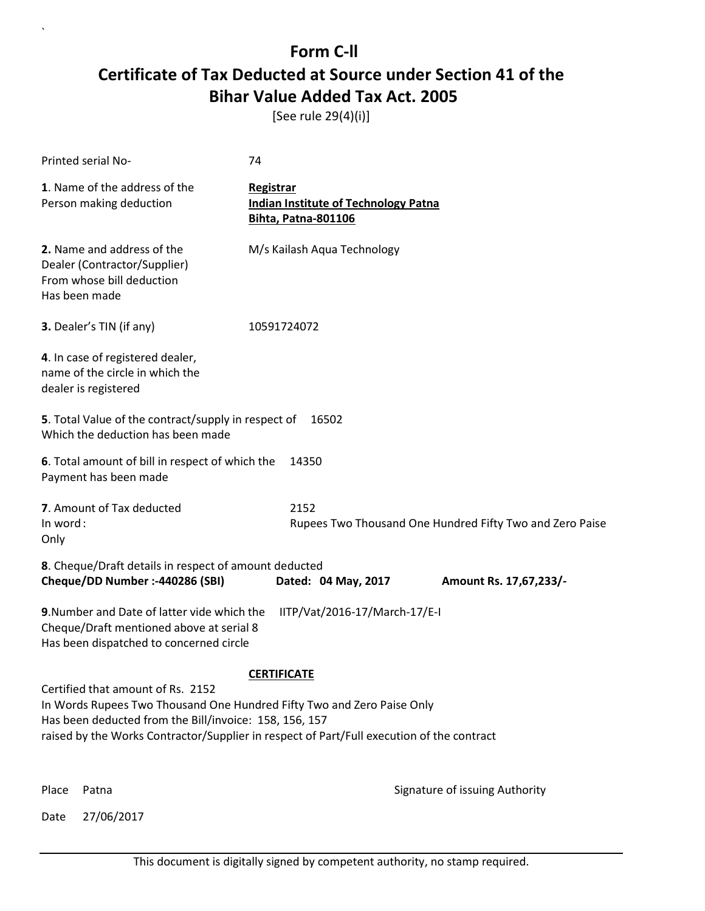[See rule 29(4)(i)]

| Printed serial No-                                                                                                                                                                                                                                                 | 74                                                                                     |                                                          |
|--------------------------------------------------------------------------------------------------------------------------------------------------------------------------------------------------------------------------------------------------------------------|----------------------------------------------------------------------------------------|----------------------------------------------------------|
| 1. Name of the address of the<br>Person making deduction                                                                                                                                                                                                           | Registrar<br><b>Indian Institute of Technology Patna</b><br><b>Bihta, Patna-801106</b> |                                                          |
| 2. Name and address of the<br>Dealer (Contractor/Supplier)<br>From whose bill deduction<br>Has been made                                                                                                                                                           | M/s Kailash Aqua Technology                                                            |                                                          |
| 3. Dealer's TIN (if any)                                                                                                                                                                                                                                           | 10591724072                                                                            |                                                          |
| 4. In case of registered dealer,<br>name of the circle in which the<br>dealer is registered                                                                                                                                                                        |                                                                                        |                                                          |
| 5. Total Value of the contract/supply in respect of<br>Which the deduction has been made                                                                                                                                                                           | 16502                                                                                  |                                                          |
| 6. Total amount of bill in respect of which the<br>Payment has been made                                                                                                                                                                                           | 14350                                                                                  |                                                          |
| 7. Amount of Tax deducted<br>In word:<br>Only                                                                                                                                                                                                                      | 2152                                                                                   | Rupees Two Thousand One Hundred Fifty Two and Zero Paise |
| 8. Cheque/Draft details in respect of amount deducted                                                                                                                                                                                                              |                                                                                        |                                                          |
| Cheque/DD Number :- 440286 (SBI)                                                                                                                                                                                                                                   | Dated: 04 May, 2017                                                                    | Amount Rs. 17,67,233/-                                   |
| 9. Number and Date of latter vide which the<br>Cheque/Draft mentioned above at serial 8<br>Has been dispatched to concerned circle                                                                                                                                 | IITP/Vat/2016-17/March-17/E-I                                                          |                                                          |
|                                                                                                                                                                                                                                                                    | <b>CERTIFICATE</b>                                                                     |                                                          |
| Certified that amount of Rs. 2152<br>In Words Rupees Two Thousand One Hundred Fifty Two and Zero Paise Only<br>Has been deducted from the Bill/invoice: 158, 156, 157<br>raised by the Works Contractor/Supplier in respect of Part/Full execution of the contract |                                                                                        |                                                          |
| Patna<br>Place                                                                                                                                                                                                                                                     |                                                                                        | Signature of issuing Authority                           |

Date 27/06/2017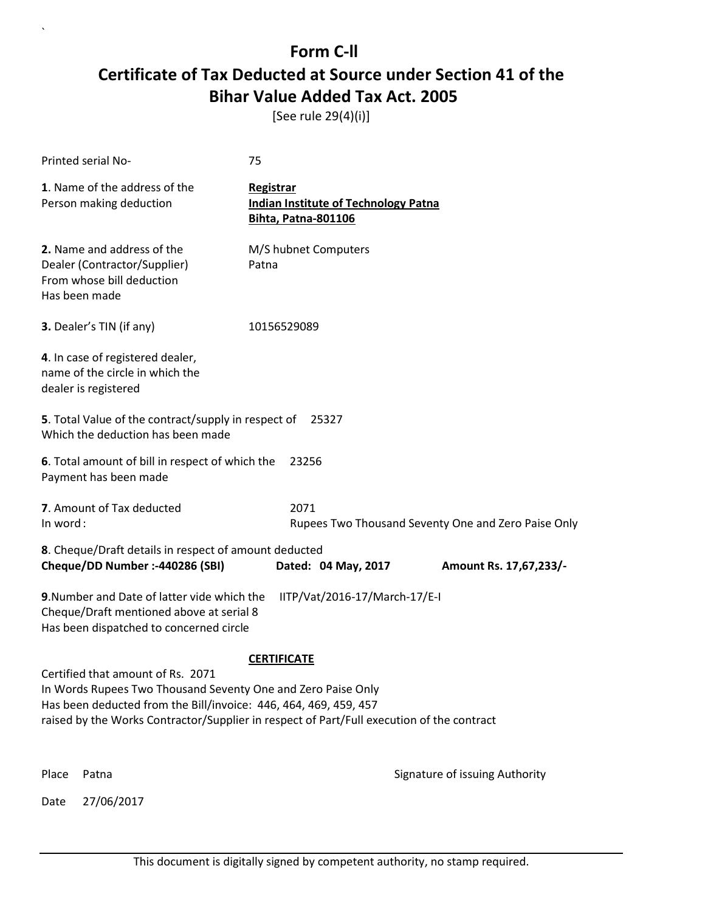[See rule 29(4)(i)]

|                                                                                                   | Printed serial No-                                                                                                                                                  | 75                                                                              |                                                     |  |  |
|---------------------------------------------------------------------------------------------------|---------------------------------------------------------------------------------------------------------------------------------------------------------------------|---------------------------------------------------------------------------------|-----------------------------------------------------|--|--|
|                                                                                                   | 1. Name of the address of the<br>Person making deduction                                                                                                            | Registrar<br><b>Indian Institute of Technology Patna</b><br>Bihta, Patna-801106 |                                                     |  |  |
|                                                                                                   | 2. Name and address of the<br>Dealer (Contractor/Supplier)<br>From whose bill deduction<br>Has been made                                                            | M/S hubnet Computers<br>Patna                                                   |                                                     |  |  |
|                                                                                                   | 3. Dealer's TIN (if any)                                                                                                                                            | 10156529089                                                                     |                                                     |  |  |
|                                                                                                   | 4. In case of registered dealer,<br>name of the circle in which the<br>dealer is registered                                                                         |                                                                                 |                                                     |  |  |
|                                                                                                   | 5. Total Value of the contract/supply in respect of<br>Which the deduction has been made                                                                            | 25327                                                                           |                                                     |  |  |
|                                                                                                   | 6. Total amount of bill in respect of which the<br>Payment has been made                                                                                            | 23256                                                                           |                                                     |  |  |
|                                                                                                   | 7. Amount of Tax deducted                                                                                                                                           | 2071                                                                            |                                                     |  |  |
| In word:                                                                                          |                                                                                                                                                                     |                                                                                 | Rupees Two Thousand Seventy One and Zero Paise Only |  |  |
|                                                                                                   | 8. Cheque/Draft details in respect of amount deducted<br>Cheque/DD Number :- 440286 (SBI)                                                                           | Dated: 04 May, 2017                                                             | Amount Rs. 17,67,233/-                              |  |  |
|                                                                                                   |                                                                                                                                                                     |                                                                                 |                                                     |  |  |
|                                                                                                   | 9. Number and Date of latter vide which the<br>IITP/Vat/2016-17/March-17/E-I<br>Cheque/Draft mentioned above at serial 8<br>Has been dispatched to concerned circle |                                                                                 |                                                     |  |  |
| <b>CERTIFICATE</b>                                                                                |                                                                                                                                                                     |                                                                                 |                                                     |  |  |
| Certified that amount of Rs. 2071<br>In Words Rupees Two Thousand Seventy One and Zero Paise Only |                                                                                                                                                                     |                                                                                 |                                                     |  |  |
| Has been deducted from the Bill/invoice: 446, 464, 469, 459, 457                                  |                                                                                                                                                                     |                                                                                 |                                                     |  |  |
|                                                                                                   | raised by the Works Contractor/Supplier in respect of Part/Full execution of the contract                                                                           |                                                                                 |                                                     |  |  |
|                                                                                                   |                                                                                                                                                                     |                                                                                 |                                                     |  |  |
| Place                                                                                             | Patna                                                                                                                                                               |                                                                                 | Signature of issuing Authority                      |  |  |
| Date                                                                                              | 27/06/2017                                                                                                                                                          |                                                                                 |                                                     |  |  |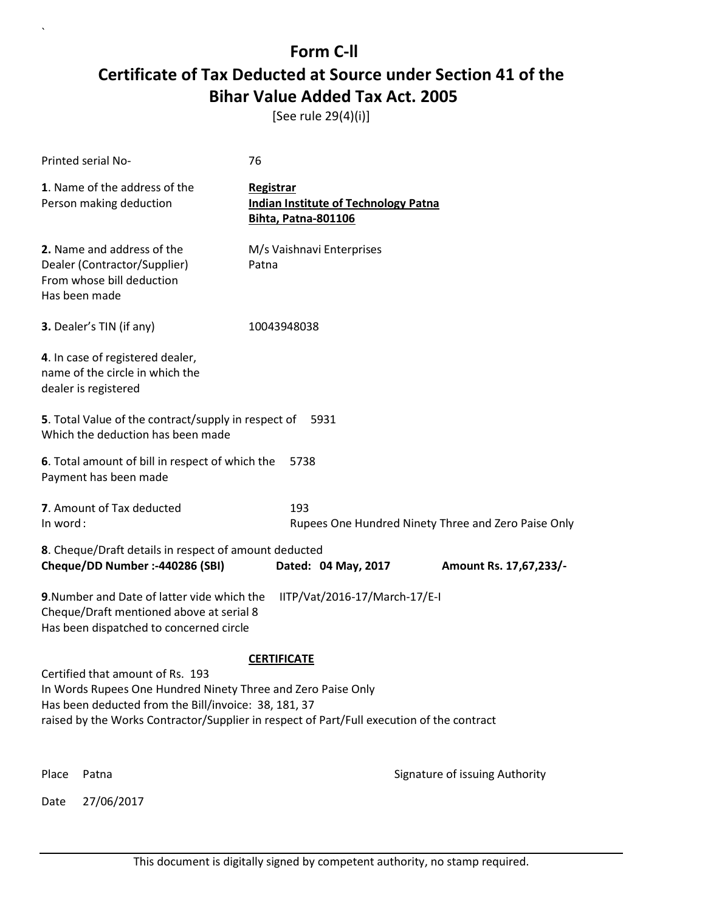[See rule 29(4)(i)]

|                                                                                                                                                                     | Printed serial No-                                                                                       | 76                                                                                     |                                                     |  |
|---------------------------------------------------------------------------------------------------------------------------------------------------------------------|----------------------------------------------------------------------------------------------------------|----------------------------------------------------------------------------------------|-----------------------------------------------------|--|
|                                                                                                                                                                     | 1. Name of the address of the<br>Person making deduction                                                 | Registrar<br><b>Indian Institute of Technology Patna</b><br><b>Bihta, Patna-801106</b> |                                                     |  |
|                                                                                                                                                                     | 2. Name and address of the<br>Dealer (Contractor/Supplier)<br>From whose bill deduction<br>Has been made | M/s Vaishnavi Enterprises<br>Patna                                                     |                                                     |  |
|                                                                                                                                                                     | 3. Dealer's TIN (if any)                                                                                 | 10043948038                                                                            |                                                     |  |
|                                                                                                                                                                     | 4. In case of registered dealer,<br>name of the circle in which the<br>dealer is registered              |                                                                                        |                                                     |  |
|                                                                                                                                                                     | 5. Total Value of the contract/supply in respect of<br>Which the deduction has been made                 | 5931                                                                                   |                                                     |  |
|                                                                                                                                                                     | 6. Total amount of bill in respect of which the<br>Payment has been made                                 | 5738                                                                                   |                                                     |  |
| In word:                                                                                                                                                            | 7. Amount of Tax deducted                                                                                | 193                                                                                    | Rupees One Hundred Ninety Three and Zero Paise Only |  |
|                                                                                                                                                                     | 8. Cheque/Draft details in respect of amount deducted                                                    |                                                                                        |                                                     |  |
|                                                                                                                                                                     | Cheque/DD Number :- 440286 (SBI)                                                                         | Dated: 04 May, 2017                                                                    | Amount Rs. 17,67,233/-                              |  |
| 9. Number and Date of latter vide which the<br>IITP/Vat/2016-17/March-17/E-I<br>Cheque/Draft mentioned above at serial 8<br>Has been dispatched to concerned circle |                                                                                                          |                                                                                        |                                                     |  |
| <b>CERTIFICATE</b>                                                                                                                                                  |                                                                                                          |                                                                                        |                                                     |  |
| Certified that amount of Rs. 193<br>In Words Rupees One Hundred Ninety Three and Zero Paise Only                                                                    |                                                                                                          |                                                                                        |                                                     |  |
| Has been deducted from the Bill/invoice: 38, 181, 37<br>raised by the Works Contractor/Supplier in respect of Part/Full execution of the contract                   |                                                                                                          |                                                                                        |                                                     |  |
|                                                                                                                                                                     |                                                                                                          |                                                                                        |                                                     |  |
| Place                                                                                                                                                               | Patna                                                                                                    |                                                                                        | Signature of issuing Authority                      |  |
| Date                                                                                                                                                                | 27/06/2017                                                                                               |                                                                                        |                                                     |  |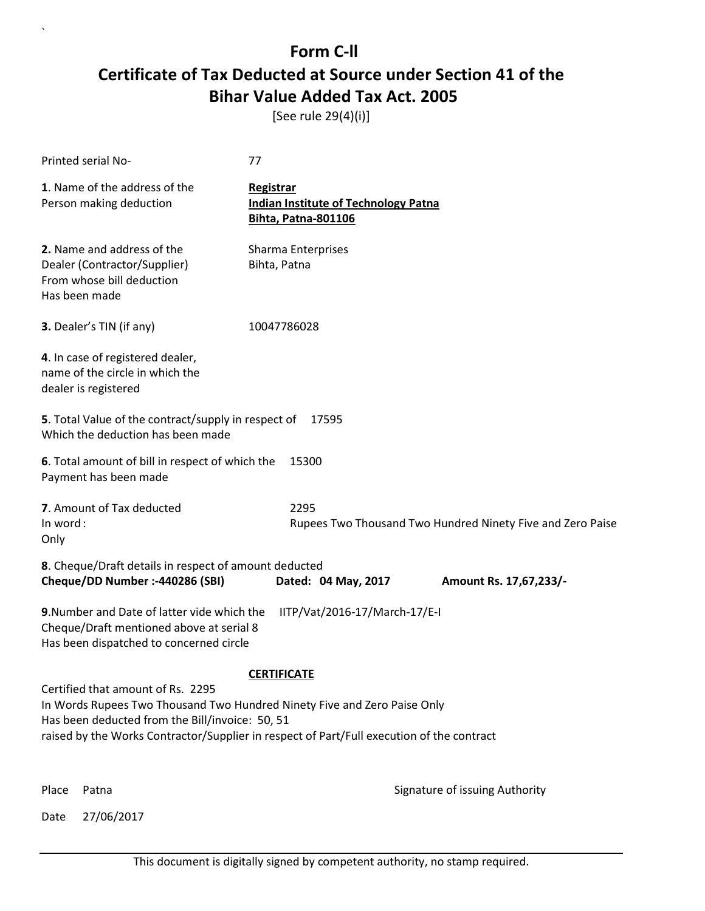[See rule 29(4)(i)]

| Printed serial No-                                                                                                                                               | 77                                                                                        |
|------------------------------------------------------------------------------------------------------------------------------------------------------------------|-------------------------------------------------------------------------------------------|
| 1. Name of the address of the<br>Person making deduction                                                                                                         | Registrar<br><b>Indian Institute of Technology Patna</b><br><b>Bihta, Patna-801106</b>    |
| 2. Name and address of the<br>Dealer (Contractor/Supplier)<br>From whose bill deduction<br>Has been made                                                         | Sharma Enterprises<br>Bihta, Patna                                                        |
| 3. Dealer's TIN (if any)                                                                                                                                         | 10047786028                                                                               |
| 4. In case of registered dealer,<br>name of the circle in which the<br>dealer is registered                                                                      |                                                                                           |
| 5. Total Value of the contract/supply in respect of<br>Which the deduction has been made                                                                         | 17595                                                                                     |
| 6. Total amount of bill in respect of which the<br>Payment has been made                                                                                         | 15300                                                                                     |
| 7. Amount of Tax deducted<br>In word:<br>Only                                                                                                                    | 2295<br>Rupees Two Thousand Two Hundred Ninety Five and Zero Paise                        |
| 8. Cheque/Draft details in respect of amount deducted<br>Cheque/DD Number :- 440286 (SBI)                                                                        | Dated: 04 May, 2017<br>Amount Rs. 17,67,233/-                                             |
| 9. Number and Date of latter vide which the<br>Cheque/Draft mentioned above at serial 8<br>Has been dispatched to concerned circle                               | IITP/Vat/2016-17/March-17/E-I                                                             |
|                                                                                                                                                                  | <b>CERTIFICATE</b>                                                                        |
| Certified that amount of Rs. 2295<br>In Words Rupees Two Thousand Two Hundred Ninety Five and Zero Paise Only<br>Has been deducted from the Bill/invoice: 50, 51 | raised by the Works Contractor/Supplier in respect of Part/Full execution of the contract |
| Place<br>Patna                                                                                                                                                   | Signature of issuing Authority                                                            |

Date 27/06/2017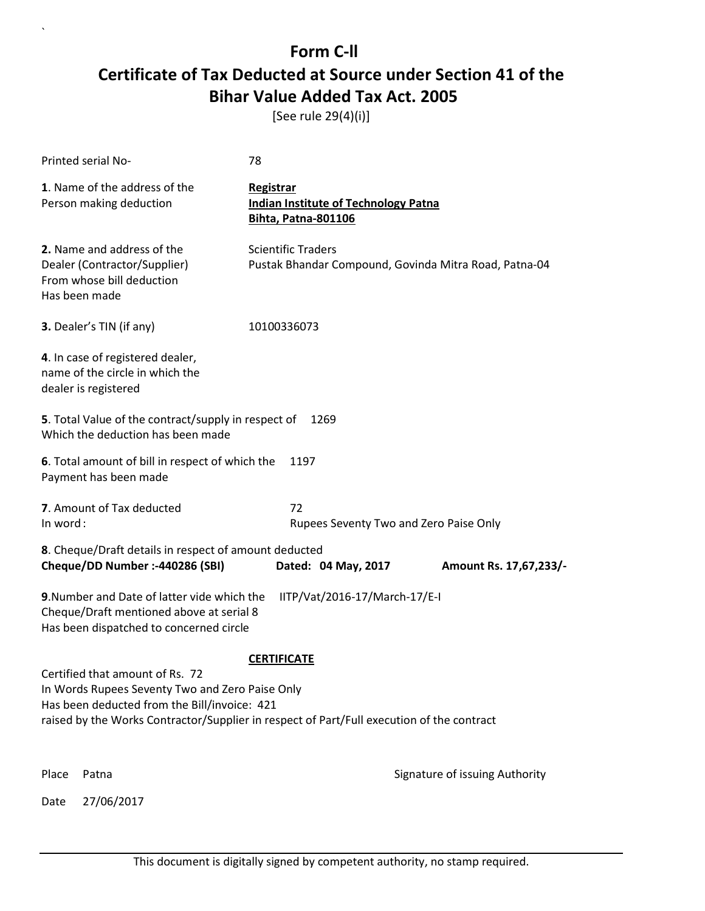[See rule 29(4)(i)]

|                                                                                           | <b>Printed serial No-</b>                                                                                                          | 78                                                                                     |                                |  |
|-------------------------------------------------------------------------------------------|------------------------------------------------------------------------------------------------------------------------------------|----------------------------------------------------------------------------------------|--------------------------------|--|
|                                                                                           | 1. Name of the address of the<br>Person making deduction                                                                           | Registrar<br><b>Indian Institute of Technology Patna</b><br><b>Bihta, Patna-801106</b> |                                |  |
|                                                                                           | 2. Name and address of the<br>Dealer (Contractor/Supplier)<br>From whose bill deduction<br>Has been made                           | <b>Scientific Traders</b><br>Pustak Bhandar Compound, Govinda Mitra Road, Patna-04     |                                |  |
|                                                                                           | 3. Dealer's TIN (if any)                                                                                                           | 10100336073                                                                            |                                |  |
|                                                                                           | 4. In case of registered dealer,<br>name of the circle in which the<br>dealer is registered                                        |                                                                                        |                                |  |
|                                                                                           | 5. Total Value of the contract/supply in respect of<br>Which the deduction has been made                                           | 1269                                                                                   |                                |  |
|                                                                                           | 6. Total amount of bill in respect of which the<br>Payment has been made                                                           | 1197                                                                                   |                                |  |
|                                                                                           | 7. Amount of Tax deducted                                                                                                          | 72                                                                                     |                                |  |
| In word:                                                                                  |                                                                                                                                    | Rupees Seventy Two and Zero Paise Only                                                 |                                |  |
|                                                                                           | 8. Cheque/Draft details in respect of amount deducted                                                                              |                                                                                        |                                |  |
|                                                                                           | Cheque/DD Number :- 440286 (SBI)                                                                                                   | Dated: 04 May, 2017                                                                    | Amount Rs. 17,67,233/-         |  |
|                                                                                           | 9. Number and Date of latter vide which the<br>Cheque/Draft mentioned above at serial 8<br>Has been dispatched to concerned circle | IITP/Vat/2016-17/March-17/E-I                                                          |                                |  |
|                                                                                           |                                                                                                                                    | <b>CERTIFICATE</b>                                                                     |                                |  |
|                                                                                           | Certified that amount of Rs. 72<br>In Words Rupees Seventy Two and Zero Paise Only                                                 |                                                                                        |                                |  |
|                                                                                           | Has been deducted from the Bill/invoice: 421                                                                                       |                                                                                        |                                |  |
| raised by the Works Contractor/Supplier in respect of Part/Full execution of the contract |                                                                                                                                    |                                                                                        |                                |  |
|                                                                                           |                                                                                                                                    |                                                                                        |                                |  |
| Place                                                                                     | Patna                                                                                                                              |                                                                                        | Signature of issuing Authority |  |
| Date                                                                                      | 27/06/2017                                                                                                                         |                                                                                        |                                |  |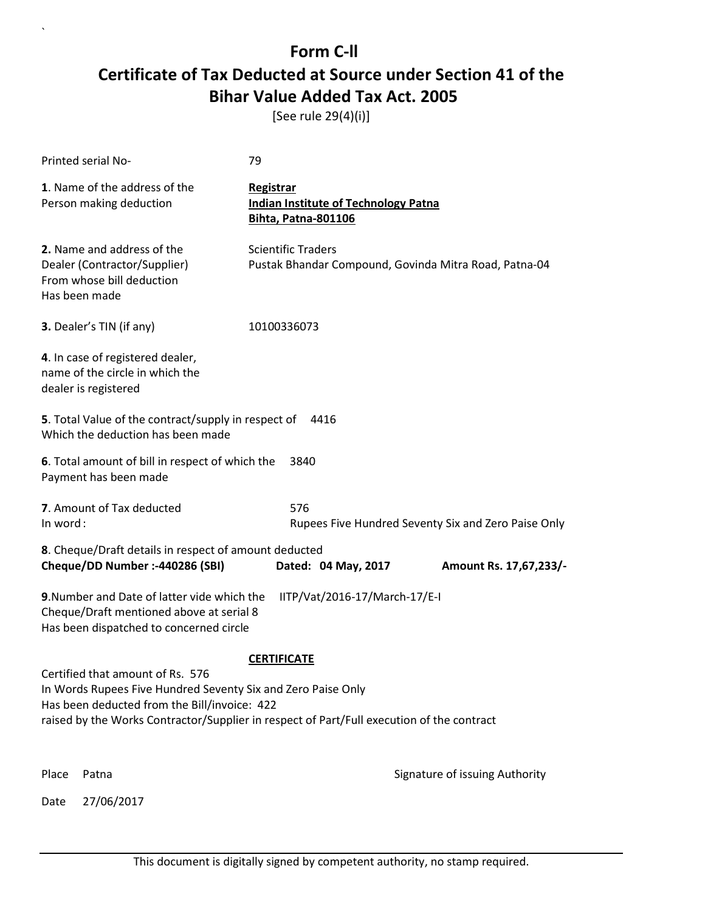[See rule 29(4)(i)]

|       | Printed serial No-                                                                                                                               | 79                                                                                        |                                |  |
|-------|--------------------------------------------------------------------------------------------------------------------------------------------------|-------------------------------------------------------------------------------------------|--------------------------------|--|
|       | 1. Name of the address of the<br>Person making deduction                                                                                         | Registrar<br><b>Indian Institute of Technology Patna</b><br>Bihta, Patna-801106           |                                |  |
|       | 2. Name and address of the<br>Dealer (Contractor/Supplier)<br>From whose bill deduction<br>Has been made                                         | <b>Scientific Traders</b><br>Pustak Bhandar Compound, Govinda Mitra Road, Patna-04        |                                |  |
|       | <b>3.</b> Dealer's TIN (if any)                                                                                                                  | 10100336073                                                                               |                                |  |
|       | 4. In case of registered dealer,<br>name of the circle in which the<br>dealer is registered                                                      |                                                                                           |                                |  |
|       | 5. Total Value of the contract/supply in respect of<br>Which the deduction has been made                                                         | 4416                                                                                      |                                |  |
|       | 6. Total amount of bill in respect of which the<br>Payment has been made                                                                         | 3840                                                                                      |                                |  |
|       | 7. Amount of Tax deducted<br>576<br>In word:<br>Rupees Five Hundred Seventy Six and Zero Paise Only                                              |                                                                                           |                                |  |
|       | 8. Cheque/Draft details in respect of amount deducted<br>Cheque/DD Number :- 440286 (SBI)                                                        | Dated: 04 May, 2017                                                                       | Amount Rs. 17,67,233/-         |  |
|       | 9. Number and Date of latter vide which the<br>Cheque/Draft mentioned above at serial 8<br>Has been dispatched to concerned circle               | IITP/Vat/2016-17/March-17/E-I                                                             |                                |  |
|       |                                                                                                                                                  | <b>CERTIFICATE</b>                                                                        |                                |  |
|       | Certified that amount of Rs. 576<br>In Words Rupees Five Hundred Seventy Six and Zero Paise Only<br>Has been deducted from the Bill/invoice: 422 | raised by the Works Contractor/Supplier in respect of Part/Full execution of the contract |                                |  |
| Place | Patna                                                                                                                                            |                                                                                           | Signature of issuing Authority |  |
| Date  | 27/06/2017                                                                                                                                       |                                                                                           |                                |  |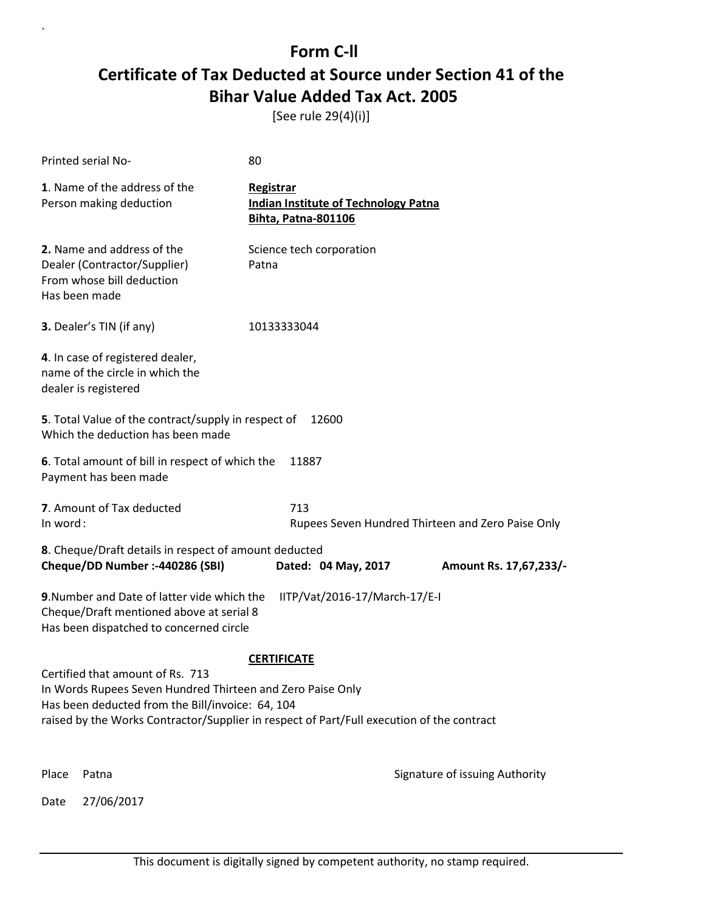[See rule 29(4)(i)]

|          | Printed serial No-                                                                                                                                                                                          | 80                                                                              |                                                   |
|----------|-------------------------------------------------------------------------------------------------------------------------------------------------------------------------------------------------------------|---------------------------------------------------------------------------------|---------------------------------------------------|
|          | 1. Name of the address of the<br>Person making deduction                                                                                                                                                    | Registrar<br><b>Indian Institute of Technology Patna</b><br>Bihta, Patna-801106 |                                                   |
|          | 2. Name and address of the<br>Dealer (Contractor/Supplier)<br>From whose bill deduction<br>Has been made                                                                                                    | Science tech corporation<br>Patna                                               |                                                   |
|          | 3. Dealer's TIN (if any)                                                                                                                                                                                    | 10133333044                                                                     |                                                   |
|          | 4. In case of registered dealer,<br>name of the circle in which the<br>dealer is registered                                                                                                                 |                                                                                 |                                                   |
|          | 5. Total Value of the contract/supply in respect of<br>Which the deduction has been made                                                                                                                    | 12600                                                                           |                                                   |
|          | 6. Total amount of bill in respect of which the<br>Payment has been made                                                                                                                                    | 11887                                                                           |                                                   |
| In word: | 7. Amount of Tax deducted                                                                                                                                                                                   | 713                                                                             | Rupees Seven Hundred Thirteen and Zero Paise Only |
|          | 8. Cheque/Draft details in respect of amount deducted<br>Cheque/DD Number :- 440286 (SBI)                                                                                                                   | Dated: 04 May, 2017                                                             | Amount Rs. 17,67,233/-                            |
|          | 9. Number and Date of latter vide which the<br>Cheque/Draft mentioned above at serial 8<br>Has been dispatched to concerned circle<br>Certified that amount of Rs. 713                                      | IITP/Vat/2016-17/March-17/E-I<br><b>CERTIFICATE</b>                             |                                                   |
|          | In Words Rupees Seven Hundred Thirteen and Zero Paise Only<br>Has been deducted from the Bill/invoice: 64, 104<br>raised by the Works Contractor/Supplier in respect of Part/Full execution of the contract |                                                                                 |                                                   |
| Place    | Patna                                                                                                                                                                                                       |                                                                                 | Signature of issuing Authority                    |
| Date     | 27/06/2017                                                                                                                                                                                                  |                                                                                 |                                                   |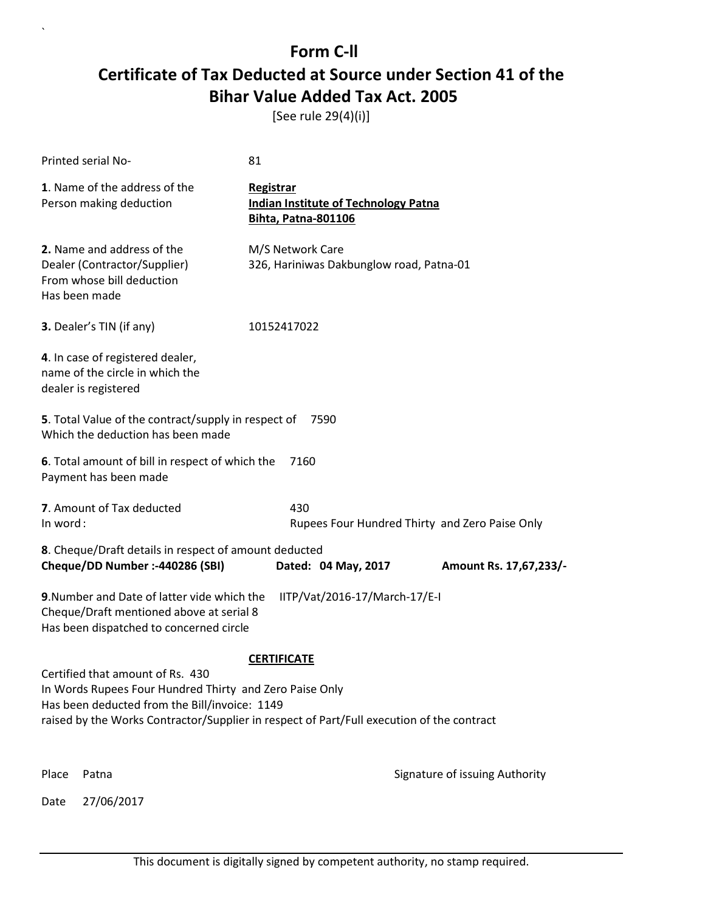[See rule 29(4)(i)]

|          | Printed serial No-                                                                                                                                                                                                                        | 81                                                                                     |                                                |  |
|----------|-------------------------------------------------------------------------------------------------------------------------------------------------------------------------------------------------------------------------------------------|----------------------------------------------------------------------------------------|------------------------------------------------|--|
|          | 1. Name of the address of the<br>Person making deduction                                                                                                                                                                                  | Registrar<br><b>Indian Institute of Technology Patna</b><br><b>Bihta, Patna-801106</b> |                                                |  |
|          | 2. Name and address of the<br>Dealer (Contractor/Supplier)<br>From whose bill deduction<br>Has been made                                                                                                                                  | M/S Network Care<br>326, Hariniwas Dakbunglow road, Patna-01                           |                                                |  |
|          | 3. Dealer's TIN (if any)                                                                                                                                                                                                                  | 10152417022                                                                            |                                                |  |
|          | 4. In case of registered dealer,<br>name of the circle in which the<br>dealer is registered                                                                                                                                               |                                                                                        |                                                |  |
|          | 5. Total Value of the contract/supply in respect of<br>Which the deduction has been made                                                                                                                                                  | 7590                                                                                   |                                                |  |
|          | 6. Total amount of bill in respect of which the<br>Payment has been made                                                                                                                                                                  | 7160                                                                                   |                                                |  |
| In word: | 7. Amount of Tax deducted                                                                                                                                                                                                                 | 430                                                                                    | Rupees Four Hundred Thirty and Zero Paise Only |  |
|          | 8. Cheque/Draft details in respect of amount deducted<br>Cheque/DD Number :- 440286 (SBI)                                                                                                                                                 | Dated: 04 May, 2017                                                                    | Amount Rs. 17,67,233/-                         |  |
|          | 9. Number and Date of latter vide which the<br>Cheque/Draft mentioned above at serial 8<br>Has been dispatched to concerned circle                                                                                                        | IITP/Vat/2016-17/March-17/E-I                                                          |                                                |  |
|          |                                                                                                                                                                                                                                           | <b>CERTIFICATE</b>                                                                     |                                                |  |
|          | Certified that amount of Rs. 430<br>In Words Rupees Four Hundred Thirty and Zero Paise Only<br>Has been deducted from the Bill/invoice: 1149<br>raised by the Works Contractor/Supplier in respect of Part/Full execution of the contract |                                                                                        |                                                |  |
| Place    | Patna                                                                                                                                                                                                                                     |                                                                                        | Signature of issuing Authority                 |  |
| Date     | 27/06/2017                                                                                                                                                                                                                                |                                                                                        |                                                |  |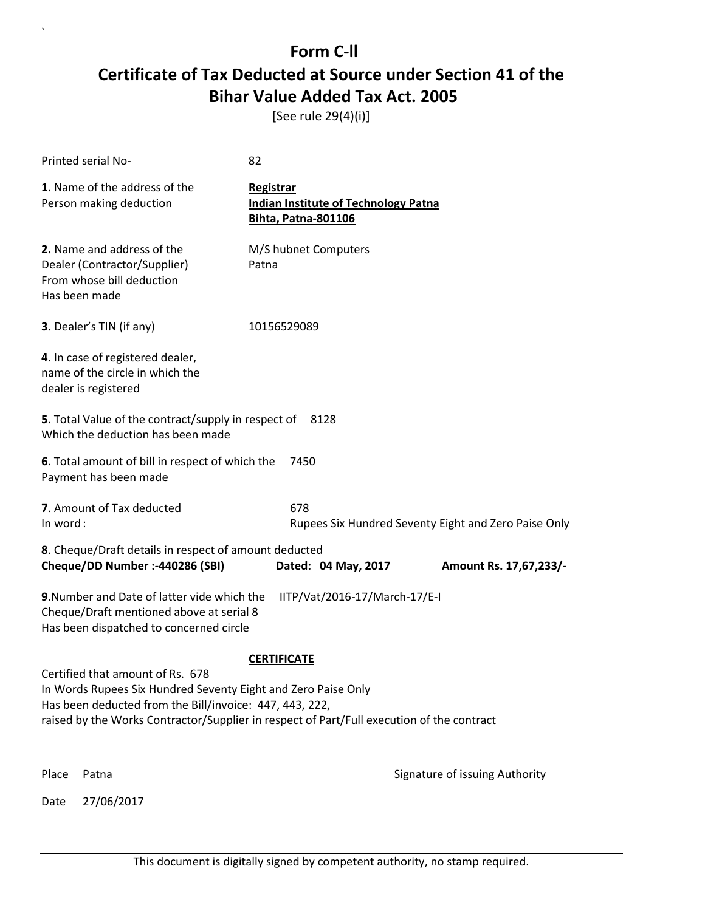[See rule 29(4)(i)]

| Printed serial No-                                                                                                                                                  | 82                                                                                     |                                                      |  |  |
|---------------------------------------------------------------------------------------------------------------------------------------------------------------------|----------------------------------------------------------------------------------------|------------------------------------------------------|--|--|
| 1. Name of the address of the<br>Person making deduction                                                                                                            | Registrar<br><b>Indian Institute of Technology Patna</b><br><b>Bihta, Patna-801106</b> |                                                      |  |  |
| 2. Name and address of the<br>Dealer (Contractor/Supplier)<br>From whose bill deduction<br>Has been made                                                            | M/S hubnet Computers<br>Patna                                                          |                                                      |  |  |
| 3. Dealer's TIN (if any)                                                                                                                                            | 10156529089                                                                            |                                                      |  |  |
| 4. In case of registered dealer,<br>name of the circle in which the<br>dealer is registered                                                                         |                                                                                        |                                                      |  |  |
| 5. Total Value of the contract/supply in respect of<br>Which the deduction has been made                                                                            | 8128                                                                                   |                                                      |  |  |
| 6. Total amount of bill in respect of which the<br>Payment has been made                                                                                            | 7450                                                                                   |                                                      |  |  |
| 7. Amount of Tax deducted<br>In word:                                                                                                                               | 678                                                                                    | Rupees Six Hundred Seventy Eight and Zero Paise Only |  |  |
| 8. Cheque/Draft details in respect of amount deducted                                                                                                               |                                                                                        |                                                      |  |  |
| Cheque/DD Number :- 440286 (SBI)                                                                                                                                    | Dated: 04 May, 2017                                                                    | Amount Rs. 17,67,233/-                               |  |  |
| 9. Number and Date of latter vide which the<br>IITP/Vat/2016-17/March-17/E-I<br>Cheque/Draft mentioned above at serial 8<br>Has been dispatched to concerned circle |                                                                                        |                                                      |  |  |
| <b>CERTIFICATE</b>                                                                                                                                                  |                                                                                        |                                                      |  |  |
| Certified that amount of Rs. 678<br>In Words Rupees Six Hundred Seventy Eight and Zero Paise Only                                                                   |                                                                                        |                                                      |  |  |
| Has been deducted from the Bill/invoice: 447, 443, 222,<br>raised by the Works Contractor/Supplier in respect of Part/Full execution of the contract                |                                                                                        |                                                      |  |  |
|                                                                                                                                                                     |                                                                                        |                                                      |  |  |
| Place<br>Patna                                                                                                                                                      |                                                                                        | Signature of issuing Authority                       |  |  |
| 27/06/2017<br>Date                                                                                                                                                  |                                                                                        |                                                      |  |  |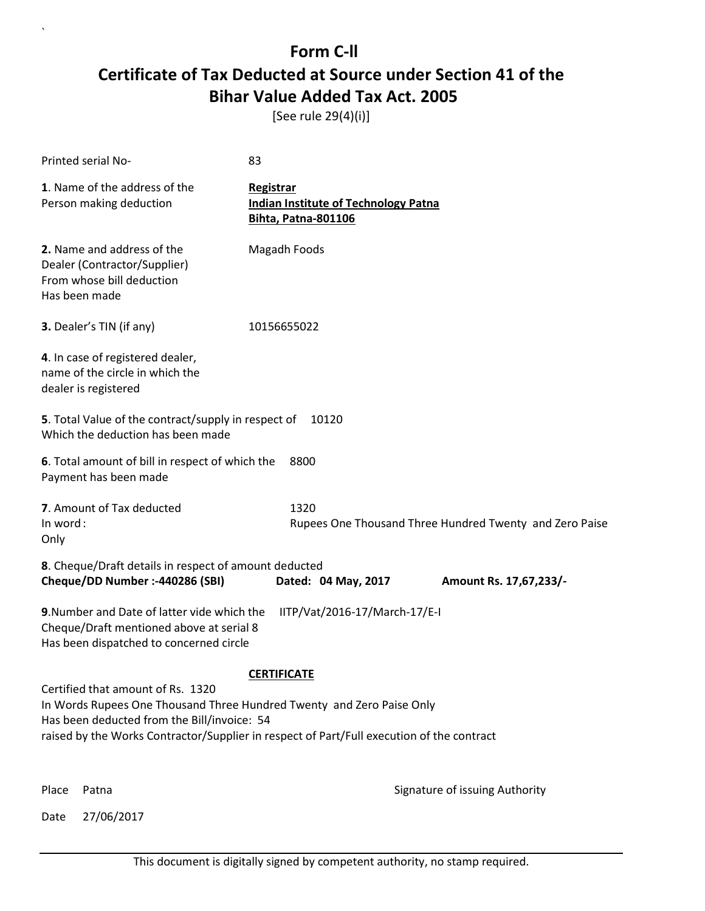[See rule 29(4)(i)]

| Printed serial No-                                                                                                                                        | 83                                                                                                              |
|-----------------------------------------------------------------------------------------------------------------------------------------------------------|-----------------------------------------------------------------------------------------------------------------|
| 1. Name of the address of the<br>Person making deduction                                                                                                  | Registrar<br><b>Indian Institute of Technology Patna</b><br><b>Bihta, Patna-801106</b>                          |
| 2. Name and address of the<br>Dealer (Contractor/Supplier)<br>From whose bill deduction<br>Has been made                                                  | Magadh Foods                                                                                                    |
| 3. Dealer's TIN (if any)                                                                                                                                  | 10156655022                                                                                                     |
| 4. In case of registered dealer,<br>name of the circle in which the<br>dealer is registered                                                               |                                                                                                                 |
| 5. Total Value of the contract/supply in respect of<br>Which the deduction has been made                                                                  | 10120                                                                                                           |
| 6. Total amount of bill in respect of which the<br>Payment has been made                                                                                  | 8800                                                                                                            |
| 7. Amount of Tax deducted<br>In word:<br>Only                                                                                                             | 1320<br>Rupees One Thousand Three Hundred Twenty and Zero Paise                                                 |
| 8. Cheque/Draft details in respect of amount deducted<br>Cheque/DD Number :- 440286 (SBI)                                                                 | Dated: 04 May, 2017<br>Amount Rs. 17,67,233/-                                                                   |
| 9. Number and Date of latter vide which the<br>Cheque/Draft mentioned above at serial 8<br>Has been dispatched to concerned circle                        | IITP/Vat/2016-17/March-17/E-I                                                                                   |
| Certified that amount of Rs. 1320<br>In Words Rupees One Thousand Three Hundred Twenty and Zero Paise Only<br>Has been deducted from the Bill/invoice: 54 | <b>CERTIFICATE</b><br>raised by the Works Contractor/Supplier in respect of Part/Full execution of the contract |

Place Patna **Property** Place Patna Signature of issuing Authority

Date 27/06/2017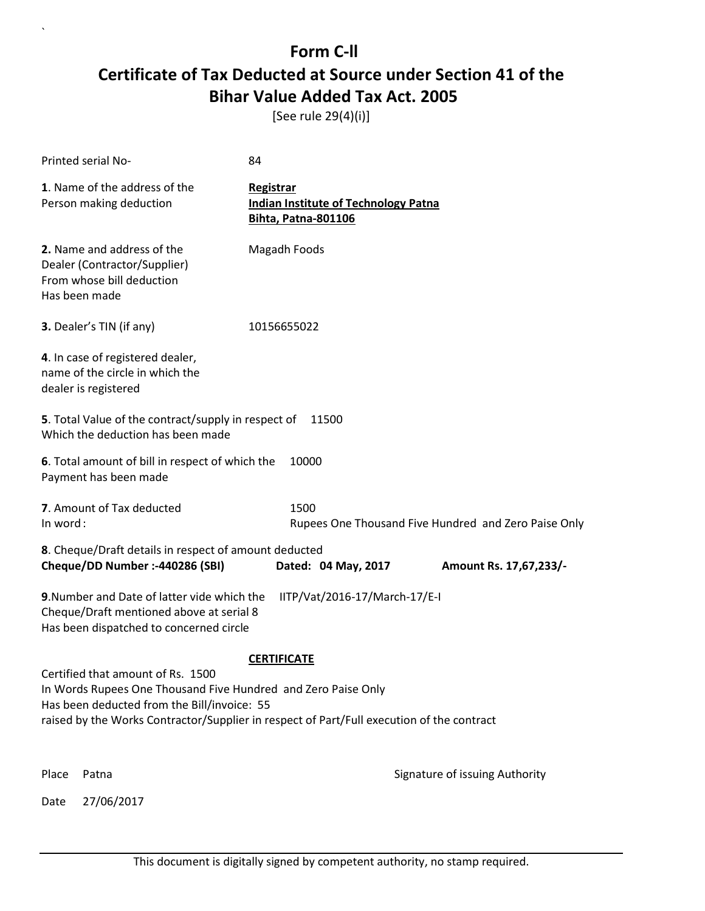[See rule 29(4)(i)]

|                                                                                                                                                                                                                                                | Printed serial No-                                                                                       | 84                                      |                                             |                                                      |
|------------------------------------------------------------------------------------------------------------------------------------------------------------------------------------------------------------------------------------------------|----------------------------------------------------------------------------------------------------------|-----------------------------------------|---------------------------------------------|------------------------------------------------------|
|                                                                                                                                                                                                                                                | 1. Name of the address of the<br>Person making deduction                                                 | Registrar<br><b>Bihta, Patna-801106</b> | <b>Indian Institute of Technology Patna</b> |                                                      |
|                                                                                                                                                                                                                                                | 2. Name and address of the<br>Dealer (Contractor/Supplier)<br>From whose bill deduction<br>Has been made | Magadh Foods                            |                                             |                                                      |
|                                                                                                                                                                                                                                                | <b>3.</b> Dealer's TIN (if any)                                                                          | 10156655022                             |                                             |                                                      |
|                                                                                                                                                                                                                                                | 4. In case of registered dealer,<br>name of the circle in which the<br>dealer is registered              |                                         |                                             |                                                      |
|                                                                                                                                                                                                                                                | 5. Total Value of the contract/supply in respect of<br>Which the deduction has been made                 |                                         | 11500                                       |                                                      |
|                                                                                                                                                                                                                                                | 6. Total amount of bill in respect of which the<br>Payment has been made                                 | 10000                                   |                                             |                                                      |
| In word:                                                                                                                                                                                                                                       | 7. Amount of Tax deducted                                                                                | 1500                                    |                                             | Rupees One Thousand Five Hundred and Zero Paise Only |
|                                                                                                                                                                                                                                                | 8. Cheque/Draft details in respect of amount deducted<br>Cheque/DD Number :- 440286 (SBI)                |                                         | Dated: 04 May, 2017                         | Amount Rs. 17,67,233/-                               |
|                                                                                                                                                                                                                                                |                                                                                                          |                                         |                                             |                                                      |
| 9. Number and Date of latter vide which the<br>IITP/Vat/2016-17/March-17/E-I<br>Cheque/Draft mentioned above at serial 8<br>Has been dispatched to concerned circle                                                                            |                                                                                                          |                                         |                                             |                                                      |
|                                                                                                                                                                                                                                                |                                                                                                          | <b>CERTIFICATE</b>                      |                                             |                                                      |
| Certified that amount of Rs. 1500<br>In Words Rupees One Thousand Five Hundred and Zero Paise Only<br>Has been deducted from the Bill/invoice: 55<br>raised by the Works Contractor/Supplier in respect of Part/Full execution of the contract |                                                                                                          |                                         |                                             |                                                      |
|                                                                                                                                                                                                                                                |                                                                                                          |                                         |                                             |                                                      |
| Place                                                                                                                                                                                                                                          | Patna                                                                                                    |                                         |                                             | Signature of issuing Authority                       |
| Date                                                                                                                                                                                                                                           | 27/06/2017                                                                                               |                                         |                                             |                                                      |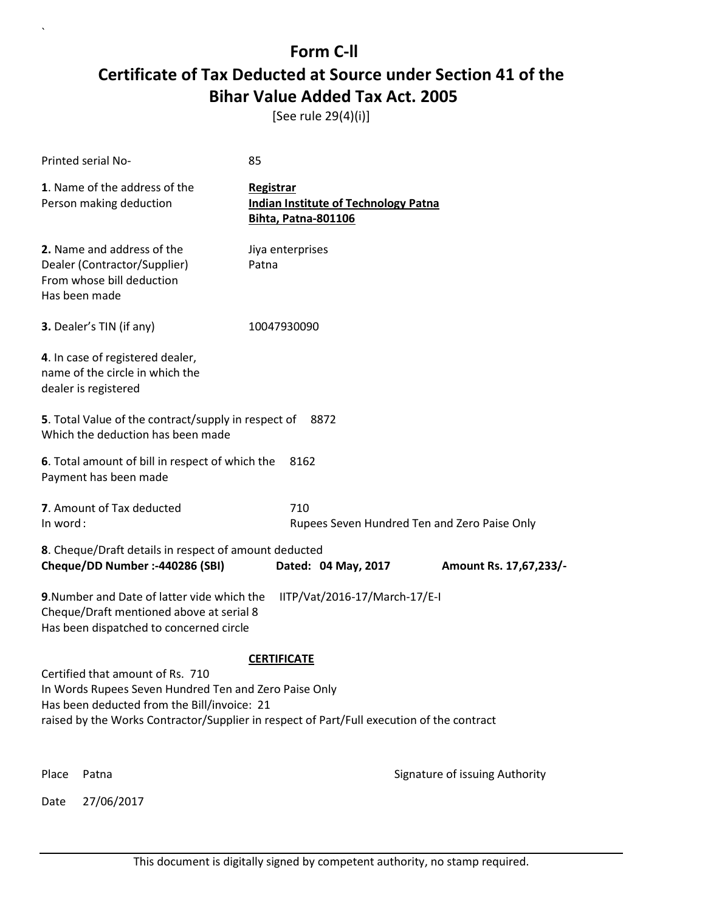[See rule 29(4)(i)]

|          | Printed serial No-                                                                                                                                                                                                                    | 85                                                                                     |                                              |
|----------|---------------------------------------------------------------------------------------------------------------------------------------------------------------------------------------------------------------------------------------|----------------------------------------------------------------------------------------|----------------------------------------------|
|          | 1. Name of the address of the<br>Person making deduction                                                                                                                                                                              | Registrar<br><b>Indian Institute of Technology Patna</b><br><b>Bihta, Patna-801106</b> |                                              |
|          | 2. Name and address of the<br>Dealer (Contractor/Supplier)<br>From whose bill deduction<br>Has been made                                                                                                                              | Jiya enterprises<br>Patna                                                              |                                              |
|          | 3. Dealer's TIN (if any)                                                                                                                                                                                                              | 10047930090                                                                            |                                              |
|          | 4. In case of registered dealer,<br>name of the circle in which the<br>dealer is registered                                                                                                                                           |                                                                                        |                                              |
|          | <b>5</b> . Total Value of the contract/supply in respect of<br>Which the deduction has been made                                                                                                                                      | 8872                                                                                   |                                              |
|          | 6. Total amount of bill in respect of which the<br>Payment has been made                                                                                                                                                              | 8162                                                                                   |                                              |
| In word: | 7. Amount of Tax deducted                                                                                                                                                                                                             | 710                                                                                    | Rupees Seven Hundred Ten and Zero Paise Only |
|          | 8. Cheque/Draft details in respect of amount deducted<br>Cheque/DD Number :- 440286 (SBI)                                                                                                                                             | Dated: 04 May, 2017                                                                    | Amount Rs. 17,67,233/-                       |
|          | 9. Number and Date of latter vide which the<br>Cheque/Draft mentioned above at serial 8<br>Has been dispatched to concerned circle                                                                                                    | IITP/Vat/2016-17/March-17/E-I                                                          |                                              |
|          |                                                                                                                                                                                                                                       | <b>CERTIFICATE</b>                                                                     |                                              |
|          | Certified that amount of Rs. 710<br>In Words Rupees Seven Hundred Ten and Zero Paise Only<br>Has been deducted from the Bill/invoice: 21<br>raised by the Works Contractor/Supplier in respect of Part/Full execution of the contract |                                                                                        |                                              |
| Place    | Patna                                                                                                                                                                                                                                 |                                                                                        | Signature of issuing Authority               |
| Date     | 27/06/2017                                                                                                                                                                                                                            |                                                                                        |                                              |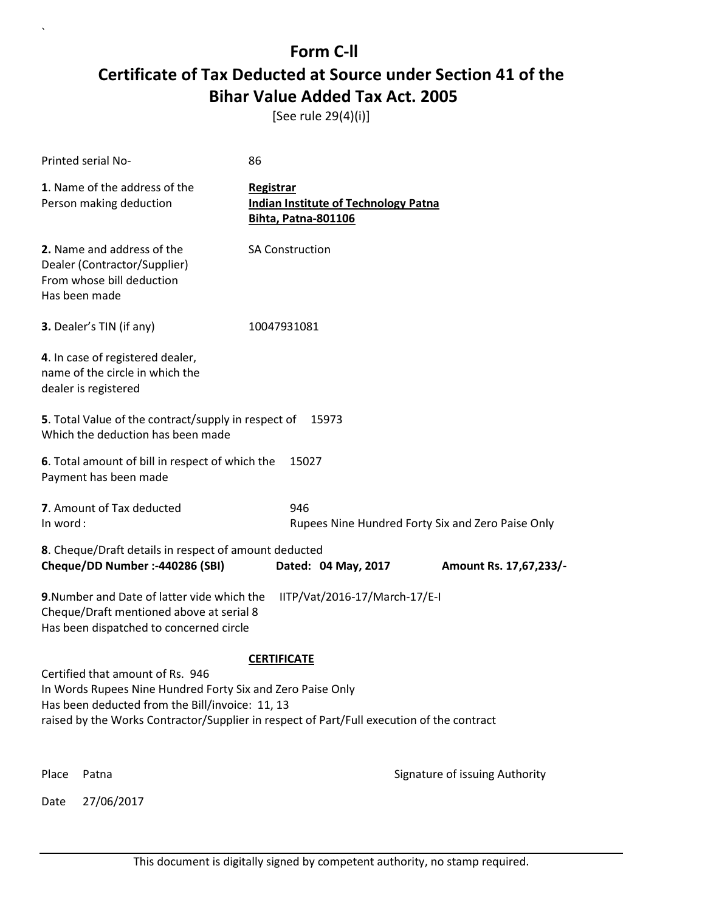[See rule 29(4)(i)]

|          | Printed serial No-                                                                                                                 | 86                                                                                     |                                                   |
|----------|------------------------------------------------------------------------------------------------------------------------------------|----------------------------------------------------------------------------------------|---------------------------------------------------|
|          | 1. Name of the address of the<br>Person making deduction                                                                           | Registrar<br><b>Indian Institute of Technology Patna</b><br><b>Bihta, Patna-801106</b> |                                                   |
|          | 2. Name and address of the<br>Dealer (Contractor/Supplier)<br>From whose bill deduction<br>Has been made                           | <b>SA Construction</b>                                                                 |                                                   |
|          | <b>3.</b> Dealer's TIN (if any)                                                                                                    | 10047931081                                                                            |                                                   |
|          | 4. In case of registered dealer,<br>name of the circle in which the<br>dealer is registered                                        |                                                                                        |                                                   |
|          | 5. Total Value of the contract/supply in respect of<br>Which the deduction has been made                                           | 15973                                                                                  |                                                   |
|          | 6. Total amount of bill in respect of which the<br>Payment has been made                                                           | 15027                                                                                  |                                                   |
| In word: | 7. Amount of Tax deducted                                                                                                          | 946                                                                                    | Rupees Nine Hundred Forty Six and Zero Paise Only |
|          | 8. Cheque/Draft details in respect of amount deducted                                                                              |                                                                                        |                                                   |
|          | Cheque/DD Number :- 440286 (SBI)                                                                                                   | Dated: 04 May, 2017                                                                    | Amount Rs. 17,67,233/-                            |
|          | 9. Number and Date of latter vide which the<br>Cheque/Draft mentioned above at serial 8<br>Has been dispatched to concerned circle | IITP/Vat/2016-17/March-17/E-I                                                          |                                                   |
|          |                                                                                                                                    | <b>CERTIFICATE</b>                                                                     |                                                   |
|          | Certified that amount of Rs. 946<br>In Words Rupees Nine Hundred Forty Six and Zero Paise Only                                     |                                                                                        |                                                   |
|          | Has been deducted from the Bill/invoice: 11, 13                                                                                    |                                                                                        |                                                   |
|          | raised by the Works Contractor/Supplier in respect of Part/Full execution of the contract                                          |                                                                                        |                                                   |
| Place    | Patna                                                                                                                              |                                                                                        | Signature of issuing Authority                    |
| Date     | 27/06/2017                                                                                                                         |                                                                                        |                                                   |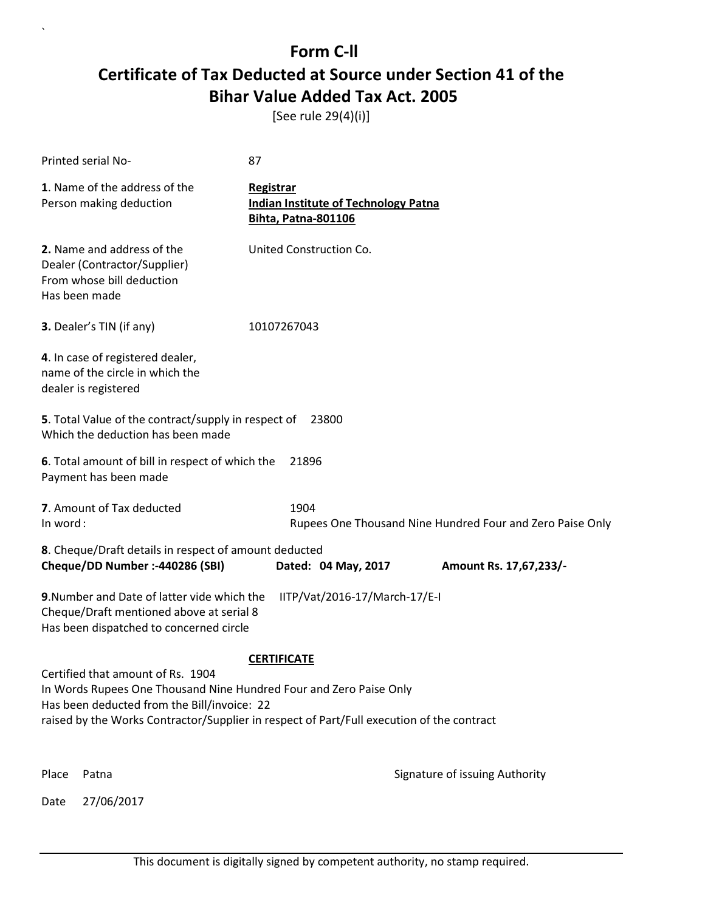[See rule 29(4)(i)]

| Printed serial No-                                                                                                                                                                                                                                  | 87                                                                                            |  |
|-----------------------------------------------------------------------------------------------------------------------------------------------------------------------------------------------------------------------------------------------------|-----------------------------------------------------------------------------------------------|--|
| 1. Name of the address of the<br>Person making deduction                                                                                                                                                                                            | <b>Registrar</b><br><b>Indian Institute of Technology Patna</b><br><b>Bihta, Patna-801106</b> |  |
| 2. Name and address of the<br>Dealer (Contractor/Supplier)<br>From whose bill deduction<br>Has been made                                                                                                                                            | United Construction Co.                                                                       |  |
| 3. Dealer's TIN (if any)                                                                                                                                                                                                                            | 10107267043                                                                                   |  |
| 4. In case of registered dealer,<br>name of the circle in which the<br>dealer is registered                                                                                                                                                         |                                                                                               |  |
| 5. Total Value of the contract/supply in respect of<br>Which the deduction has been made                                                                                                                                                            | 23800                                                                                         |  |
| 6. Total amount of bill in respect of which the<br>Payment has been made                                                                                                                                                                            | 21896                                                                                         |  |
| 7. Amount of Tax deducted<br>In word:                                                                                                                                                                                                               | 1904<br>Rupees One Thousand Nine Hundred Four and Zero Paise Only                             |  |
| 8. Cheque/Draft details in respect of amount deducted<br>Cheque/DD Number :- 440286 (SBI)<br>Dated: 04 May, 2017<br>Amount Rs. 17,67,233/-                                                                                                          |                                                                                               |  |
| 9. Number and Date of latter vide which the<br>IITP/Vat/2016-17/March-17/E-I<br>Cheque/Draft mentioned above at serial 8<br>Has been dispatched to concerned circle                                                                                 |                                                                                               |  |
| <b>CERTIFICATE</b>                                                                                                                                                                                                                                  |                                                                                               |  |
| Certified that amount of Rs. 1904<br>In Words Rupees One Thousand Nine Hundred Four and Zero Paise Only<br>Has been deducted from the Bill/invoice: 22<br>raised by the Works Contractor/Supplier in respect of Part/Full execution of the contract |                                                                                               |  |
|                                                                                                                                                                                                                                                     |                                                                                               |  |
| Place<br>Patna<br>27/06/2017<br>Date                                                                                                                                                                                                                | Signature of issuing Authority                                                                |  |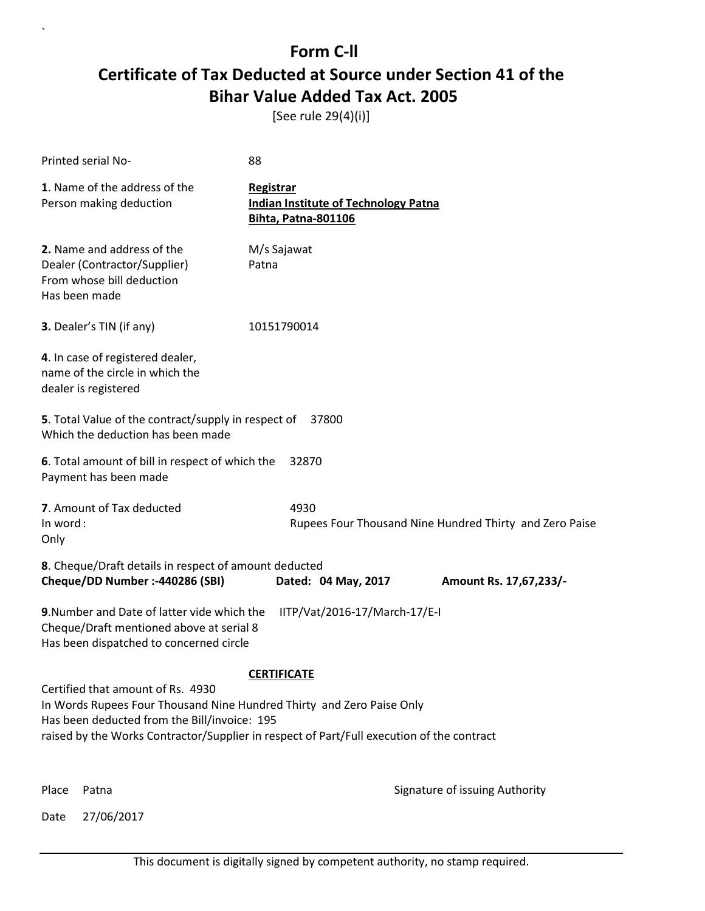[See rule 29(4)(i)]

| Printed serial No-                                                                                                                                                                                                                                      | 88                                                                              |                                                         |
|---------------------------------------------------------------------------------------------------------------------------------------------------------------------------------------------------------------------------------------------------------|---------------------------------------------------------------------------------|---------------------------------------------------------|
| 1. Name of the address of the<br>Person making deduction                                                                                                                                                                                                | Registrar<br><b>Indian Institute of Technology Patna</b><br>Bihta, Patna-801106 |                                                         |
| 2. Name and address of the<br>Dealer (Contractor/Supplier)<br>From whose bill deduction<br>Has been made                                                                                                                                                | M/s Sajawat<br>Patna                                                            |                                                         |
| 3. Dealer's TIN (if any)                                                                                                                                                                                                                                | 10151790014                                                                     |                                                         |
| 4. In case of registered dealer,<br>name of the circle in which the<br>dealer is registered                                                                                                                                                             |                                                                                 |                                                         |
| 5. Total Value of the contract/supply in respect of<br>Which the deduction has been made                                                                                                                                                                | 37800                                                                           |                                                         |
| 6. Total amount of bill in respect of which the<br>Payment has been made                                                                                                                                                                                | 32870                                                                           |                                                         |
| 7. Amount of Tax deducted<br>In word:<br>Only                                                                                                                                                                                                           | 4930                                                                            | Rupees Four Thousand Nine Hundred Thirty and Zero Paise |
| 8. Cheque/Draft details in respect of amount deducted<br>Cheque/DD Number :- 440286 (SBI)                                                                                                                                                               | Dated: 04 May, 2017                                                             | Amount Rs. 17,67,233/-                                  |
| 9. Number and Date of latter vide which the<br>Cheque/Draft mentioned above at serial 8<br>Has been dispatched to concerned circle                                                                                                                      | IITP/Vat/2016-17/March-17/E-I                                                   |                                                         |
|                                                                                                                                                                                                                                                         | <b>CERTIFICATE</b>                                                              |                                                         |
| Certified that amount of Rs. 4930<br>In Words Rupees Four Thousand Nine Hundred Thirty and Zero Paise Only<br>Has been deducted from the Bill/invoice: 195<br>raised by the Works Contractor/Supplier in respect of Part/Full execution of the contract |                                                                                 |                                                         |
| Place<br>Patna                                                                                                                                                                                                                                          |                                                                                 | Signature of issuing Authority                          |

Date 27/06/2017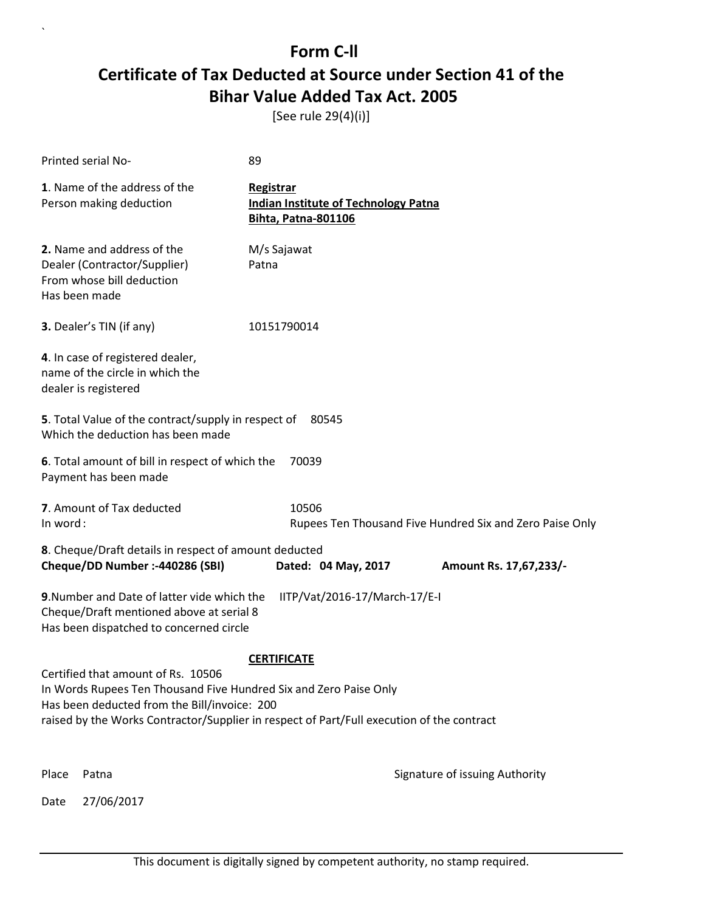[See rule 29(4)(i)]

| Printed serial No-                                                                                                                                                  | 89                                                                                        |  |
|---------------------------------------------------------------------------------------------------------------------------------------------------------------------|-------------------------------------------------------------------------------------------|--|
| 1. Name of the address of the<br>Person making deduction                                                                                                            | <b>Registrar</b><br><b>Indian Institute of Technology Patna</b><br>Bihta, Patna-801106    |  |
| 2. Name and address of the<br>Dealer (Contractor/Supplier)<br>From whose bill deduction<br>Has been made                                                            | M/s Sajawat<br>Patna                                                                      |  |
| 3. Dealer's TIN (if any)                                                                                                                                            | 10151790014                                                                               |  |
| 4. In case of registered dealer,<br>name of the circle in which the<br>dealer is registered                                                                         |                                                                                           |  |
| 5. Total Value of the contract/supply in respect of<br>80545<br>Which the deduction has been made                                                                   |                                                                                           |  |
| 6. Total amount of bill in respect of which the<br>Payment has been made                                                                                            | 70039                                                                                     |  |
| 7. Amount of Tax deducted<br>10506<br>In word:<br>Rupees Ten Thousand Five Hundred Six and Zero Paise Only                                                          |                                                                                           |  |
| 8. Cheque/Draft details in respect of amount deducted                                                                                                               |                                                                                           |  |
| Cheque/DD Number :- 440286 (SBI)                                                                                                                                    | Dated: 04 May, 2017<br>Amount Rs. 17,67,233/-                                             |  |
| IITP/Vat/2016-17/March-17/E-I<br>9. Number and Date of latter vide which the<br>Cheque/Draft mentioned above at serial 8<br>Has been dispatched to concerned circle |                                                                                           |  |
|                                                                                                                                                                     | <b>CERTIFICATE</b>                                                                        |  |
| Certified that amount of Rs. 10506                                                                                                                                  |                                                                                           |  |
| In Words Rupees Ten Thousand Five Hundred Six and Zero Paise Only<br>Has been deducted from the Bill/invoice: 200                                                   |                                                                                           |  |
|                                                                                                                                                                     | raised by the Works Contractor/Supplier in respect of Part/Full execution of the contract |  |
| Place<br>Patna                                                                                                                                                      | Signature of issuing Authority                                                            |  |
| 27/06/2017<br>Date                                                                                                                                                  |                                                                                           |  |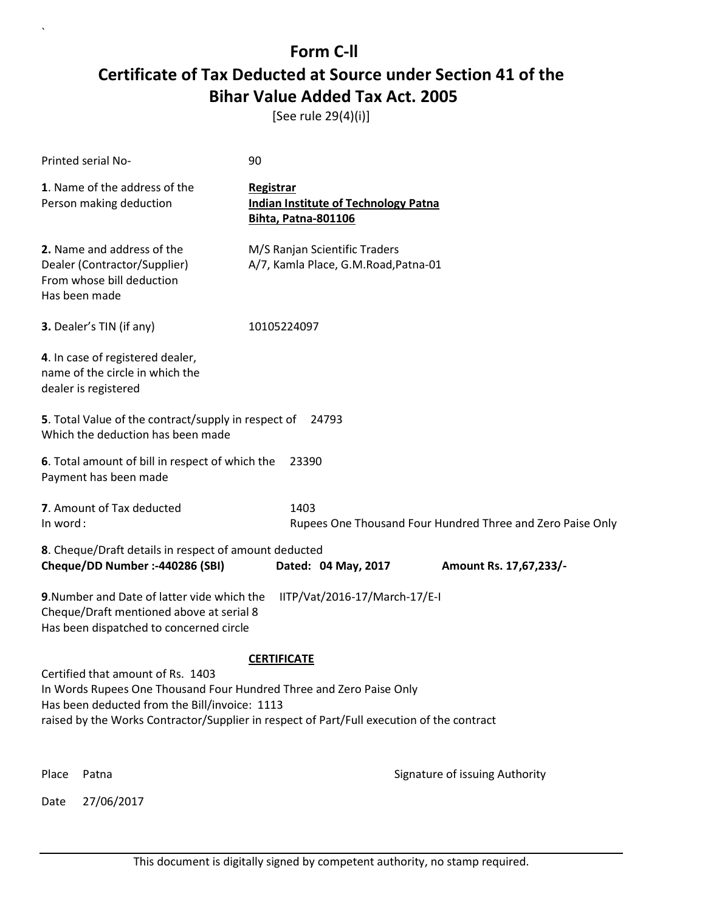[See rule 29(4)(i)]

| Printed serial No-                                                                                                                                                                                                                                                           | 90               |                                                                           |                                                            |  |
|------------------------------------------------------------------------------------------------------------------------------------------------------------------------------------------------------------------------------------------------------------------------------|------------------|---------------------------------------------------------------------------|------------------------------------------------------------|--|
| 1. Name of the address of the<br>Person making deduction                                                                                                                                                                                                                     | <b>Registrar</b> | <b>Indian Institute of Technology Patna</b><br><b>Bihta, Patna-801106</b> |                                                            |  |
| 2. Name and address of the<br>Dealer (Contractor/Supplier)<br>From whose bill deduction<br>Has been made                                                                                                                                                                     |                  | M/S Ranjan Scientific Traders<br>A/7, Kamla Place, G.M.Road, Patna-01     |                                                            |  |
| 3. Dealer's TIN (if any)                                                                                                                                                                                                                                                     | 10105224097      |                                                                           |                                                            |  |
| 4. In case of registered dealer,<br>name of the circle in which the<br>dealer is registered                                                                                                                                                                                  |                  |                                                                           |                                                            |  |
| 5. Total Value of the contract/supply in respect of<br>Which the deduction has been made                                                                                                                                                                                     |                  | 24793                                                                     |                                                            |  |
| 6. Total amount of bill in respect of which the<br>Payment has been made                                                                                                                                                                                                     |                  | 23390                                                                     |                                                            |  |
| 7. Amount of Tax deducted<br>In word:                                                                                                                                                                                                                                        |                  | 1403                                                                      | Rupees One Thousand Four Hundred Three and Zero Paise Only |  |
| 8. Cheque/Draft details in respect of amount deducted<br>Cheque/DD Number :- 440286 (SBI)<br>Dated: 04 May, 2017<br>Amount Rs. 17,67,233/-                                                                                                                                   |                  |                                                                           |                                                            |  |
| 9. Number and Date of latter vide which the<br>IITP/Vat/2016-17/March-17/E-I<br>Cheque/Draft mentioned above at serial 8<br>Has been dispatched to concerned circle                                                                                                          |                  |                                                                           |                                                            |  |
| <b>CERTIFICATE</b><br>Certified that amount of Rs. 1403<br>In Words Rupees One Thousand Four Hundred Three and Zero Paise Only<br>Has been deducted from the Bill/invoice: 1113<br>raised by the Works Contractor/Supplier in respect of Part/Full execution of the contract |                  |                                                                           |                                                            |  |
| Place<br>Patna                                                                                                                                                                                                                                                               |                  |                                                                           | Signature of issuing Authority                             |  |
| 27/06/2017<br>Date                                                                                                                                                                                                                                                           |                  |                                                                           |                                                            |  |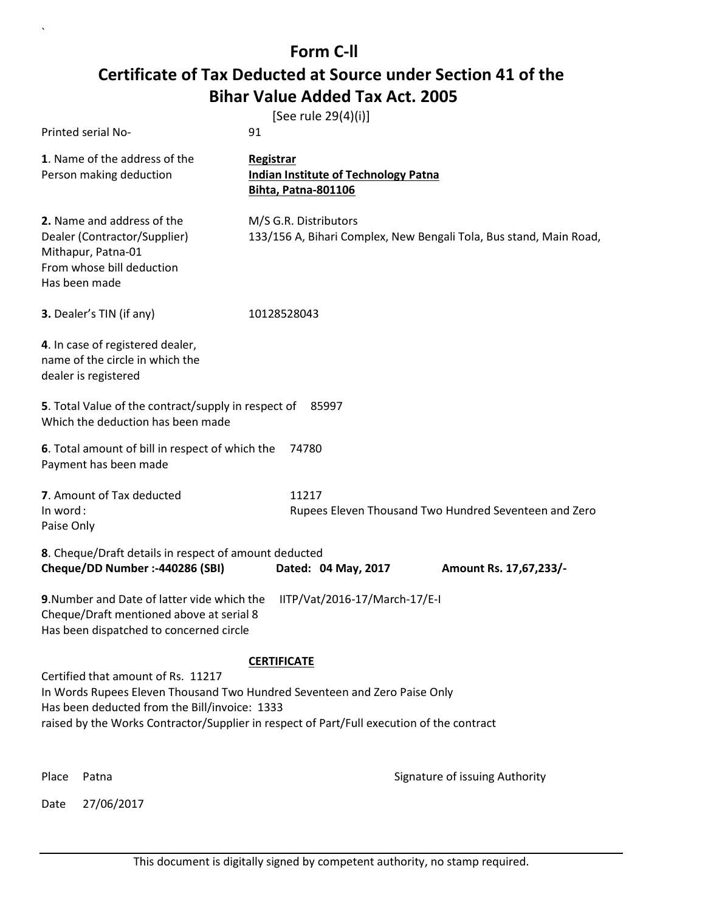|                                                                                                                                    | [See rule 29(4)(i)]                                                                                                                                                                          |
|------------------------------------------------------------------------------------------------------------------------------------|----------------------------------------------------------------------------------------------------------------------------------------------------------------------------------------------|
| Printed serial No-                                                                                                                 | 91                                                                                                                                                                                           |
| 1. Name of the address of the<br>Person making deduction                                                                           | Registrar<br><b>Indian Institute of Technology Patna</b><br>Bihta, Patna-801106                                                                                                              |
| 2. Name and address of the<br>Dealer (Contractor/Supplier)<br>Mithapur, Patna-01<br>From whose bill deduction<br>Has been made     | M/S G.R. Distributors<br>133/156 A, Bihari Complex, New Bengali Tola, Bus stand, Main Road,                                                                                                  |
| 3. Dealer's TIN (if any)                                                                                                           | 10128528043                                                                                                                                                                                  |
| 4. In case of registered dealer,<br>name of the circle in which the<br>dealer is registered                                        |                                                                                                                                                                                              |
| 5. Total Value of the contract/supply in respect of 85997<br>Which the deduction has been made                                     |                                                                                                                                                                                              |
| 6. Total amount of bill in respect of which the<br>Payment has been made                                                           | 74780                                                                                                                                                                                        |
| 7. Amount of Tax deducted<br>In word:<br>Paise Only                                                                                | 11217<br>Rupees Eleven Thousand Two Hundred Seventeen and Zero                                                                                                                               |
| 8. Cheque/Draft details in respect of amount deducted<br>Cheque/DD Number :-440286 (SBI)                                           | Dated: 04 May, 2017<br>Amount Rs. 17,67,233/-                                                                                                                                                |
| 9. Number and Date of latter vide which the<br>Cheque/Draft mentioned above at serial 8<br>Has been dispatched to concerned circle | IITP/Vat/2016-17/March-17/E-I                                                                                                                                                                |
| Certified that amount of Rs. 11217<br>Has been deducted from the Bill/invoice: 1333                                                | <b>CERTIFICATE</b><br>In Words Rupees Eleven Thousand Two Hundred Seventeen and Zero Paise Only<br>raised by the Works Contractor/Supplier in respect of Part/Full execution of the contract |

Date 27/06/2017

`

Place Patna **Property** Place Patna Signature of issuing Authority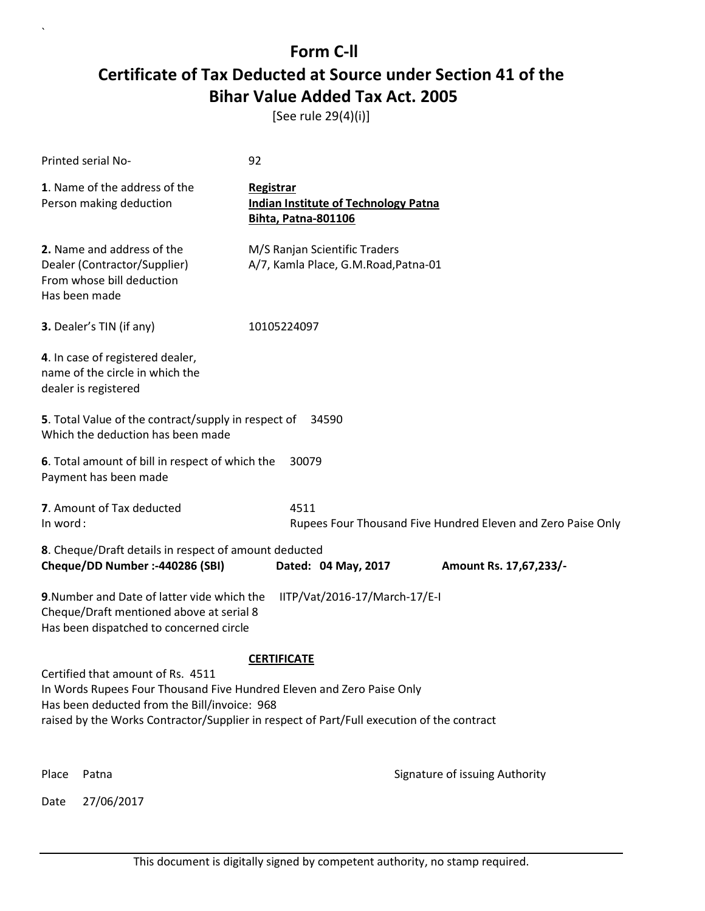[See rule 29(4)(i)]

| Printed serial No-                                                                                                                                                                                                                                                            | 92                                                                                                |  |  |  |
|-------------------------------------------------------------------------------------------------------------------------------------------------------------------------------------------------------------------------------------------------------------------------------|---------------------------------------------------------------------------------------------------|--|--|--|
| 1. Name of the address of the<br>Person making deduction                                                                                                                                                                                                                      | <b>Registrar</b><br><b>Indian Institute of Technology Patna</b><br><b>Bihta, Patna-801106</b>     |  |  |  |
| 2. Name and address of the<br>Dealer (Contractor/Supplier)<br>From whose bill deduction<br>Has been made                                                                                                                                                                      | M/S Ranjan Scientific Traders<br>A/7, Kamla Place, G.M.Road, Patna-01                             |  |  |  |
| 3. Dealer's TIN (if any)                                                                                                                                                                                                                                                      | 10105224097                                                                                       |  |  |  |
| 4. In case of registered dealer,<br>name of the circle in which the<br>dealer is registered                                                                                                                                                                                   |                                                                                                   |  |  |  |
|                                                                                                                                                                                                                                                                               | 5. Total Value of the contract/supply in respect of<br>34590<br>Which the deduction has been made |  |  |  |
| 6. Total amount of bill in respect of which the<br>30079<br>Payment has been made                                                                                                                                                                                             |                                                                                                   |  |  |  |
| 7. Amount of Tax deducted<br>In word:                                                                                                                                                                                                                                         | 4511<br>Rupees Four Thousand Five Hundred Eleven and Zero Paise Only                              |  |  |  |
| 8. Cheque/Draft details in respect of amount deducted<br>Cheque/DD Number :- 440286 (SBI)<br>Dated: 04 May, 2017<br>Amount Rs. 17,67,233/-                                                                                                                                    |                                                                                                   |  |  |  |
| 9. Number and Date of latter vide which the<br>IITP/Vat/2016-17/March-17/E-I<br>Cheque/Draft mentioned above at serial 8<br>Has been dispatched to concerned circle                                                                                                           |                                                                                                   |  |  |  |
| <b>CERTIFICATE</b><br>Certified that amount of Rs. 4511<br>In Words Rupees Four Thousand Five Hundred Eleven and Zero Paise Only<br>Has been deducted from the Bill/invoice: 968<br>raised by the Works Contractor/Supplier in respect of Part/Full execution of the contract |                                                                                                   |  |  |  |
| Place<br>Patna                                                                                                                                                                                                                                                                | Signature of issuing Authority                                                                    |  |  |  |
| 27/06/2017<br>Date                                                                                                                                                                                                                                                            |                                                                                                   |  |  |  |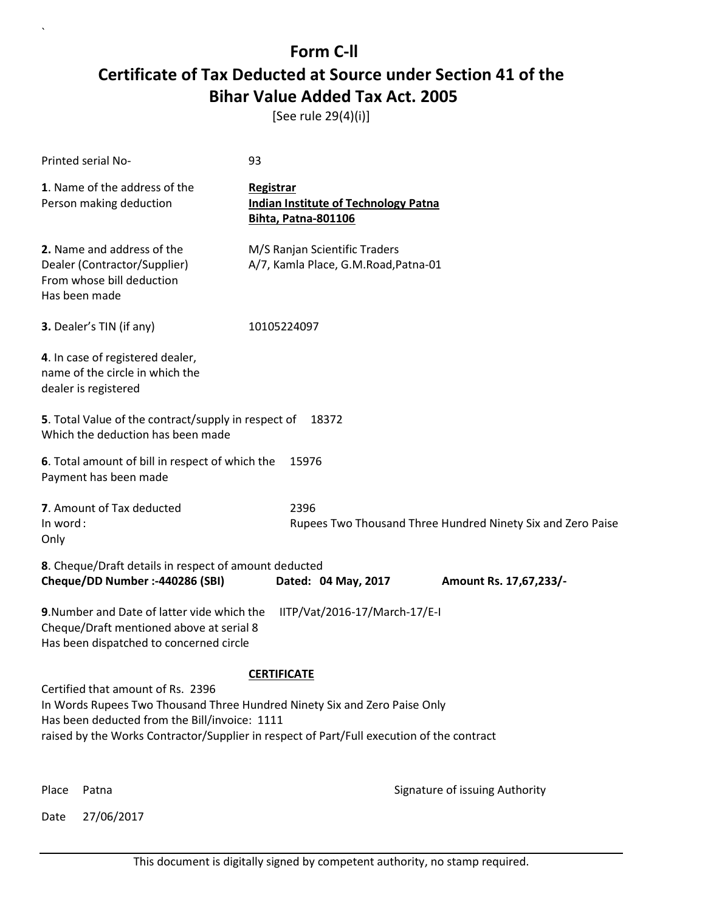[See rule 29(4)(i)]

| Printed serial No-                                                                                                                                              | 93                                                                                        |  |
|-----------------------------------------------------------------------------------------------------------------------------------------------------------------|-------------------------------------------------------------------------------------------|--|
| 1. Name of the address of the<br>Person making deduction                                                                                                        | Registrar<br><b>Indian Institute of Technology Patna</b><br><b>Bihta, Patna-801106</b>    |  |
| 2. Name and address of the<br>Dealer (Contractor/Supplier)<br>From whose bill deduction<br>Has been made                                                        | M/S Ranjan Scientific Traders<br>A/7, Kamla Place, G.M.Road, Patna-01                     |  |
| 3. Dealer's TIN (if any)                                                                                                                                        | 10105224097                                                                               |  |
| 4. In case of registered dealer,<br>name of the circle in which the<br>dealer is registered                                                                     |                                                                                           |  |
| 5. Total Value of the contract/supply in respect of<br>Which the deduction has been made                                                                        | 18372                                                                                     |  |
| 6. Total amount of bill in respect of which the<br>15976<br>Payment has been made                                                                               |                                                                                           |  |
| 7. Amount of Tax deducted<br>In word:<br>Only                                                                                                                   | 2396<br>Rupees Two Thousand Three Hundred Ninety Six and Zero Paise                       |  |
| 8. Cheque/Draft details in respect of amount deducted<br>Cheque/DD Number :- 440286 (SBI)                                                                       | Dated: 04 May, 2017<br>Amount Rs. 17,67,233/-                                             |  |
| 9. Number and Date of latter vide which the<br>Cheque/Draft mentioned above at serial 8<br>Has been dispatched to concerned circle                              | IITP/Vat/2016-17/March-17/E-I                                                             |  |
|                                                                                                                                                                 | <b>CERTIFICATE</b>                                                                        |  |
| Certified that amount of Rs. 2396<br>In Words Rupees Two Thousand Three Hundred Ninety Six and Zero Paise Only<br>Has been deducted from the Bill/invoice: 1111 | raised by the Works Contractor/Supplier in respect of Part/Full execution of the contract |  |
| Place<br>Patna                                                                                                                                                  | Signature of issuing Authority                                                            |  |

Date 27/06/2017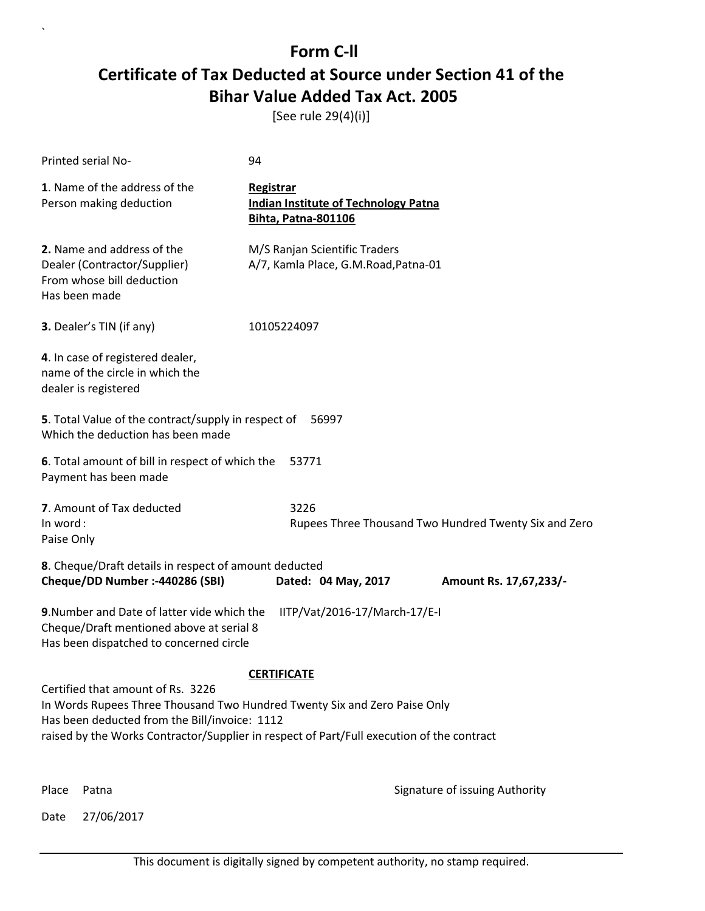[See rule 29(4)(i)]

| Printed serial No-                                                                                                                                                                                                                                           | 94                                                                                     |                                                       |
|--------------------------------------------------------------------------------------------------------------------------------------------------------------------------------------------------------------------------------------------------------------|----------------------------------------------------------------------------------------|-------------------------------------------------------|
| 1. Name of the address of the<br>Person making deduction                                                                                                                                                                                                     | Registrar<br><b>Indian Institute of Technology Patna</b><br><b>Bihta, Patna-801106</b> |                                                       |
| 2. Name and address of the<br>Dealer (Contractor/Supplier)<br>From whose bill deduction<br>Has been made                                                                                                                                                     | M/S Ranjan Scientific Traders<br>A/7, Kamla Place, G.M.Road, Patna-01                  |                                                       |
| 3. Dealer's TIN (if any)                                                                                                                                                                                                                                     | 10105224097                                                                            |                                                       |
| 4. In case of registered dealer,<br>name of the circle in which the<br>dealer is registered                                                                                                                                                                  |                                                                                        |                                                       |
| 5. Total Value of the contract/supply in respect of<br>Which the deduction has been made                                                                                                                                                                     | 56997                                                                                  |                                                       |
| 6. Total amount of bill in respect of which the<br>Payment has been made                                                                                                                                                                                     | 53771                                                                                  |                                                       |
| 7. Amount of Tax deducted<br>In word:<br>Paise Only                                                                                                                                                                                                          | 3226                                                                                   | Rupees Three Thousand Two Hundred Twenty Six and Zero |
| 8. Cheque/Draft details in respect of amount deducted<br>Cheque/DD Number :- 440286 (SBI)                                                                                                                                                                    | Dated: 04 May, 2017                                                                    | Amount Rs. 17,67,233/-                                |
| 9. Number and Date of latter vide which the<br>IITP/Vat/2016-17/March-17/E-I<br>Cheque/Draft mentioned above at serial 8<br>Has been dispatched to concerned circle                                                                                          |                                                                                        |                                                       |
|                                                                                                                                                                                                                                                              | <b>CERTIFICATE</b>                                                                     |                                                       |
| Certified that amount of Rs. 3226<br>In Words Rupees Three Thousand Two Hundred Twenty Six and Zero Paise Only<br>Has been deducted from the Bill/invoice: 1112<br>raised by the Works Contractor/Supplier in respect of Part/Full execution of the contract |                                                                                        |                                                       |
| Place<br>Patna                                                                                                                                                                                                                                               |                                                                                        | Signature of issuing Authority                        |

Date 27/06/2017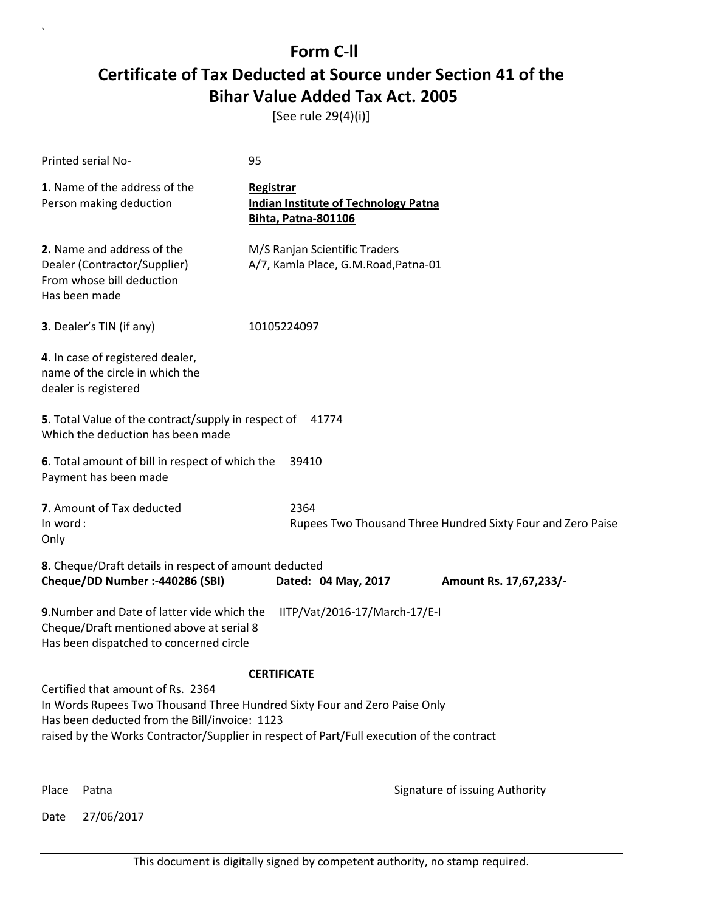[See rule 29(4)(i)]

| Printed serial No-                                                                                                                                                                                                                                           | 95                                                                                     |  |
|--------------------------------------------------------------------------------------------------------------------------------------------------------------------------------------------------------------------------------------------------------------|----------------------------------------------------------------------------------------|--|
| 1. Name of the address of the<br>Person making deduction                                                                                                                                                                                                     | Registrar<br><b>Indian Institute of Technology Patna</b><br><b>Bihta, Patna-801106</b> |  |
| 2. Name and address of the<br>Dealer (Contractor/Supplier)<br>From whose bill deduction<br>Has been made                                                                                                                                                     | M/S Ranjan Scientific Traders<br>A/7, Kamla Place, G.M.Road, Patna-01                  |  |
| 3. Dealer's TIN (if any)                                                                                                                                                                                                                                     | 10105224097                                                                            |  |
| 4. In case of registered dealer,<br>name of the circle in which the<br>dealer is registered                                                                                                                                                                  |                                                                                        |  |
| 5. Total Value of the contract/supply in respect of<br>41774<br>Which the deduction has been made                                                                                                                                                            |                                                                                        |  |
| 6. Total amount of bill in respect of which the<br>Payment has been made                                                                                                                                                                                     | 39410                                                                                  |  |
| 7. Amount of Tax deducted<br>In word:<br>Only                                                                                                                                                                                                                | 2364<br>Rupees Two Thousand Three Hundred Sixty Four and Zero Paise                    |  |
| 8. Cheque/Draft details in respect of amount deducted<br>Cheque/DD Number :- 440286 (SBI)                                                                                                                                                                    | Dated: 04 May, 2017<br>Amount Rs. 17,67,233/-                                          |  |
| 9. Number and Date of latter vide which the<br>Cheque/Draft mentioned above at serial 8<br>Has been dispatched to concerned circle                                                                                                                           | IITP/Vat/2016-17/March-17/E-I                                                          |  |
| <b>CERTIFICATE</b>                                                                                                                                                                                                                                           |                                                                                        |  |
| Certified that amount of Rs. 2364<br>In Words Rupees Two Thousand Three Hundred Sixty Four and Zero Paise Only<br>Has been deducted from the Bill/invoice: 1123<br>raised by the Works Contractor/Supplier in respect of Part/Full execution of the contract |                                                                                        |  |
| Place<br>Patna                                                                                                                                                                                                                                               | Signature of issuing Authority                                                         |  |

Date 27/06/2017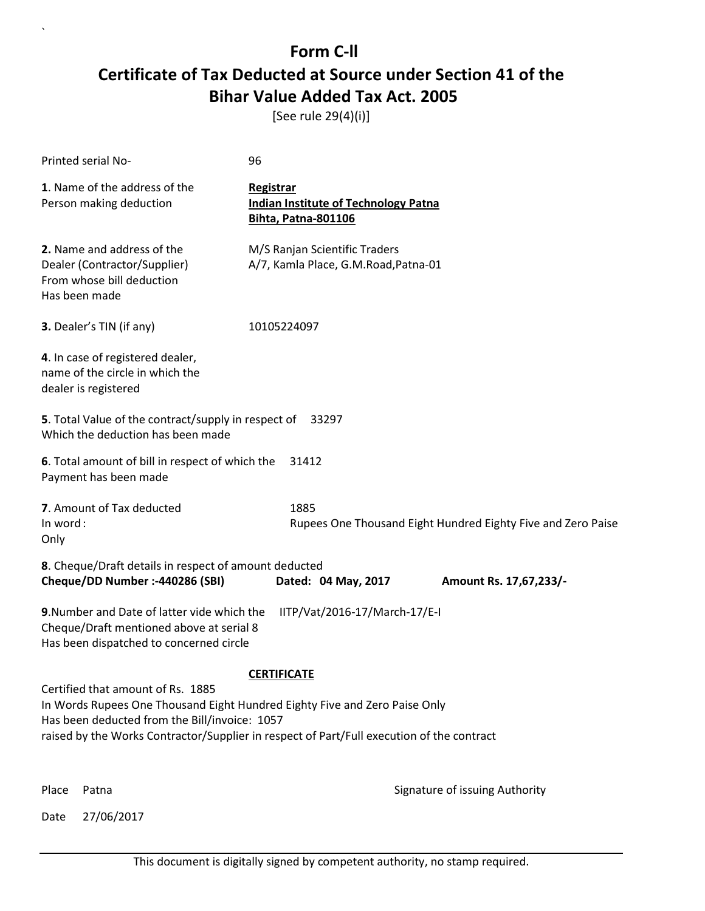[See rule 29(4)(i)]

| <b>Printed serial No-</b>                                                                                                                                                                                                                                     | 96                                                                                            |  |
|---------------------------------------------------------------------------------------------------------------------------------------------------------------------------------------------------------------------------------------------------------------|-----------------------------------------------------------------------------------------------|--|
| 1. Name of the address of the<br>Person making deduction                                                                                                                                                                                                      | <b>Registrar</b><br><b>Indian Institute of Technology Patna</b><br><b>Bihta, Patna-801106</b> |  |
| 2. Name and address of the<br>Dealer (Contractor/Supplier)<br>From whose bill deduction<br>Has been made                                                                                                                                                      | M/S Ranjan Scientific Traders<br>A/7, Kamla Place, G.M.Road, Patna-01                         |  |
| 3. Dealer's TIN (if any)                                                                                                                                                                                                                                      | 10105224097                                                                                   |  |
| 4. In case of registered dealer,<br>name of the circle in which the<br>dealer is registered                                                                                                                                                                   |                                                                                               |  |
| 5. Total Value of the contract/supply in respect of<br>33297<br>Which the deduction has been made                                                                                                                                                             |                                                                                               |  |
| 6. Total amount of bill in respect of which the<br>Payment has been made                                                                                                                                                                                      | 31412                                                                                         |  |
| 7. Amount of Tax deducted<br>In word:<br>Only                                                                                                                                                                                                                 | 1885<br>Rupees One Thousand Eight Hundred Eighty Five and Zero Paise                          |  |
| 8. Cheque/Draft details in respect of amount deducted<br>Cheque/DD Number :- 440286 (SBI)                                                                                                                                                                     | Dated: 04 May, 2017<br>Amount Rs. 17,67,233/-                                                 |  |
| 9. Number and Date of latter vide which the<br>Cheque/Draft mentioned above at serial 8<br>Has been dispatched to concerned circle                                                                                                                            | IITP/Vat/2016-17/March-17/E-I                                                                 |  |
|                                                                                                                                                                                                                                                               | <b>CERTIFICATE</b>                                                                            |  |
| Certified that amount of Rs. 1885<br>In Words Rupees One Thousand Eight Hundred Eighty Five and Zero Paise Only<br>Has been deducted from the Bill/invoice: 1057<br>raised by the Works Contractor/Supplier in respect of Part/Full execution of the contract |                                                                                               |  |
| Place<br>Patna                                                                                                                                                                                                                                                | Signature of issuing Authority                                                                |  |

Date 27/06/2017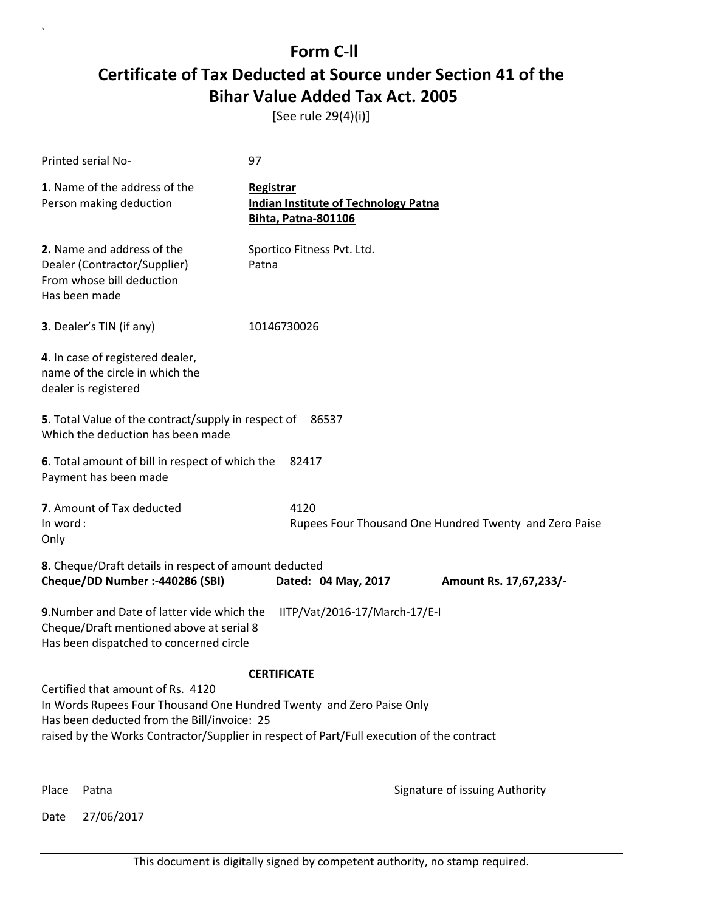[See rule 29(4)(i)]

| Printed serial No-                                                                                                                                                                                                                                    | 97                                                                                     |                                                        |
|-------------------------------------------------------------------------------------------------------------------------------------------------------------------------------------------------------------------------------------------------------|----------------------------------------------------------------------------------------|--------------------------------------------------------|
| 1. Name of the address of the<br>Person making deduction                                                                                                                                                                                              | Registrar<br><b>Indian Institute of Technology Patna</b><br><b>Bihta, Patna-801106</b> |                                                        |
| 2. Name and address of the<br>Dealer (Contractor/Supplier)<br>From whose bill deduction<br>Has been made                                                                                                                                              | Sportico Fitness Pvt. Ltd.<br>Patna                                                    |                                                        |
| 3. Dealer's TIN (if any)                                                                                                                                                                                                                              | 10146730026                                                                            |                                                        |
| 4. In case of registered dealer,<br>name of the circle in which the<br>dealer is registered                                                                                                                                                           |                                                                                        |                                                        |
| 5. Total Value of the contract/supply in respect of<br>Which the deduction has been made                                                                                                                                                              | 86537                                                                                  |                                                        |
| 6. Total amount of bill in respect of which the<br>Payment has been made                                                                                                                                                                              | 82417                                                                                  |                                                        |
| 7. Amount of Tax deducted<br>In word:<br>Only                                                                                                                                                                                                         | 4120                                                                                   | Rupees Four Thousand One Hundred Twenty and Zero Paise |
| 8. Cheque/Draft details in respect of amount deducted<br>Cheque/DD Number :- 440286 (SBI)                                                                                                                                                             | Dated: 04 May, 2017                                                                    | Amount Rs. 17,67,233/-                                 |
| 9. Number and Date of latter vide which the<br>Cheque/Draft mentioned above at serial 8<br>Has been dispatched to concerned circle                                                                                                                    | IITP/Vat/2016-17/March-17/E-I                                                          |                                                        |
|                                                                                                                                                                                                                                                       | <b>CERTIFICATE</b>                                                                     |                                                        |
| Certified that amount of Rs. 4120<br>In Words Rupees Four Thousand One Hundred Twenty and Zero Paise Only<br>Has been deducted from the Bill/invoice: 25<br>raised by the Works Contractor/Supplier in respect of Part/Full execution of the contract |                                                                                        |                                                        |
| Place<br>Patna                                                                                                                                                                                                                                        |                                                                                        | Signature of issuing Authority                         |

Date 27/06/2017

`

This document is digitally signed by competent authority, no stamp required.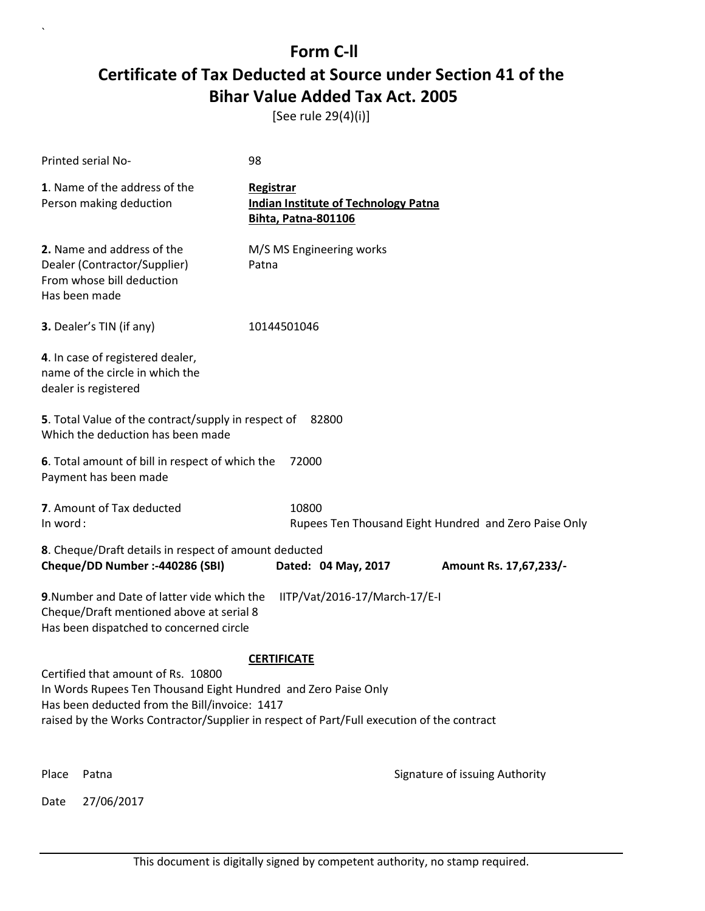[See rule 29(4)(i)]

|                                                                                                                                                                                                                                                                          | <b>Printed serial No-</b>                                                                                | 98          |       |                                                                           |                                |                                                       |  |
|--------------------------------------------------------------------------------------------------------------------------------------------------------------------------------------------------------------------------------------------------------------------------|----------------------------------------------------------------------------------------------------------|-------------|-------|---------------------------------------------------------------------------|--------------------------------|-------------------------------------------------------|--|
|                                                                                                                                                                                                                                                                          | 1. Name of the address of the<br>Person making deduction                                                 | Registrar   |       | <b>Indian Institute of Technology Patna</b><br><b>Bihta, Patna-801106</b> |                                |                                                       |  |
|                                                                                                                                                                                                                                                                          | 2. Name and address of the<br>Dealer (Contractor/Supplier)<br>From whose bill deduction<br>Has been made | Patna       |       | M/S MS Engineering works                                                  |                                |                                                       |  |
|                                                                                                                                                                                                                                                                          | 3. Dealer's TIN (if any)                                                                                 | 10144501046 |       |                                                                           |                                |                                                       |  |
|                                                                                                                                                                                                                                                                          | 4. In case of registered dealer,<br>name of the circle in which the<br>dealer is registered              |             |       |                                                                           |                                |                                                       |  |
| 5. Total Value of the contract/supply in respect of<br>82800<br>Which the deduction has been made                                                                                                                                                                        |                                                                                                          |             |       |                                                                           |                                |                                                       |  |
| 6. Total amount of bill in respect of which the<br>72000<br>Payment has been made                                                                                                                                                                                        |                                                                                                          |             |       |                                                                           |                                |                                                       |  |
| In word:                                                                                                                                                                                                                                                                 | 7. Amount of Tax deducted                                                                                |             | 10800 |                                                                           |                                | Rupees Ten Thousand Eight Hundred and Zero Paise Only |  |
| 8. Cheque/Draft details in respect of amount deducted<br>Cheque/DD Number :- 440286 (SBI)<br>Dated: 04 May, 2017<br>Amount Rs. 17,67,233/-                                                                                                                               |                                                                                                          |             |       |                                                                           |                                |                                                       |  |
| 9. Number and Date of latter vide which the<br>IITP/Vat/2016-17/March-17/E-I<br>Cheque/Draft mentioned above at serial 8<br>Has been dispatched to concerned circle                                                                                                      |                                                                                                          |             |       |                                                                           |                                |                                                       |  |
| <b>CERTIFICATE</b><br>Certified that amount of Rs. 10800<br>In Words Rupees Ten Thousand Eight Hundred and Zero Paise Only<br>Has been deducted from the Bill/invoice: 1417<br>raised by the Works Contractor/Supplier in respect of Part/Full execution of the contract |                                                                                                          |             |       |                                                                           |                                |                                                       |  |
| Place                                                                                                                                                                                                                                                                    | Patna                                                                                                    |             |       |                                                                           | Signature of issuing Authority |                                                       |  |
| Date                                                                                                                                                                                                                                                                     | 27/06/2017                                                                                               |             |       |                                                                           |                                |                                                       |  |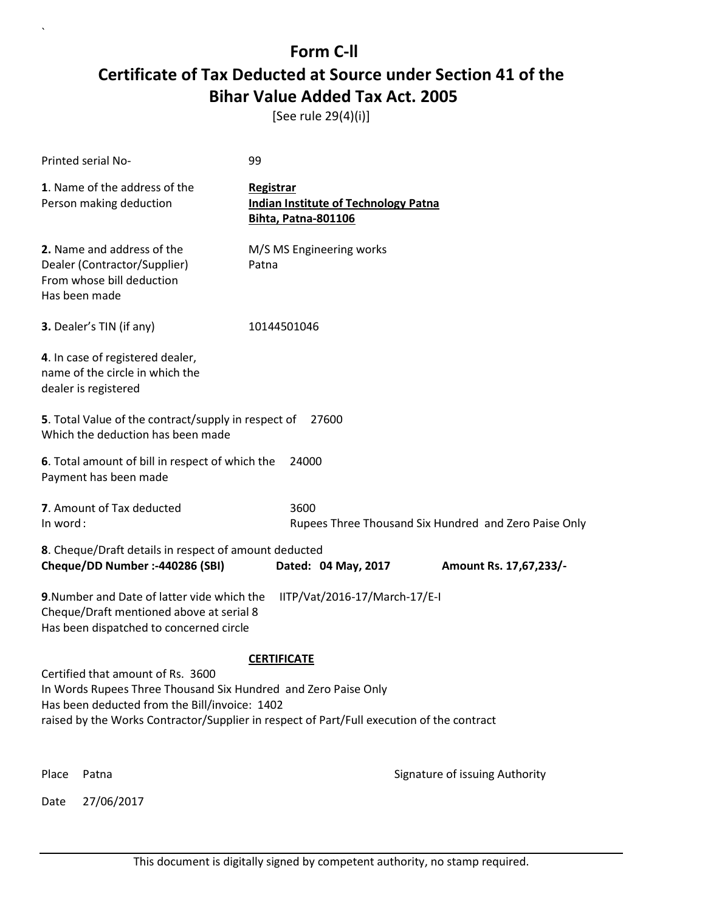[See rule 29(4)(i)]

|                                                                                                                                                                                                                                                   | <b>Printed serial No-</b>                                                                                | 99          |                                                                           |                                                       |
|---------------------------------------------------------------------------------------------------------------------------------------------------------------------------------------------------------------------------------------------------|----------------------------------------------------------------------------------------------------------|-------------|---------------------------------------------------------------------------|-------------------------------------------------------|
|                                                                                                                                                                                                                                                   | 1. Name of the address of the<br>Person making deduction                                                 | Registrar   | <b>Indian Institute of Technology Patna</b><br><b>Bihta, Patna-801106</b> |                                                       |
|                                                                                                                                                                                                                                                   | 2. Name and address of the<br>Dealer (Contractor/Supplier)<br>From whose bill deduction<br>Has been made | Patna       | M/S MS Engineering works                                                  |                                                       |
|                                                                                                                                                                                                                                                   | 3. Dealer's TIN (if any)                                                                                 | 10144501046 |                                                                           |                                                       |
|                                                                                                                                                                                                                                                   | 4. In case of registered dealer,<br>name of the circle in which the<br>dealer is registered              |             |                                                                           |                                                       |
| 5. Total Value of the contract/supply in respect of<br>27600<br>Which the deduction has been made                                                                                                                                                 |                                                                                                          |             |                                                                           |                                                       |
| 6. Total amount of bill in respect of which the<br>24000<br>Payment has been made                                                                                                                                                                 |                                                                                                          |             |                                                                           |                                                       |
| In word:                                                                                                                                                                                                                                          | 7. Amount of Tax deducted                                                                                |             | 3600                                                                      | Rupees Three Thousand Six Hundred and Zero Paise Only |
| 8. Cheque/Draft details in respect of amount deducted<br>Cheque/DD Number :- 440286 (SBI)<br>Dated: 04 May, 2017                                                                                                                                  |                                                                                                          |             |                                                                           |                                                       |
|                                                                                                                                                                                                                                                   |                                                                                                          |             |                                                                           | Amount Rs. 17,67,233/-                                |
| 9. Number and Date of latter vide which the<br>IITP/Vat/2016-17/March-17/E-I<br>Cheque/Draft mentioned above at serial 8<br>Has been dispatched to concerned circle                                                                               |                                                                                                          |             |                                                                           |                                                       |
| <b>CERTIFICATE</b>                                                                                                                                                                                                                                |                                                                                                          |             |                                                                           |                                                       |
| Certified that amount of Rs. 3600<br>In Words Rupees Three Thousand Six Hundred and Zero Paise Only<br>Has been deducted from the Bill/invoice: 1402<br>raised by the Works Contractor/Supplier in respect of Part/Full execution of the contract |                                                                                                          |             |                                                                           |                                                       |
|                                                                                                                                                                                                                                                   |                                                                                                          |             |                                                                           |                                                       |
| Place                                                                                                                                                                                                                                             | Patna                                                                                                    |             |                                                                           | Signature of issuing Authority                        |
| Date                                                                                                                                                                                                                                              | 27/06/2017                                                                                               |             |                                                                           |                                                       |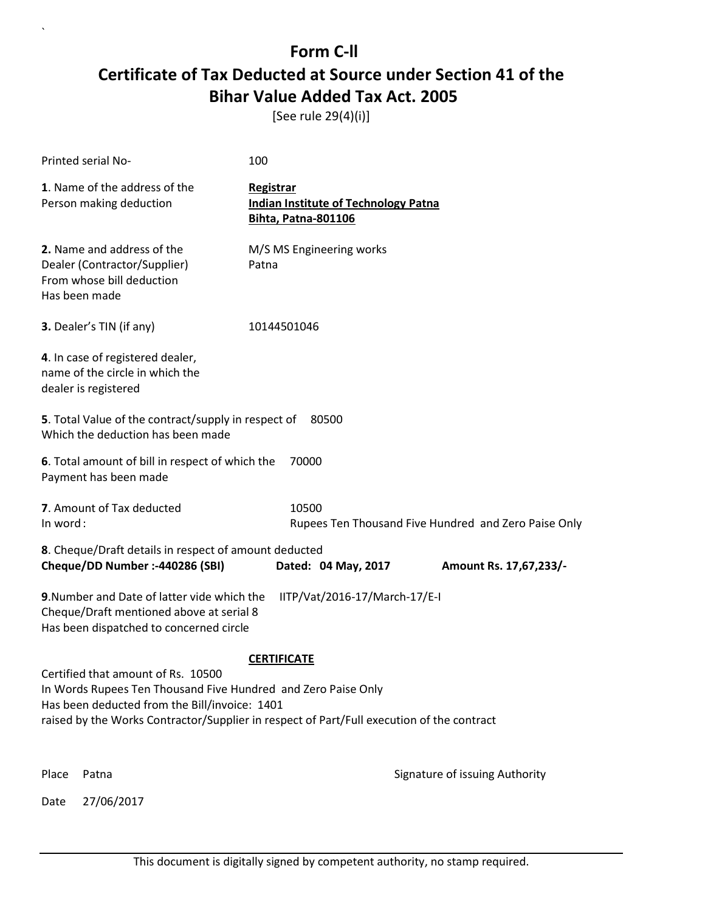[See rule 29(4)(i)]

| Printed serial No-                                                                                                                                                                                                                                | 100                                                                                    |                                                      |  |  |
|---------------------------------------------------------------------------------------------------------------------------------------------------------------------------------------------------------------------------------------------------|----------------------------------------------------------------------------------------|------------------------------------------------------|--|--|
| 1. Name of the address of the<br>Person making deduction                                                                                                                                                                                          | Registrar<br><b>Indian Institute of Technology Patna</b><br><b>Bihta, Patna-801106</b> |                                                      |  |  |
| 2. Name and address of the<br>Dealer (Contractor/Supplier)<br>From whose bill deduction<br>Has been made                                                                                                                                          | M/S MS Engineering works<br>Patna                                                      |                                                      |  |  |
| 3. Dealer's TIN (if any)                                                                                                                                                                                                                          | 10144501046                                                                            |                                                      |  |  |
| 4. In case of registered dealer,<br>name of the circle in which the<br>dealer is registered                                                                                                                                                       |                                                                                        |                                                      |  |  |
| 5. Total Value of the contract/supply in respect of<br>80500<br>Which the deduction has been made                                                                                                                                                 |                                                                                        |                                                      |  |  |
| 6. Total amount of bill in respect of which the<br>70000<br>Payment has been made                                                                                                                                                                 |                                                                                        |                                                      |  |  |
| 7. Amount of Tax deducted<br>In word:                                                                                                                                                                                                             | 10500                                                                                  | Rupees Ten Thousand Five Hundred and Zero Paise Only |  |  |
| 8. Cheque/Draft details in respect of amount deducted                                                                                                                                                                                             |                                                                                        |                                                      |  |  |
| Cheque/DD Number :- 440286 (SBI)                                                                                                                                                                                                                  | Dated: 04 May, 2017                                                                    | Amount Rs. 17,67,233/-                               |  |  |
| 9. Number and Date of latter vide which the<br>IITP/Vat/2016-17/March-17/E-I<br>Cheque/Draft mentioned above at serial 8<br>Has been dispatched to concerned circle                                                                               |                                                                                        |                                                      |  |  |
| <b>CERTIFICATE</b>                                                                                                                                                                                                                                |                                                                                        |                                                      |  |  |
| Certified that amount of Rs. 10500<br>In Words Rupees Ten Thousand Five Hundred and Zero Paise Only<br>Has been deducted from the Bill/invoice: 1401<br>raised by the Works Contractor/Supplier in respect of Part/Full execution of the contract |                                                                                        |                                                      |  |  |
| Place<br>Patna                                                                                                                                                                                                                                    |                                                                                        | Signature of issuing Authority                       |  |  |
| 27/06/2017<br>Date                                                                                                                                                                                                                                |                                                                                        |                                                      |  |  |